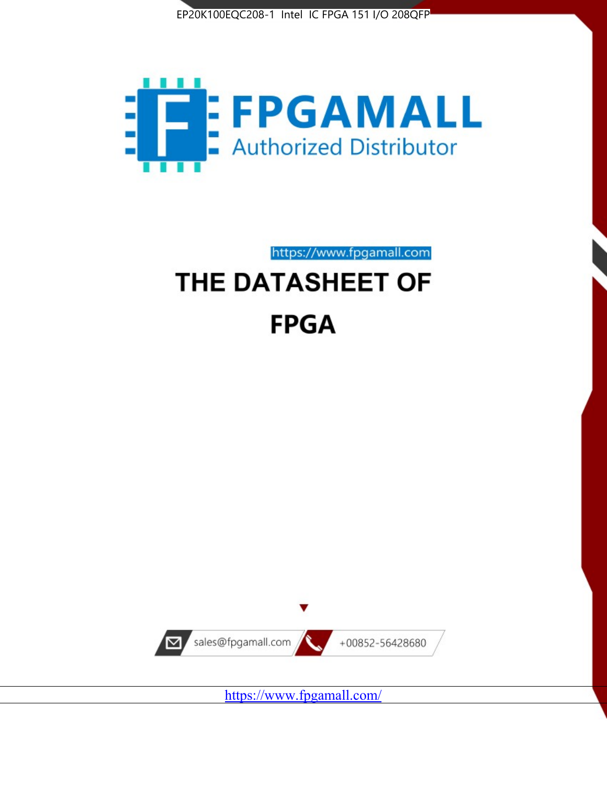



https://www.fpgamall.com

# THE DATASHEET OF **FPGA**



<https://www.fpgamall.com/>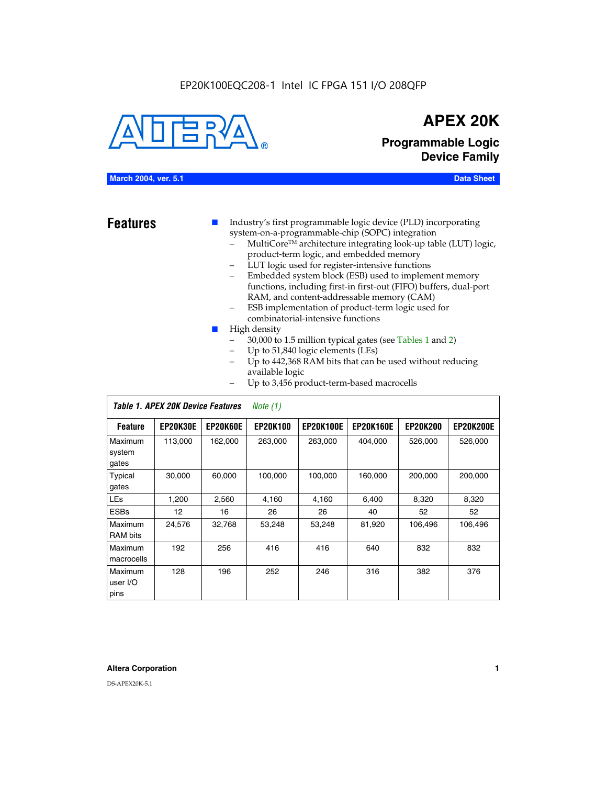

# **APEX 20K**

**Programmable Logic Device Family**

# **March 2004, ver. 5.1 Data Sheet**

- **Features ■** Industry's first programmable logic device (PLD) incorporating system-on-a-programmable-chip (SOPC) integration
	- MultiCore™ architecture integrating look-up table (LUT) logic, product-term logic, and embedded memory
	- LUT logic used for register-intensive functions
	- Embedded system block (ESB) used to implement memory functions, including first-in first-out (FIFO) buffers, dual-port RAM, and content-addressable memory (CAM)
	- ESB implementation of product-term logic used for combinatorial-intensive functions
	- High density
		- 30,000 to 1.5 million typical gates (see Tables 1 and 2)
		- Up to 51,840 logic elements (LEs)
		- Up to 442,368 RAM bits that can be used without reducing available logic
		- Up to 3,456 product-term-based macrocells

|                             | Table 1. APEX 20K Device Features<br>Note $(1)$ |                 |                 |                  |                  |                 |                  |  |  |  |
|-----------------------------|-------------------------------------------------|-----------------|-----------------|------------------|------------------|-----------------|------------------|--|--|--|
| <b>Feature</b>              | <b>EP20K30E</b>                                 | <b>EP20K60E</b> | <b>EP20K100</b> | <b>EP20K100E</b> | <b>EP20K160E</b> | <b>EP20K200</b> | <b>EP20K200E</b> |  |  |  |
| Maximum<br>system<br>gates  | 113,000                                         | 162,000         | 263.000         | 263,000          | 404.000          | 526,000         | 526,000          |  |  |  |
| Typical<br>gates            | 30,000                                          | 60,000          | 100,000         | 100,000          | 160,000          | 200,000         | 200,000          |  |  |  |
| <b>LEs</b>                  | 1,200                                           | 2,560           | 4,160           | 4,160            | 6.400            | 8,320           | 8,320            |  |  |  |
| <b>ESBs</b>                 | $12 \overline{ }$                               | 16              | 26              | 26               | 40               | 52              | 52               |  |  |  |
| Maximum<br><b>RAM</b> bits  | 24,576                                          | 32,768          | 53,248          | 53,248           | 81,920           | 106,496         | 106,496          |  |  |  |
| Maximum<br>macrocells       | 192                                             | 256             | 416             | 416              | 640              | 832             | 832              |  |  |  |
| Maximum<br>user I/O<br>pins | 128                                             | 196             | 252             | 246              | 316              | 382             | 376              |  |  |  |

# **Altera Corporation 1**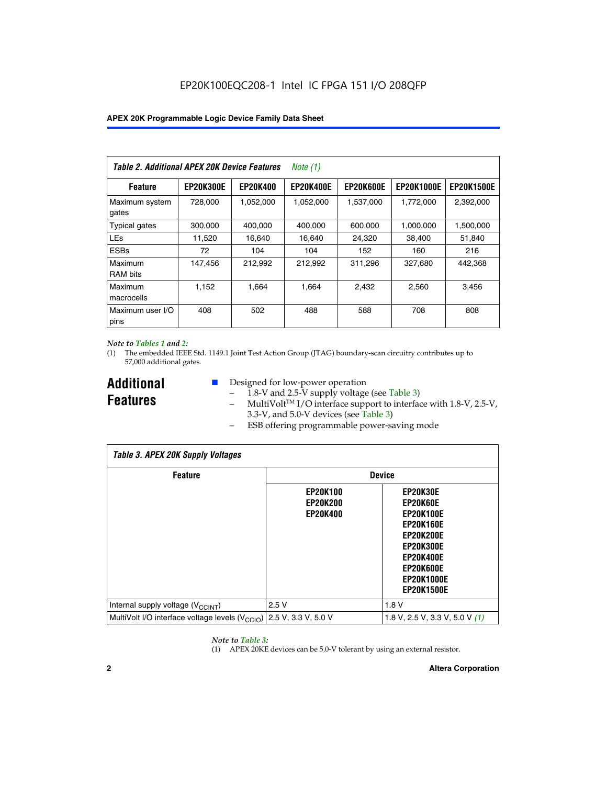| Table 2. Additional APEX 20K Device Features |                  |                 | Note $(1)$       |                  |                   |                   |
|----------------------------------------------|------------------|-----------------|------------------|------------------|-------------------|-------------------|
| <b>Feature</b>                               | <b>EP20K300E</b> | <b>EP20K400</b> | <b>EP20K400E</b> | <b>EP20K600E</b> | <b>EP20K1000E</b> | <b>EP20K1500E</b> |
| Maximum system<br>gates                      | 728,000          | 1,052,000       | 1,052,000        | 1,537,000        | 1,772,000         | 2,392,000         |
| <b>Typical gates</b>                         | 300,000          | 400,000         | 400,000          | 600,000          | 1,000,000         | 1,500,000         |
| <b>LEs</b>                                   | 11,520           | 16.640          | 16.640           | 24,320           | 38,400            | 51,840            |
| <b>ESBs</b>                                  | 72               | 104             | 104              | 152              | 160               | 216               |
| Maximum<br><b>RAM bits</b>                   | 147,456          | 212,992         | 212,992          | 311,296          | 327,680           | 442.368           |
| Maximum<br>macrocells                        | 1,152            | 1,664           | 1,664            | 2.432            | 2,560             | 3,456             |
| Maximum user I/O<br>pins                     | 408              | 502             | 488              | 588              | 708               | 808               |

# *Note to Tables 1 and 2:*

*Table 3. APEX 20K Supply Voltages*

(1) The embedded IEEE Std. 1149.1 Joint Test Action Group (JTAG) boundary-scan circuitry contributes up to 57,000 additional gates.

**Additional Features**

 $\mathbf{I}$ 

- Designed for low-power operation
	- 1.8-V and 2.5-V supply voltage (see Table 3)
	- $-$  MultiVolt<sup>TM</sup> I/O interface support to interface with 1.8-V, 2.5-V, 3.3-V, and 5.0-V devices (see Table 3)
	- ESB offering programmable power-saving mode

| Tadie 3. Apex zuk Supply voltages                                               |                                                       |                                                                                                                                                                                 |  |  |  |  |  |  |
|---------------------------------------------------------------------------------|-------------------------------------------------------|---------------------------------------------------------------------------------------------------------------------------------------------------------------------------------|--|--|--|--|--|--|
| <b>Feature</b>                                                                  | <b>Device</b>                                         |                                                                                                                                                                                 |  |  |  |  |  |  |
|                                                                                 | <b>EP20K100</b><br><b>EP20K200</b><br><b>EP20K400</b> | EP20K30E<br>EP20K60E<br><b>EP20K100E</b><br><b>EP20K160E</b><br><b>EP20K200E</b><br><b>EP20K300E</b><br><b>EP20K400E</b><br>EP20K600E<br><b>EP20K1000E</b><br><b>EP20K1500E</b> |  |  |  |  |  |  |
| Internal supply voltage (V <sub>CCINT</sub> )                                   | 2.5V                                                  | 1.8V                                                                                                                                                                            |  |  |  |  |  |  |
| MultiVolt I/O interface voltage levels (V <sub>CCIO</sub> ) 2.5 V, 3.3 V, 5.0 V |                                                       | 1.8 V, 2.5 V, 3.3 V, 5.0 V (1)                                                                                                                                                  |  |  |  |  |  |  |

# *Note to Table 3:*

(1) APEX 20KE devices can be 5.0-V tolerant by using an external resistor.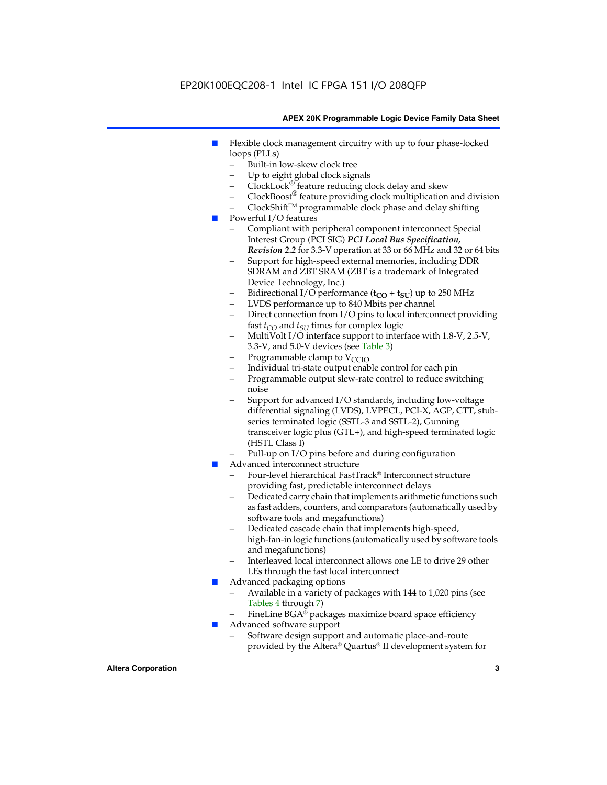- Flexible clock management circuitry with up to four phase-locked loops (PLLs)
	- Built-in low-skew clock tree
	- Up to eight global clock signals
	- $ClockLock^{\circledR}$  feature reducing clock delay and skew
	- $ClockBoost^{\circledR}$  feature providing clock multiplication and division
	- ClockShiftTM programmable clock phase and delay shifting
- Powerful I/O features
	- Compliant with peripheral component interconnect Special Interest Group (PCI SIG) *PCI Local Bus Specification, Revision 2.2* for 3.3-V operation at 33 or 66 MHz and 32 or 64 bits
	- Support for high-speed external memories, including DDR SDRAM and ZBT SRAM (ZBT is a trademark of Integrated Device Technology, Inc.)
	- Bidirectional I/O performance  $(t_{CO} + t_{SU})$  up to 250 MHz
	- LVDS performance up to 840 Mbits per channel
	- Direct connection from I/O pins to local interconnect providing fast  $t_{CO}$  and  $t_{SU}$  times for complex logic
	- MultiVolt I/O interface support to interface with 1.8-V, 2.5-V, 3.3-V, and 5.0-V devices (see Table 3)
	- Programmable clamp to  $V_{\text{C}CD}$
	- Individual tri-state output enable control for each pin
	- Programmable output slew-rate control to reduce switching noise
	- Support for advanced I/O standards, including low-voltage differential signaling (LVDS), LVPECL, PCI-X, AGP, CTT, stubseries terminated logic (SSTL-3 and SSTL-2), Gunning transceiver logic plus (GTL+), and high-speed terminated logic (HSTL Class I)
	- Pull-up on I/O pins before and during configuration
- Advanced interconnect structure
	- Four-level hierarchical FastTrack® Interconnect structure providing fast, predictable interconnect delays
	- Dedicated carry chain that implements arithmetic functions such as fast adders, counters, and comparators (automatically used by software tools and megafunctions)
	- Dedicated cascade chain that implements high-speed, high-fan-in logic functions (automatically used by software tools and megafunctions)
	- Interleaved local interconnect allows one LE to drive 29 other LEs through the fast local interconnect
- Advanced packaging options
	- Available in a variety of packages with 144 to 1,020 pins (see Tables 4 through 7)
	- FineLine BGA® packages maximize board space efficiency
- Advanced software support
	- Software design support and automatic place-and-route provided by the Altera® Quartus® II development system for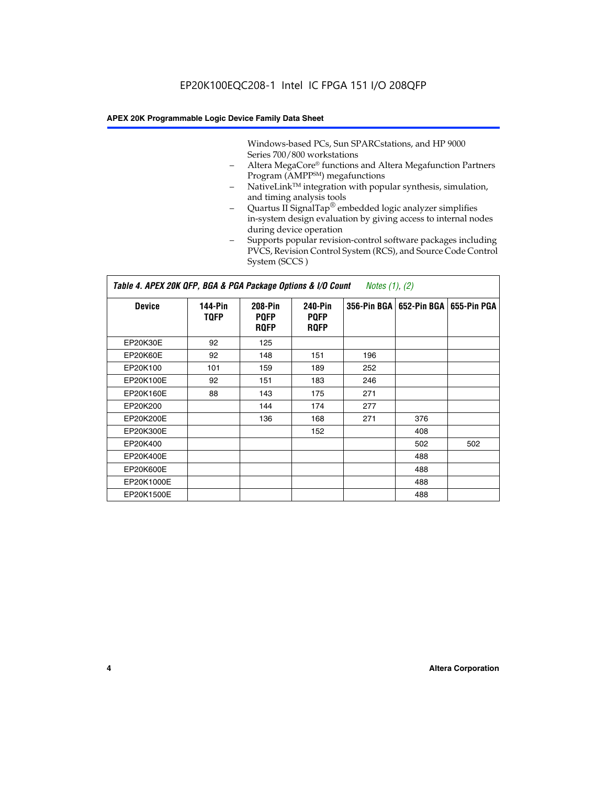Windows-based PCs, Sun SPARCstations, and HP 9000 Series 700/800 workstations

- Altera MegaCore® functions and Altera Megafunction Partners Program (AMPP<sup>SM</sup>) megafunctions
- NativeLink™ integration with popular synthesis, simulation, and timing analysis tools
- Quartus II SignalTap® embedded logic analyzer simplifies in-system design evaluation by giving access to internal nodes during device operation
- Supports popular revision-control software packages including PVCS, Revision Control System (RCS), and Source Code Control System (SCCS )

# *Table 4. APEX 20K QFP, BGA & PGA Package Options & I/O Count Notes (1), (2)*

| <b>Device</b>   | 144-Pin<br><b>TQFP</b> | 208-Pin<br><b>PQFP</b><br><b>ROFP</b> | 240-Pin<br><b>PQFP</b><br><b>ROFP</b> |     | 356-Pin BGA   652-Pin BGA | 655-Pin PGA |
|-----------------|------------------------|---------------------------------------|---------------------------------------|-----|---------------------------|-------------|
| EP20K30E        | 92                     | 125                                   |                                       |     |                           |             |
| <b>EP20K60E</b> | 92                     | 148                                   | 151                                   | 196 |                           |             |
| EP20K100        | 101                    | 159                                   | 189                                   | 252 |                           |             |
| EP20K100E       | 92                     | 151                                   | 183                                   | 246 |                           |             |
| EP20K160E       | 88                     | 143                                   | 175                                   | 271 |                           |             |
| EP20K200        |                        | 144                                   | 174                                   | 277 |                           |             |
| EP20K200E       |                        | 136                                   | 168                                   | 271 | 376                       |             |
| EP20K300E       |                        |                                       | 152                                   |     | 408                       |             |
| EP20K400        |                        |                                       |                                       |     | 502                       | 502         |
| EP20K400E       |                        |                                       |                                       |     | 488                       |             |
| EP20K600E       |                        |                                       |                                       |     | 488                       |             |
| EP20K1000E      |                        |                                       |                                       |     | 488                       |             |
| EP20K1500E      |                        |                                       |                                       |     | 488                       |             |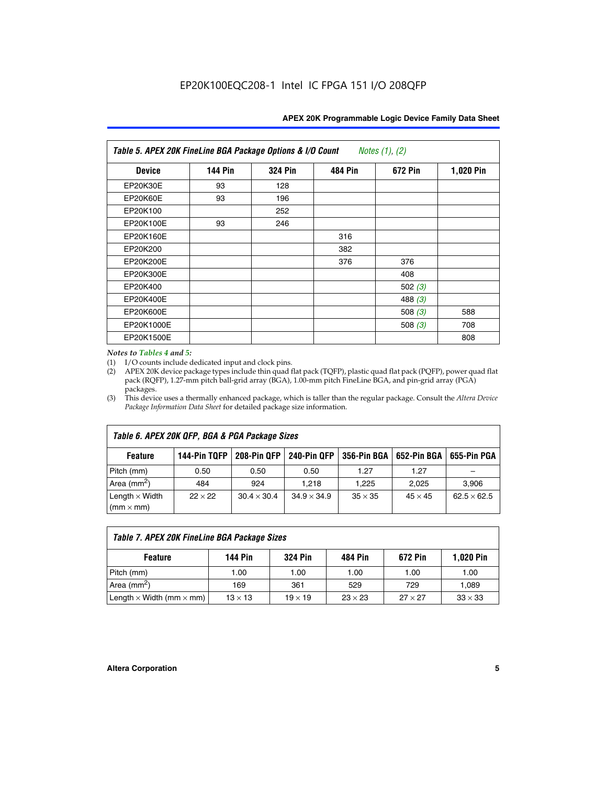| Table 5. APEX 20K FineLine BGA Package Options & I/O Count<br>Notes $(1)$ , $(2)$ |                |                |                |           |           |  |  |  |
|-----------------------------------------------------------------------------------|----------------|----------------|----------------|-----------|-----------|--|--|--|
| <b>Device</b>                                                                     | <b>144 Pin</b> | <b>324 Pin</b> | <b>484 Pin</b> | 672 Pin   | 1,020 Pin |  |  |  |
| EP20K30E                                                                          | 93             | 128            |                |           |           |  |  |  |
| <b>EP20K60E</b>                                                                   | 93             | 196            |                |           |           |  |  |  |
| EP20K100                                                                          |                | 252            |                |           |           |  |  |  |
| EP20K100E                                                                         | 93             | 246            |                |           |           |  |  |  |
| EP20K160E                                                                         |                |                | 316            |           |           |  |  |  |
| EP20K200                                                                          |                |                | 382            |           |           |  |  |  |
| EP20K200E                                                                         |                |                | 376            | 376       |           |  |  |  |
| EP20K300E                                                                         |                |                |                | 408       |           |  |  |  |
| EP20K400                                                                          |                |                |                | 502 $(3)$ |           |  |  |  |
| EP20K400E                                                                         |                |                |                | 488 $(3)$ |           |  |  |  |
| EP20K600E                                                                         |                |                |                | 508 $(3)$ | 588       |  |  |  |
| EP20K1000E                                                                        |                |                |                | 508 $(3)$ | 708       |  |  |  |
| EP20K1500E                                                                        |                |                |                |           | 808       |  |  |  |

# *Notes to Tables 4 and 5:*

 $\Gamma$ 

(1) I/O counts include dedicated input and clock pins.

(2) APEX 20K device package types include thin quad flat pack (TQFP), plastic quad flat pack (PQFP), power quad flat pack (RQFP), 1.27-mm pitch ball-grid array (BGA), 1.00-mm pitch FineLine BGA, and pin-grid array (PGA) packages.

(3) This device uses a thermally enhanced package, which is taller than the regular package. Consult the *Altera Device Package Information Data Sheet* for detailed package size information.

| Table 6. APEX 20K QFP, BGA & PGA Package Sizes |                |                    |                    |                |                           |                    |  |  |  |
|------------------------------------------------|----------------|--------------------|--------------------|----------------|---------------------------|--------------------|--|--|--|
| <b>Feature</b>                                 | 144-Pin TQFP   | 208-Pin QFP        | 240-Pin QFP        |                | 356-Pin BGA   652-Pin BGA | 655-Pin PGA        |  |  |  |
| Pitch (mm)                                     | 0.50           | 0.50               | 0.50               | 1.27           | 1.27                      |                    |  |  |  |
| Area ( $mm2$ )                                 | 484            | 924                | 1.218              | 1,225          | 2,025                     | 3,906              |  |  |  |
| Length $\times$ Width<br>$(mm \times mm)$      | $22 \times 22$ | $30.4 \times 30.4$ | $34.9 \times 34.9$ | $35 \times 35$ | $45 \times 45$            | $62.5 \times 62.5$ |  |  |  |

| Table 7. APEX 20K FineLine BGA Package Sizes                                          |                |                |                |                |                |  |  |  |
|---------------------------------------------------------------------------------------|----------------|----------------|----------------|----------------|----------------|--|--|--|
| <b>324 Pin</b><br><b>1,020 Pin</b><br>144 Pin<br>672 Pin<br>484 Pin<br><b>Feature</b> |                |                |                |                |                |  |  |  |
| Pitch (mm)                                                                            | 1.00           | 1.00           | 1.00           | 1.00           | 1.00           |  |  |  |
| Area ( $mm2$ )                                                                        | 169            | 361            | 529            | 729            | 1,089          |  |  |  |
| Length $\times$ Width (mm $\times$ mm)                                                | $13 \times 13$ | $19 \times 19$ | $23 \times 23$ | $27 \times 27$ | $33 \times 33$ |  |  |  |

٦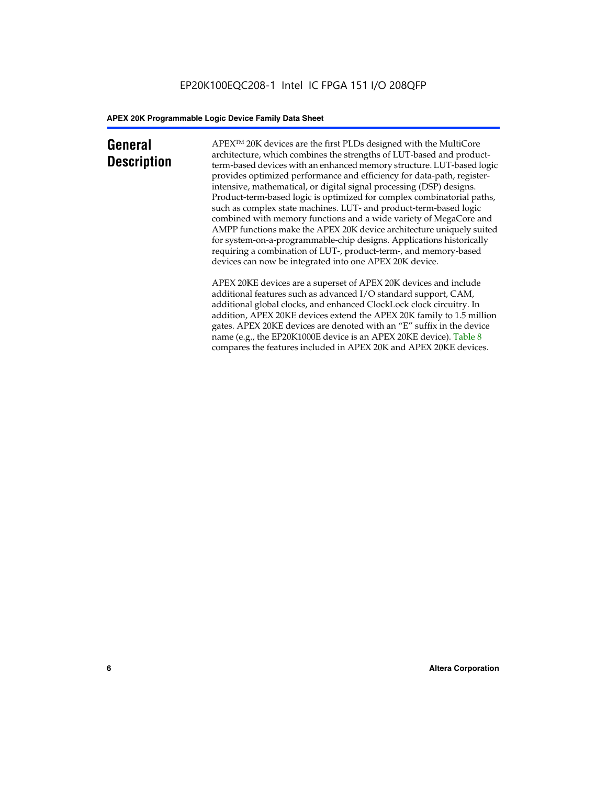# **General Description**

APEXTM 20K devices are the first PLDs designed with the MultiCore architecture, which combines the strengths of LUT-based and productterm-based devices with an enhanced memory structure. LUT-based logic provides optimized performance and efficiency for data-path, registerintensive, mathematical, or digital signal processing (DSP) designs. Product-term-based logic is optimized for complex combinatorial paths, such as complex state machines. LUT- and product-term-based logic combined with memory functions and a wide variety of MegaCore and AMPP functions make the APEX 20K device architecture uniquely suited for system-on-a-programmable-chip designs. Applications historically requiring a combination of LUT-, product-term-, and memory-based devices can now be integrated into one APEX 20K device.

APEX 20KE devices are a superset of APEX 20K devices and include additional features such as advanced I/O standard support, CAM, additional global clocks, and enhanced ClockLock clock circuitry. In addition, APEX 20KE devices extend the APEX 20K family to 1.5 million gates. APEX 20KE devices are denoted with an "E" suffix in the device name (e.g., the EP20K1000E device is an APEX 20KE device). Table 8 compares the features included in APEX 20K and APEX 20KE devices.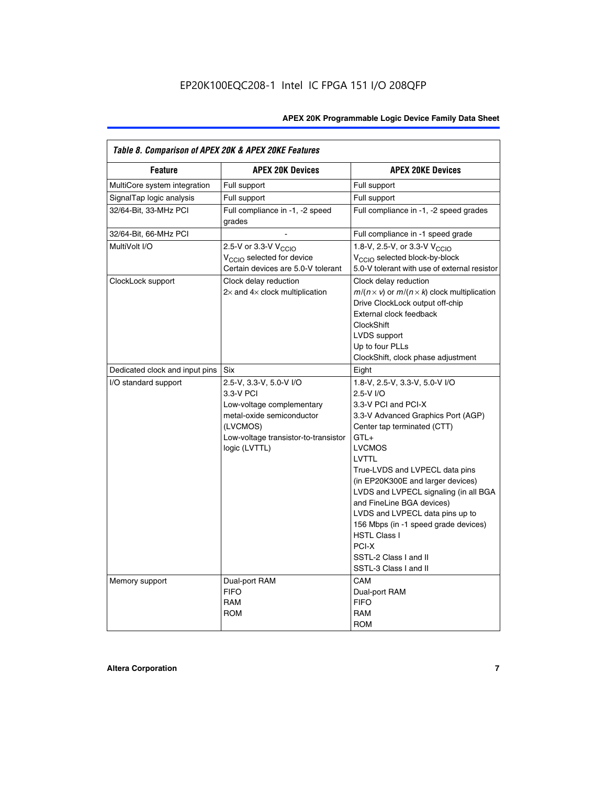| Table 8. Comparison of APEX 20K & APEX 20KE Features |                                                                                                                                                                     |                                                                                                                                                                                                                                                                                                                                                                                                                                                                                       |  |  |  |  |  |
|------------------------------------------------------|---------------------------------------------------------------------------------------------------------------------------------------------------------------------|---------------------------------------------------------------------------------------------------------------------------------------------------------------------------------------------------------------------------------------------------------------------------------------------------------------------------------------------------------------------------------------------------------------------------------------------------------------------------------------|--|--|--|--|--|
| <b>Feature</b>                                       | <b>APEX 20K Devices</b>                                                                                                                                             | <b>APEX 20KE Devices</b>                                                                                                                                                                                                                                                                                                                                                                                                                                                              |  |  |  |  |  |
| MultiCore system integration                         | Full support                                                                                                                                                        | Full support                                                                                                                                                                                                                                                                                                                                                                                                                                                                          |  |  |  |  |  |
| SignalTap logic analysis                             | Full support                                                                                                                                                        | Full support                                                                                                                                                                                                                                                                                                                                                                                                                                                                          |  |  |  |  |  |
| 32/64-Bit, 33-MHz PCI                                | Full compliance in -1, -2 speed<br>grades                                                                                                                           | Full compliance in -1, -2 speed grades                                                                                                                                                                                                                                                                                                                                                                                                                                                |  |  |  |  |  |
| 32/64-Bit, 66-MHz PCI                                |                                                                                                                                                                     | Full compliance in -1 speed grade                                                                                                                                                                                                                                                                                                                                                                                                                                                     |  |  |  |  |  |
| MultiVolt I/O                                        | 2.5-V or 3.3-V V <sub>CCIO</sub><br>V <sub>CCIO</sub> selected for device<br>Certain devices are 5.0-V tolerant                                                     | 1.8-V, 2.5-V, or 3.3-V V <sub>CCIO</sub><br>V <sub>CCIO</sub> selected block-by-block<br>5.0-V tolerant with use of external resistor                                                                                                                                                                                                                                                                                                                                                 |  |  |  |  |  |
| ClockLock support                                    | Clock delay reduction<br>$2\times$ and $4\times$ clock multiplication                                                                                               | Clock delay reduction<br>$m/(n \times v)$ or $m/(n \times k)$ clock multiplication<br>Drive ClockLock output off-chip<br>External clock feedback<br><b>ClockShift</b><br>LVDS support<br>Up to four PLLs<br>ClockShift, clock phase adjustment                                                                                                                                                                                                                                        |  |  |  |  |  |
| Dedicated clock and input pins                       | <b>Six</b>                                                                                                                                                          | Eight                                                                                                                                                                                                                                                                                                                                                                                                                                                                                 |  |  |  |  |  |
| I/O standard support                                 | 2.5-V, 3.3-V, 5.0-V I/O<br>3.3-V PCI<br>Low-voltage complementary<br>metal-oxide semiconductor<br>(LVCMOS)<br>Low-voltage transistor-to-transistor<br>logic (LVTTL) | 1.8-V, 2.5-V, 3.3-V, 5.0-V I/O<br>2.5-V I/O<br>3.3-V PCI and PCI-X<br>3.3-V Advanced Graphics Port (AGP)<br>Center tap terminated (CTT)<br>$GTL+$<br><b>LVCMOS</b><br>LVTTL<br>True-LVDS and LVPECL data pins<br>(in EP20K300E and larger devices)<br>LVDS and LVPECL signaling (in all BGA<br>and FineLine BGA devices)<br>LVDS and LVPECL data pins up to<br>156 Mbps (in -1 speed grade devices)<br><b>HSTL Class I</b><br>PCI-X<br>SSTL-2 Class I and II<br>SSTL-3 Class I and II |  |  |  |  |  |
| Memory support                                       | Dual-port RAM<br><b>FIFO</b><br><b>RAM</b><br><b>ROM</b>                                                                                                            | CAM<br>Dual-port RAM<br><b>FIFO</b><br>RAM<br><b>ROM</b>                                                                                                                                                                                                                                                                                                                                                                                                                              |  |  |  |  |  |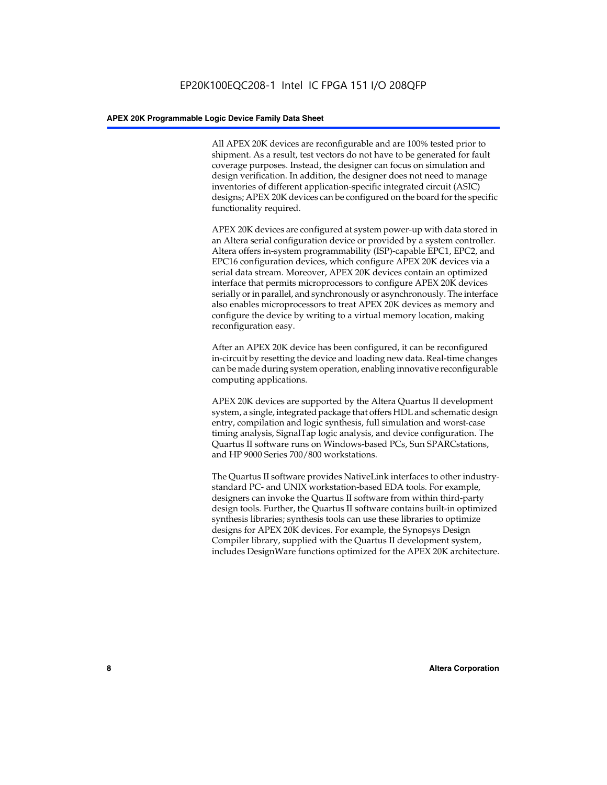All APEX 20K devices are reconfigurable and are 100% tested prior to shipment. As a result, test vectors do not have to be generated for fault coverage purposes. Instead, the designer can focus on simulation and design verification. In addition, the designer does not need to manage inventories of different application-specific integrated circuit (ASIC) designs; APEX 20K devices can be configured on the board for the specific functionality required.

APEX 20K devices are configured at system power-up with data stored in an Altera serial configuration device or provided by a system controller. Altera offers in-system programmability (ISP)-capable EPC1, EPC2, and EPC16 configuration devices, which configure APEX 20K devices via a serial data stream. Moreover, APEX 20K devices contain an optimized interface that permits microprocessors to configure APEX 20K devices serially or in parallel, and synchronously or asynchronously. The interface also enables microprocessors to treat APEX 20K devices as memory and configure the device by writing to a virtual memory location, making reconfiguration easy.

After an APEX 20K device has been configured, it can be reconfigured in-circuit by resetting the device and loading new data. Real-time changes can be made during system operation, enabling innovative reconfigurable computing applications.

APEX 20K devices are supported by the Altera Quartus II development system, a single, integrated package that offers HDL and schematic design entry, compilation and logic synthesis, full simulation and worst-case timing analysis, SignalTap logic analysis, and device configuration. The Quartus II software runs on Windows-based PCs, Sun SPARCstations, and HP 9000 Series 700/800 workstations.

The Quartus II software provides NativeLink interfaces to other industrystandard PC- and UNIX workstation-based EDA tools. For example, designers can invoke the Quartus II software from within third-party design tools. Further, the Quartus II software contains built-in optimized synthesis libraries; synthesis tools can use these libraries to optimize designs for APEX 20K devices. For example, the Synopsys Design Compiler library, supplied with the Quartus II development system, includes DesignWare functions optimized for the APEX 20K architecture.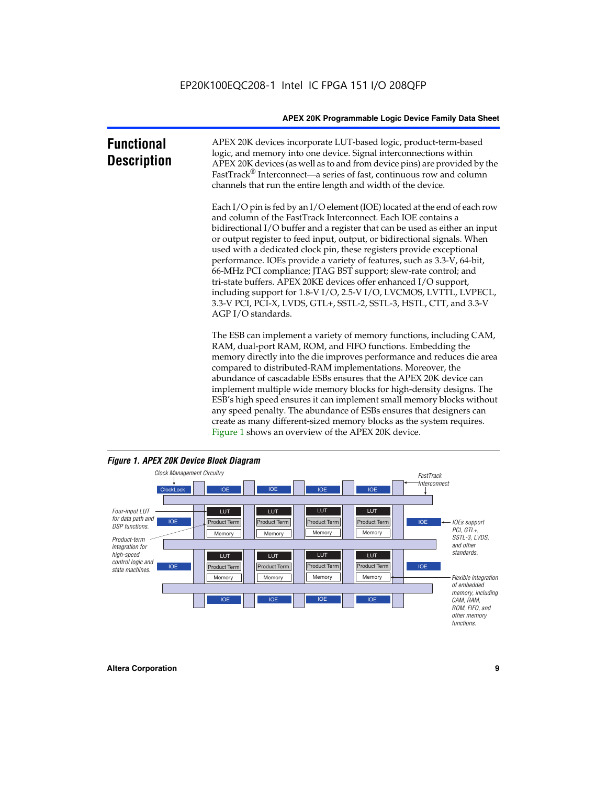| <b>Functional</b><br><b>Description</b> | APEX 20K devices incorporate LUT-based logic, product-term-based<br>logic, and memory into one device. Signal interconnections within<br>APEX 20K devices (as well as to and from device pins) are provided by the<br>FastTrack <sup>®</sup> Interconnect—a series of fast, continuous row and column<br>channels that run the entire length and width of the device.                                                                                                                                                                                                                                                                                                                                                                                              |
|-----------------------------------------|--------------------------------------------------------------------------------------------------------------------------------------------------------------------------------------------------------------------------------------------------------------------------------------------------------------------------------------------------------------------------------------------------------------------------------------------------------------------------------------------------------------------------------------------------------------------------------------------------------------------------------------------------------------------------------------------------------------------------------------------------------------------|
|                                         | Each I/O pin is fed by an I/O element (IOE) located at the end of each row<br>and column of the FastTrack Interconnect. Each IOE contains a<br>bidirectional I/O buffer and a register that can be used as either an input<br>or output register to feed input, output, or bidirectional signals. When<br>used with a dedicated clock pin, these registers provide exceptional<br>performance. IOEs provide a variety of features, such as 3.3-V, 64-bit,<br>66-MHz PCI compliance; JTAG BST support; slew-rate control; and<br>tri-state buffers. APEX 20KE devices offer enhanced I/O support,<br>including support for 1.8-V I/O, 2.5-V I/O, LVCMOS, LVTTL, LVPECL,<br>3.3-V PCI, PCI-X, LVDS, GTL+, SSTL-2, SSTL-3, HSTL, CTT, and 3.3-V<br>AGP I/O standards. |
|                                         | The ESB can implement a variety of memory functions, including CAM,<br>RAM, dual-port RAM, ROM, and FIFO functions. Embedding the<br>memory directly into the die improves performance and reduces die area<br>compared to distributed-RAM implementations. Moreover, the<br>abundance of cascadable ESBs ensures that the APEX 20K device can<br>implement multiple wide memory blocks for high-density designs. The<br>ESB's high speed ensures it can implement small memory blocks without<br>any speed penalty. The abundance of ESBs ensures that designers can                                                                                                                                                                                              |



create as many different-sized memory blocks as the system requires.

Figure 1 shows an overview of the APEX 20K device.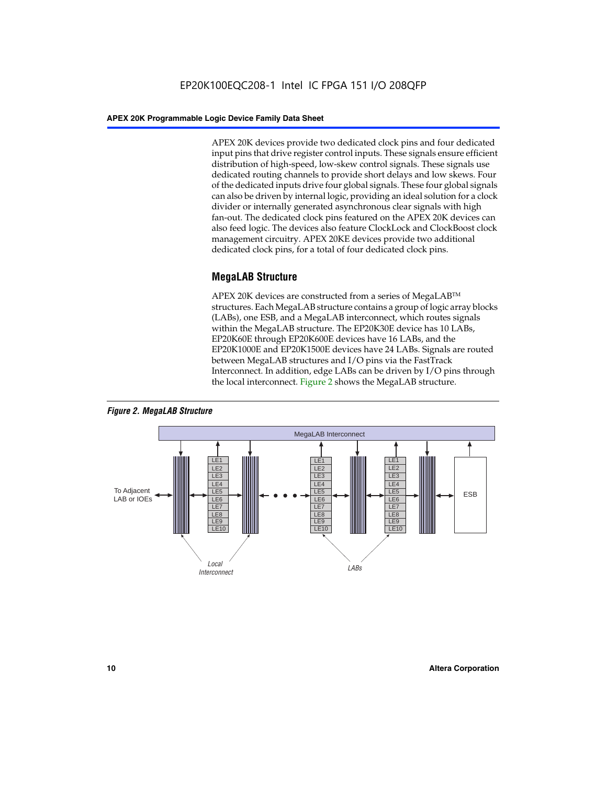APEX 20K devices provide two dedicated clock pins and four dedicated input pins that drive register control inputs. These signals ensure efficient distribution of high-speed, low-skew control signals. These signals use dedicated routing channels to provide short delays and low skews. Four of the dedicated inputs drive four global signals. These four global signals can also be driven by internal logic, providing an ideal solution for a clock divider or internally generated asynchronous clear signals with high fan-out. The dedicated clock pins featured on the APEX 20K devices can also feed logic. The devices also feature ClockLock and ClockBoost clock management circuitry. APEX 20KE devices provide two additional dedicated clock pins, for a total of four dedicated clock pins.

# **MegaLAB Structure**

APEX 20K devices are constructed from a series of MegaLAB<sup>™</sup> structures. Each MegaLAB structure contains a group of logic array blocks (LABs), one ESB, and a MegaLAB interconnect, which routes signals within the MegaLAB structure. The EP20K30E device has 10 LABs, EP20K60E through EP20K600E devices have 16 LABs, and the EP20K1000E and EP20K1500E devices have 24 LABs. Signals are routed between MegaLAB structures and I/O pins via the FastTrack Interconnect. In addition, edge LABs can be driven by I/O pins through the local interconnect. Figure 2 shows the MegaLAB structure.



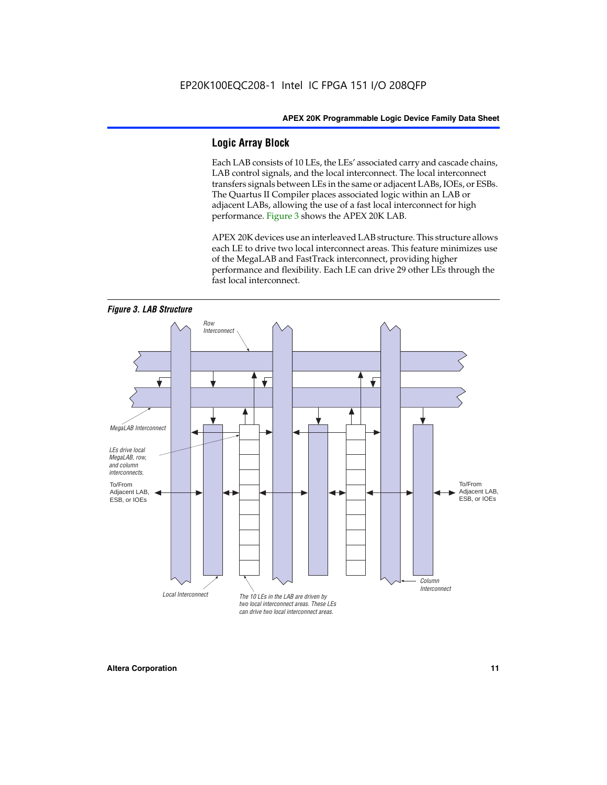# **Logic Array Block**

Each LAB consists of 10 LEs, the LEs' associated carry and cascade chains, LAB control signals, and the local interconnect. The local interconnect transfers signals between LEs in the same or adjacent LABs, IOEs, or ESBs. The Quartus II Compiler places associated logic within an LAB or adjacent LABs, allowing the use of a fast local interconnect for high performance. Figure 3 shows the APEX 20K LAB.

APEX 20K devices use an interleaved LAB structure. This structure allows each LE to drive two local interconnect areas. This feature minimizes use of the MegaLAB and FastTrack interconnect, providing higher performance and flexibility. Each LE can drive 29 other LEs through the fast local interconnect.

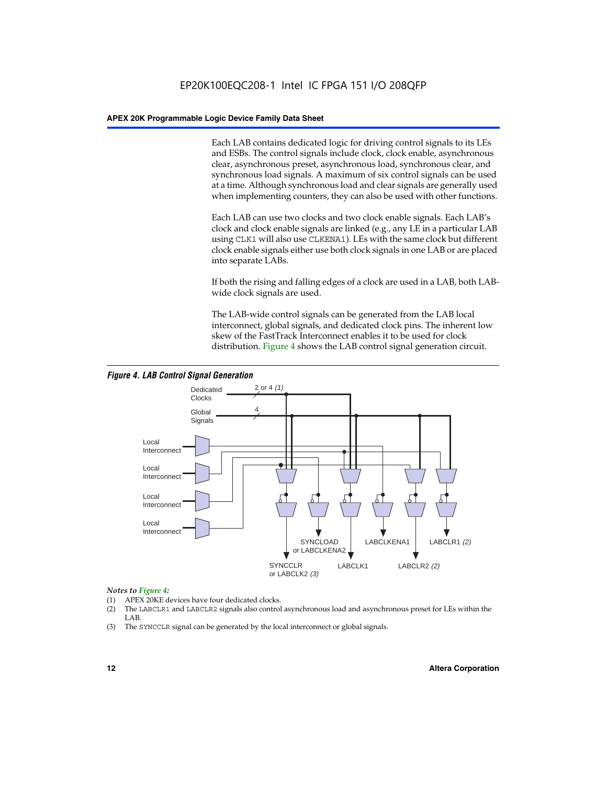Each LAB contains dedicated logic for driving control signals to its LEs and ESBs. The control signals include clock, clock enable, asynchronous clear, asynchronous preset, asynchronous load, synchronous clear, and synchronous load signals. A maximum of six control signals can be used at a time. Although synchronous load and clear signals are generally used when implementing counters, they can also be used with other functions.

Each LAB can use two clocks and two clock enable signals. Each LAB's clock and clock enable signals are linked (e.g., any LE in a particular LAB using CLK1 will also use CLKENA1). LEs with the same clock but different clock enable signals either use both clock signals in one LAB or are placed into separate LABs.

If both the rising and falling edges of a clock are used in a LAB, both LABwide clock signals are used.

The LAB-wide control signals can be generated from the LAB local interconnect, global signals, and dedicated clock pins. The inherent low skew of the FastTrack Interconnect enables it to be used for clock distribution. Figure 4 shows the LAB control signal generation circuit.



# *Figure 4. LAB Control Signal Generation*

# *Notes to Figure 4:*

- (1) APEX 20KE devices have four dedicated clocks.
- (2) The LABCLR1 and LABCLR2 signals also control asynchronous load and asynchronous preset for LEs within the LAB.
- (3) The SYNCCLR signal can be generated by the local interconnect or global signals.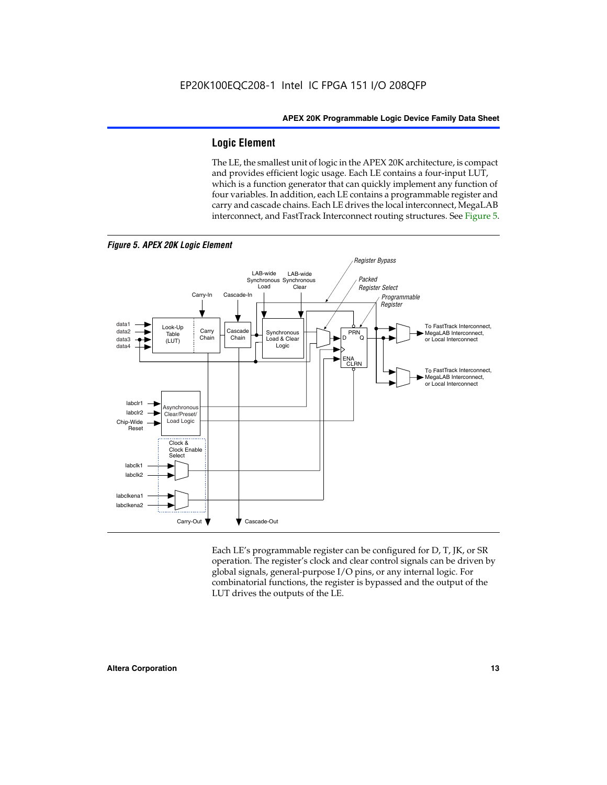# **Logic Element**

The LE, the smallest unit of logic in the APEX 20K architecture, is compact and provides efficient logic usage. Each LE contains a four-input LUT, which is a function generator that can quickly implement any function of four variables. In addition, each LE contains a programmable register and carry and cascade chains. Each LE drives the local interconnect, MegaLAB interconnect, and FastTrack Interconnect routing structures. See Figure 5.



Each LE's programmable register can be configured for D, T, JK, or SR operation. The register's clock and clear control signals can be driven by global signals, general-purpose I/O pins, or any internal logic. For combinatorial functions, the register is bypassed and the output of the LUT drives the outputs of the LE.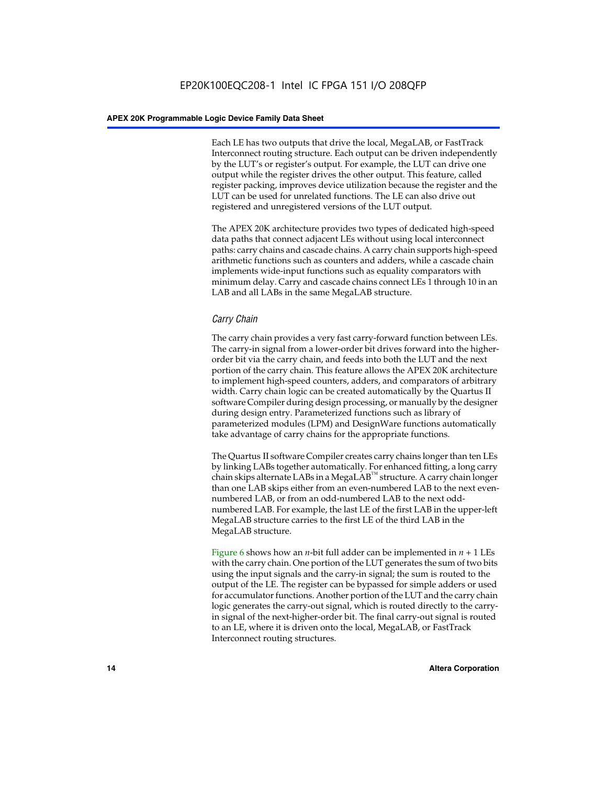Each LE has two outputs that drive the local, MegaLAB, or FastTrack Interconnect routing structure. Each output can be driven independently by the LUT's or register's output. For example, the LUT can drive one output while the register drives the other output. This feature, called register packing, improves device utilization because the register and the LUT can be used for unrelated functions. The LE can also drive out registered and unregistered versions of the LUT output.

The APEX 20K architecture provides two types of dedicated high-speed data paths that connect adjacent LEs without using local interconnect paths: carry chains and cascade chains. A carry chain supports high-speed arithmetic functions such as counters and adders, while a cascade chain implements wide-input functions such as equality comparators with minimum delay. Carry and cascade chains connect LEs 1 through 10 in an LAB and all LABs in the same MegaLAB structure.

# *Carry Chain*

The carry chain provides a very fast carry-forward function between LEs. The carry-in signal from a lower-order bit drives forward into the higherorder bit via the carry chain, and feeds into both the LUT and the next portion of the carry chain. This feature allows the APEX 20K architecture to implement high-speed counters, adders, and comparators of arbitrary width. Carry chain logic can be created automatically by the Quartus II software Compiler during design processing, or manually by the designer during design entry. Parameterized functions such as library of parameterized modules (LPM) and DesignWare functions automatically take advantage of carry chains for the appropriate functions.

The Quartus II software Compiler creates carry chains longer than ten LEs by linking LABs together automatically. For enhanced fitting, a long carry chain skips alternate LABs in a MegaLAB<sup>™</sup> structure. A carry chain longer than one LAB skips either from an even-numbered LAB to the next evennumbered LAB, or from an odd-numbered LAB to the next oddnumbered LAB. For example, the last LE of the first LAB in the upper-left MegaLAB structure carries to the first LE of the third LAB in the MegaLAB structure.

Figure 6 shows how an *n*-bit full adder can be implemented in *n* + 1 LEs with the carry chain. One portion of the LUT generates the sum of two bits using the input signals and the carry-in signal; the sum is routed to the output of the LE. The register can be bypassed for simple adders or used for accumulator functions. Another portion of the LUT and the carry chain logic generates the carry-out signal, which is routed directly to the carryin signal of the next-higher-order bit. The final carry-out signal is routed to an LE, where it is driven onto the local, MegaLAB, or FastTrack Interconnect routing structures.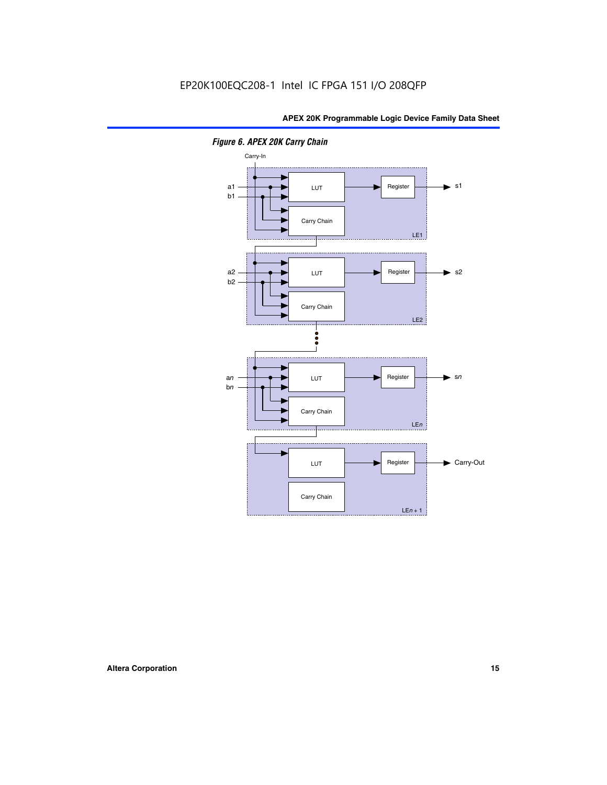

*Figure 6. APEX 20K Carry Chain*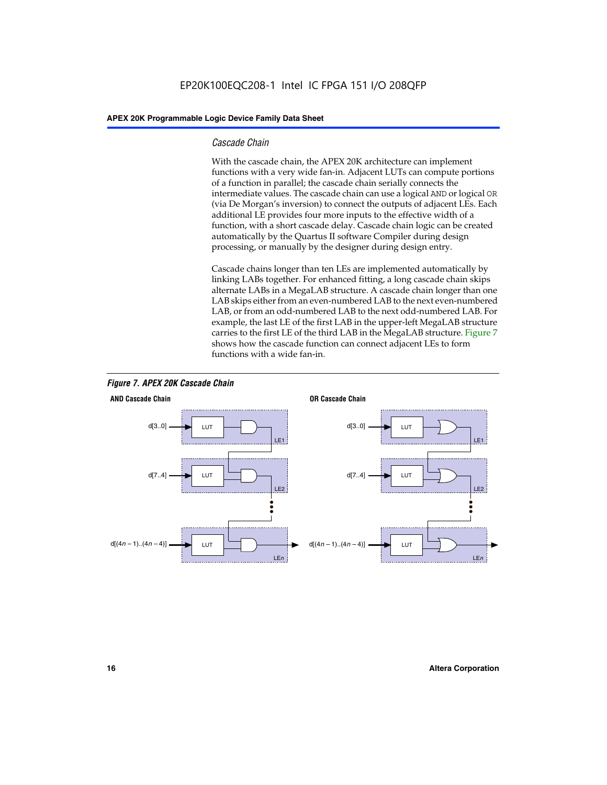# *Cascade Chain*

With the cascade chain, the APEX 20K architecture can implement functions with a very wide fan-in. Adjacent LUTs can compute portions of a function in parallel; the cascade chain serially connects the intermediate values. The cascade chain can use a logical AND or logical OR (via De Morgan's inversion) to connect the outputs of adjacent LEs. Each additional LE provides four more inputs to the effective width of a function, with a short cascade delay. Cascade chain logic can be created automatically by the Quartus II software Compiler during design processing, or manually by the designer during design entry.

Cascade chains longer than ten LEs are implemented automatically by linking LABs together. For enhanced fitting, a long cascade chain skips alternate LABs in a MegaLAB structure. A cascade chain longer than one LAB skips either from an even-numbered LAB to the next even-numbered LAB, or from an odd-numbered LAB to the next odd-numbered LAB. For example, the last LE of the first LAB in the upper-left MegaLAB structure carries to the first LE of the third LAB in the MegaLAB structure. Figure 7 shows how the cascade function can connect adjacent LEs to form functions with a wide fan-in.



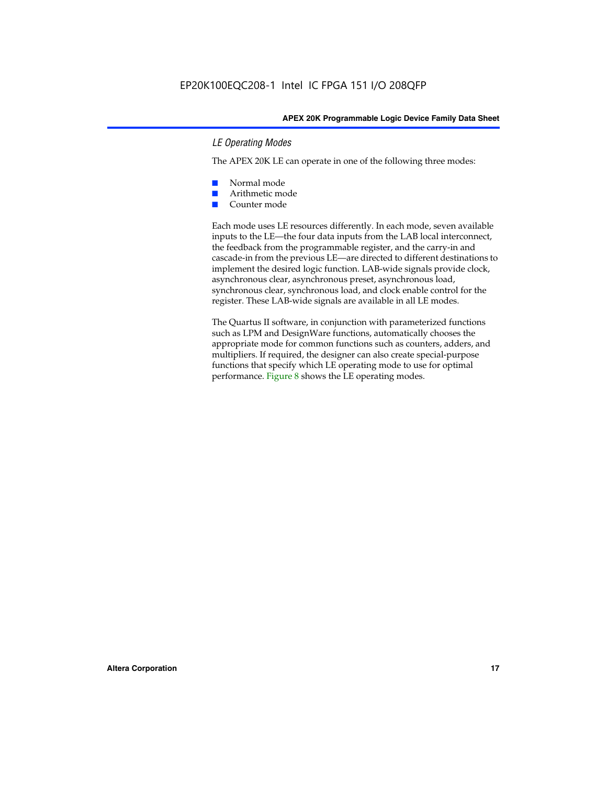# *LE Operating Modes*

The APEX 20K LE can operate in one of the following three modes:

- Normal mode
- Arithmetic mode
- Counter mode

Each mode uses LE resources differently. In each mode, seven available inputs to the LE—the four data inputs from the LAB local interconnect, the feedback from the programmable register, and the carry-in and cascade-in from the previous LE—are directed to different destinations to implement the desired logic function. LAB-wide signals provide clock, asynchronous clear, asynchronous preset, asynchronous load, synchronous clear, synchronous load, and clock enable control for the register. These LAB-wide signals are available in all LE modes.

The Quartus II software, in conjunction with parameterized functions such as LPM and DesignWare functions, automatically chooses the appropriate mode for common functions such as counters, adders, and multipliers. If required, the designer can also create special-purpose functions that specify which LE operating mode to use for optimal performance. Figure 8 shows the LE operating modes.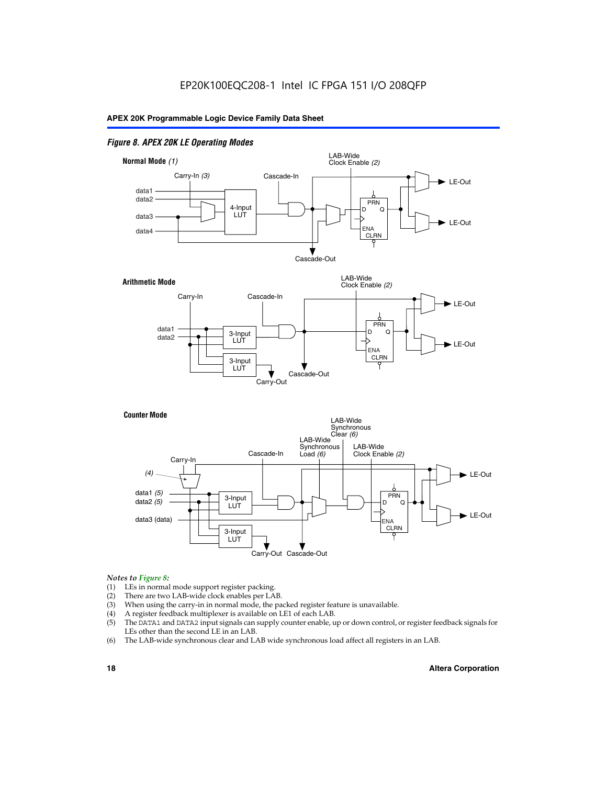# *Figure 8. APEX 20K LE Operating Modes*



# *Notes to Figure 8:*

- (1) LEs in normal mode support register packing.
- (2) There are two LAB-wide clock enables per LAB.
- (3) When using the carry-in in normal mode, the packed register feature is unavailable.
- (4) A register feedback multiplexer is available on LE1 of each LAB.
- (5) The DATA1 and DATA2 input signals can supply counter enable, up or down control, or register feedback signals for LEs other than the second LE in an LAB.
- (6) The LAB-wide synchronous clear and LAB wide synchronous load affect all registers in an LAB.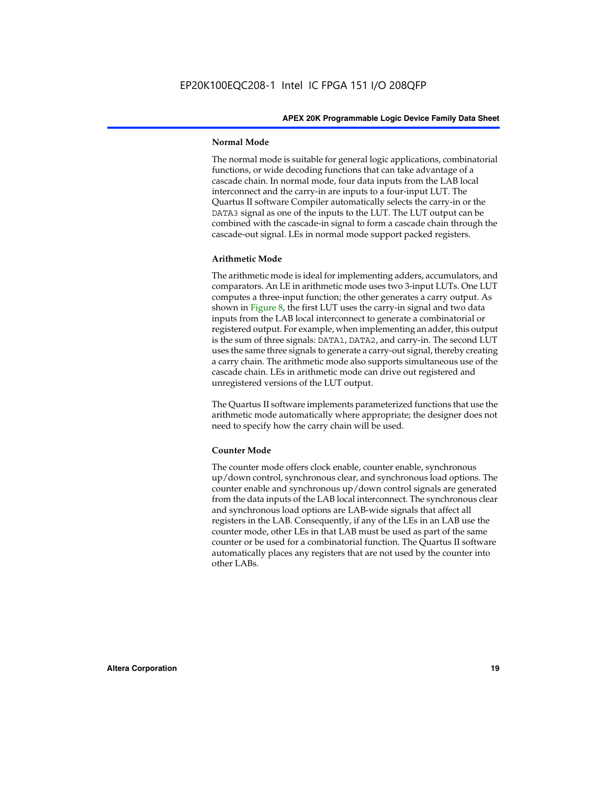# **Normal Mode**

The normal mode is suitable for general logic applications, combinatorial functions, or wide decoding functions that can take advantage of a cascade chain. In normal mode, four data inputs from the LAB local interconnect and the carry-in are inputs to a four-input LUT. The Quartus II software Compiler automatically selects the carry-in or the DATA3 signal as one of the inputs to the LUT. The LUT output can be combined with the cascade-in signal to form a cascade chain through the cascade-out signal. LEs in normal mode support packed registers.

# **Arithmetic Mode**

The arithmetic mode is ideal for implementing adders, accumulators, and comparators. An LE in arithmetic mode uses two 3-input LUTs. One LUT computes a three-input function; the other generates a carry output. As shown in Figure 8, the first LUT uses the carry-in signal and two data inputs from the LAB local interconnect to generate a combinatorial or registered output. For example, when implementing an adder, this output is the sum of three signals: DATA1, DATA2, and carry-in. The second LUT uses the same three signals to generate a carry-out signal, thereby creating a carry chain. The arithmetic mode also supports simultaneous use of the cascade chain. LEs in arithmetic mode can drive out registered and unregistered versions of the LUT output.

The Quartus II software implements parameterized functions that use the arithmetic mode automatically where appropriate; the designer does not need to specify how the carry chain will be used.

# **Counter Mode**

The counter mode offers clock enable, counter enable, synchronous up/down control, synchronous clear, and synchronous load options. The counter enable and synchronous up/down control signals are generated from the data inputs of the LAB local interconnect. The synchronous clear and synchronous load options are LAB-wide signals that affect all registers in the LAB. Consequently, if any of the LEs in an LAB use the counter mode, other LEs in that LAB must be used as part of the same counter or be used for a combinatorial function. The Quartus II software automatically places any registers that are not used by the counter into other LABs.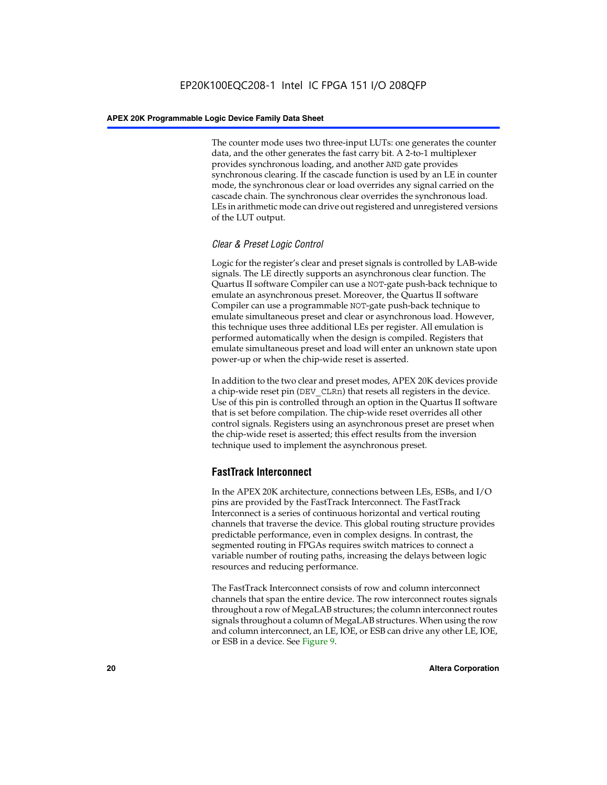The counter mode uses two three-input LUTs: one generates the counter data, and the other generates the fast carry bit. A 2-to-1 multiplexer provides synchronous loading, and another AND gate provides synchronous clearing. If the cascade function is used by an LE in counter mode, the synchronous clear or load overrides any signal carried on the cascade chain. The synchronous clear overrides the synchronous load. LEs in arithmetic mode can drive out registered and unregistered versions of the LUT output.

# *Clear & Preset Logic Control*

Logic for the register's clear and preset signals is controlled by LAB-wide signals. The LE directly supports an asynchronous clear function. The Quartus II software Compiler can use a NOT-gate push-back technique to emulate an asynchronous preset. Moreover, the Quartus II software Compiler can use a programmable NOT-gate push-back technique to emulate simultaneous preset and clear or asynchronous load. However, this technique uses three additional LEs per register. All emulation is performed automatically when the design is compiled. Registers that emulate simultaneous preset and load will enter an unknown state upon power-up or when the chip-wide reset is asserted.

In addition to the two clear and preset modes, APEX 20K devices provide a chip-wide reset pin (DEV\_CLRn) that resets all registers in the device. Use of this pin is controlled through an option in the Quartus II software that is set before compilation. The chip-wide reset overrides all other control signals. Registers using an asynchronous preset are preset when the chip-wide reset is asserted; this effect results from the inversion technique used to implement the asynchronous preset.

# **FastTrack Interconnect**

In the APEX 20K architecture, connections between LEs, ESBs, and I/O pins are provided by the FastTrack Interconnect. The FastTrack Interconnect is a series of continuous horizontal and vertical routing channels that traverse the device. This global routing structure provides predictable performance, even in complex designs. In contrast, the segmented routing in FPGAs requires switch matrices to connect a variable number of routing paths, increasing the delays between logic resources and reducing performance.

The FastTrack Interconnect consists of row and column interconnect channels that span the entire device. The row interconnect routes signals throughout a row of MegaLAB structures; the column interconnect routes signals throughout a column of MegaLAB structures. When using the row and column interconnect, an LE, IOE, or ESB can drive any other LE, IOE, or ESB in a device. See Figure 9.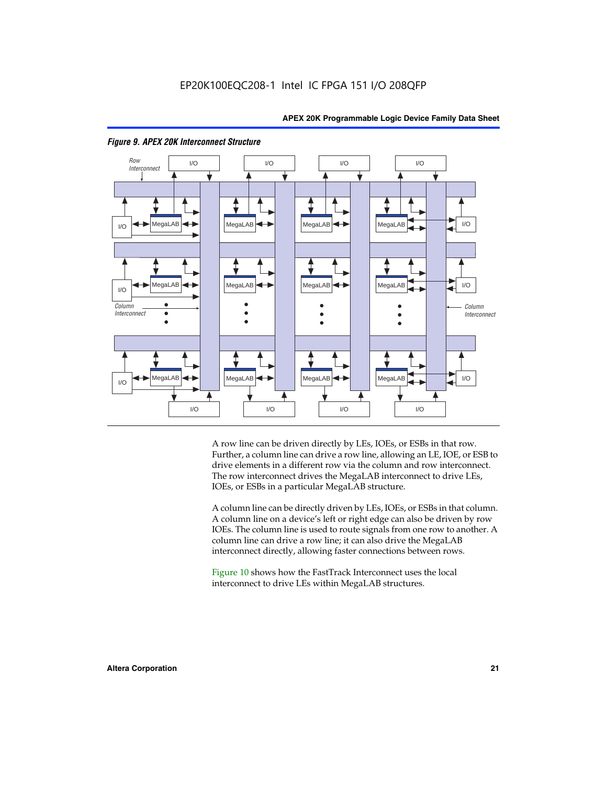

# *Figure 9. APEX 20K Interconnect Structure*

A row line can be driven directly by LEs, IOEs, or ESBs in that row. Further, a column line can drive a row line, allowing an LE, IOE, or ESB to drive elements in a different row via the column and row interconnect. The row interconnect drives the MegaLAB interconnect to drive LEs, IOEs, or ESBs in a particular MegaLAB structure.

A column line can be directly driven by LEs, IOEs, or ESBs in that column. A column line on a device's left or right edge can also be driven by row IOEs. The column line is used to route signals from one row to another. A column line can drive a row line; it can also drive the MegaLAB interconnect directly, allowing faster connections between rows.

Figure 10 shows how the FastTrack Interconnect uses the local interconnect to drive LEs within MegaLAB structures.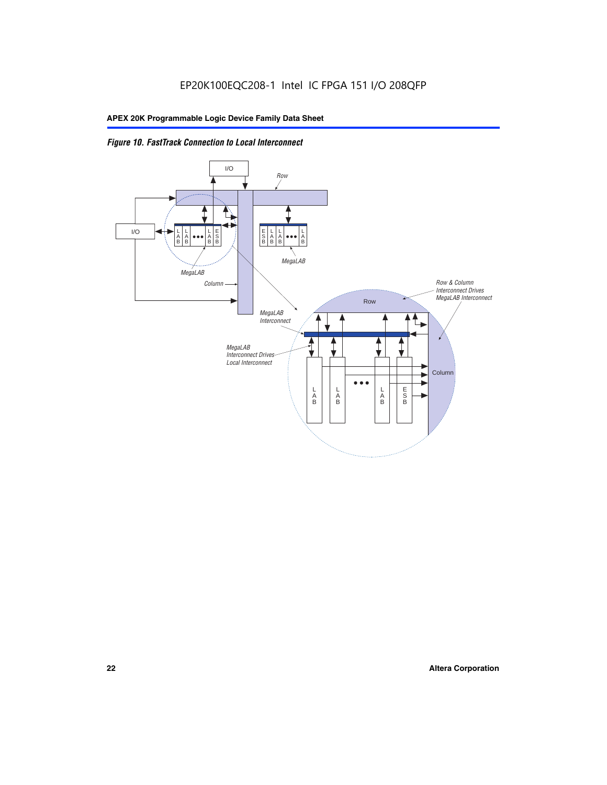

*Figure 10. FastTrack Connection to Local Interconnect*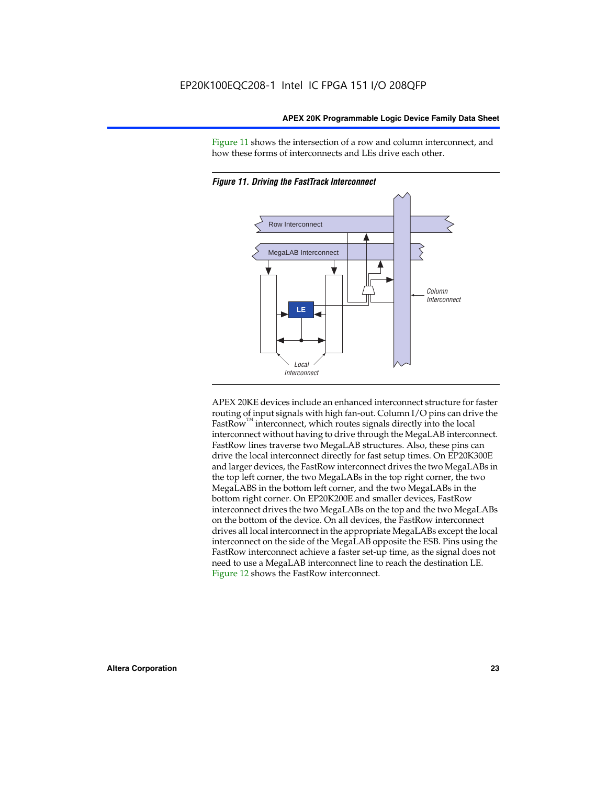Figure 11 shows the intersection of a row and column interconnect, and how these forms of interconnects and LEs drive each other.



*Figure 11. Driving the FastTrack Interconnect*

APEX 20KE devices include an enhanced interconnect structure for faster routing of input signals with high fan-out. Column I/O pins can drive the FastRow<sup>™</sup> interconnect, which routes signals directly into the local interconnect without having to drive through the MegaLAB interconnect. FastRow lines traverse two MegaLAB structures. Also, these pins can drive the local interconnect directly for fast setup times. On EP20K300E and larger devices, the FastRow interconnect drives the two MegaLABs in the top left corner, the two MegaLABs in the top right corner, the two MegaLABS in the bottom left corner, and the two MegaLABs in the bottom right corner. On EP20K200E and smaller devices, FastRow interconnect drives the two MegaLABs on the top and the two MegaLABs on the bottom of the device. On all devices, the FastRow interconnect drives all local interconnect in the appropriate MegaLABs except the local interconnect on the side of the MegaLAB opposite the ESB. Pins using the FastRow interconnect achieve a faster set-up time, as the signal does not need to use a MegaLAB interconnect line to reach the destination LE. Figure 12 shows the FastRow interconnect.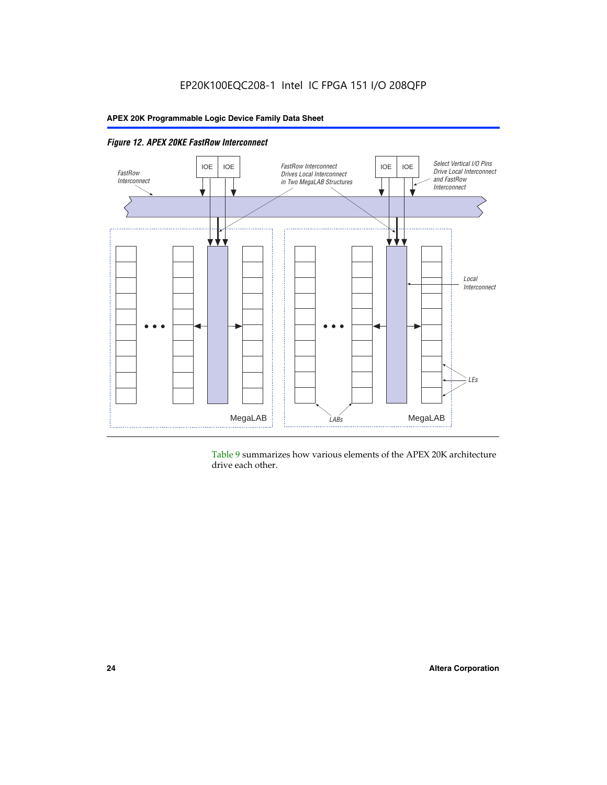

*Figure 12. APEX 20KE FastRow Interconnect*

Table 9 summarizes how various elements of the APEX 20K architecture drive each other.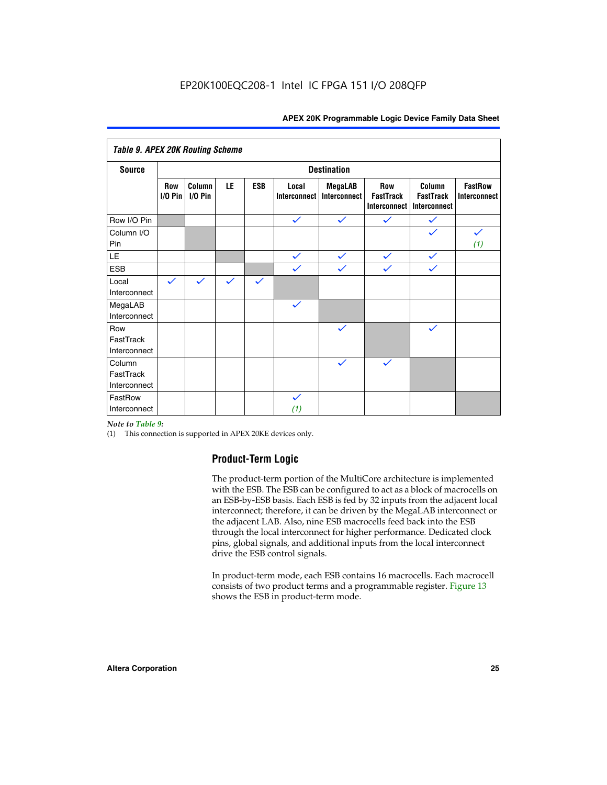| <b>Table 9. APEX 20K Routing Scheme</b> |                  |                      |              |              |                              |                                |                                                |                                            |                                       |
|-----------------------------------------|------------------|----------------------|--------------|--------------|------------------------------|--------------------------------|------------------------------------------------|--------------------------------------------|---------------------------------------|
| <b>Destination</b><br><b>Source</b>     |                  |                      |              |              |                              |                                |                                                |                                            |                                       |
|                                         | Row<br>$1/0$ Pin | Column<br>$I/O P$ in | LE           | <b>ESB</b>   | Local<br><b>Interconnect</b> | <b>MegaLAB</b><br>Interconnect | Row<br><b>FastTrack</b><br><b>Interconnect</b> | Column<br><b>FastTrack</b><br>Interconnect | <b>FastRow</b><br><b>Interconnect</b> |
| Row I/O Pin                             |                  |                      |              |              | $\checkmark$                 | $\checkmark$                   | $\checkmark$                                   | $\checkmark$                               |                                       |
| Column I/O<br>Pin                       |                  |                      |              |              |                              |                                |                                                | $\checkmark$                               | $\checkmark$<br>(1)                   |
| LE                                      |                  |                      |              |              | $\checkmark$                 | $\checkmark$                   | $\checkmark$                                   | $\checkmark$                               |                                       |
| <b>ESB</b>                              |                  |                      |              |              | $\checkmark$                 | $\checkmark$                   | $\checkmark$                                   | $\checkmark$                               |                                       |
| Local<br>Interconnect                   | $\checkmark$     | $\checkmark$         | $\checkmark$ | $\checkmark$ |                              |                                |                                                |                                            |                                       |
| MegaLAB<br>Interconnect                 |                  |                      |              |              | $\checkmark$                 |                                |                                                |                                            |                                       |
| Row<br>FastTrack<br>Interconnect        |                  |                      |              |              |                              | $\checkmark$                   |                                                | $\checkmark$                               |                                       |
| Column<br>FastTrack<br>Interconnect     |                  |                      |              |              |                              | $\checkmark$                   | $\checkmark$                                   |                                            |                                       |
| FastRow<br>Interconnect                 |                  |                      |              |              | $\checkmark$<br>(1)          |                                |                                                |                                            |                                       |

# *Note to Table 9:*

(1) This connection is supported in APEX 20KE devices only.

# **Product-Term Logic**

The product-term portion of the MultiCore architecture is implemented with the ESB. The ESB can be configured to act as a block of macrocells on an ESB-by-ESB basis. Each ESB is fed by 32 inputs from the adjacent local interconnect; therefore, it can be driven by the MegaLAB interconnect or the adjacent LAB. Also, nine ESB macrocells feed back into the ESB through the local interconnect for higher performance. Dedicated clock pins, global signals, and additional inputs from the local interconnect drive the ESB control signals.

In product-term mode, each ESB contains 16 macrocells. Each macrocell consists of two product terms and a programmable register. Figure 13 shows the ESB in product-term mode.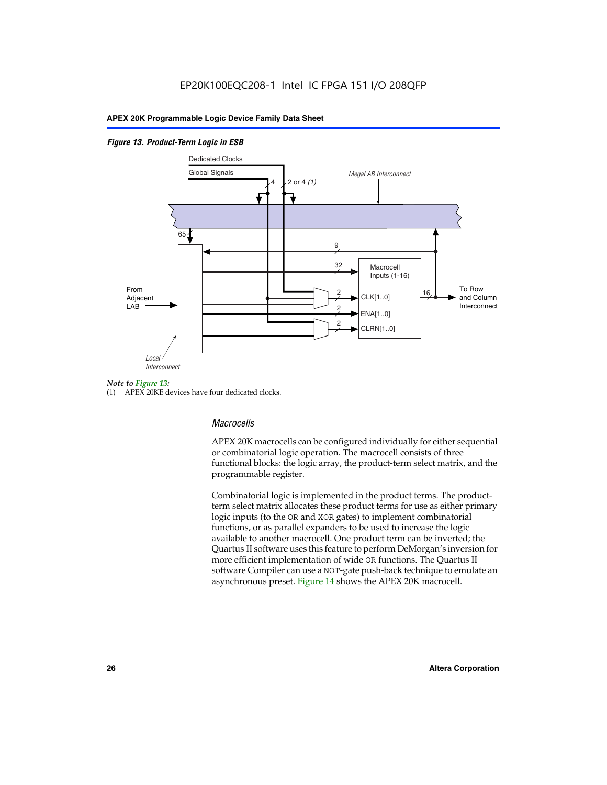# *Figure 13. Product-Term Logic in ESB*



(1) APEX 20KE devices have four dedicated clocks.

# *Macrocells*

APEX 20K macrocells can be configured individually for either sequential or combinatorial logic operation. The macrocell consists of three functional blocks: the logic array, the product-term select matrix, and the programmable register.

Combinatorial logic is implemented in the product terms. The productterm select matrix allocates these product terms for use as either primary logic inputs (to the OR and XOR gates) to implement combinatorial functions, or as parallel expanders to be used to increase the logic available to another macrocell. One product term can be inverted; the Quartus II software uses this feature to perform DeMorgan's inversion for more efficient implementation of wide OR functions. The Quartus II software Compiler can use a NOT-gate push-back technique to emulate an asynchronous preset. Figure 14 shows the APEX 20K macrocell.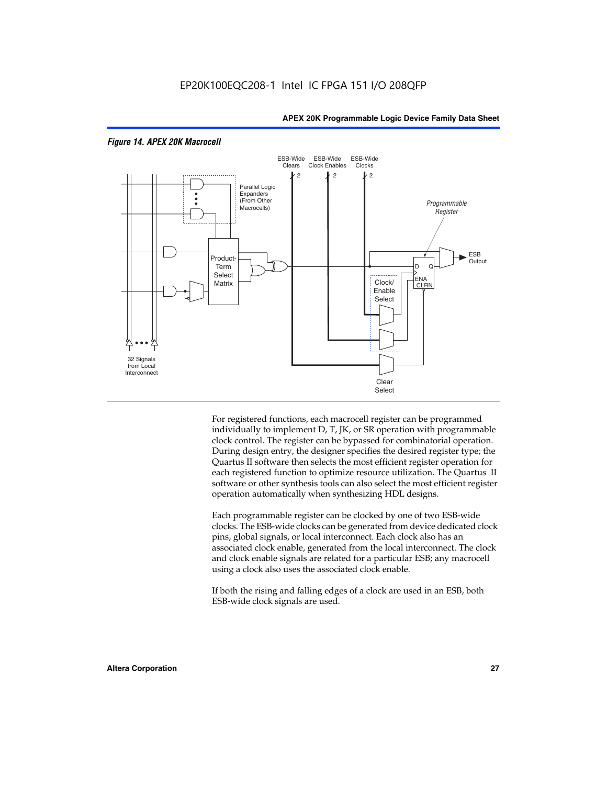

# *Figure 14. APEX 20K Macrocell*

For registered functions, each macrocell register can be programmed individually to implement D, T, JK, or SR operation with programmable clock control. The register can be bypassed for combinatorial operation. During design entry, the designer specifies the desired register type; the Quartus II software then selects the most efficient register operation for each registered function to optimize resource utilization. The Quartus II software or other synthesis tools can also select the most efficient register operation automatically when synthesizing HDL designs.

Each programmable register can be clocked by one of two ESB-wide clocks. The ESB-wide clocks can be generated from device dedicated clock pins, global signals, or local interconnect. Each clock also has an associated clock enable, generated from the local interconnect. The clock and clock enable signals are related for a particular ESB; any macrocell using a clock also uses the associated clock enable.

If both the rising and falling edges of a clock are used in an ESB, both ESB-wide clock signals are used.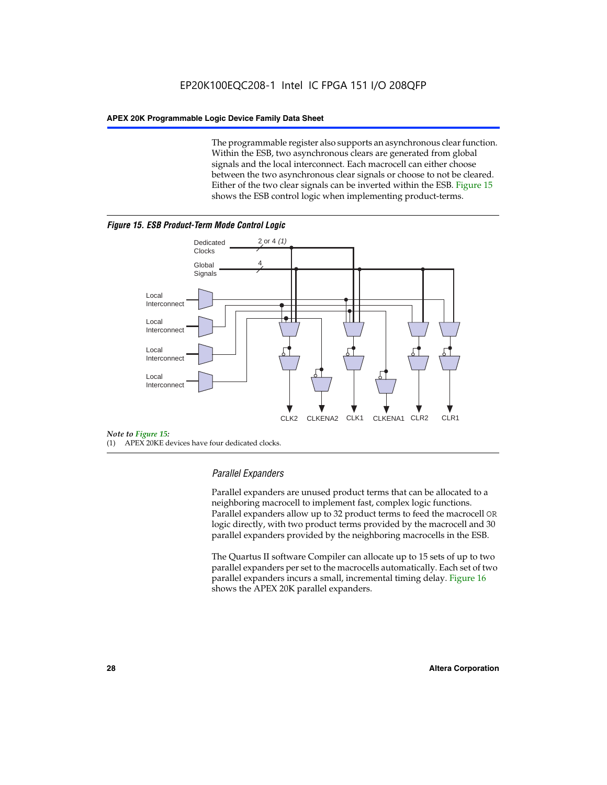The programmable register also supports an asynchronous clear function. Within the ESB, two asynchronous clears are generated from global signals and the local interconnect. Each macrocell can either choose between the two asynchronous clear signals or choose to not be cleared. Either of the two clear signals can be inverted within the ESB. Figure 15 shows the ESB control logic when implementing product-terms.





(1) APEX 20KE devices have four dedicated clocks.

# *Parallel Expanders*

Parallel expanders are unused product terms that can be allocated to a neighboring macrocell to implement fast, complex logic functions. Parallel expanders allow up to 32 product terms to feed the macrocell OR logic directly, with two product terms provided by the macrocell and 30 parallel expanders provided by the neighboring macrocells in the ESB.

The Quartus II software Compiler can allocate up to 15 sets of up to two parallel expanders per set to the macrocells automatically. Each set of two parallel expanders incurs a small, incremental timing delay. Figure 16 shows the APEX 20K parallel expanders.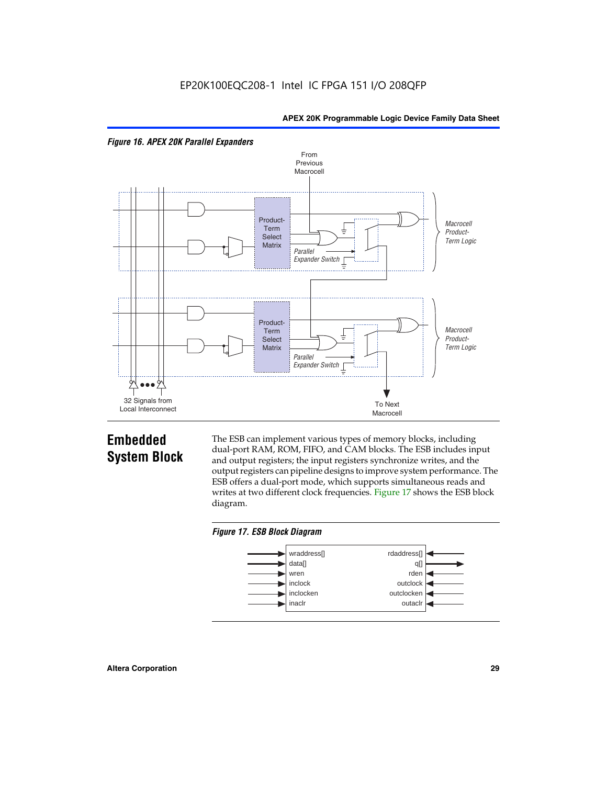



# **Embedded System Block**

The ESB can implement various types of memory blocks, including dual-port RAM, ROM, FIFO, and CAM blocks. The ESB includes input and output registers; the input registers synchronize writes, and the output registers can pipeline designs to improve system performance. The ESB offers a dual-port mode, which supports simultaneous reads and writes at two different clock frequencies. Figure 17 shows the ESB block diagram.



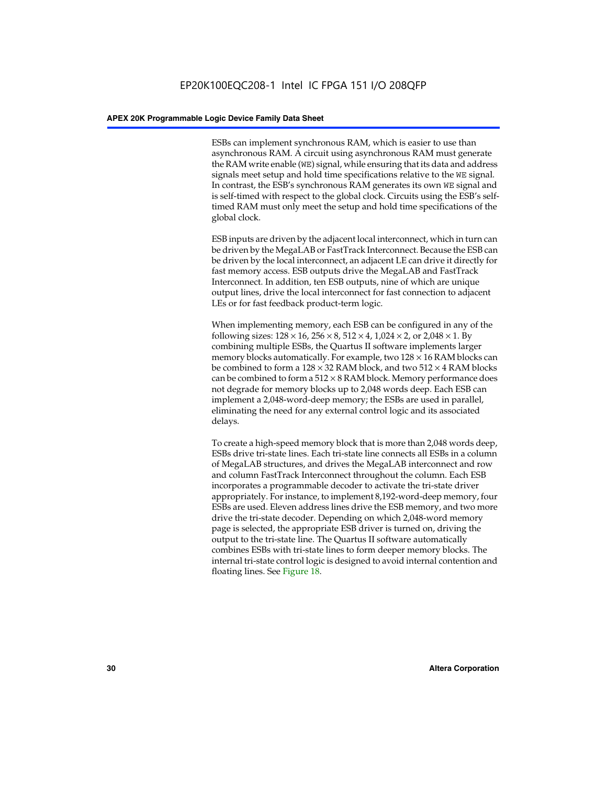ESBs can implement synchronous RAM, which is easier to use than asynchronous RAM. A circuit using asynchronous RAM must generate the RAM write enable (WE) signal, while ensuring that its data and address signals meet setup and hold time specifications relative to the WE signal. In contrast, the ESB's synchronous RAM generates its own WE signal and is self-timed with respect to the global clock. Circuits using the ESB's selftimed RAM must only meet the setup and hold time specifications of the global clock.

ESB inputs are driven by the adjacent local interconnect, which in turn can be driven by the MegaLAB or FastTrack Interconnect. Because the ESB can be driven by the local interconnect, an adjacent LE can drive it directly for fast memory access. ESB outputs drive the MegaLAB and FastTrack Interconnect. In addition, ten ESB outputs, nine of which are unique output lines, drive the local interconnect for fast connection to adjacent LEs or for fast feedback product-term logic.

When implementing memory, each ESB can be configured in any of the following sizes:  $128 \times 16$ ,  $256 \times 8$ ,  $512 \times 4$ ,  $1,024 \times 2$ , or  $2,048 \times 1$ . By combining multiple ESBs, the Quartus II software implements larger memory blocks automatically. For example, two  $128 \times 16$  RAM blocks can be combined to form a  $128 \times 32$  RAM block, and two  $512 \times 4$  RAM blocks can be combined to form a  $512 \times 8$  RAM block. Memory performance does not degrade for memory blocks up to 2,048 words deep. Each ESB can implement a 2,048-word-deep memory; the ESBs are used in parallel, eliminating the need for any external control logic and its associated delays.

To create a high-speed memory block that is more than 2,048 words deep, ESBs drive tri-state lines. Each tri-state line connects all ESBs in a column of MegaLAB structures, and drives the MegaLAB interconnect and row and column FastTrack Interconnect throughout the column. Each ESB incorporates a programmable decoder to activate the tri-state driver appropriately. For instance, to implement 8,192-word-deep memory, four ESBs are used. Eleven address lines drive the ESB memory, and two more drive the tri-state decoder. Depending on which 2,048-word memory page is selected, the appropriate ESB driver is turned on, driving the output to the tri-state line. The Quartus II software automatically combines ESBs with tri-state lines to form deeper memory blocks. The internal tri-state control logic is designed to avoid internal contention and floating lines. See Figure 18.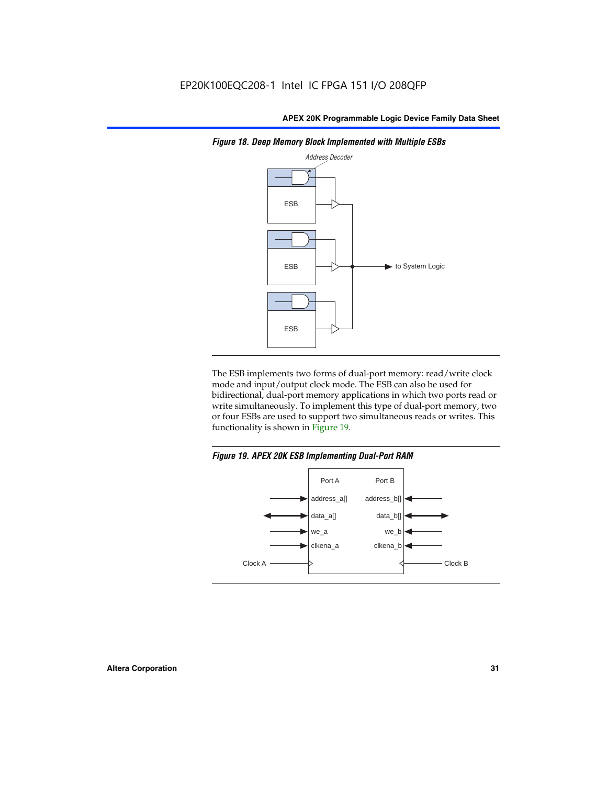

*Figure 18. Deep Memory Block Implemented with Multiple ESBs*

The ESB implements two forms of dual-port memory: read/write clock mode and input/output clock mode. The ESB can also be used for bidirectional, dual-port memory applications in which two ports read or write simultaneously. To implement this type of dual-port memory, two or four ESBs are used to support two simultaneous reads or writes. This functionality is shown in Figure 19.

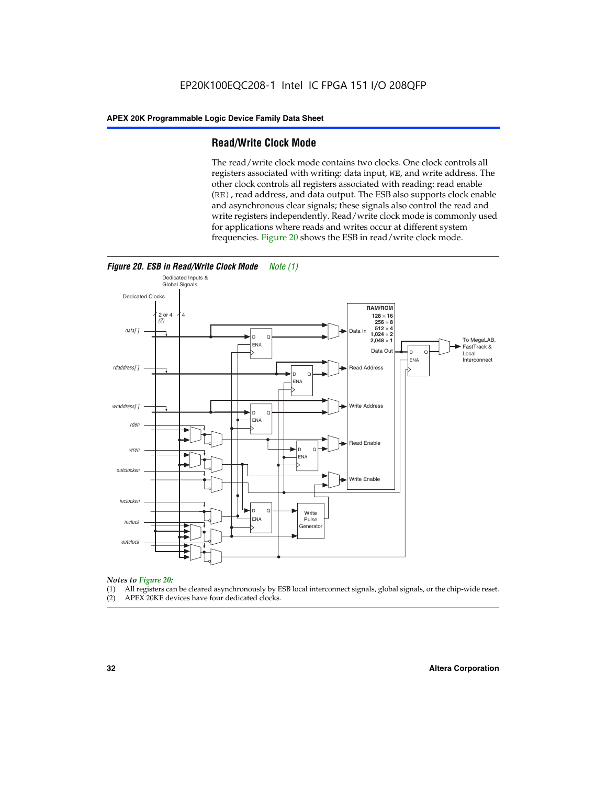# **Read/Write Clock Mode**

The read/write clock mode contains two clocks. One clock controls all registers associated with writing: data input, WE, and write address. The other clock controls all registers associated with reading: read enable (RE), read address, and data output. The ESB also supports clock enable and asynchronous clear signals; these signals also control the read and write registers independently. Read/write clock mode is commonly used for applications where reads and writes occur at different system frequencies. Figure 20 shows the ESB in read/write clock mode.



# *Notes to Figure 20:*

- (1) All registers can be cleared asynchronously by ESB local interconnect signals, global signals, or the chip-wide reset.
- (2) APEX 20KE devices have four dedicated clocks.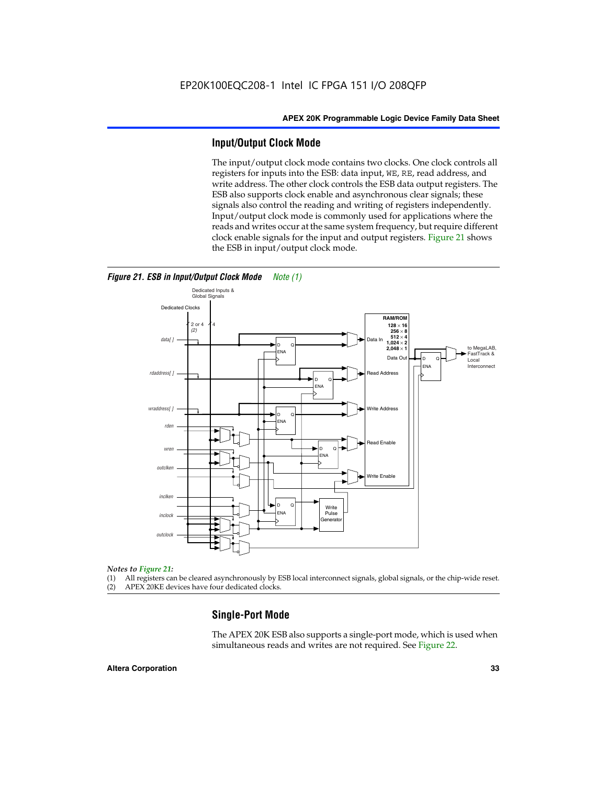# **Input/Output Clock Mode**

The input/output clock mode contains two clocks. One clock controls all registers for inputs into the ESB: data input, WE, RE, read address, and write address. The other clock controls the ESB data output registers. The ESB also supports clock enable and asynchronous clear signals; these signals also control the reading and writing of registers independently. Input/output clock mode is commonly used for applications where the reads and writes occur at the same system frequency, but require different clock enable signals for the input and output registers. Figure 21 shows the ESB in input/output clock mode.



# *Figure 21. ESB in Input/Output Clock Mode Note (1)*

#### *Notes to Figure 21:*

(1) All registers can be cleared asynchronously by ESB local interconnect signals, global signals, or the chip-wide reset.

(2) APEX 20KE devices have four dedicated clocks.

# **Single-Port Mode**

The APEX 20K ESB also supports a single-port mode, which is used when simultaneous reads and writes are not required. See Figure 22.

### **Altera Corporation 33**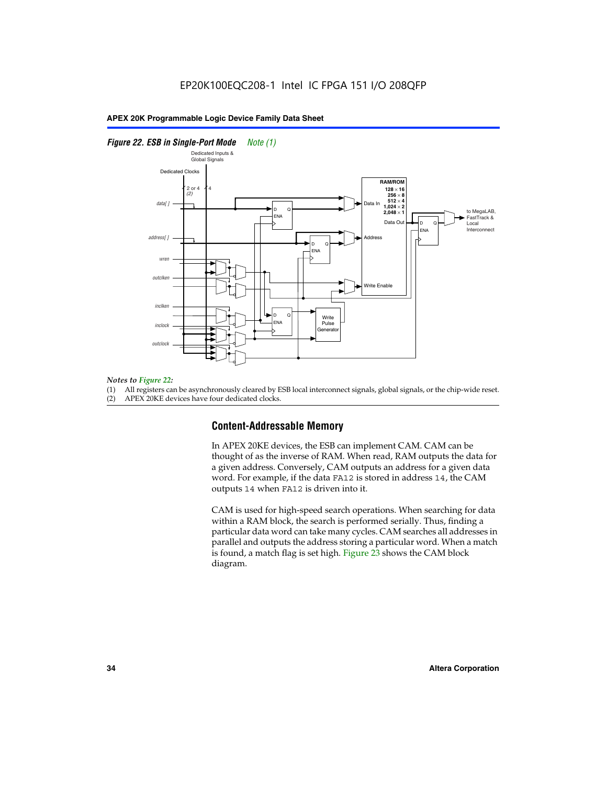# *Figure 22. ESB in Single-Port Mode Note (1)*



#### *Notes to Figure 22:*

(1) All registers can be asynchronously cleared by ESB local interconnect signals, global signals, or the chip-wide reset.

(2) APEX 20KE devices have four dedicated clocks.

# **Content-Addressable Memory**

In APEX 20KE devices, the ESB can implement CAM. CAM can be thought of as the inverse of RAM. When read, RAM outputs the data for a given address. Conversely, CAM outputs an address for a given data word. For example, if the data FA12 is stored in address 14, the CAM outputs 14 when FA12 is driven into it.

CAM is used for high-speed search operations. When searching for data within a RAM block, the search is performed serially. Thus, finding a particular data word can take many cycles. CAM searches all addresses in parallel and outputs the address storing a particular word. When a match is found, a match flag is set high. Figure 23 shows the CAM block diagram.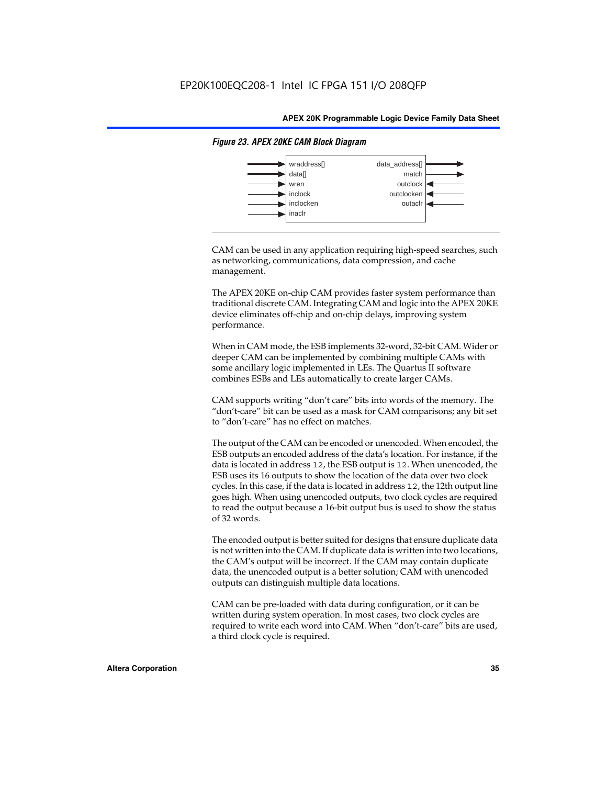

# *Figure 23. APEX 20KE CAM Block Diagram*

CAM can be used in any application requiring high-speed searches, such as networking, communications, data compression, and cache management.

The APEX 20KE on-chip CAM provides faster system performance than traditional discrete CAM. Integrating CAM and logic into the APEX 20KE device eliminates off-chip and on-chip delays, improving system performance.

When in CAM mode, the ESB implements 32-word, 32-bit CAM. Wider or deeper CAM can be implemented by combining multiple CAMs with some ancillary logic implemented in LEs. The Quartus II software combines ESBs and LEs automatically to create larger CAMs.

CAM supports writing "don't care" bits into words of the memory. The "don't-care" bit can be used as a mask for CAM comparisons; any bit set to "don't-care" has no effect on matches.

The output of the CAM can be encoded or unencoded. When encoded, the ESB outputs an encoded address of the data's location. For instance, if the data is located in address 12, the ESB output is 12. When unencoded, the ESB uses its 16 outputs to show the location of the data over two clock cycles. In this case, if the data is located in address 12, the 12th output line goes high. When using unencoded outputs, two clock cycles are required to read the output because a 16-bit output bus is used to show the status of 32 words.

The encoded output is better suited for designs that ensure duplicate data is not written into the CAM. If duplicate data is written into two locations, the CAM's output will be incorrect. If the CAM may contain duplicate data, the unencoded output is a better solution; CAM with unencoded outputs can distinguish multiple data locations.

CAM can be pre-loaded with data during configuration, or it can be written during system operation. In most cases, two clock cycles are required to write each word into CAM. When "don't-care" bits are used, a third clock cycle is required.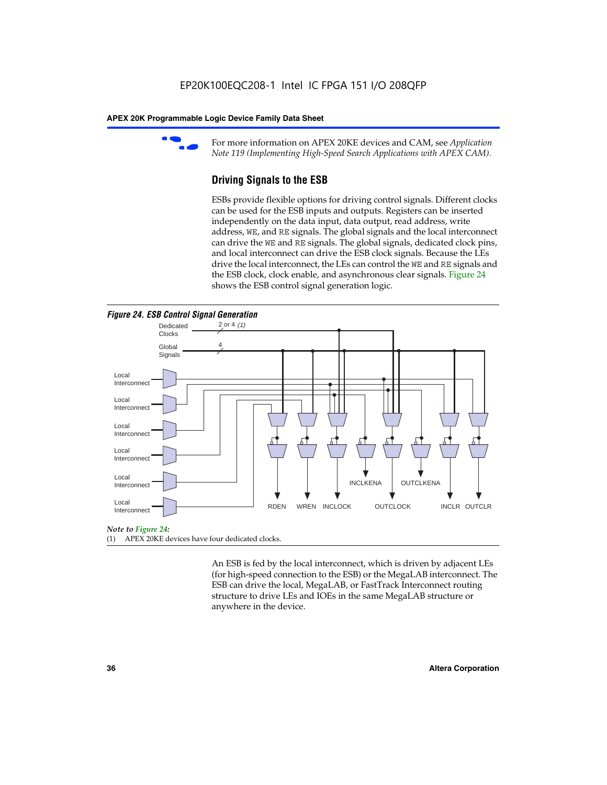

For more information on APEX 20KE devices and CAM, see *Application Note 119 (Implementing High-Speed Search Applications with APEX CAM).*

# **Driving Signals to the ESB**

ESBs provide flexible options for driving control signals. Different clocks can be used for the ESB inputs and outputs. Registers can be inserted independently on the data input, data output, read address, write address, WE, and RE signals. The global signals and the local interconnect can drive the WE and RE signals. The global signals, dedicated clock pins, and local interconnect can drive the ESB clock signals. Because the LEs drive the local interconnect, the LEs can control the WE and RE signals and the ESB clock, clock enable, and asynchronous clear signals. Figure 24 shows the ESB control signal generation logic.





#### *Note to Figure 24:*

(1) APEX 20KE devices have four dedicated clocks.

An ESB is fed by the local interconnect, which is driven by adjacent LEs (for high-speed connection to the ESB) or the MegaLAB interconnect. The ESB can drive the local, MegaLAB, or FastTrack Interconnect routing structure to drive LEs and IOEs in the same MegaLAB structure or anywhere in the device.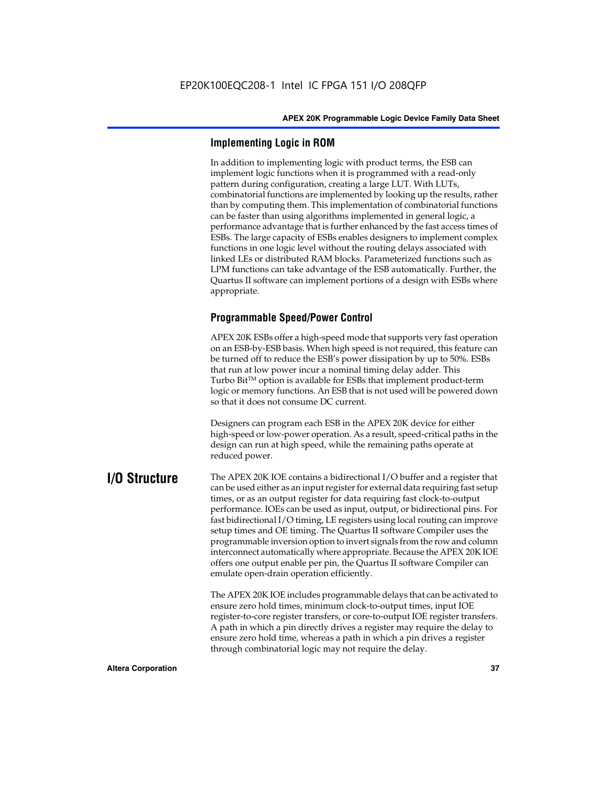# **Implementing Logic in ROM**

In addition to implementing logic with product terms, the ESB can implement logic functions when it is programmed with a read-only pattern during configuration, creating a large LUT. With LUTs, combinatorial functions are implemented by looking up the results, rather than by computing them. This implementation of combinatorial functions can be faster than using algorithms implemented in general logic, a performance advantage that is further enhanced by the fast access times of ESBs. The large capacity of ESBs enables designers to implement complex functions in one logic level without the routing delays associated with linked LEs or distributed RAM blocks. Parameterized functions such as LPM functions can take advantage of the ESB automatically. Further, the Quartus II software can implement portions of a design with ESBs where appropriate.

# **Programmable Speed/Power Control**

APEX 20K ESBs offer a high-speed mode that supports very fast operation on an ESB-by-ESB basis. When high speed is not required, this feature can be turned off to reduce the ESB's power dissipation by up to 50%. ESBs that run at low power incur a nominal timing delay adder. This Turbo  $Bit^{TM}$  option is available for ESBs that implement product-term logic or memory functions. An ESB that is not used will be powered down so that it does not consume DC current.

Designers can program each ESB in the APEX 20K device for either high-speed or low-power operation. As a result, speed-critical paths in the design can run at high speed, while the remaining paths operate at reduced power.

**I/O Structure** The APEX 20K IOE contains a bidirectional I/O buffer and a register that can be used either as an input register for external data requiring fast setup times, or as an output register for data requiring fast clock-to-output performance. IOEs can be used as input, output, or bidirectional pins. For fast bidirectional I/O timing, LE registers using local routing can improve setup times and OE timing. The Quartus II software Compiler uses the programmable inversion option to invert signals from the row and column interconnect automatically where appropriate. Because the APEX 20K IOE offers one output enable per pin, the Quartus II software Compiler can emulate open-drain operation efficiently.

> The APEX 20K IOE includes programmable delays that can be activated to ensure zero hold times, minimum clock-to-output times, input IOE register-to-core register transfers, or core-to-output IOE register transfers. A path in which a pin directly drives a register may require the delay to ensure zero hold time, whereas a path in which a pin drives a register through combinatorial logic may not require the delay.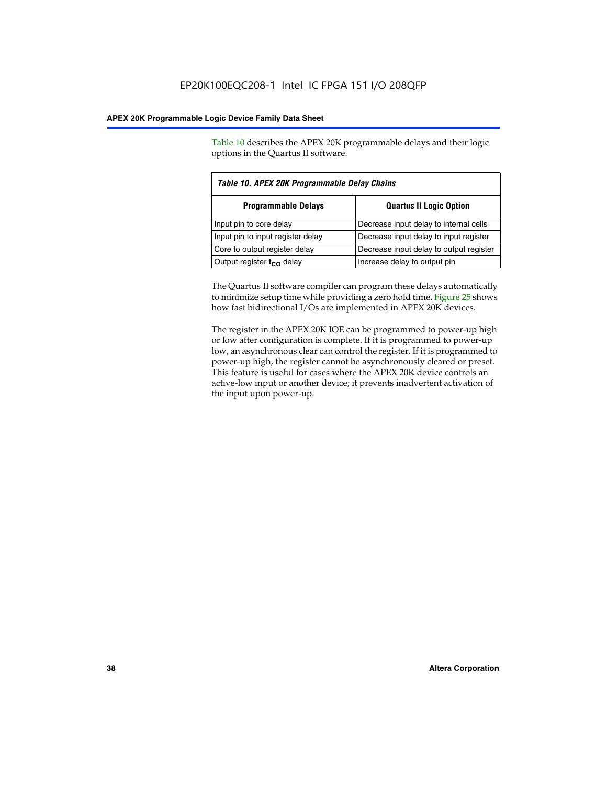Table 10 describes the APEX 20K programmable delays and their logic options in the Quartus II software.

| Table 10. APEX 20K Programmable Delay Chains |                                         |  |  |
|----------------------------------------------|-----------------------------------------|--|--|
| <b>Programmable Delays</b>                   | <b>Quartus II Logic Option</b>          |  |  |
| Input pin to core delay                      | Decrease input delay to internal cells  |  |  |
| Input pin to input register delay            | Decrease input delay to input register  |  |  |
| Core to output register delay                | Decrease input delay to output register |  |  |
| Output register $t_{\rm CO}$ delay           | Increase delay to output pin            |  |  |

The Quartus II software compiler can program these delays automatically to minimize setup time while providing a zero hold time. Figure 25 shows how fast bidirectional I/Os are implemented in APEX 20K devices.

The register in the APEX 20K IOE can be programmed to power-up high or low after configuration is complete. If it is programmed to power-up low, an asynchronous clear can control the register. If it is programmed to power-up high, the register cannot be asynchronously cleared or preset. This feature is useful for cases where the APEX 20K device controls an active-low input or another device; it prevents inadvertent activation of the input upon power-up.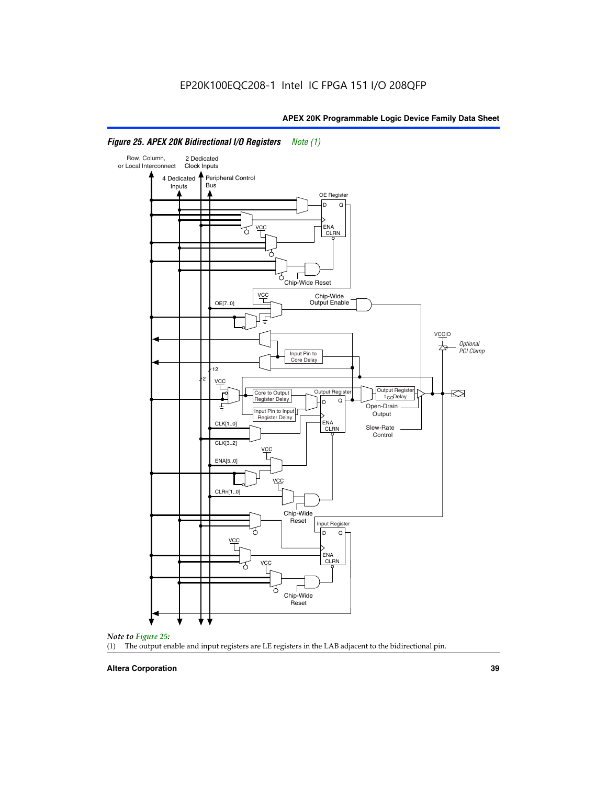

# *Figure 25. APEX 20K Bidirectional I/O Registers Note (1)*



#### **Altera Corporation 39**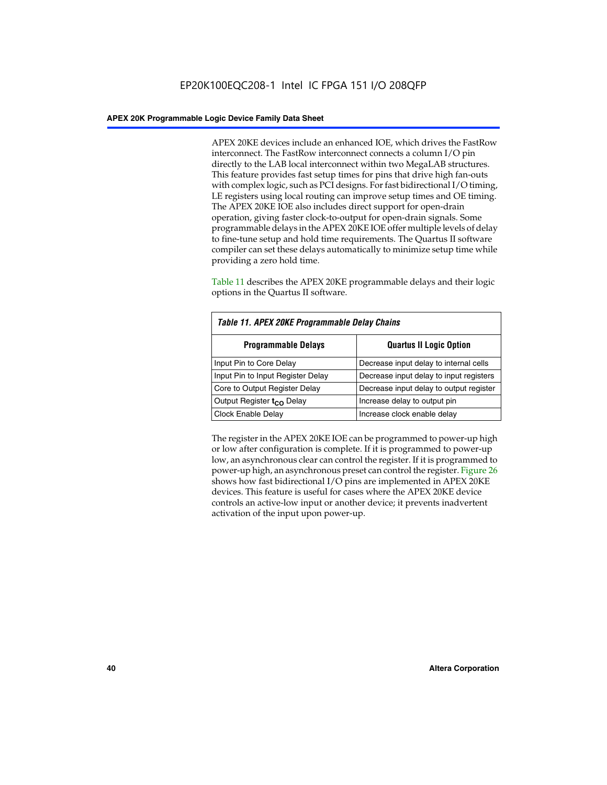APEX 20KE devices include an enhanced IOE, which drives the FastRow interconnect. The FastRow interconnect connects a column I/O pin directly to the LAB local interconnect within two MegaLAB structures. This feature provides fast setup times for pins that drive high fan-outs with complex logic, such as PCI designs. For fast bidirectional I/O timing, LE registers using local routing can improve setup times and OE timing. The APEX 20KE IOE also includes direct support for open-drain operation, giving faster clock-to-output for open-drain signals. Some programmable delays in the APEX 20KE IOE offer multiple levels of delay to fine-tune setup and hold time requirements. The Quartus II software compiler can set these delays automatically to minimize setup time while providing a zero hold time.

Table 11 describes the APEX 20KE programmable delays and their logic options in the Quartus II software.

| Table 11. APEX 20KE Programmable Delay Chains |                                         |  |  |  |
|-----------------------------------------------|-----------------------------------------|--|--|--|
| <b>Programmable Delays</b>                    | <b>Quartus II Logic Option</b>          |  |  |  |
| Input Pin to Core Delay                       | Decrease input delay to internal cells  |  |  |  |
| Input Pin to Input Register Delay             | Decrease input delay to input registers |  |  |  |
| Core to Output Register Delay                 | Decrease input delay to output register |  |  |  |
| Output Register t <sub>CO</sub> Delay         | Increase delay to output pin            |  |  |  |
| Clock Enable Delay                            | Increase clock enable delay             |  |  |  |

The register in the APEX 20KE IOE can be programmed to power-up high or low after configuration is complete. If it is programmed to power-up low, an asynchronous clear can control the register. If it is programmed to power-up high, an asynchronous preset can control the register. Figure 26 shows how fast bidirectional I/O pins are implemented in APEX 20KE devices. This feature is useful for cases where the APEX 20KE device controls an active-low input or another device; it prevents inadvertent activation of the input upon power-up.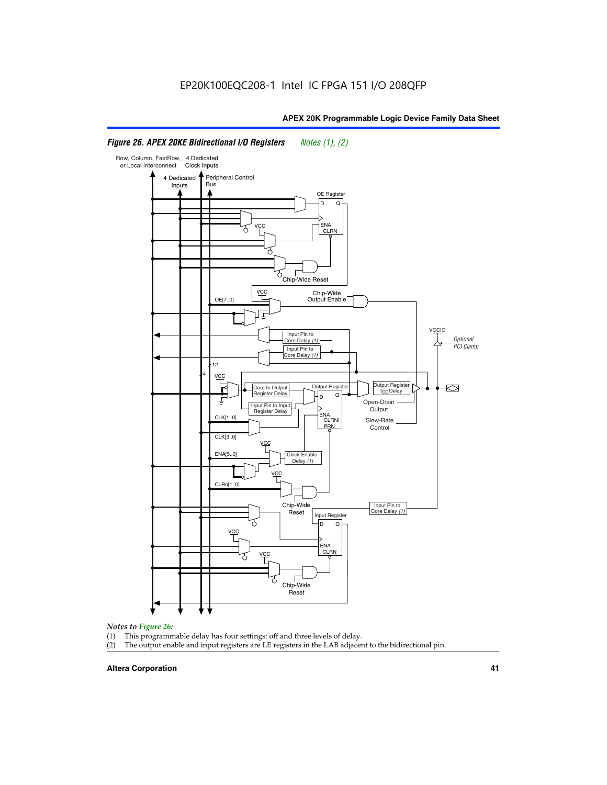#### Row, Column, FastRow, 4 Dedicated or Local Interconnect Clock Inputs Peripheral Control 4 Dedicated **Bus** Inputs OE Register D Q ENA VCC CLRN 7 Chip-Wide Reset vcc Chip-Wide Output Enable OE[7..0] VC Input Pin to **Optional** Core Delay (1) PCI Clamp Input Pin to Core Delay (1) 12 4 **VCC** Output Register **Output Registe**  $\approx$ Core to Output | Output Hegister | Durbut Tropieding | Contput Tropieding | Durbut Tropieding | Output Tropied<br>Register Delay | Durbut Tropieding | Contput Tropieding | Contput Tropieding | O t<sub>CO</sub>Delay  $D$  Q ŧ Open-Drain Input Pin to Input **Output** Register Delay ENA CLK[1..0] CLRN/ Slew-Rate PR<sub>N</sub> Control CLK[3..0] VCC ENA[5..0] Clock Enable Delay (1) VCC CLRn[1..0] Chip-Wide Input Pin to Core Delay (1) Reset Input Register D Q <u>vcc</u> .<br>ENA CLRN **VCC** Chip-Wide

# *Figure 26. APEX 20KE Bidirectional I/O Registers Notes (1), (2)*

#### *Notes to Figure 26:*

- 
- (1) This programmable delay has four settings: off and three levels of delay.<br>(2) The output enable and input registers are LE registers in the LAB adjacer The output enable and input registers are LE registers in the LAB adjacent to the bidirectional pin.

Reset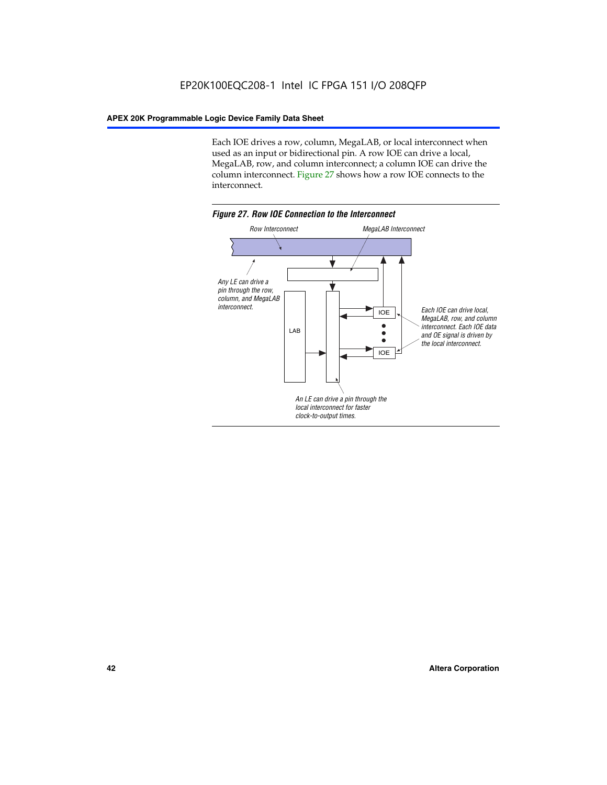Each IOE drives a row, column, MegaLAB, or local interconnect when used as an input or bidirectional pin. A row IOE can drive a local, MegaLAB, row, and column interconnect; a column IOE can drive the column interconnect. Figure 27 shows how a row IOE connects to the interconnect.

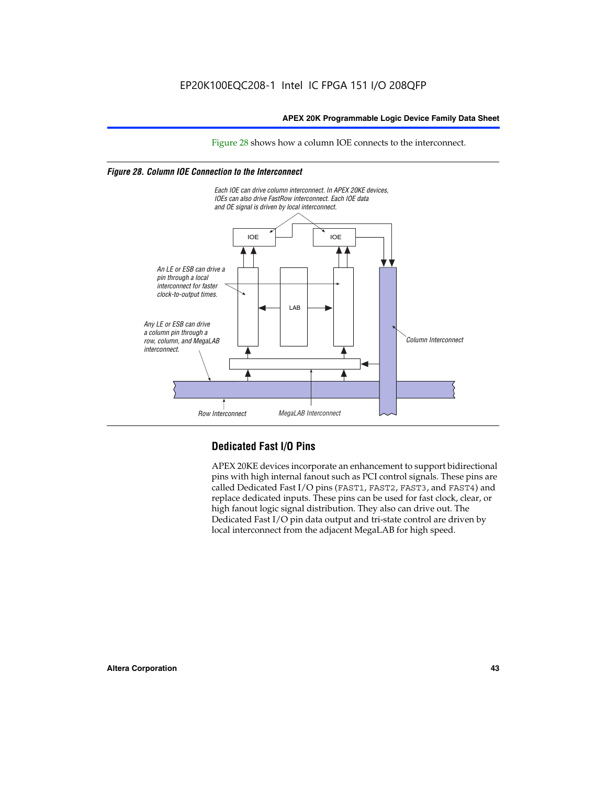Figure 28 shows how a column IOE connects to the interconnect.

# *Figure 28. Column IOE Connection to the Interconnect*



# **Dedicated Fast I/O Pins**

APEX 20KE devices incorporate an enhancement to support bidirectional pins with high internal fanout such as PCI control signals. These pins are called Dedicated Fast I/O pins (FAST1, FAST2, FAST3, and FAST4) and replace dedicated inputs. These pins can be used for fast clock, clear, or high fanout logic signal distribution. They also can drive out. The Dedicated Fast I/O pin data output and tri-state control are driven by local interconnect from the adjacent MegaLAB for high speed.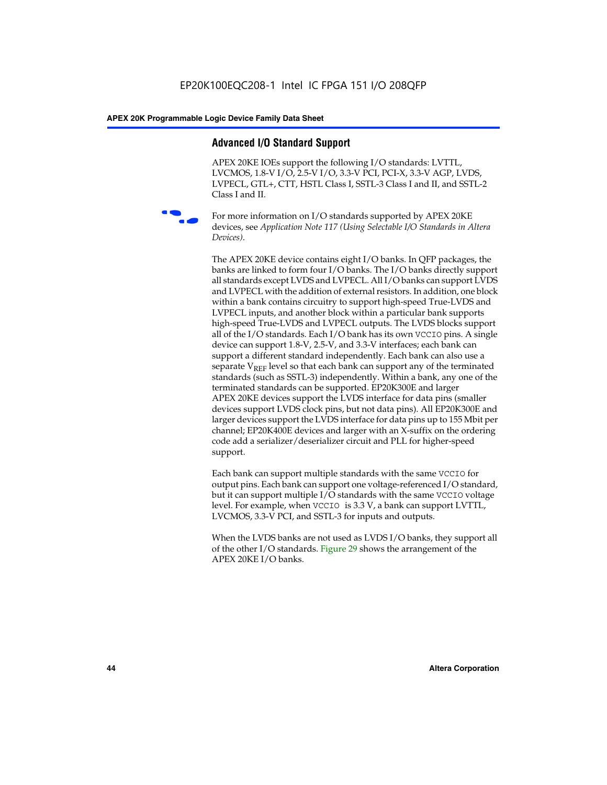# **Advanced I/O Standard Support**

APEX 20KE IOEs support the following I/O standards: LVTTL, LVCMOS, 1.8-V I/O, 2.5-V I/O, 3.3-V PCI, PCI-X, 3.3-V AGP, LVDS, LVPECL, GTL+, CTT, HSTL Class I, SSTL-3 Class I and II, and SSTL-2 Class I and II.



For more information on I/O standards supported by APEX 20KE devices, see *Application Note 117 (Using Selectable I/O Standards in Altera Devices)*.

The APEX 20KE device contains eight I/O banks. In QFP packages, the banks are linked to form four I/O banks. The I/O banks directly support all standards except LVDS and LVPECL. All I/O banks can support LVDS and LVPECL with the addition of external resistors. In addition, one block within a bank contains circuitry to support high-speed True-LVDS and LVPECL inputs, and another block within a particular bank supports high-speed True-LVDS and LVPECL outputs. The LVDS blocks support all of the I/O standards. Each I/O bank has its own VCCIO pins. A single device can support 1.8-V, 2.5-V, and 3.3-V interfaces; each bank can support a different standard independently. Each bank can also use a separate  $V_{\text{REF}}$  level so that each bank can support any of the terminated standards (such as SSTL-3) independently. Within a bank, any one of the terminated standards can be supported. EP20K300E and larger APEX 20KE devices support the LVDS interface for data pins (smaller devices support LVDS clock pins, but not data pins). All EP20K300E and larger devices support the LVDS interface for data pins up to 155 Mbit per channel; EP20K400E devices and larger with an X-suffix on the ordering code add a serializer/deserializer circuit and PLL for higher-speed support.

Each bank can support multiple standards with the same VCCIO for output pins. Each bank can support one voltage-referenced I/O standard, but it can support multiple I/O standards with the same VCCIO voltage level. For example, when VCCIO is 3.3 V, a bank can support LVTTL, LVCMOS, 3.3-V PCI, and SSTL-3 for inputs and outputs.

When the LVDS banks are not used as LVDS I/O banks, they support all of the other I/O standards. Figure 29 shows the arrangement of the APEX 20KE I/O banks.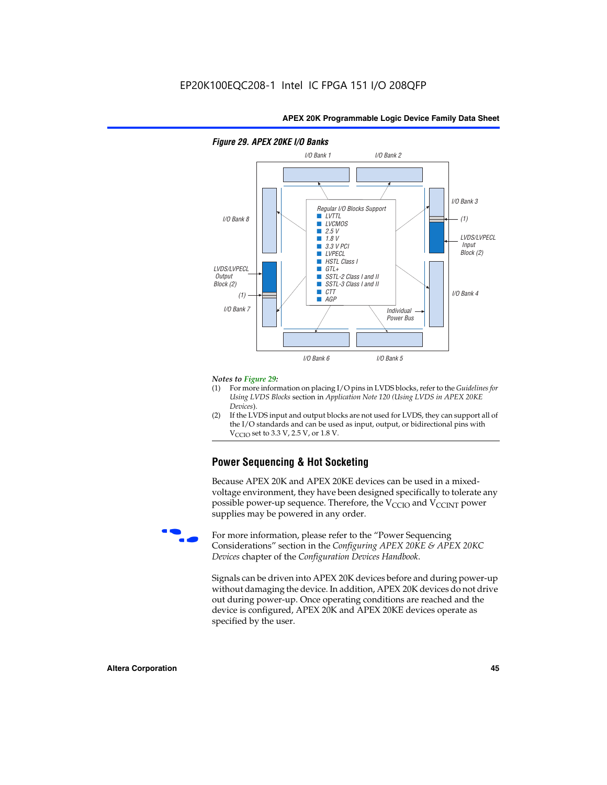

# *Figure 29. APEX 20KE I/O Banks*

#### *Notes to Figure 29:*

- (1) For more information on placing I/O pins in LVDS blocks, refer to the *Guidelines for Using LVDS Blocks* section in *Application Note 120 (Using LVDS in APEX 20KE Devices*).
- (2) If the LVDS input and output blocks are not used for LVDS, they can support all of the I/O standards and can be used as input, output, or bidirectional pins with  $V_{\text{C} \cap \text{O}}$  set to 3.3 V, 2.5 V, or 1.8 V.

# **Power Sequencing & Hot Socketing**

Because APEX 20K and APEX 20KE devices can be used in a mixedvoltage environment, they have been designed specifically to tolerate any possible power-up sequence. Therefore, the  $V_{\text{CCIO}}$  and  $V_{\text{CCINT}}$  power supplies may be powered in any order.

For more information, please refer to the "Power Sequencing Considerations" section in the *Configuring APEX 20KE & APEX 20KC Devices* chapter of the *Configuration Devices Handbook*.

Signals can be driven into APEX 20K devices before and during power-up without damaging the device. In addition, APEX 20K devices do not drive out during power-up. Once operating conditions are reached and the device is configured, APEX 20K and APEX 20KE devices operate as specified by the user.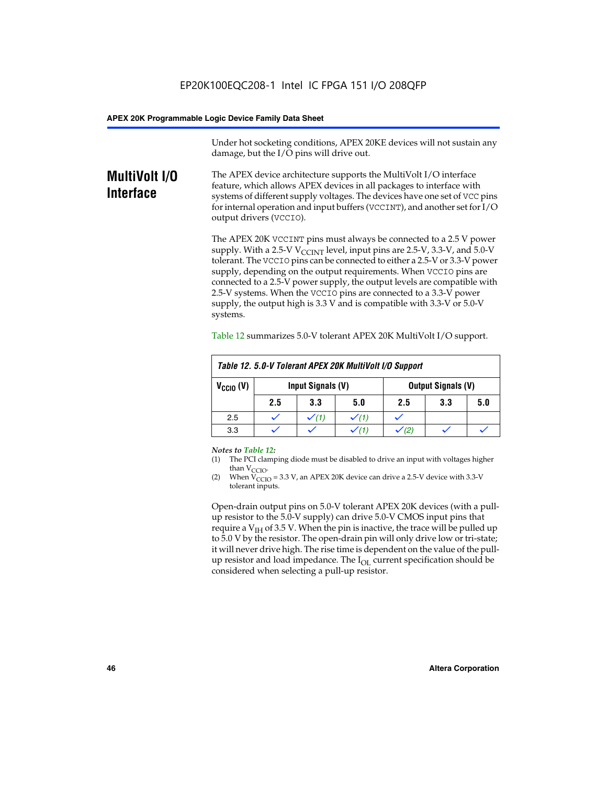Under hot socketing conditions, APEX 20KE devices will not sustain any damage, but the I/O pins will drive out.

# **MultiVolt I/O Interface**

The APEX device architecture supports the MultiVolt I/O interface feature, which allows APEX devices in all packages to interface with systems of different supply voltages. The devices have one set of VCC pins for internal operation and input buffers (VCCINT), and another set for I/O output drivers (VCCIO).

The APEX 20K VCCINT pins must always be connected to a 2.5 V power supply. With a 2.5-V  $V_{\text{CCMT}}$  level, input pins are 2.5-V, 3.3-V, and 5.0-V tolerant. The VCCIO pins can be connected to either a 2.5-V or 3.3-V power supply, depending on the output requirements. When VCCIO pins are connected to a 2.5-V power supply, the output levels are compatible with 2.5-V systems. When the VCCIO pins are connected to a 3.3-V power supply, the output high is 3.3 V and is compatible with 3.3-V or 5.0-V systems.

| Table 12. 5.0-V Tolerant APEX 20K MultiVolt I/O Support |                                                |                  |     |     |     |     |
|---------------------------------------------------------|------------------------------------------------|------------------|-----|-----|-----|-----|
| $V_{\text{CCIO}}(V)$                                    | Input Signals (V)<br><b>Output Signals (V)</b> |                  |     |     |     |     |
|                                                         | 2.5                                            | 3.3              | 5.0 | 2.5 | 3.3 | 5.0 |
| 2.5                                                     |                                                | $\checkmark$ (1) |     |     |     |     |
| 3.3                                                     |                                                |                  |     |     |     |     |

Table 12 summarizes 5.0-V tolerant APEX 20K MultiVolt I/O support.

#### *Notes to Table 12:*

- (1) The PCI clamping diode must be disabled to drive an input with voltages higher than  $V_{CCIO}$ .
- (2) When  $V_{CCIO} = 3.3 V$ , an APEX 20K device can drive a 2.5-V device with 3.3-V tolerant inputs.

Open-drain output pins on 5.0-V tolerant APEX 20K devices (with a pullup resistor to the 5.0-V supply) can drive 5.0-V CMOS input pins that require a  $V_{IH}$  of 3.5 V. When the pin is inactive, the trace will be pulled up to 5.0 V by the resistor. The open-drain pin will only drive low or tri-state; it will never drive high. The rise time is dependent on the value of the pullup resistor and load impedance. The  $I_{OI}$  current specification should be considered when selecting a pull-up resistor.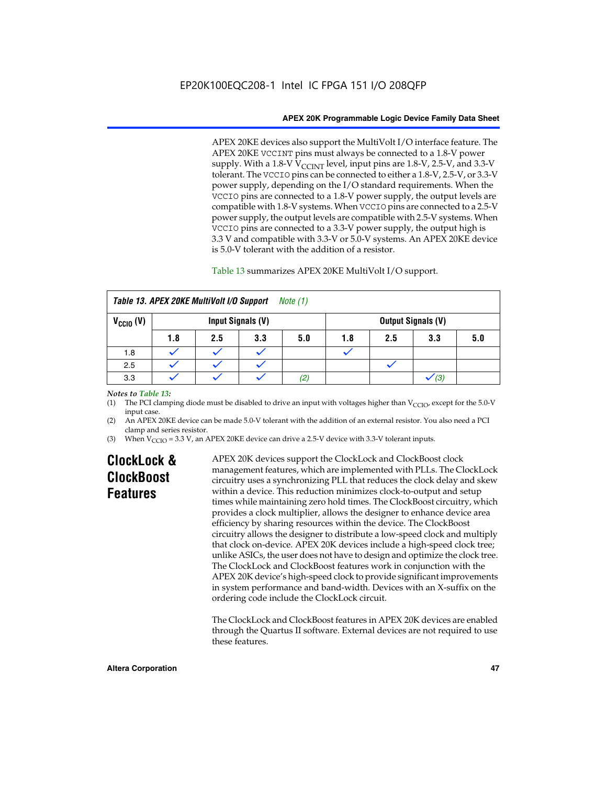APEX 20KE devices also support the MultiVolt I/O interface feature. The APEX 20KE VCCINT pins must always be connected to a 1.8-V power supply. With a 1.8-V  $V_{\text{CCINT}}$  level, input pins are 1.8-V, 2.5-V, and 3.3-V tolerant. The VCCIO pins can be connected to either a 1.8-V, 2.5-V, or 3.3-V power supply, depending on the I/O standard requirements. When the VCCIO pins are connected to a 1.8-V power supply, the output levels are compatible with 1.8-V systems. When VCCIO pins are connected to a 2.5-V power supply, the output levels are compatible with 2.5-V systems. When VCCIO pins are connected to a 3.3-V power supply, the output high is 3.3 V and compatible with 3.3-V or 5.0-V systems. An APEX 20KE device is 5.0-V tolerant with the addition of a resistor.

# Table 13 summarizes APEX 20KE MultiVolt I/O support.

|                      | Table 13. APEX 20KE MultiVolt I/O Support<br>Note (1) |     |                   |     |     |     |                           |     |
|----------------------|-------------------------------------------------------|-----|-------------------|-----|-----|-----|---------------------------|-----|
| $V_{\text{CCIO}}(V)$ |                                                       |     | Input Signals (V) |     |     |     | <b>Output Signals (V)</b> |     |
|                      | 1.8                                                   | 2.5 | 3.3               | 5.0 | 1.8 | 2.5 | 3.3                       | 5.0 |
| 1.8                  |                                                       |     |                   |     |     |     |                           |     |
| 2.5                  |                                                       |     |                   |     |     |     |                           |     |
| 3.3                  |                                                       |     |                   | (2) |     |     | (3)                       |     |

## *Notes to Table 13:*

(1) The PCI clamping diode must be disabled to drive an input with voltages higher than  $V_{CCIO}$ , except for the 5.0-V input case.

(2) An APEX 20KE device can be made 5.0-V tolerant with the addition of an external resistor. You also need a PCI clamp and series resistor.

(3) When  $V_{\text{CCIO}} = 3.3$  V, an APEX 20KE device can drive a 2.5-V device with 3.3-V tolerant inputs.

# **ClockLock & ClockBoost Features**

APEX 20K devices support the ClockLock and ClockBoost clock management features, which are implemented with PLLs. The ClockLock circuitry uses a synchronizing PLL that reduces the clock delay and skew within a device. This reduction minimizes clock-to-output and setup times while maintaining zero hold times. The ClockBoost circuitry, which provides a clock multiplier, allows the designer to enhance device area efficiency by sharing resources within the device. The ClockBoost circuitry allows the designer to distribute a low-speed clock and multiply that clock on-device. APEX 20K devices include a high-speed clock tree; unlike ASICs, the user does not have to design and optimize the clock tree. The ClockLock and ClockBoost features work in conjunction with the APEX 20K device's high-speed clock to provide significant improvements in system performance and band-width. Devices with an X-suffix on the ordering code include the ClockLock circuit.

The ClockLock and ClockBoost features in APEX 20K devices are enabled through the Quartus II software. External devices are not required to use these features.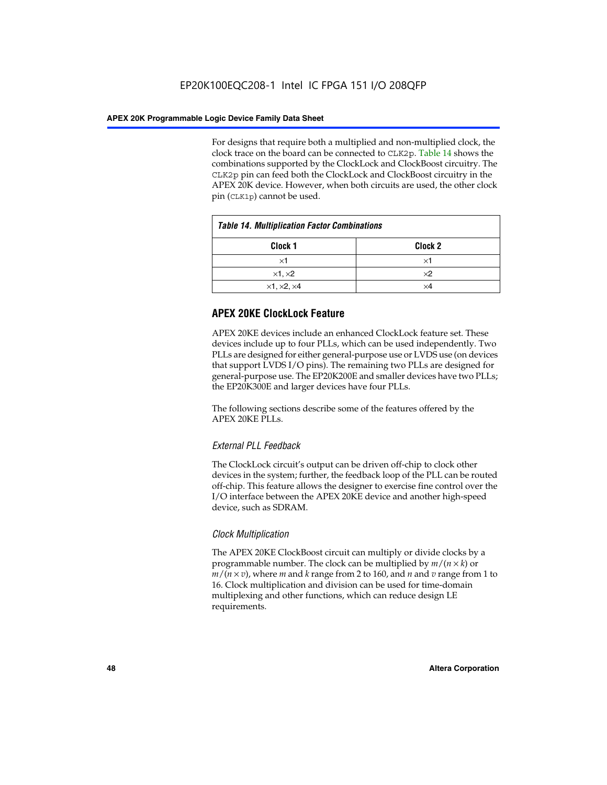For designs that require both a multiplied and non-multiplied clock, the clock trace on the board can be connected to CLK2p. Table 14 shows the combinations supported by the ClockLock and ClockBoost circuitry. The CLK2p pin can feed both the ClockLock and ClockBoost circuitry in the APEX 20K device. However, when both circuits are used, the other clock pin (CLK1p) cannot be used.

| <b>Table 14. Multiplication Factor Combinations</b> |                    |  |
|-----------------------------------------------------|--------------------|--|
| Clock 1                                             | Clock <sub>2</sub> |  |
| ×1                                                  | ×1                 |  |
| $\times$ 1, $\times$ 2                              | $\times 2$         |  |
| $\times$ 1, $\times$ 2, $\times$ 4                  | ×4                 |  |

# **APEX 20KE ClockLock Feature**

APEX 20KE devices include an enhanced ClockLock feature set. These devices include up to four PLLs, which can be used independently. Two PLLs are designed for either general-purpose use or LVDS use (on devices that support LVDS I/O pins). The remaining two PLLs are designed for general-purpose use. The EP20K200E and smaller devices have two PLLs; the EP20K300E and larger devices have four PLLs.

The following sections describe some of the features offered by the APEX 20KE PLLs.

# *External PLL Feedback*

The ClockLock circuit's output can be driven off-chip to clock other devices in the system; further, the feedback loop of the PLL can be routed off-chip. This feature allows the designer to exercise fine control over the I/O interface between the APEX 20KE device and another high-speed device, such as SDRAM.

# *Clock Multiplication*

The APEX 20KE ClockBoost circuit can multiply or divide clocks by a programmable number. The clock can be multiplied by *m*/(*n* × *k*) or  $m/(n \times v)$ , where *m* and *k* range from 2 to 160, and *n* and *v* range from 1 to 16. Clock multiplication and division can be used for time-domain multiplexing and other functions, which can reduce design LE requirements.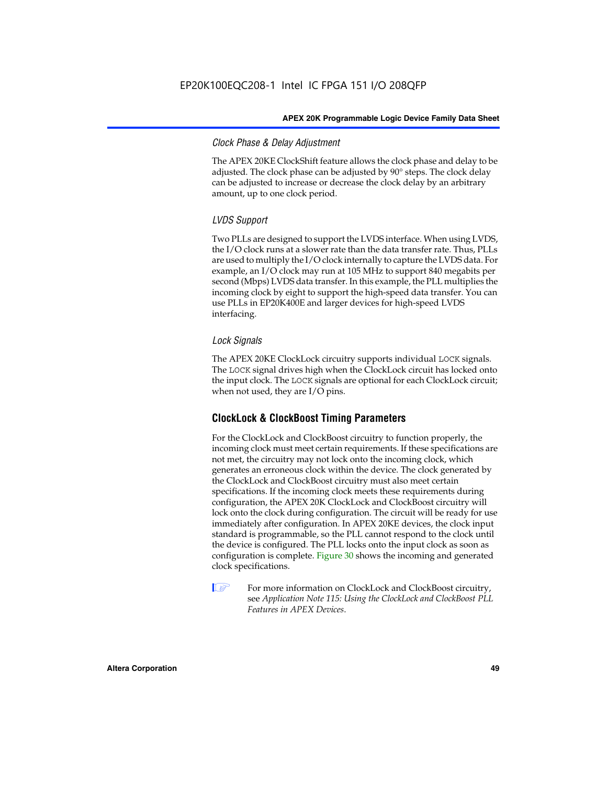# *Clock Phase & Delay Adjustment*

The APEX 20KE ClockShift feature allows the clock phase and delay to be adjusted. The clock phase can be adjusted by 90° steps. The clock delay can be adjusted to increase or decrease the clock delay by an arbitrary amount, up to one clock period.

# *LVDS Support*

Two PLLs are designed to support the LVDS interface. When using LVDS, the I/O clock runs at a slower rate than the data transfer rate. Thus, PLLs are used to multiply the I/O clock internally to capture the LVDS data. For example, an I/O clock may run at 105 MHz to support 840 megabits per second (Mbps) LVDS data transfer. In this example, the PLL multiplies the incoming clock by eight to support the high-speed data transfer. You can use PLLs in EP20K400E and larger devices for high-speed LVDS interfacing.

# *Lock Signals*

The APEX 20KE ClockLock circuitry supports individual LOCK signals. The LOCK signal drives high when the ClockLock circuit has locked onto the input clock. The LOCK signals are optional for each ClockLock circuit; when not used, they are I/O pins.

# **ClockLock & ClockBoost Timing Parameters**

For the ClockLock and ClockBoost circuitry to function properly, the incoming clock must meet certain requirements. If these specifications are not met, the circuitry may not lock onto the incoming clock, which generates an erroneous clock within the device. The clock generated by the ClockLock and ClockBoost circuitry must also meet certain specifications. If the incoming clock meets these requirements during configuration, the APEX 20K ClockLock and ClockBoost circuitry will lock onto the clock during configuration. The circuit will be ready for use immediately after configuration. In APEX 20KE devices, the clock input standard is programmable, so the PLL cannot respond to the clock until the device is configured. The PLL locks onto the input clock as soon as configuration is complete. Figure 30 shows the incoming and generated clock specifications.

 $\mathbb{I} \mathcal{F}$  For more information on ClockLock and ClockBoost circuitry, see *Application Note 115: Using the ClockLock and ClockBoost PLL Features in APEX Devices*.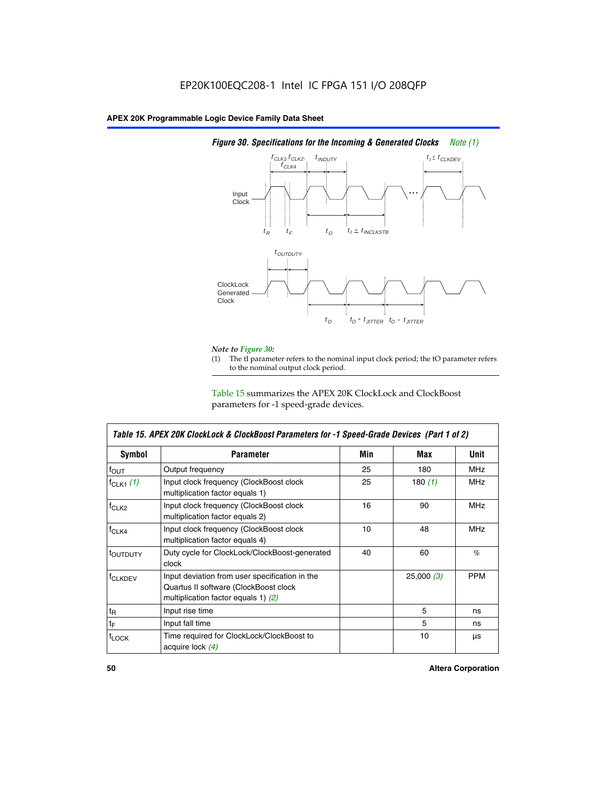

# *Figure 30. Specifications for the Incoming & Generated Clocks Note (1)*

# *Note to Figure 30:*

The tI parameter refers to the nominal input clock period; the tO parameter refers to the nominal output clock period.

Table 15 summarizes the APEX 20K ClockLock and ClockBoost parameters for -1 speed-grade devices.

| <b>Symbol</b>     | <b>Parameter</b>                                                                                                                 | Min | Max       | <b>Unit</b> |
|-------------------|----------------------------------------------------------------------------------------------------------------------------------|-----|-----------|-------------|
| $f_{OUT}$         | Output frequency                                                                                                                 | 25  | 180       | MHz         |
| $f_{CLK1}$ $(1)$  | Input clock frequency (ClockBoost clock<br>multiplication factor equals 1)                                                       | 25  | 180 $(1)$ | <b>MHz</b>  |
| $f_{CLK2}$        | Input clock frequency (ClockBoost clock<br>multiplication factor equals 2)                                                       | 16  | 90        | <b>MHz</b>  |
| $f_{CLK4}$        | Input clock frequency (ClockBoost clock<br>multiplication factor equals 4)                                                       | 10  | 48        | <b>MHz</b>  |
| toutputy          | Duty cycle for ClockLock/ClockBoost-generated<br>clock                                                                           | 40  | 60        | %           |
| <b>f</b> CLKDEV   | Input deviation from user specification in the<br>Quartus II software (ClockBoost clock<br>multiplication factor equals 1) $(2)$ |     | 25,000(3) | <b>PPM</b>  |
| $t_{\mathsf{R}}$  | Input rise time                                                                                                                  |     | 5         | ns          |
| $t_{\mathsf{F}}$  | Input fall time                                                                                                                  |     | 5         | ns          |
| <sup>t</sup> LOCK | Time required for ClockLock/ClockBoost to<br>acquire lock (4)                                                                    |     | 10        | μs          |

 $\mathsf I$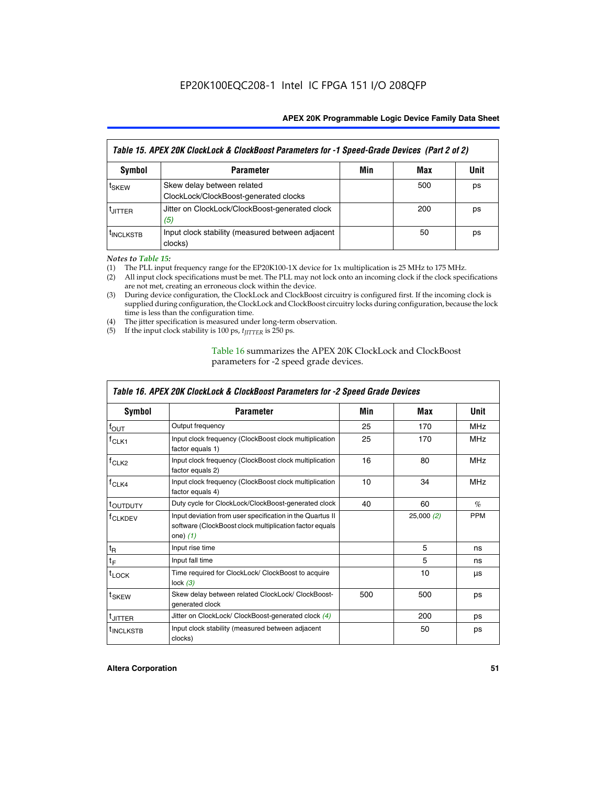| Table 15. APEX 20K ClockLock & ClockBoost Parameters for -1 Speed-Grade Devices (Part 2 of 2) |                                                                     |     |     |      |
|-----------------------------------------------------------------------------------------------|---------------------------------------------------------------------|-----|-----|------|
| <b>Symbol</b>                                                                                 | <b>Parameter</b>                                                    | Min | Max | Unit |
| t <sub>SKEW</sub>                                                                             | Skew delay between related<br>ClockLock/ClockBoost-generated clocks |     | 500 | ps   |
| <b>UITTER</b>                                                                                 | Jitter on ClockLock/ClockBoost-generated clock<br>(5)               |     | 200 | ps   |
| <b>INCLKSTB</b>                                                                               | Input clock stability (measured between adjacent<br>clocks)         |     | 50  | ps   |

*Notes to Table 15:*

- (1) The PLL input frequency range for the EP20K100-1X device for 1x multiplication is 25 MHz to 175 MHz.
- (2) All input clock specifications must be met. The PLL may not lock onto an incoming clock if the clock specifications are not met, creating an erroneous clock within the device.
- (3) During device configuration, the ClockLock and ClockBoost circuitry is configured first. If the incoming clock is supplied during configuration, the ClockLock and ClockBoost circuitry locks during configuration, because the lock time is less than the configuration time.
- (4) The jitter specification is measured under long-term observation.
- (5) If the input clock stability is 100 ps,  $t_{\text{JITTER}}$  is 250 ps.

# Table 16 summarizes the APEX 20K ClockLock and ClockBoost parameters for -2 speed grade devices.

| Symbol                                                                                          | <b>Parameter</b>                                                                                                                   | Min | Max       | <b>Unit</b> |
|-------------------------------------------------------------------------------------------------|------------------------------------------------------------------------------------------------------------------------------------|-----|-----------|-------------|
| $f_{\text{OUT}}$                                                                                | Output frequency                                                                                                                   | 25  | 170       | <b>MHz</b>  |
| <sup>†</sup> CLK1                                                                               | Input clock frequency (ClockBoost clock multiplication<br>factor equals 1)                                                         | 25  | 170       | <b>MHz</b>  |
| Input clock frequency (ClockBoost clock multiplication<br>f <sub>CLK2</sub><br>factor equals 2) |                                                                                                                                    | 16  | 80        | <b>MHz</b>  |
| $f_{CLK4}$<br>Input clock frequency (ClockBoost clock multiplication<br>factor equals 4)        |                                                                                                                                    | 10  | 34        | <b>MHz</b>  |
| <sup>τ</sup> ουτρυτγ                                                                            | Duty cycle for ClockLock/ClockBoost-generated clock                                                                                | 40  | 60        | $\%$        |
| <sup>T</sup> CLKDEV                                                                             | Input deviation from user specification in the Quartus II<br>software (ClockBoost clock multiplication factor equals<br>one) $(1)$ |     | 25,000(2) | <b>PPM</b>  |
| $t_{\mathsf{R}}$                                                                                | Input rise time                                                                                                                    |     | 5         | ns          |
| $t_F$                                                                                           | Input fall time                                                                                                                    |     | 5         | ns          |
| $t_{\text{LOCK}}$                                                                               | Time required for ClockLock/ ClockBoost to acquire<br>lock $(3)$                                                                   |     | 10        | μs          |
| <sup>t</sup> SKEW                                                                               | Skew delay between related ClockLock/ ClockBoost-<br>generated clock                                                               | 500 | 500       | ps          |
| t <sub>JITTER</sub>                                                                             | Jitter on ClockLock/ ClockBoost-generated clock (4)                                                                                |     | 200       | ps          |
| <sup>I</sup> INCLKSTB                                                                           | Input clock stability (measured between adjacent<br>clocks)                                                                        |     | 50        | ps          |

# *Table 16. APEX 20K ClockLock & ClockBoost Parameters for -2 Speed Grade Devices*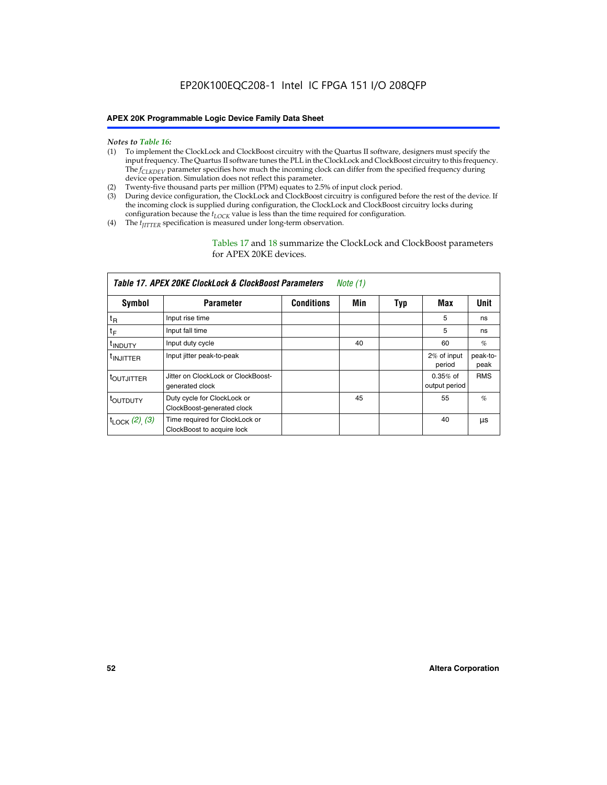#### *Notes to Table 16:*

- (1) To implement the ClockLock and ClockBoost circuitry with the Quartus II software, designers must specify the input frequency. The Quartus II software tunes the PLL in the ClockLock and ClockBoost circuitry to this frequency. The *f<sub>CLKDEV</sub>* parameter specifies how much the incoming clock can differ from the specified frequency during device operation. Simulation does not reflect this parameter.
- (2) Twenty-five thousand parts per million (PPM) equates to 2.5% of input clock period.
- (3) During device configuration, the ClockLock and ClockBoost circuitry is configured before the rest of the device. If the incoming clock is supplied during configuration, the ClockLock and ClockBoost circuitry locks during configuration because the  $t_{LOCK}$  value is less than the time required for configuration.
- (4) The  $t_{\text{ITTTER}}$  specification is measured under long-term observation.

Tables 17 and 18 summarize the ClockLock and ClockBoost parameters for APEX 20KE devices.

|                            | Table 17. APEX 20KE ClockLock & ClockBoost Parameters        |                   | Note (1) |     |                             |                  |
|----------------------------|--------------------------------------------------------------|-------------------|----------|-----|-----------------------------|------------------|
| Symbol                     | <b>Parameter</b>                                             | <b>Conditions</b> | Min      | Typ | Max                         | <b>Unit</b>      |
| $t_{R}$                    | Input rise time                                              |                   |          |     | 5                           | ns               |
| tF                         | Input fall time                                              |                   |          |     | 5                           | ns               |
| <sup>t</sup> INDUTY        | Input duty cycle                                             |                   | 40       |     | 60                          | %                |
| <sup>t</sup> INJITTER      | Input jitter peak-to-peak                                    |                   |          |     | 2% of input<br>period       | peak-to-<br>peak |
| <sup>t</sup> OUTJITTER     | Jitter on ClockLock or ClockBoost-<br>generated clock        |                   |          |     | $0.35%$ of<br>output period | <b>RMS</b>       |
| t <sub>outputy</sub>       | Duty cycle for ClockLock or<br>ClockBoost-generated clock    |                   | 45       |     | 55                          | $\%$             |
| $t_{\text{LOCK}}$ (2), (3) | Time required for ClockLock or<br>ClockBoost to acquire lock |                   |          |     | 40                          | μs               |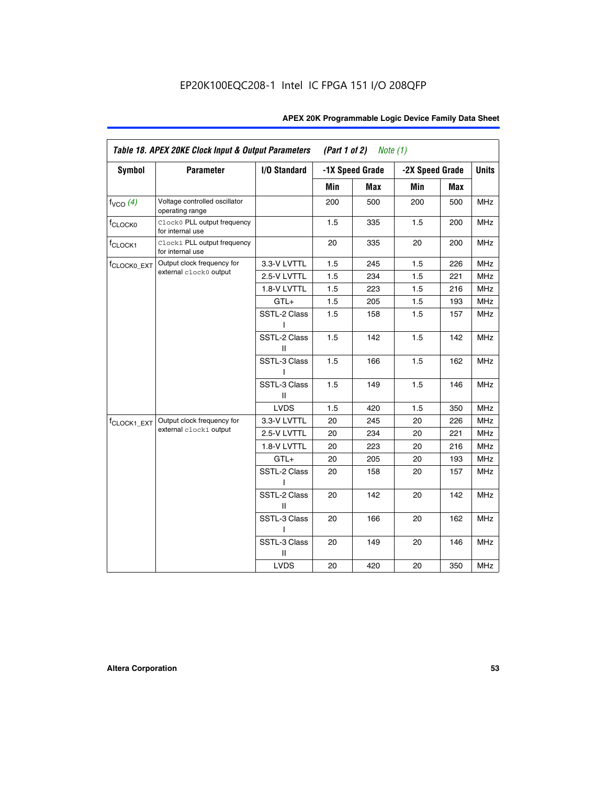| <b>Symbol</b>           | <b>Parameter</b>                                 | I/O Standard      |     | -1X Speed Grade | -2X Speed Grade |     | <b>Units</b> |
|-------------------------|--------------------------------------------------|-------------------|-----|-----------------|-----------------|-----|--------------|
|                         |                                                  |                   |     |                 |                 |     |              |
|                         |                                                  |                   | Min | Max             | Min             | Max |              |
| $f_{VCO}$ $(4)$         | Voltage controlled oscillator<br>operating range |                   | 200 | 500             | 200             | 500 | <b>MHz</b>   |
| f <sub>CLOCK0</sub>     | Clock0 PLL output frequency<br>for internal use  |                   | 1.5 | 335             | 1.5             | 200 | MHz          |
| f <sub>CLOCK1</sub>     | Clock1 PLL output frequency<br>for internal use  |                   | 20  | 335             | 20              | 200 | MHz          |
| f <sub>CLOCK0_EXT</sub> | Output clock frequency for                       | 3.3-V LVTTL       | 1.5 | 245             | 1.5             | 226 | <b>MHz</b>   |
|                         | external clock0 output                           | 2.5-V LVTTL       | 1.5 | 234             | 1.5             | 221 | <b>MHz</b>   |
|                         |                                                  | 1.8-V LVTTL       | 1.5 | 223             | 1.5             | 216 | <b>MHz</b>   |
|                         |                                                  | $GTL+$            | 1.5 | 205             | 1.5             | 193 | <b>MHz</b>   |
|                         |                                                  | SSTL-2 Class<br>L | 1.5 | 158             | 1.5             | 157 | <b>MHz</b>   |
|                         |                                                  | SSTL-2 Class<br>Ш | 1.5 | 142             | 1.5             | 142 | <b>MHz</b>   |
|                         |                                                  | SSTL-3 Class<br>I | 1.5 | 166             | 1.5             | 162 | <b>MHz</b>   |
|                         |                                                  | SSTL-3 Class<br>Ш | 1.5 | 149             | 1.5             | 146 | <b>MHz</b>   |
|                         |                                                  | <b>LVDS</b>       | 1.5 | 420             | 1.5             | 350 | <b>MHz</b>   |
| f <sub>CLOCK1_EXT</sub> | Output clock frequency for                       | 3.3-V LVTTL       | 20  | 245             | 20              | 226 | <b>MHz</b>   |
|                         | external clock1 output                           | 2.5-V LVTTL       | 20  | 234             | 20              | 221 | <b>MHz</b>   |
|                         |                                                  | 1.8-V LVTTL       | 20  | 223             | 20              | 216 | <b>MHz</b>   |
|                         |                                                  | $GTL+$            | 20  | 205             | 20              | 193 | MHz          |
|                         |                                                  | SSTL-2 Class      | 20  | 158             | 20              | 157 | <b>MHz</b>   |
|                         |                                                  | SSTL-2 Class<br>Ш | 20  | 142             | 20              | 142 | <b>MHz</b>   |
|                         |                                                  | SSTL-3 Class      | 20  | 166             | 20              | 162 | <b>MHz</b>   |
|                         |                                                  | SSTL-3 Class<br>Ш | 20  | 149             | 20              | 146 | <b>MHz</b>   |
|                         |                                                  | <b>LVDS</b>       | 20  | 420             | 20              | 350 | MHz          |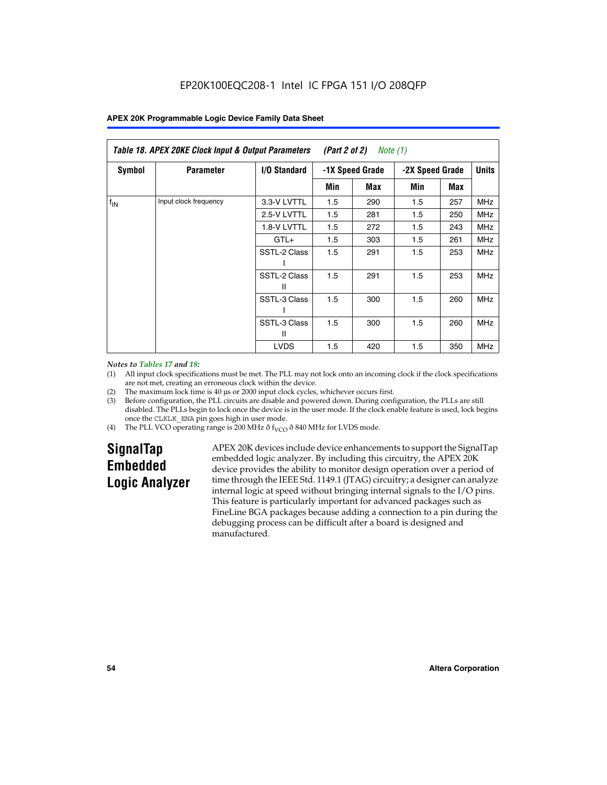| Table 18. APEX 20KE Clock Input & Output Parameters<br>(Part 2 of 2)<br>Note (1) |                       |                     |     |                 |     |                 |            |              |
|----------------------------------------------------------------------------------|-----------------------|---------------------|-----|-----------------|-----|-----------------|------------|--------------|
| <b>Symbol</b>                                                                    | <b>Parameter</b>      | <b>I/O Standard</b> |     | -1X Speed Grade |     | -2X Speed Grade |            | <b>Units</b> |
|                                                                                  |                       |                     | Min | Max             | Min | Max             |            |              |
| $f_{IN}$                                                                         | Input clock frequency | 3.3-V LVTTL         | 1.5 | 290             | 1.5 | 257             | <b>MHz</b> |              |
|                                                                                  |                       | 2.5-V LVTTL         | 1.5 | 281             | 1.5 | 250             | MHz        |              |
|                                                                                  |                       | 1.8-V LVTTL         | 1.5 | 272             | 1.5 | 243             | <b>MHz</b> |              |
|                                                                                  |                       | $GTL+$              | 1.5 | 303             | 1.5 | 261             | <b>MHz</b> |              |
|                                                                                  |                       | SSTL-2 Class        | 1.5 | 291             | 1.5 | 253             | <b>MHz</b> |              |
|                                                                                  |                       | SSTL-2 Class<br>Ш   | 1.5 | 291             | 1.5 | 253             | <b>MHz</b> |              |
|                                                                                  |                       | SSTL-3 Class        | 1.5 | 300             | 1.5 | 260             | <b>MHz</b> |              |
|                                                                                  |                       | SSTL-3 Class<br>Ш   | 1.5 | 300             | 1.5 | 260             | <b>MHz</b> |              |
|                                                                                  |                       | <b>LVDS</b>         | 1.5 | 420             | 1.5 | 350             | <b>MHz</b> |              |

### *Notes to Tables 17 and 18:*

(1) All input clock specifications must be met. The PLL may not lock onto an incoming clock if the clock specifications are not met, creating an erroneous clock within the device.

- (2) The maximum lock time is 40 µs or 2000 input clock cycles, whichever occurs first.
- (3) Before configuration, the PLL circuits are disable and powered down. During configuration, the PLLs are still disabled. The PLLs begin to lock once the device is in the user mode. If the clock enable feature is used, lock begins once the CLKLK\_ENA pin goes high in user mode.
- (4) The PLL VCO operating range is 200 MHz  $\eth$  f<sub>VCO</sub>  $\eth$  840 MHz for LVDS mode.

# **SignalTap Embedded Logic Analyzer**

APEX 20K devices include device enhancements to support the SignalTap embedded logic analyzer. By including this circuitry, the APEX 20K device provides the ability to monitor design operation over a period of time through the IEEE Std. 1149.1 (JTAG) circuitry; a designer can analyze internal logic at speed without bringing internal signals to the I/O pins. This feature is particularly important for advanced packages such as FineLine BGA packages because adding a connection to a pin during the debugging process can be difficult after a board is designed and manufactured.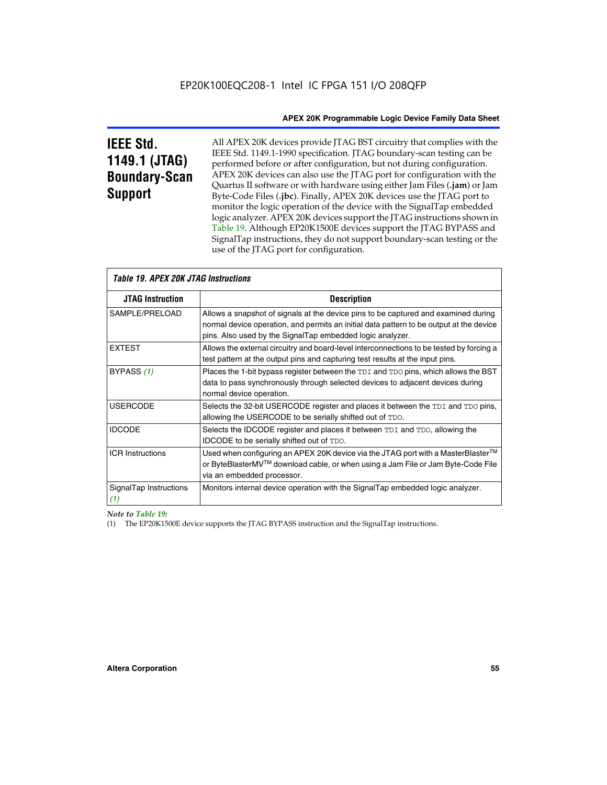# **IEEE Std. 1149.1 (JTAG) Boundary-Scan Support**

Г

All APEX 20K devices provide JTAG BST circuitry that complies with the IEEE Std. 1149.1-1990 specification. JTAG boundary-scan testing can be performed before or after configuration, but not during configuration. APEX 20K devices can also use the JTAG port for configuration with the Quartus II software or with hardware using either Jam Files (**.jam**) or Jam Byte-Code Files (**.jbc**). Finally, APEX 20K devices use the JTAG port to monitor the logic operation of the device with the SignalTap embedded logic analyzer. APEX 20K devices support the JTAG instructions shown in Table 19. Although EP20K1500E devices support the JTAG BYPASS and SignalTap instructions, they do not support boundary-scan testing or the use of the JTAG port for configuration.

| <i><b>Table 19. APEX 20K JTAG Instructions</b></i> |                                                                                                                                                                                                                                            |
|----------------------------------------------------|--------------------------------------------------------------------------------------------------------------------------------------------------------------------------------------------------------------------------------------------|
| <b>JTAG Instruction</b>                            | <b>Description</b>                                                                                                                                                                                                                         |
| SAMPLE/PRELOAD                                     | Allows a snapshot of signals at the device pins to be captured and examined during<br>normal device operation, and permits an initial data pattern to be output at the device<br>pins. Also used by the SignalTap embedded logic analyzer. |
| <b>EXTEST</b>                                      | Allows the external circuitry and board-level interconnections to be tested by forcing a<br>test pattern at the output pins and capturing test results at the input pins.                                                                  |
| BYPASS (1)                                         | Places the 1-bit bypass register between the TDI and TDO pins, which allows the BST<br>data to pass synchronously through selected devices to adjacent devices during<br>normal device operation.                                          |
| <b>USERCODE</b>                                    | Selects the 32-bit USERCODE register and places it between the TDI and TDO pins,<br>allowing the USERCODE to be serially shifted out of TDO.                                                                                               |
| <b>IDCODE</b>                                      | Selects the IDCODE register and places it between TDI and TDO, allowing the<br>IDCODE to be serially shifted out of TDO.                                                                                                                   |
| <b>ICR Instructions</b>                            | Used when configuring an APEX 20K device via the JTAG port with a MasterBlaster™<br>or ByteBlasterMV™ download cable, or when using a Jam File or Jam Byte-Code File<br>via an embedded processor.                                         |
| SignalTap Instructions<br>(1)                      | Monitors internal device operation with the SignalTap embedded logic analyzer.                                                                                                                                                             |

# *Note to Table 19:*

(1) The EP20K1500E device supports the JTAG BYPASS instruction and the SignalTap instructions.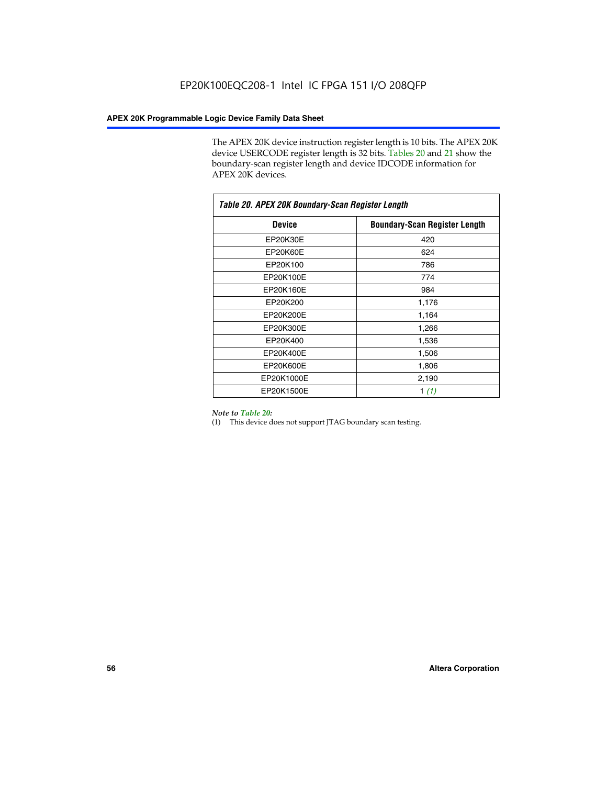The APEX 20K device instruction register length is 10 bits. The APEX 20K device USERCODE register length is 32 bits. Tables 20 and 21 show the boundary-scan register length and device IDCODE information for APEX 20K devices.

| Table 20. APEX 20K Boundary-Scan Register Length |                                      |  |  |  |
|--------------------------------------------------|--------------------------------------|--|--|--|
| <b>Device</b>                                    | <b>Boundary-Scan Register Length</b> |  |  |  |
| EP20K30E                                         | 420                                  |  |  |  |
| EP20K60E                                         | 624                                  |  |  |  |
| EP20K100                                         | 786                                  |  |  |  |
| EP20K100E                                        | 774                                  |  |  |  |
| EP20K160E                                        | 984                                  |  |  |  |
| EP20K200                                         | 1,176                                |  |  |  |
| EP20K200E                                        | 1,164                                |  |  |  |
| EP20K300E                                        | 1,266                                |  |  |  |
| EP20K400                                         | 1,536                                |  |  |  |
| EP20K400E                                        | 1,506                                |  |  |  |
| EP20K600E                                        | 1,806                                |  |  |  |
| EP20K1000E                                       | 2,190                                |  |  |  |
| EP20K1500E                                       | 1 $(1)$                              |  |  |  |

#### *Note to Table 20:*

(1) This device does not support JTAG boundary scan testing.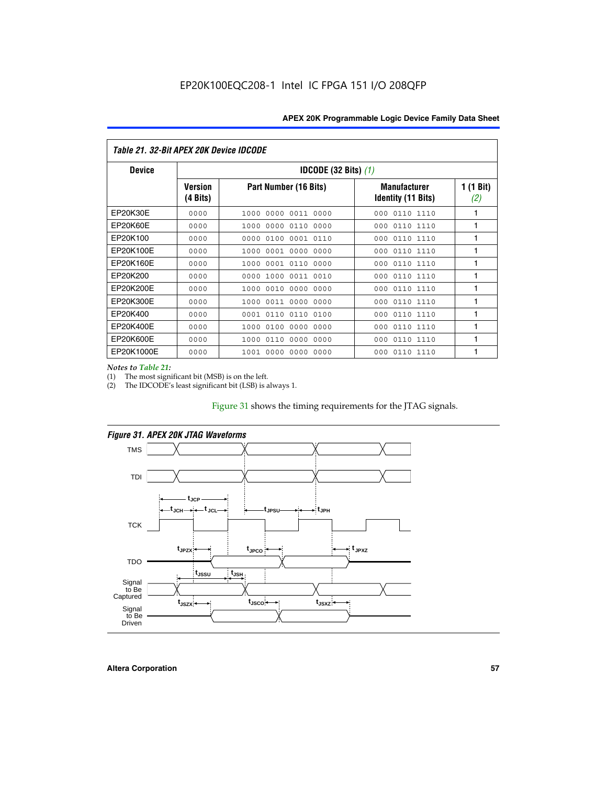| Table 21. 32-Bit APEX 20K Device IDCODE |                                          |                              |                                                  |                  |  |
|-----------------------------------------|------------------------------------------|------------------------------|--------------------------------------------------|------------------|--|
| <b>Device</b>                           | <b>IDCODE (32 Bits) <math>(1)</math></b> |                              |                                                  |                  |  |
|                                         | <b>Version</b><br>(4 Bits)               | Part Number (16 Bits)        | <b>Manufacturer</b><br><b>Identity (11 Bits)</b> | 1 (1 Bit)<br>(2) |  |
| EP20K30E                                | 0000                                     | 0000 0011 0000<br>1000       | 0110 1110<br>000                                 | 1                |  |
| EP20K60E                                | 0000                                     | 1000<br>0000 0110<br>0000    | 0110 1110<br>000                                 | 1                |  |
| EP20K100                                | 0000                                     | 0000<br>0100<br>0001 0110    | 000<br>0110 1110                                 | 1                |  |
| EP20K100E                               | 0000                                     | 1000<br>0001 0000<br>0000    | 0110 1110<br>000                                 | 1                |  |
| EP20K160E                               | 0000                                     | 0001 0110<br>0000<br>1000    | 000<br>0110 1110                                 | 1                |  |
| EP20K200                                | 0000                                     | 1000<br>0011 0010<br>0000    | 0110 1110<br>000                                 | 1                |  |
| EP20K200E                               | 0000                                     | 0010<br>0000<br>0000<br>1000 | 0110 1110<br>000                                 | 1                |  |
| EP20K300E                               | 0000                                     | 0011 0000<br>0000<br>1000    | 0110 1110<br>000                                 | 1                |  |
| EP20K400                                | 0000                                     | 0001<br>0110<br>0110<br>0100 | 0110 1110<br>000                                 | 1                |  |
| EP20K400E                               | 0000                                     | 0100<br>0000<br>0000<br>1000 | 0110 1110<br>000                                 | 1                |  |
| EP20K600E                               | 0000                                     | 1000<br>0110<br>0000<br>0000 | 0110 1110<br>000                                 | 1                |  |
| EP20K1000E                              | 0000                                     | 0000<br>0000<br>0000<br>1001 | 000<br>0110 1110                                 | 1                |  |

*Notes to Table 21:*

The most significant bit (MSB) is on the left.

(2) The IDCODE's least significant bit (LSB) is always 1.

# Figure 31 shows the timing requirements for the JTAG signals.





**Altera Corporation 57**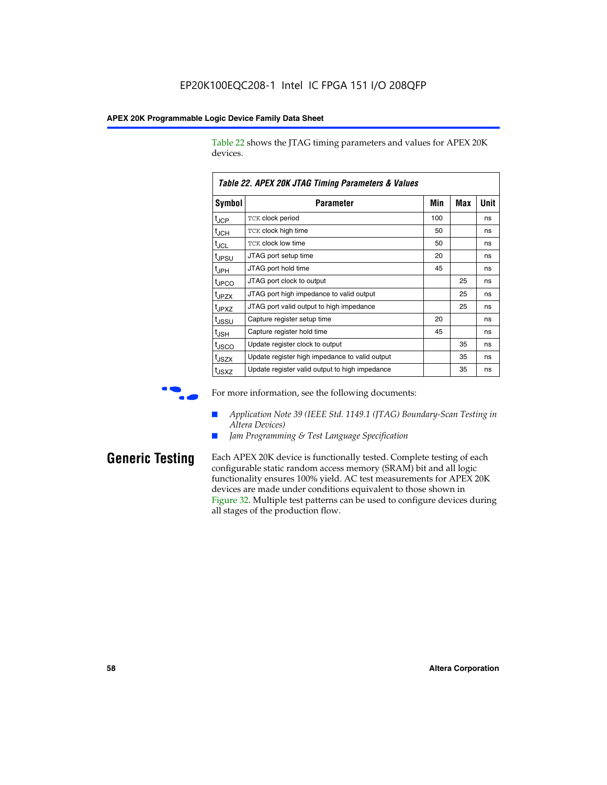Table 22 shows the JTAG timing parameters and values for APEX 20K devices.

|                   | TADIE ZZ. AFEA ZUN JTAU TIIIIIIU FAIAIIIEIEIS & VAIUES |     |     |      |
|-------------------|--------------------------------------------------------|-----|-----|------|
| Symbol            | Parameter                                              | Min | Max | Unit |
| $t_{\text{JCP}}$  | TCK clock period                                       | 100 |     | ns   |
| $t_{\rm JCH}$     | TCK clock high time                                    | 50  |     | ns   |
| $t_{\sf JCL}$     | <b>TCK clock low time</b>                              | 50  |     | ns   |
| tjpsu             | JTAG port setup time                                   | 20  |     | ns   |
| t <sub>JPH</sub>  | JTAG port hold time                                    | 45  |     | ns   |
| tjpco             | JTAG port clock to output                              |     | 25  | ns   |
| t <sub>JPZX</sub> | JTAG port high impedance to valid output               |     | 25  | ns   |
| t <sub>JPXZ</sub> | JTAG port valid output to high impedance               |     | 25  | ns   |
| tjssu             | Capture register setup time                            | 20  |     | ns   |
| t <sub>JSH</sub>  | Capture register hold time                             | 45  |     | ns   |
| tjsco             | Update register clock to output                        |     | 35  | ns   |
| t <sub>JSZX</sub> | Update register high impedance to valid output         |     | 35  | ns   |
| t <sub>JSXZ</sub> | Update register valid output to high impedance         |     | 35  | ns   |

*Table 22. APEX 20K JTAG Timing Parameters & Values*

For more information, see the following documents:

- *Application Note 39 (IEEE Std. 1149.1 (JTAG) Boundary-Scan Testing in Altera Devices)*
- Jam Programming & Test Language Specification

**Generic Testing** Each APEX 20K device is functionally tested. Complete testing of each configurable static random access memory (SRAM) bit and all logic functionality ensures 100% yield. AC test measurements for APEX 20K devices are made under conditions equivalent to those shown in Figure 32. Multiple test patterns can be used to configure devices during all stages of the production flow.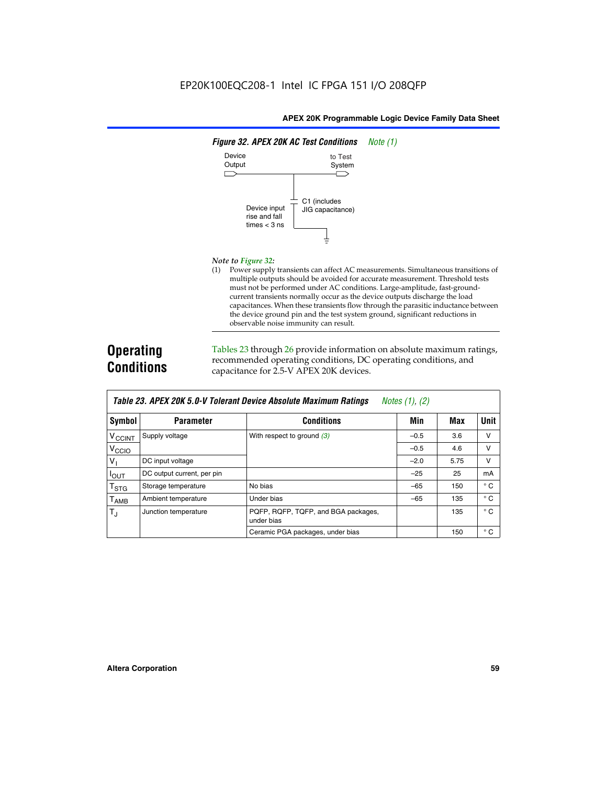

#### *Note to Figure 32:*

(1) Power supply transients can affect AC measurements. Simultaneous transitions of multiple outputs should be avoided for accurate measurement. Threshold tests must not be performed under AC conditions. Large-amplitude, fast-groundcurrent transients normally occur as the device outputs discharge the load capacitances. When these transients flow through the parasitic inductance between the device ground pin and the test system ground, significant reductions in observable noise immunity can result.

# **Operating Conditions**

Tables 23 through 26 provide information on absolute maximum ratings, recommended operating conditions, DC operating conditions, and capacitance for 2.5-V APEX 20K devices.

|                          |                            | TAVIG LJ. MELA LUN J.U-V TUIGIAIN DGVILG MUSUIULG MAAIIIIUIII NAUIIIUS | $IVUUS$ (1), (2) |      |              |
|--------------------------|----------------------------|------------------------------------------------------------------------|------------------|------|--------------|
| Symbol                   | <b>Parameter</b>           | <b>Conditions</b>                                                      | Min              | Max  | Unit         |
| <b>V<sub>CCINT</sub></b> | Supply voltage             | With respect to ground $(3)$                                           | $-0.5$           | 3.6  | $\vee$       |
| V <sub>CCIO</sub>        |                            |                                                                        | $-0.5$           | 4.6  | v            |
| V <sub>1</sub>           | DC input voltage           |                                                                        | $-2.0$           | 5.75 | v            |
| $I_{OUT}$                | DC output current, per pin |                                                                        | $-25$            | 25   | mA           |
| $T_{\text{STG}}$         | Storage temperature        | No bias                                                                | $-65$            | 150  | $^{\circ}$ C |
| $T_{\sf AMB}$            | Ambient temperature        | Under bias                                                             | $-65$            | 135  | $^{\circ}$ C |
| $T_{\rm J}$              | Junction temperature       | PQFP, RQFP, TQFP, and BGA packages,<br>under bias                      |                  | 135  | $^{\circ}$ C |
|                          |                            | Ceramic PGA packages, under bias                                       |                  | 150  | $^{\circ}$ C |

| Table 23. APEX 20K 5.0-V Tolerant Device Absolute Maximum Ratings | Notes (1), (2) |
|-------------------------------------------------------------------|----------------|
|-------------------------------------------------------------------|----------------|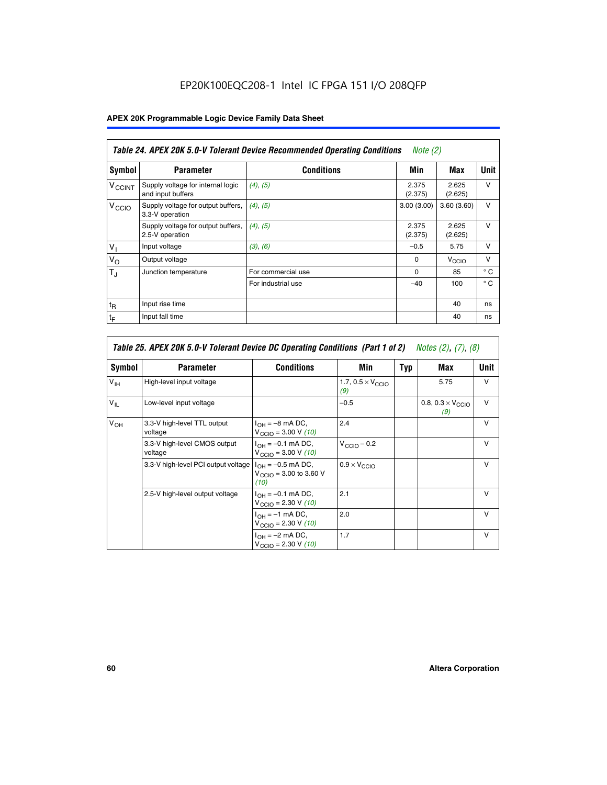# EP20K100EQC208-1 Intel IC FPGA 151 I/O 208QFP

# **APEX 20K Programmable Logic Device Family Data Sheet**

|                          | Table 24. APEX 20K 5.0-V Tolerant Device Recommended Operating Conditions<br><i>Note</i> $(2)$ |                    |                  |                   |              |  |
|--------------------------|------------------------------------------------------------------------------------------------|--------------------|------------------|-------------------|--------------|--|
| <b>Symbol</b>            | <b>Parameter</b>                                                                               | <b>Conditions</b>  | Min              | Max               | <b>Unit</b>  |  |
| <b>V<sub>CCINT</sub></b> | Supply voltage for internal logic<br>and input buffers                                         | $(4)$ , $(5)$      | 2.375<br>(2.375) | 2.625<br>(2.625)  | $\vee$       |  |
| V <sub>CCIO</sub>        | Supply voltage for output buffers,<br>3.3-V operation                                          | (4), (5)           | 3.00(3.00)       | 3.60(3.60)        | $\vee$       |  |
|                          | Supply voltage for output buffers,<br>2.5-V operation                                          | (4), (5)           | 2.375<br>(2.375) | 2.625<br>(2.625)  | $\vee$       |  |
| $V_{1}$                  | Input voltage                                                                                  | (3), (6)           | $-0.5$           | 5.75              | $\vee$       |  |
| $V_{\rm O}$              | Output voltage                                                                                 |                    | $\Omega$         | V <sub>CCIO</sub> | $\vee$       |  |
| $T_{\rm J}$              | Junction temperature                                                                           | For commercial use | $\Omega$         | 85                | $^{\circ}$ C |  |
|                          |                                                                                                | For industrial use | $-40$            | 100               | $^{\circ}$ C |  |
| $t_{R}$                  | Input rise time                                                                                |                    |                  | 40                | ns           |  |
| $t_{\mathsf{F}}$         | Input fall time                                                                                |                    |                  | 40                | ns           |  |

|                 | Table 25. APEX 20K 5.0-V Tolerant Device DC Operating Conditions (Part 1 of 2) Notes (2), (7), (8) |                                                                                       |                                          |     |                                          |              |  |
|-----------------|----------------------------------------------------------------------------------------------------|---------------------------------------------------------------------------------------|------------------------------------------|-----|------------------------------------------|--------------|--|
| Symbol          | <b>Parameter</b>                                                                                   | <b>Conditions</b>                                                                     | Min                                      | Typ | Max                                      | Unit         |  |
| $V_{\text{IH}}$ | High-level input voltage                                                                           |                                                                                       | 1.7, $0.5 \times V_{\text{CCIO}}$<br>(9) |     | 5.75                                     | $\vee$       |  |
| $V_{IL}$        | Low-level input voltage                                                                            |                                                                                       | $-0.5$                                   |     | 0.8, $0.3 \times V_{\text{CCIO}}$<br>(9) | $\vee$       |  |
| $V_{OH}$        | 3.3-V high-level TTL output<br>voltage                                                             | $I_{OH} = -8$ mA DC,<br>$V_{\text{CCIO}} = 3.00 \text{ V} (10)$                       | 2.4                                      |     |                                          | $\vee$       |  |
|                 | 3.3-V high-level CMOS output<br>voltage                                                            | $I_{OH} = -0.1$ mA DC,<br>$V_{\text{CCIO}} = 3.00 \text{ V} (10)$                     | $V_{\text{CClO}} - 0.2$                  |     |                                          | $\mathsf{V}$ |  |
|                 | 3.3-V high-level PCI output voltage                                                                | $I_{OH} = -0.5$ mA DC,<br>$V_{\text{CClO}} = 3.00 \text{ to } 3.60 \text{ V}$<br>(10) | $0.9 \times V_{\text{CCIO}}$             |     |                                          | $\vee$       |  |
|                 | 2.5-V high-level output voltage                                                                    | $I_{OH} = -0.1$ mA DC,<br>$V_{\text{CCIO}} = 2.30 \text{ V} (10)$                     | 2.1                                      |     |                                          | $\mathsf{V}$ |  |
|                 |                                                                                                    | $I_{\cap H} = -1$ mA DC,<br>$V_{\text{CCIO}} = 2.30 V (10)$                           | 2.0                                      |     |                                          | $\vee$       |  |
|                 |                                                                                                    | $I_{OH} = -2$ mA DC,<br>$V_{\text{CCIO}} = 2.30 V (10)$                               | 1.7                                      |     |                                          | v            |  |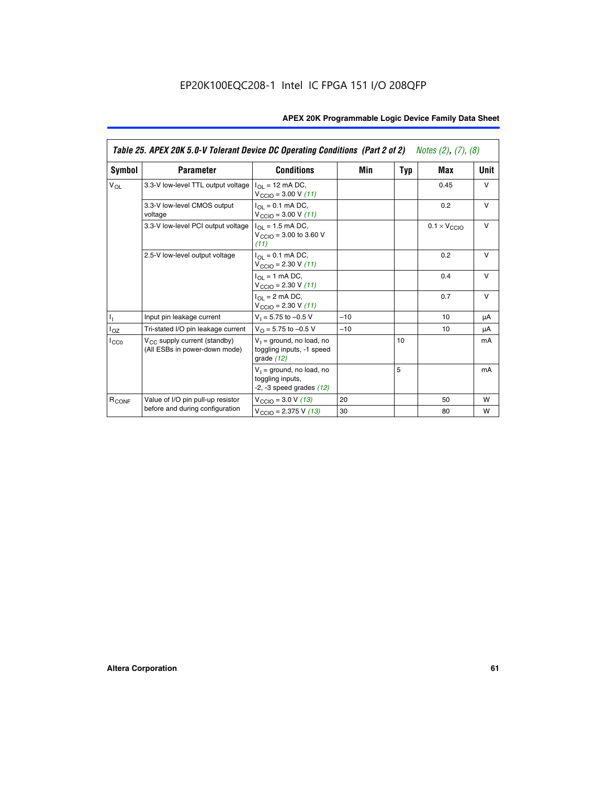|                   | Table 25. APEX 20K 5.0-V Tolerant Device DC Operating Conditions (Part 2 of 2) Notes (2), (7), (8) |                                                                                    |       |     |                              |        |
|-------------------|----------------------------------------------------------------------------------------------------|------------------------------------------------------------------------------------|-------|-----|------------------------------|--------|
| Symbol            | <b>Parameter</b>                                                                                   | <b>Conditions</b>                                                                  | Min   | Typ | Max                          | Unit   |
| $V_{OL}$          | 3.3-V low-level TTL output voltage                                                                 | $I_{\Omega}$ = 12 mA DC,<br>$V_{\text{CCIO}} = 3.00 V (11)$                        |       |     | 0.45                         | $\vee$ |
|                   | 3.3-V low-level CMOS output<br>voltage                                                             | $I_{\Omega} = 0.1$ mA DC,<br>$V_{\text{CCIO}} = 3.00 V (11)$                       |       |     | 0.2                          | $\vee$ |
|                   | 3.3-V low-level PCI output voltage                                                                 | $I_{\Omega}$ = 1.5 mA DC,<br>$V_{CClO}$ = 3.00 to 3.60 V<br>(11)                   |       |     | $0.1 \times V_{\text{CCLO}}$ | $\vee$ |
|                   | 2.5-V low-level output voltage                                                                     | $I_{\Omega} = 0.1$ mA DC,<br>$V_{\text{CCIO}} = 2.30 V (11)$                       |       |     | 0.2                          | $\vee$ |
|                   |                                                                                                    | $I_{\Omega}$ = 1 mA DC,<br>$V_{\text{CCIO}} = 2.30 V (11)$                         |       |     | 0.4                          | $\vee$ |
|                   |                                                                                                    | $I_{\Omega}$ = 2 mA DC,<br>$V_{\text{CCIO}} = 2.30 V (11)$                         |       |     | 0.7                          | $\vee$ |
| Τ,                | Input pin leakage current                                                                          | $V_1 = 5.75$ to $-0.5$ V                                                           | $-10$ |     | 10                           | μA     |
| $I_{OZ}$          | Tri-stated I/O pin leakage current                                                                 | $V_O = 5.75$ to $-0.5$ V                                                           | $-10$ |     | 10                           | μA     |
| $I_{CC0}$         | $V_{CC}$ supply current (standby)<br>(All ESBs in power-down mode)                                 | $V_1$ = ground, no load, no<br>toggling inputs, -1 speed<br>grade $(12)$           |       | 10  |                              | mA     |
|                   |                                                                                                    | $V_1$ = ground, no load, no<br>toggling inputs,<br>$-2$ , $-3$ speed grades $(12)$ |       | 5   |                              | mA     |
| R <sub>CONF</sub> | Value of I/O pin pull-up resistor                                                                  | $V_{\text{CClO}} = 3.0 V (13)$                                                     | 20    |     | 50                           | W      |
|                   | before and during configuration                                                                    | $V_{\text{CCIO}} = 2.375 V (13)$                                                   | 30    |     | 80                           | w      |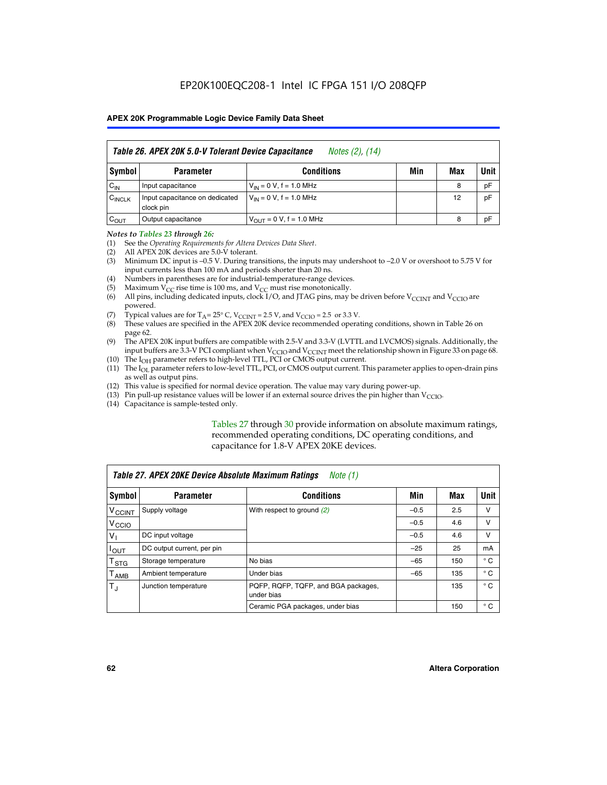|                    | Table 26. APEX 20K 5.0-V Tolerant Device Capacitance<br>Notes (2), (14) |                               |     |     |      |  |
|--------------------|-------------------------------------------------------------------------|-------------------------------|-----|-----|------|--|
| <b>Symbol</b>      | <b>Parameter</b>                                                        | <b>Conditions</b>             | Min | Max | Unit |  |
| $C_{\text{IN}}$    | Input capacitance                                                       | $V_{1N} = 0 V$ , f = 1.0 MHz  |     | 8   | pF   |  |
| $C_{\text{INCLK}}$ | Input capacitance on dedicated<br>clock pin                             | $V_{IN} = 0 V$ , f = 1.0 MHz  |     | 12  | pF   |  |
| $C_{OUT}$          | Output capacitance                                                      | $V_{OUIT} = 0 V, f = 1.0 MHz$ |     | 8   | pF   |  |

#### *Notes to Tables 23 through 26:*

- (1) See the *Operating Requirements for Altera Devices Data Sheet*.
- (2) All APEX 20K devices are 5.0-V tolerant.
- (3) Minimum DC input is –0.5 V. During transitions, the inputs may undershoot to –2.0 V or overshoot to 5.75 V for input currents less than 100 mA and periods shorter than 20 ns.
- (4) Numbers in parentheses are for industrial-temperature-range devices.
- (5) Maximum  $V_{CC}$  rise time is 100 ms, and  $V_{CC}$  must rise monotonically.<br>(6) All pins, including dedicated inputs, clock I/O, and JTAG pins, may b
- All pins, including dedicated inputs, clock I/O, and JTAG pins, may be driven before  $V_{\text{CCINT}}$  and  $V_{\text{CCIO}}$  are powered.
- (7) Typical values are for  $T_A = 25^\circ$  C, V<sub>CCINT</sub> = 2.5 V, and V<sub>CCIO</sub> = 2.5 or 3.3 V.<br>(8) These values are specified in the APEX 20K device recommended operat
- These values are specified in the APEX 20K device recommended operating conditions, shown in Table 26 on page 62.
- (9) The APEX 20K input buffers are compatible with 2.5-V and 3.3-V (LVTTL and LVCMOS) signals. Additionally, the input buffers are 3.3-V PCI compliant when  $V_{\text{CCIO}}$  and  $V_{\text{CCINI}}$  meet the relationship shown in Figure 33 on page 68.
- (10) The  $I<sub>OH</sub>$  parameter refers to high-level TTL, PCI or CMOS output current.
- (11) The I<sub>OL</sub> parameter refers to low-level TTL, PCI, or CMOS output current. This parameter applies to open-drain pins as well as output pins.
- (12) This value is specified for normal device operation. The value may vary during power-up.
- (13) Pin pull-up resistance values will be lower if an external source drives the pin higher than  $V_{\text{CCIO}}$ .
- (14) Capacitance is sample-tested only.

Tables 27 through 30 provide information on absolute maximum ratings, recommended operating conditions, DC operating conditions, and capacitance for 1.8-V APEX 20KE devices.

|                             | Table 27. APEX 20KE Device Absolute Maximum Ratings<br>Note (1) |                                                   |        |     |              |  |  |
|-----------------------------|-----------------------------------------------------------------|---------------------------------------------------|--------|-----|--------------|--|--|
| Symbol                      | <b>Parameter</b>                                                | <b>Conditions</b>                                 | Min    | Max | Unit         |  |  |
| $V_{\text{CCINT}}$          | Supply voltage                                                  | With respect to ground (2)                        | $-0.5$ | 2.5 | v            |  |  |
| V <sub>CCIO</sub>           |                                                                 |                                                   | $-0.5$ | 4.6 | v            |  |  |
| $V_{1}$                     | DC input voltage                                                |                                                   | $-0.5$ | 4.6 | $\vee$       |  |  |
| $I_{OUT}$                   | DC output current, per pin                                      |                                                   | $-25$  | 25  | mA           |  |  |
| $\mathsf{T}_{\texttt{STG}}$ | Storage temperature                                             | No bias                                           | $-65$  | 150 | $^{\circ}$ C |  |  |
| Т <sub>АМВ</sub>            | Ambient temperature                                             | Under bias                                        | $-65$  | 135 | $^{\circ}$ C |  |  |
| $\mathsf{T}_{\text{d}}$     | Junction temperature                                            | PQFP, RQFP, TQFP, and BGA packages,<br>under bias |        | 135 | $^{\circ}$ C |  |  |
|                             |                                                                 | Ceramic PGA packages, under bias                  |        | 150 | $^{\circ}$ C |  |  |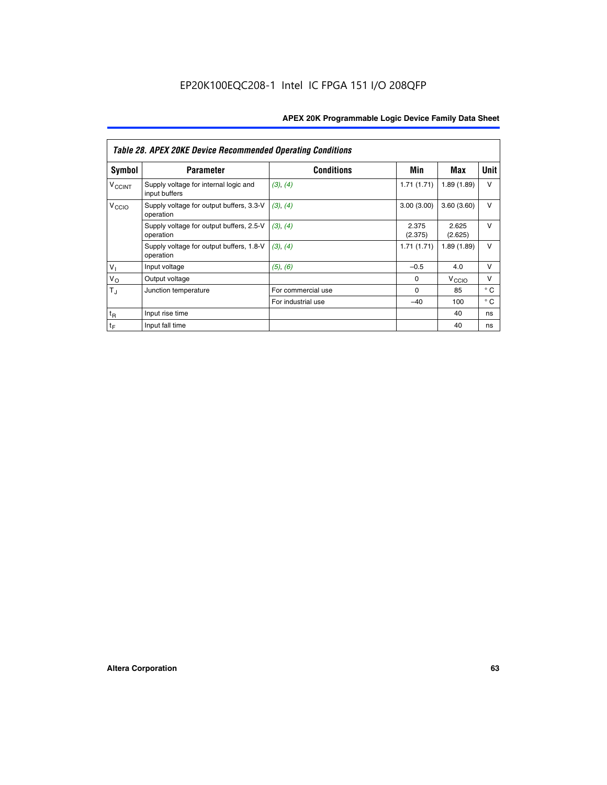|                          | <b>Table 28. APEX 20KE Device Recommended Operating Conditions</b> |                    |                  |                   |              |
|--------------------------|--------------------------------------------------------------------|--------------------|------------------|-------------------|--------------|
| <b>Symbol</b>            | <b>Parameter</b>                                                   | <b>Conditions</b>  | Min              | Max               | <b>Unit</b>  |
| <b>V<sub>CCINT</sub></b> | Supply voltage for internal logic and<br>input buffers             | (3), (4)           | 1.71(1.71)       | 1.89(1.89)        | $\vee$       |
| V <sub>CCIO</sub>        | Supply voltage for output buffers, 3.3-V<br>operation              | (3), (4)           | 3.00(3.00)       | 3.60(3.60)        | V            |
|                          | Supply voltage for output buffers, 2.5-V<br>operation              | (3), (4)           | 2.375<br>(2.375) | 2.625<br>(2.625)  | $\vee$       |
|                          | Supply voltage for output buffers, 1.8-V<br>operation              | (3), (4)           | 1.71(1.71)       | 1.89(1.89)        | V            |
| $V_1$                    | Input voltage                                                      | (5), (6)           | $-0.5$           | 4.0               | $\vee$       |
| $V_{\rm O}$              | Output voltage                                                     |                    | $\Omega$         | V <sub>CCIO</sub> | v            |
| $T_{\rm J}$              | Junction temperature                                               | For commercial use | $\Omega$         | 85                | $^{\circ}$ C |
|                          |                                                                    | For industrial use | $-40$            | 100               | $^{\circ}$ C |
| $t_{R}$                  | Input rise time                                                    |                    |                  | 40                | ns           |
| $t_{\mathsf{F}}$         | Input fall time                                                    |                    |                  | 40                | ns           |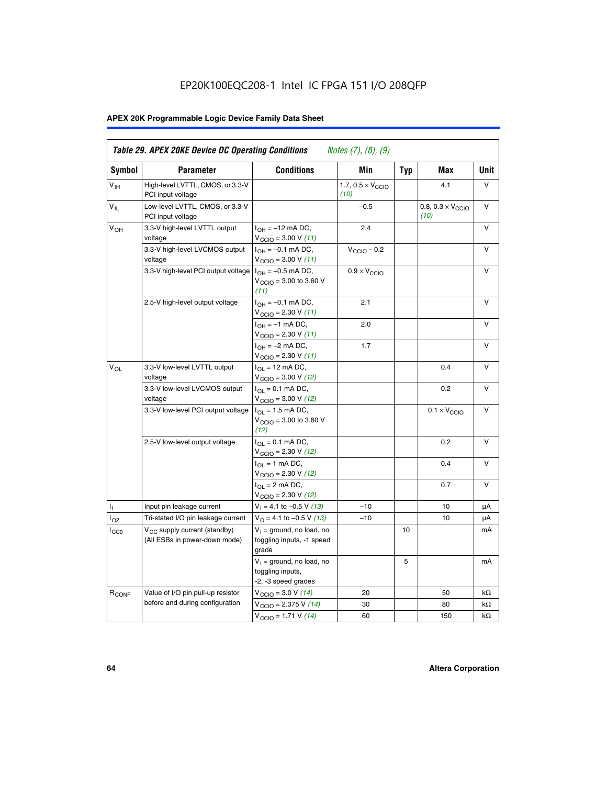# EP20K100EQC208-1 Intel IC FPGA 151 I/O 208QFP

# **APEX 20K Programmable Logic Device Family Data Sheet**

| Symbol            | <b>Parameter</b>                                                          | <b>Conditions</b>                                                                        | Min                                       | <b>Typ</b> | Max                                       | Unit      |
|-------------------|---------------------------------------------------------------------------|------------------------------------------------------------------------------------------|-------------------------------------------|------------|-------------------------------------------|-----------|
| $V_{\text{IH}}$   | High-level LVTTL, CMOS, or 3.3-V<br>PCI input voltage                     |                                                                                          | 1.7, $0.5 \times V_{\text{CCIO}}$<br>(10) |            | 4.1                                       | V         |
| $V_{IL}$          | Low-level LVTTL, CMOS, or 3.3-V<br>PCI input voltage                      |                                                                                          | $-0.5$                                    |            | 0.8, $0.3 \times V_{\text{CCIO}}$<br>(10) | $\vee$    |
| $V_{OH}$          | 3.3-V high-level LVTTL output<br>voltage                                  | $I_{OH} = -12$ mA DC,<br>$V_{\text{CCIO}} = 3.00 V (11)$                                 | 2.4                                       |            |                                           | v         |
|                   | 3.3-V high-level LVCMOS output<br>voltage                                 | $I_{OH} = -0.1$ mA DC,<br>$V_{\text{CCIO}} = 3.00 V (11)$                                | $V_{\text{CGIO}} - 0.2$                   |            |                                           | v         |
|                   | 3.3-V high-level PCI output voltage $I_{OH} = -0.5$ mA DC,                | $V_{\text{CGIO}} = 3.00$ to 3.60 V<br>(11)                                               | $0.9 \times V_{\text{CCIO}}$              |            |                                           | $\vee$    |
|                   | 2.5-V high-level output voltage                                           | $I_{OH} = -0.1$ mA DC,<br>$V_{\text{CCIO}} = 2.30 V (11)$                                | 2.1                                       |            |                                           | v         |
|                   |                                                                           | $I_{OH} = -1$ mA DC,<br>$V_{\text{CCIO}} = 2.30 V (11)$                                  | 2.0                                       |            |                                           | $\vee$    |
|                   |                                                                           | $I_{OH} = -2$ mA DC,<br>$V_{\text{CCIO}}$ = 2.30 V (11)                                  | 1.7                                       |            |                                           | v         |
| $V_{OL}$          | 3.3-V low-level LVTTL output<br>voltage                                   | $I_{OL}$ = 12 mA DC,<br>$V_{\text{CCIO}} = 3.00 V (12)$                                  |                                           |            | 0.4                                       | v         |
|                   | 3.3-V low-level LVCMOS output<br>voltage                                  | $I_{\Omega} = 0.1$ mA DC,<br>$V_{\text{CCIO}} = 3.00 V (12)$                             |                                           |            | 0.2                                       | $\vee$    |
|                   | 3.3-V low-level PCI output voltage                                        | $I_{\Omega}$ = 1.5 mA DC,<br>$V_{\text{CGIQ}} = 3.00 \text{ to } 3.60 \text{ V}$<br>(12) |                                           |            | $0.1 \times V_{\text{CCIO}}$              | V         |
|                   | 2.5-V low-level output voltage                                            | $I_{OL} = 0.1$ mA DC,<br>$V_{\text{CCIO}}$ = 2.30 V (12)                                 |                                           |            | 0.2                                       | v         |
|                   |                                                                           | $I_{\Omega}$ = 1 mA DC,<br>$V_{\text{CCIO}} = 2.30 V (12)$                               |                                           |            | 0.4                                       | v         |
|                   |                                                                           | $I_{\Omega} = 2 \text{ mA DC},$<br>$V_{\text{CCIO}} = 2.30 V (12)$                       |                                           |            | 0.7                                       | v         |
| Ъ.                | Input pin leakage current                                                 | $V_1 = 4.1$ to -0.5 V (13)                                                               | $-10$                                     |            | 10                                        | μA        |
| $I_{OZ}$          | Tri-stated I/O pin leakage current                                        | $V_{\Omega}$ = 4.1 to -0.5 V (13)                                                        | $-10$                                     |            | 10                                        | μA        |
| ICCO              | V <sub>CC</sub> supply current (standby)<br>(All ESBs in power-down mode) | $V_1$ = ground, no load, no<br>toggling inputs, -1 speed<br>grade                        |                                           | 10         |                                           | mA        |
|                   |                                                                           | $V_1$ = ground, no load, no<br>toggling inputs,<br>-2, -3 speed grades                   |                                           | 5          |                                           | mA        |
| R <sub>CONF</sub> | Value of I/O pin pull-up resistor                                         | $V_{\text{CCIO}} = 3.0 V (14)$                                                           | 20                                        |            | 50                                        | $k\Omega$ |
|                   | before and during configuration                                           | $V_{\text{CCIO}} = 2.375 V (14)$                                                         | 30                                        |            | 80                                        | kΩ        |
|                   |                                                                           | $V_{\text{CCIO}} = 1.71 V (14)$                                                          | 60                                        |            | 150                                       | $k\Omega$ |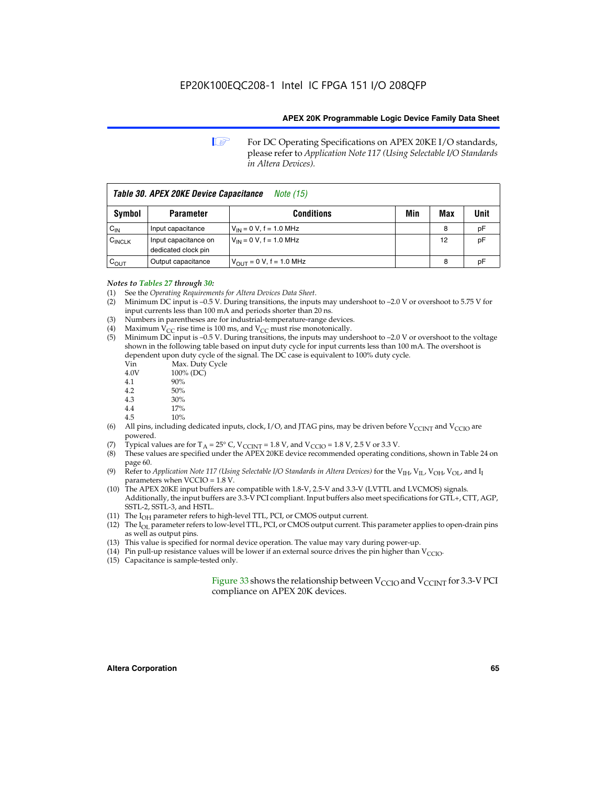**1 For DC Operating Specifications on APEX 20KE I/O standards,** please refer to *Application Note 117 (Using Selectable I/O Standards in Altera Devices).*

| Table 30. APEX 20KE Device Capacitance<br><i>Note</i> (15) |                                             |                                |     |     |      |
|------------------------------------------------------------|---------------------------------------------|--------------------------------|-----|-----|------|
| Symbol                                                     | <b>Parameter</b>                            | <b>Conditions</b>              | Min | Max | Unit |
| $C_{IN}$                                                   | Input capacitance                           | $V_{IN} = 0 V$ , f = 1.0 MHz   |     | 8   | рF   |
| $C_{\text{INCLK}}$                                         | Input capacitance on<br>dedicated clock pin | $V_{IN} = 0 V$ , f = 1.0 MHz   |     | 12  | pF   |
| $C_{OUT}$                                                  | Output capacitance                          | $V_{OUIT} = 0 V$ , f = 1.0 MHz |     | 8   | рF   |

- *Notes to Tables 27 through 30:* (1) See the *Operating Requirements for Altera Devices Data Sheet*.
- (2) Minimum DC input is –0.5 V. During transitions, the inputs may undershoot to –2.0 V or overshoot to 5.75 V for input currents less than 100 mA and periods shorter than 20 ns.
- (3) Numbers in parentheses are for industrial-temperature-range devices.
- (4) Maximum  $V_{CC}$  rise time is 100 ms, and  $V_{CC}$  must rise monotonically.<br>(5) Minimum DC input is -0.5 V. During transitions, the inputs may und
- Minimum DC input is  $-0.5$  V. During transitions, the inputs may undershoot to  $-2.0$  V or overshoot to the voltage shown in the following table based on input duty cycle for input currents less than 100 mA. The overshoot is dependent upon duty cycle of the signal. The DC case is equivalent to 100% duty cycle.

| Vin  | Max. Duty Cycle |
|------|-----------------|
| 4.0V | 100% (DC)       |
| 4.1  | 90%             |
| 4.2  | 50%             |
| 4.3  | 30%             |
|      |                 |

- 4.4 17%
- 4.5 10%
- (6) All pins, including dedicated inputs, clock, I/O, and JTAG pins, may be driven before  $V_{\text{CCINT}}$  and  $V_{\text{CCIO}}$  are powered.
- (7) Typical values are for  $T_A = 25^\circ$  C, V<sub>CCINT</sub> = 1.8 V, and V<sub>CCIO</sub> = 1.8 V, 2.5 V or 3.3 V.
- (8) These values are specified under the APEX 20KE device recommended operating conditions, shown in Table 24 on page 60.
- (9) Refer to *Application Note 117 (Using Selectable I/O Standards in Altera Devices)* for the V<sub>IH</sub>, V<sub>IL</sub>, V<sub>OH</sub>, V<sub>OL</sub>, and I<sub>I</sub> parameters when VCCIO = 1.8 V.
- (10) The APEX 20KE input buffers are compatible with 1.8-V, 2.5-V and 3.3-V (LVTTL and LVCMOS) signals. Additionally, the input buffers are 3.3-V PCI compliant. Input buffers also meet specifications for GTL+, CTT, AGP, SSTL-2, SSTL-3, and HSTL.
- (11) The  $I_{OH}$  parameter refers to high-level TTL, PCI, or CMOS output current.
- (12) The I<sub>OL</sub> parameter refers to low-level TTL, PCI, or CMOS output current. This parameter applies to open-drain pins as well as output pins.
- (13) This value is specified for normal device operation. The value may vary during power-up.
- (14) Pin pull-up resistance values will be lower if an external source drives the pin higher than  $V_{CCIO}$ .
- (15) Capacitance is sample-tested only.

Figure 33 shows the relationship between  $V_{\text{CCIO}}$  and  $V_{\text{CCINT}}$  for 3.3-V PCI compliance on APEX 20K devices.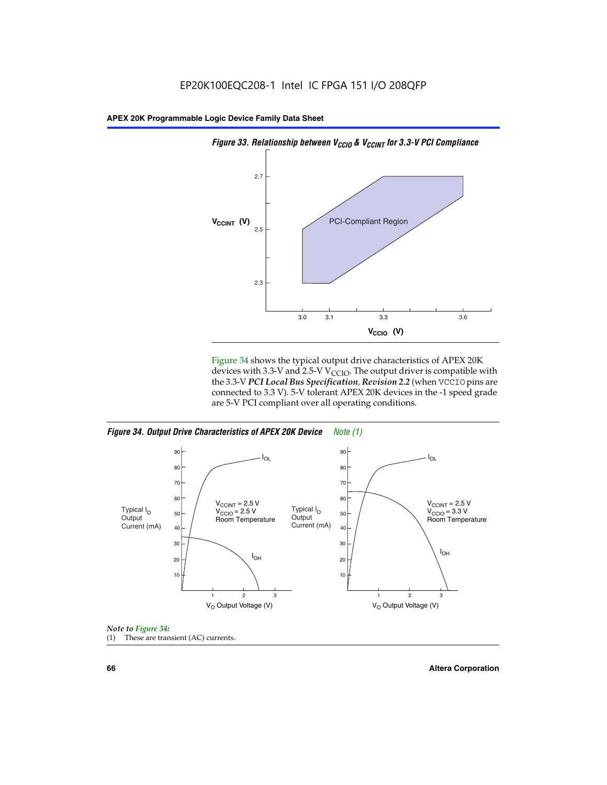

Figure 34 shows the typical output drive characteristics of APEX 20K devices with 3.3-V and 2.5-V V<sub>CCIO</sub>. The output driver is compatible with the 3.3-V *PCI Local Bus Specification, Revision 2.2* (when VCCIO pins are connected to 3.3 V). 5-V tolerant APEX 20K devices in the -1 speed grade are 5-V PCI compliant over all operating conditions.







**66 Altera Corporation**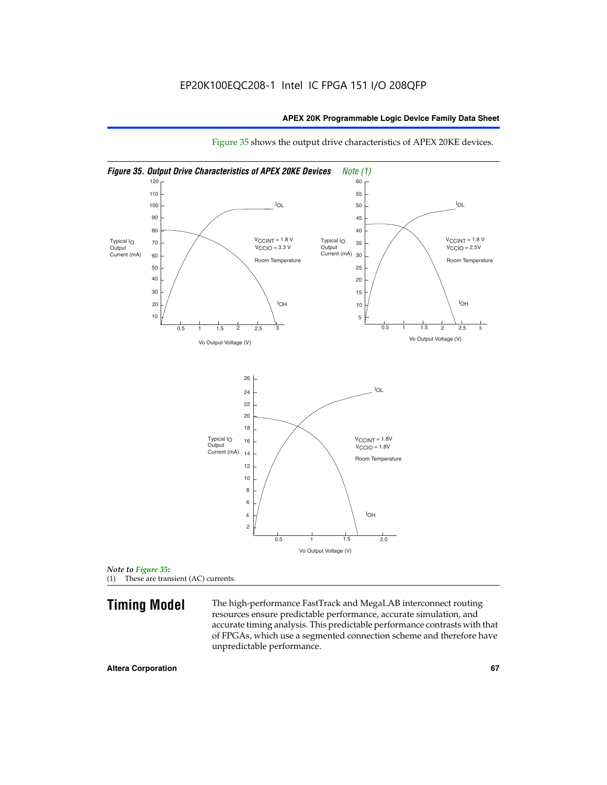

Figure 35 shows the output drive characteristics of APEX 20KE devices.

*Note to Figure 35:* (1) These are transient (AC) currents.

**Timing Model** The high-performance FastTrack and MegaLAB interconnect routing resources ensure predictable performance, accurate simulation, and accurate timing analysis. This predictable performance contrasts with that of FPGAs, which use a segmented connection scheme and therefore have unpredictable performance.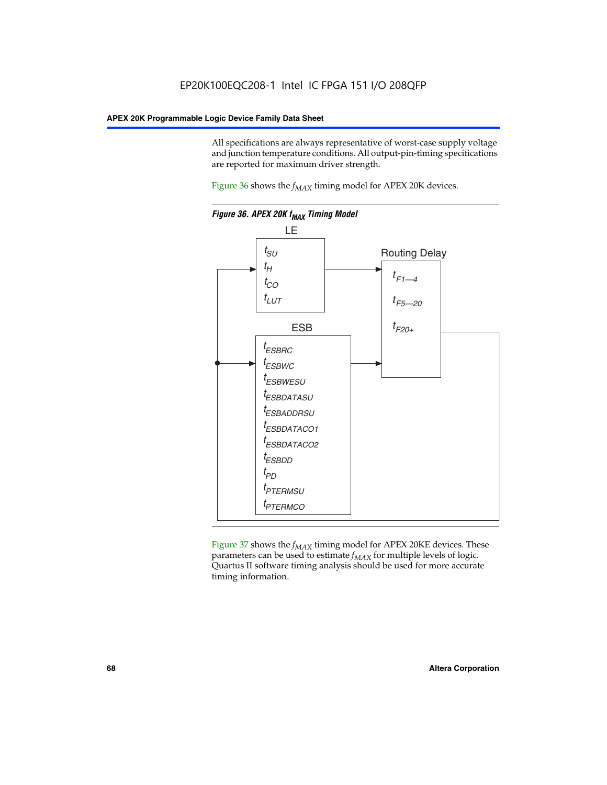All specifications are always representative of worst-case supply voltage and junction temperature conditions. All output-pin-timing specifications are reported for maximum driver strength.

Figure  $36$  shows the  $f_{MAX}$  timing model for APEX 20K devices.



Figure 37 shows the  $f_{MAX}$  timing model for APEX 20KE devices. These parameters can be used to estimate  $f_{MAX}$  for multiple levels of logic. Quartus II software timing analysis should be used for more accurate timing information.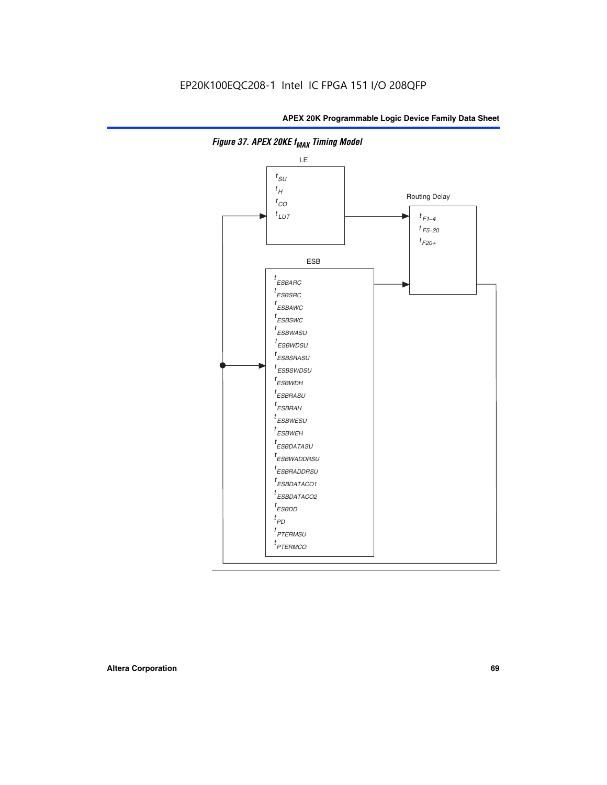

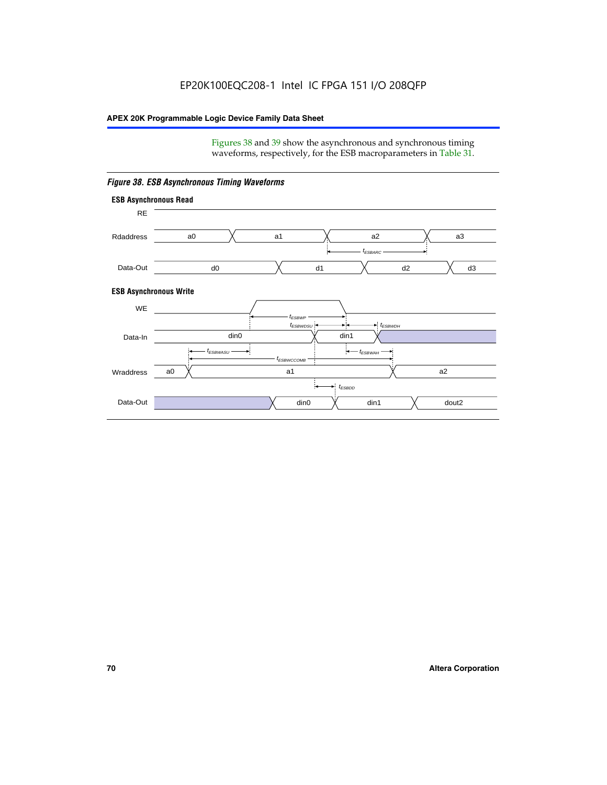Figures 38 and 39 show the asynchronous and synchronous timing waveforms, respectively, for the ESB macroparameters in Table 31.



*Figure 38. ESB Asynchronous Timing Waveforms*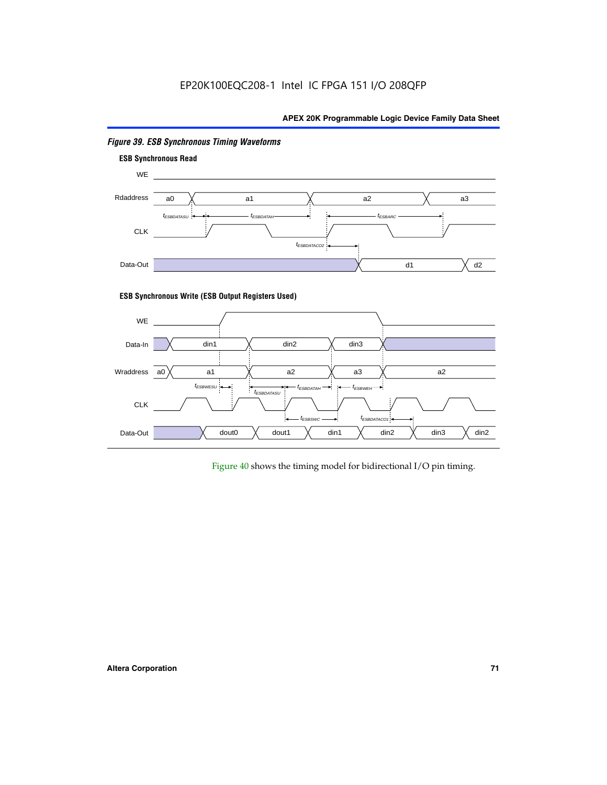

# *Figure 39. ESB Synchronous Timing Waveforms*

# **ESB Synchronous Write (ESB Output Registers Used)**



Figure 40 shows the timing model for bidirectional I/O pin timing.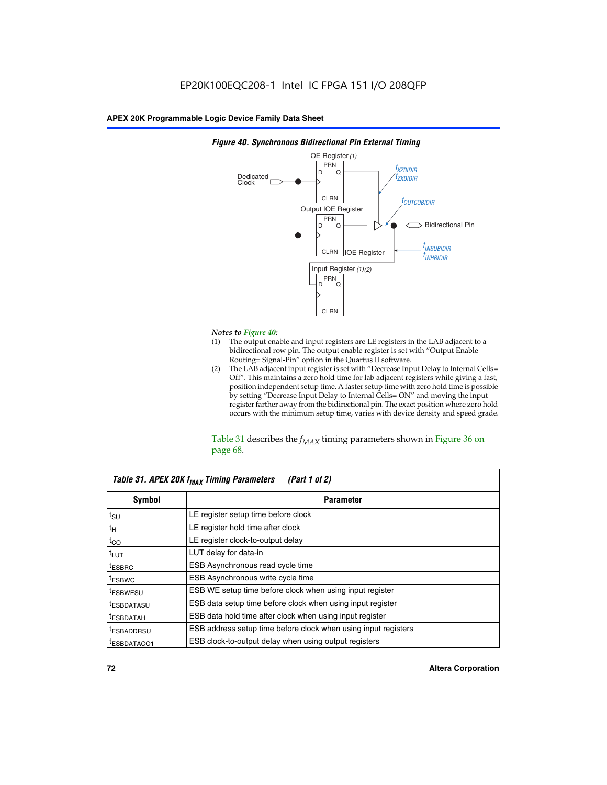

## *Figure 40. Synchronous Bidirectional Pin External Timing*

# *Notes to Figure 40:*

- The output enable and input registers are LE registers in the LAB adjacent to a bidirectional row pin. The output enable register is set with "Output Enable Routing= Signal-Pin" option in the Quartus II software.
- (2) The LAB adjacent input register is set with "Decrease Input Delay to Internal Cells= Off". This maintains a zero hold time for lab adjacent registers while giving a fast, position independent setup time. A faster setup time with zero hold time is possible by setting "Decrease Input Delay to Internal Cells= ON" and moving the input register farther away from the bidirectional pin. The exact position where zero hold occurs with the minimum setup time, varies with device density and speed grade.

Table 31 describes the  $f_{MAX}$  timing parameters shown in Figure 36 on page 68.

| Table 31. APEX 20K f <sub>MAX</sub> Timing Parameters<br>(Part 1 of 2) |                                                                |  |  |  |  |
|------------------------------------------------------------------------|----------------------------------------------------------------|--|--|--|--|
| Symbol                                                                 | <b>Parameter</b>                                               |  |  |  |  |
| $t_{\text{SU}}$                                                        | LE register setup time before clock                            |  |  |  |  |
| $t_H$                                                                  | LE register hold time after clock                              |  |  |  |  |
| $t_{CO}$                                                               | LE register clock-to-output delay                              |  |  |  |  |
| t <sub>LUT</sub>                                                       | LUT delay for data-in                                          |  |  |  |  |
| <sup>t</sup> ESBRC                                                     | ESB Asynchronous read cycle time                               |  |  |  |  |
| <sup>t</sup> ESBWC                                                     | ESB Asynchronous write cycle time                              |  |  |  |  |
| <sup>t</sup> ESBWESU                                                   | ESB WE setup time before clock when using input register       |  |  |  |  |
| <sup>t</sup> ESBDATASU                                                 | ESB data setup time before clock when using input register     |  |  |  |  |
| <sup>t</sup> ESBDATAH                                                  | ESB data hold time after clock when using input register       |  |  |  |  |
| <sup>t</sup> ESBADDRSU                                                 | ESB address setup time before clock when using input registers |  |  |  |  |
| ESBDATACO1                                                             | ESB clock-to-output delay when using output registers          |  |  |  |  |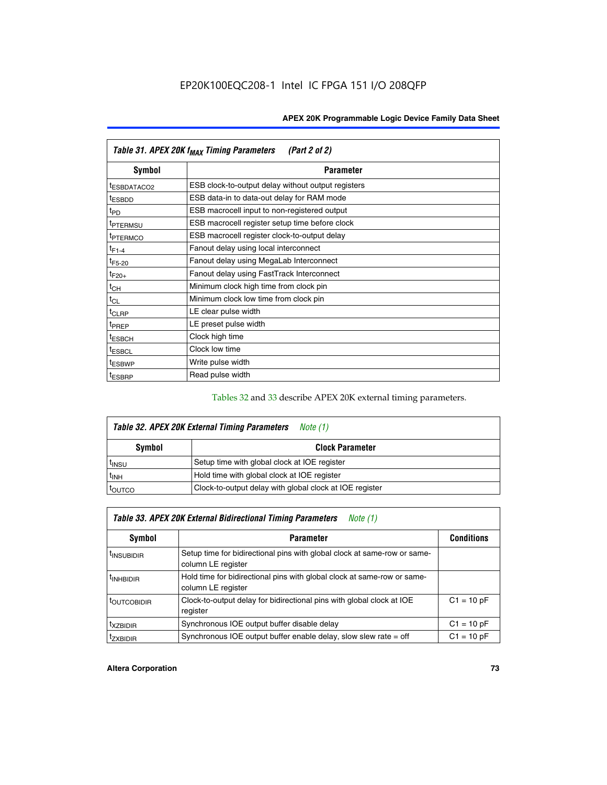| Table 31. APEX 20K f <sub>MAX</sub> Timing Parameters<br>(Part 2 of 2) |                                                    |  |  |  |  |
|------------------------------------------------------------------------|----------------------------------------------------|--|--|--|--|
| Symbol                                                                 | <b>Parameter</b>                                   |  |  |  |  |
| <sup>t</sup> ESBDATACO2                                                | ESB clock-to-output delay without output registers |  |  |  |  |
| <sup>t</sup> ESBDD                                                     | ESB data-in to data-out delay for RAM mode         |  |  |  |  |
| t <sub>PD</sub>                                                        | ESB macrocell input to non-registered output       |  |  |  |  |
| <sup>t</sup> PTERMSU                                                   | ESB macrocell register setup time before clock     |  |  |  |  |
| <sup>t</sup> PTERMCO                                                   | ESB macrocell register clock-to-output delay       |  |  |  |  |
| $t_{F1-4}$                                                             | Fanout delay using local interconnect              |  |  |  |  |
| $t_{F5-20}$                                                            | Fanout delay using MegaLab Interconnect            |  |  |  |  |
| $t_{F20+}$                                                             | Fanout delay using FastTrack Interconnect          |  |  |  |  |
| $t_{CH}$                                                               | Minimum clock high time from clock pin             |  |  |  |  |
| $t_{CL}$                                                               | Minimum clock low time from clock pin              |  |  |  |  |
| $t_{CLRP}$                                                             | LE clear pulse width                               |  |  |  |  |
| t <sub>PREP</sub>                                                      | LE preset pulse width                              |  |  |  |  |
| <sup>t</sup> ESBCH                                                     | Clock high time                                    |  |  |  |  |
| <sup>t</sup> ESBCL                                                     | Clock low time                                     |  |  |  |  |
| <sup>t</sup> ESBWP                                                     | Write pulse width                                  |  |  |  |  |
| <sup>t</sup> ESBRP                                                     | Read pulse width                                   |  |  |  |  |

## Tables 32 and 33 describe APEX 20K external timing parameters.

| Table 32. APEX 20K External Timing Parameters<br>Note (1) |                                                         |  |  |  |  |
|-----------------------------------------------------------|---------------------------------------------------------|--|--|--|--|
| Symbol                                                    | <b>Clock Parameter</b>                                  |  |  |  |  |
| <sup>t</sup> insu                                         | Setup time with global clock at IOE register            |  |  |  |  |
| $t_{\text{INH}}$                                          | Hold time with global clock at IOE register             |  |  |  |  |
| toutco                                                    | Clock-to-output delay with global clock at IOE register |  |  |  |  |

| Table 33. APEX 20K External Bidirectional Timing Parameters<br>Note (1) |                                                                                                |              |  |  |  |
|-------------------------------------------------------------------------|------------------------------------------------------------------------------------------------|--------------|--|--|--|
| Symbol<br><b>Conditions</b><br><b>Parameter</b>                         |                                                                                                |              |  |  |  |
| <sup>I</sup> INSUBIDIR                                                  | Setup time for bidirectional pins with global clock at same-row or same-<br>column LE register |              |  |  |  |
| <sup>t</sup> INHBIDIR                                                   | Hold time for bidirectional pins with global clock at same-row or same-<br>column LE register  |              |  |  |  |
| <sup>t</sup> OUTCOBIDIR                                                 | Clock-to-output delay for bidirectional pins with global clock at IOE<br>register              | $C1 = 10 pF$ |  |  |  |
| <sup>t</sup> xzbidir                                                    | Synchronous IOE output buffer disable delay                                                    | $C1 = 10 pF$ |  |  |  |
| <sup>I</sup> ZXBIDIR                                                    | Synchronous IOE output buffer enable delay, slow slew rate $=$ off                             | $C1 = 10 pF$ |  |  |  |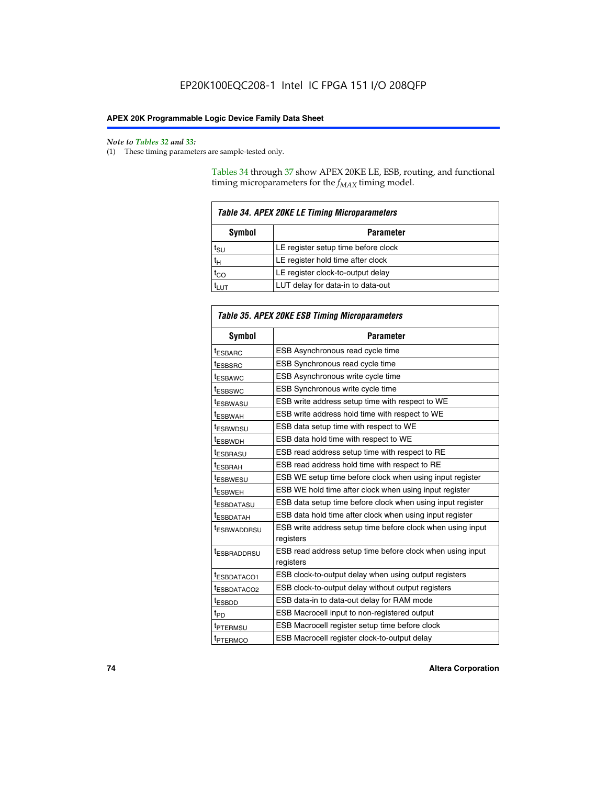$\mathbf{r}$ 

#### *Note to Tables 32 and 33:*

(1) These timing parameters are sample-tested only.

Tables 34 through 37 show APEX 20KE LE, ESB, routing, and functional timing microparameters for the  $f_{MAX}$  timing model.

| <b>Table 34. APEX 20KE LE Timing Microparameters</b> |                                     |  |  |  |  |
|------------------------------------------------------|-------------------------------------|--|--|--|--|
| Symbol<br><b>Parameter</b>                           |                                     |  |  |  |  |
| t <sub>SU</sub>                                      | LE register setup time before clock |  |  |  |  |
| $t_H$                                                | LE register hold time after clock   |  |  |  |  |
| $t_{CO}$                                             | LE register clock-to-output delay   |  |  |  |  |
| <b>LUT</b>                                           | LUT delay for data-in to data-out   |  |  |  |  |

| Table 35. APEX 20KE ESB Timing Microparameters |                                                                        |  |  |  |
|------------------------------------------------|------------------------------------------------------------------------|--|--|--|
| Symbol                                         | <b>Parameter</b>                                                       |  |  |  |
| t <sub>ESBARC</sub>                            | ESB Asynchronous read cycle time                                       |  |  |  |
| <sup>t</sup> ESBSRC                            | <b>ESB Synchronous read cycle time</b>                                 |  |  |  |
| t <sub>ESBAWC</sub>                            | ESB Asynchronous write cycle time                                      |  |  |  |
| t <sub>ESBSWC</sub>                            | ESB Synchronous write cycle time                                       |  |  |  |
| tESBWASU                                       | ESB write address setup time with respect to WE                        |  |  |  |
| <sup>t</sup> ESBWAH                            | ESB write address hold time with respect to WE                         |  |  |  |
| t <sub>ESBWDSU</sub>                           | ESB data setup time with respect to WE                                 |  |  |  |
| <sup>t</sup> ESBWDH                            | ESB data hold time with respect to WE                                  |  |  |  |
| tESBRASU                                       | ESB read address setup time with respect to RE                         |  |  |  |
| t <sub>ESBRAH</sub>                            | ESB read address hold time with respect to RE                          |  |  |  |
| <sup>t</sup> ESBWESU                           | ESB WE setup time before clock when using input register               |  |  |  |
| <sup>t</sup> ESBWEH                            | ESB WE hold time after clock when using input register                 |  |  |  |
| <sup>t</sup> ESBDATASU                         | ESB data setup time before clock when using input register             |  |  |  |
| t <sub>ESBDATAH</sub>                          | ESB data hold time after clock when using input register               |  |  |  |
| <sup>t</sup> ESBWADDRSU                        | ESB write address setup time before clock when using input             |  |  |  |
|                                                | registers                                                              |  |  |  |
| tESBRADDRSU                                    | ESB read address setup time before clock when using input<br>registers |  |  |  |
| t <sub>ESBDATACO1</sub>                        | ESB clock-to-output delay when using output registers                  |  |  |  |
| t <sub>ESBDATACO2</sub>                        | ESB clock-to-output delay without output registers                     |  |  |  |
| $t_{ESBDD}$                                    | ESB data-in to data-out delay for RAM mode                             |  |  |  |
| $t_{PD}$                                       | ESB Macrocell input to non-registered output                           |  |  |  |
| t <sub>PTERMSU</sub>                           | ESB Macrocell register setup time before clock                         |  |  |  |
| t <sub>PTERMCO</sub>                           | ESB Macrocell register clock-to-output delay                           |  |  |  |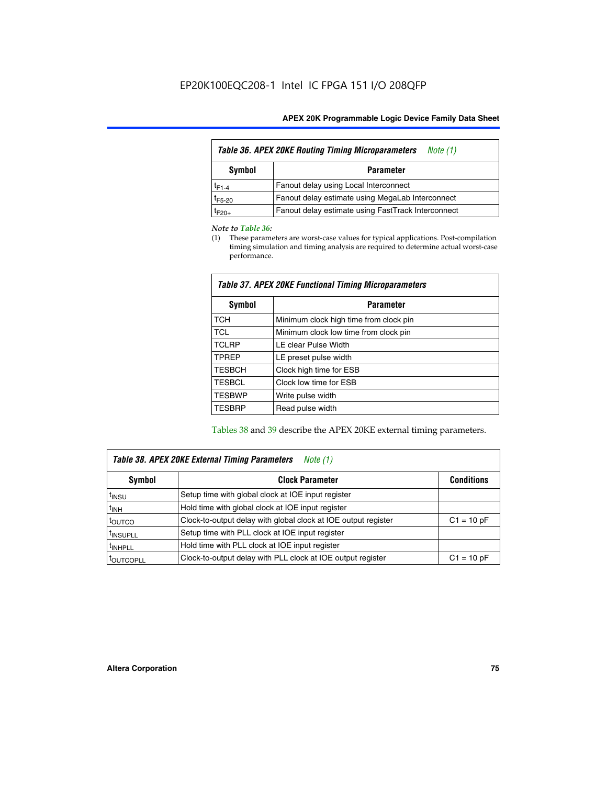| <b>Table 36. APEX 20KE Routing Timing Microparameters</b><br>Note (1) |                                                    |  |  |  |  |
|-----------------------------------------------------------------------|----------------------------------------------------|--|--|--|--|
| Symbol<br><b>Parameter</b>                                            |                                                    |  |  |  |  |
| $t_{F1-4}$                                                            | Fanout delay using Local Interconnect              |  |  |  |  |
| $t_{F5-20}$                                                           | Fanout delay estimate using MegaLab Interconnect   |  |  |  |  |
| $t_{F20+}$                                                            | Fanout delay estimate using FastTrack Interconnect |  |  |  |  |

#### *Note to Table 36:*

(1) These parameters are worst-case values for typical applications. Post-compilation timing simulation and timing analysis are required to determine actual worst-case performance.

| Symbol        | <b>Parameter</b>                       |
|---------------|----------------------------------------|
| <b>TCH</b>    | Minimum clock high time from clock pin |
| <b>TCL</b>    | Minimum clock low time from clock pin  |
| <b>TCLRP</b>  | LE clear Pulse Width                   |
| <b>TPREP</b>  | LE preset pulse width                  |
| <b>TESBCH</b> | Clock high time for ESB                |
| <b>TESBCL</b> | Clock low time for ESB                 |
| <b>TESBWP</b> | Write pulse width                      |
| <b>TESBRP</b> | Read pulse width                       |

## *Table 37. APEX 20KE Functional Timing Microparameters*

Tables 38 and 39 describe the APEX 20KE external timing parameters.

| Table 38. APEX 20KE External Timing Parameters<br>Note (1) |                                                                |              |  |  |  |
|------------------------------------------------------------|----------------------------------------------------------------|--------------|--|--|--|
| <b>Clock Parameter</b><br>Symbol<br><b>Conditions</b>      |                                                                |              |  |  |  |
| <sup>t</sup> insu                                          | Setup time with global clock at IOE input register             |              |  |  |  |
| $t_{\text{INH}}$                                           | Hold time with global clock at IOE input register              |              |  |  |  |
| toutco                                                     | Clock-to-output delay with global clock at IOE output register | $C1 = 10 pF$ |  |  |  |
| <sup>t</sup> INSUPLL                                       | Setup time with PLL clock at IOE input register                |              |  |  |  |
| <sup>t</sup> INHPLL                                        | Hold time with PLL clock at IOE input register                 |              |  |  |  |
| <sup>I</sup> OUTCOPLL                                      | Clock-to-output delay with PLL clock at IOE output register    | $C1 = 10 pF$ |  |  |  |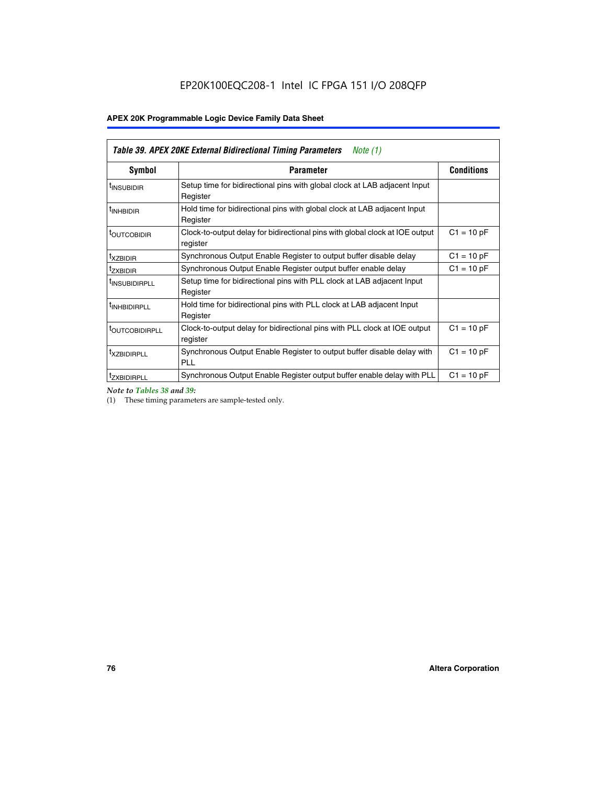| Table 39. APEX 20KE External Bidirectional Timing Parameters<br>Note $(1)$ |                                                                                                          |              |  |  |  |  |  |  |
|----------------------------------------------------------------------------|----------------------------------------------------------------------------------------------------------|--------------|--|--|--|--|--|--|
| Symbol                                                                     | <b>Conditions</b><br><b>Parameter</b>                                                                    |              |  |  |  |  |  |  |
| <sup>t</sup> INSUBIDIR                                                     | Setup time for bidirectional pins with global clock at LAB adjacent Input<br>Register                    |              |  |  |  |  |  |  |
| <sup>t</sup> INHBIDIR                                                      | Hold time for bidirectional pins with global clock at LAB adjacent Input<br>Register                     |              |  |  |  |  |  |  |
| <b><i>LOUTCOBIDIR</i></b>                                                  | $C1 = 10 pF$<br>Clock-to-output delay for bidirectional pins with global clock at IOE output<br>register |              |  |  |  |  |  |  |
| t <sub>XZBIDIR</sub>                                                       | $C1 = 10 pF$<br>Synchronous Output Enable Register to output buffer disable delay                        |              |  |  |  |  |  |  |
| <sup>t</sup> zxbidir                                                       | Synchronous Output Enable Register output buffer enable delay                                            | $C1 = 10 pF$ |  |  |  |  |  |  |
| <sup>I</sup> INSUBIDIRPLL                                                  | Setup time for bidirectional pins with PLL clock at LAB adjacent Input<br>Register                       |              |  |  |  |  |  |  |
| <sup>t</sup> INHBIDIRPLL                                                   | Hold time for bidirectional pins with PLL clock at LAB adjacent Input<br>Register                        |              |  |  |  |  |  |  |
| <b><i>LOUTCOBIDIRPLL</i></b>                                               | Clock-to-output delay for bidirectional pins with PLL clock at IOE output<br>register                    | $C1 = 10 pF$ |  |  |  |  |  |  |
| <sup>t</sup> XZBIDIRPLL                                                    | Synchronous Output Enable Register to output buffer disable delay with<br><b>PLL</b>                     | $C1 = 10 pF$ |  |  |  |  |  |  |
| <sup>I</sup> ZXBIDIRPLL                                                    | Synchronous Output Enable Register output buffer enable delay with PLL                                   | $C1 = 10 pF$ |  |  |  |  |  |  |

*Note to Tables 38 and 39:*

(1) These timing parameters are sample-tested only.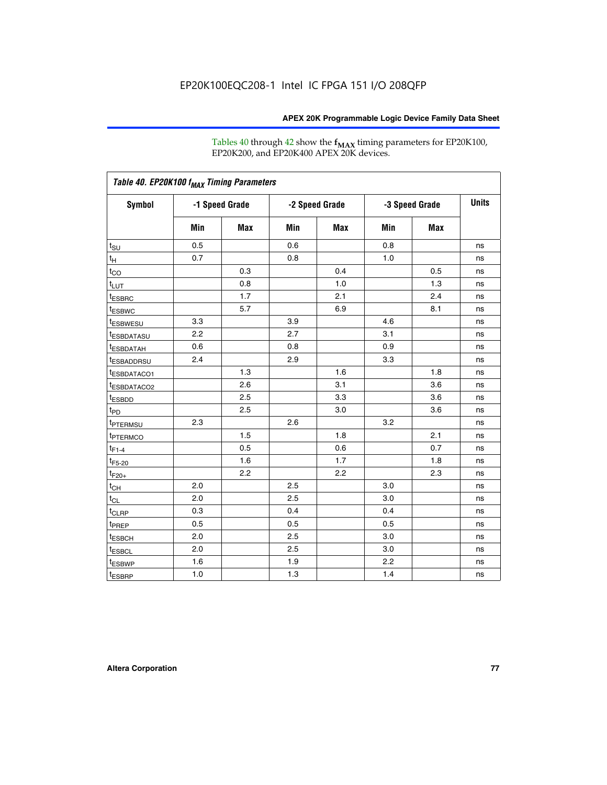Tables 40 through 42 show the **f<sub>MAX</sub>** timing parameters for EP20K100, EP20K200, and EP20K400 APEX 20K devices.

| Table 40. EP20K100 f <sub>MAX</sub> Timing Parameters |                |     |                |     |                |     |              |
|-------------------------------------------------------|----------------|-----|----------------|-----|----------------|-----|--------------|
| <b>Symbol</b>                                         | -1 Speed Grade |     | -2 Speed Grade |     | -3 Speed Grade |     | <b>Units</b> |
|                                                       | Min            | Max | Min            | Max | Min            | Max |              |
| $t_{\text{SU}}$                                       | 0.5            |     | 0.6            |     | 0.8            |     | ns           |
| $t_H$                                                 | 0.7            |     | 0.8            |     | 1.0            |     | ns           |
| $t_{CO}$                                              |                | 0.3 |                | 0.4 |                | 0.5 | ns           |
| $t_{LUT}$                                             |                | 0.8 |                | 1.0 |                | 1.3 | ns           |
| <sup>t</sup> ESBRC                                    |                | 1.7 |                | 2.1 |                | 2.4 | ns           |
| t <sub>ESBWC</sub>                                    |                | 5.7 |                | 6.9 |                | 8.1 | ns           |
| t <sub>ESBWESU</sub>                                  | 3.3            |     | 3.9            |     | 4.6            |     | ns           |
| <sup>t</sup> ESBDATASU                                | 2.2            |     | 2.7            |     | 3.1            |     | ns           |
| t <sub>ESBDATAH</sub>                                 | 0.6            |     | 0.8            |     | 0.9            |     | ns           |
| <sup>t</sup> ESBADDRSU                                | 2.4            |     | 2.9            |     | 3.3            |     | ns           |
| t <sub>ESBDATACO1</sub>                               |                | 1.3 |                | 1.6 |                | 1.8 | ns           |
| t <sub>ESBDATACO2</sub>                               |                | 2.6 |                | 3.1 |                | 3.6 | ns           |
| t <sub>ESBDD</sub>                                    |                | 2.5 |                | 3.3 |                | 3.6 | ns           |
| t <sub>PD</sub>                                       |                | 2.5 |                | 3.0 |                | 3.6 | ns           |
| <sup>t</sup> PTERMSU                                  | 2.3            |     | 2.6            |     | 3.2            |     | ns           |
| t <sub>PTERMCO</sub>                                  |                | 1.5 |                | 1.8 |                | 2.1 | ns           |
| $t_{F1-4}$                                            |                | 0.5 |                | 0.6 |                | 0.7 | ns           |
| $t_{F5-20}$                                           |                | 1.6 |                | 1.7 |                | 1.8 | ns           |
| $t_{F20+}$                                            |                | 2.2 |                | 2.2 |                | 2.3 | ns           |
| $t_{\mathsf{CH}}$                                     | 2.0            |     | 2.5            |     | 3.0            |     | ns           |
| $t_{CL}$                                              | 2.0            |     | 2.5            |     | 3.0            |     | ns           |
| t <sub>CLRP</sub>                                     | 0.3            |     | 0.4            |     | 0.4            |     | ns           |
| t <sub>PREP</sub>                                     | 0.5            |     | 0.5            |     | 0.5            |     | ns           |
| t <sub>ESBCH</sub>                                    | 2.0            |     | 2.5            |     | 3.0            |     | ns           |
| t <sub>ESBCL</sub>                                    | 2.0            |     | 2.5            |     | 3.0            |     | ns           |
| t <sub>ESBWP</sub>                                    | 1.6            |     | 1.9            |     | 2.2            |     | ns           |
| $t_{ESBRP}$                                           | 1.0            |     | 1.3            |     | 1.4            |     | ns           |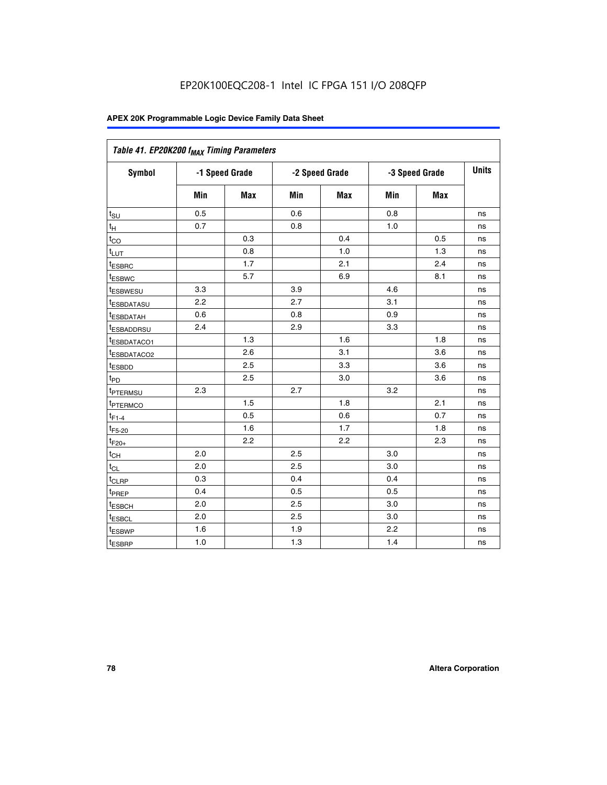| Table 41. EP20K200 f <sub>MAX</sub> Timing Parameters |                |     |     |                |     |                |    |
|-------------------------------------------------------|----------------|-----|-----|----------------|-----|----------------|----|
| Symbol                                                | -1 Speed Grade |     |     | -2 Speed Grade |     | -3 Speed Grade |    |
|                                                       | Min            | Max | Min | <b>Max</b>     | Min | Max            |    |
| $t_{\text{SU}}$                                       | 0.5            |     | 0.6 |                | 0.8 |                | ns |
| $t_H$                                                 | 0.7            |     | 0.8 |                | 1.0 |                | ns |
| $t_{CO}$                                              |                | 0.3 |     | 0.4            |     | 0.5            | ns |
| $t_{LUT}$                                             |                | 0.8 |     | 1.0            |     | 1.3            | ns |
| t <sub>ESBRC</sub>                                    |                | 1.7 |     | 2.1            |     | 2.4            | ns |
| t <sub>ESBWC</sub>                                    |                | 5.7 |     | 6.9            |     | 8.1            | ns |
| t <sub>ESBWESU</sub>                                  | 3.3            |     | 3.9 |                | 4.6 |                | ns |
| <sup>t</sup> ESBDATASU                                | 2.2            |     | 2.7 |                | 3.1 |                | ns |
| t <sub>ESBDATAH</sub>                                 | 0.6            |     | 0.8 |                | 0.9 |                | ns |
| t <sub>ESBADDRSU</sub>                                | 2.4            |     | 2.9 |                | 3.3 |                | ns |
| <u>t<sub>ESBDATACO1</sub></u>                         |                | 1.3 |     | 1.6            |     | 1.8            | ns |
| <sup>t</sup> ESBDATACO2                               |                | 2.6 |     | 3.1            |     | 3.6            | ns |
| t <sub>ESBDD</sub>                                    |                | 2.5 |     | 3.3            |     | 3.6            | ns |
| t <sub>PD</sub>                                       |                | 2.5 |     | 3.0            |     | 3.6            | ns |
| t <sub>ptermsu</sub>                                  | 2.3            |     | 2.7 |                | 3.2 |                | ns |
| t <sub>PTERMCO</sub>                                  |                | 1.5 |     | 1.8            |     | 2.1            | ns |
| $t_{F1-4}$                                            |                | 0.5 |     | 0.6            |     | 0.7            | ns |
| $t_{F5-20}$                                           |                | 1.6 |     | 1.7            |     | 1.8            | ns |
| $t_{F20+}$                                            |                | 2.2 |     | 2.2            |     | 2.3            | ns |
| $\textnormal{t}_{\textnormal{CH}}$                    | 2.0            |     | 2.5 |                | 3.0 |                | ns |
| $t_{CL}$                                              | 2.0            |     | 2.5 |                | 3.0 |                | ns |
| t <sub>CLRP</sub>                                     | 0.3            |     | 0.4 |                | 0.4 |                | ns |
| t <sub>PREP</sub>                                     | 0.4            |     | 0.5 |                | 0.5 |                | ns |
| t <sub>ESBCH</sub>                                    | 2.0            |     | 2.5 |                | 3.0 |                | ns |
| t <sub>ESBCL</sub>                                    | 2.0            |     | 2.5 |                | 3.0 |                | ns |
| t <sub>ESBWP</sub>                                    | 1.6            |     | 1.9 |                | 2.2 |                | ns |
| t <sub>ESBRP</sub>                                    | 1.0            |     | 1.3 |                | 1.4 |                | ns |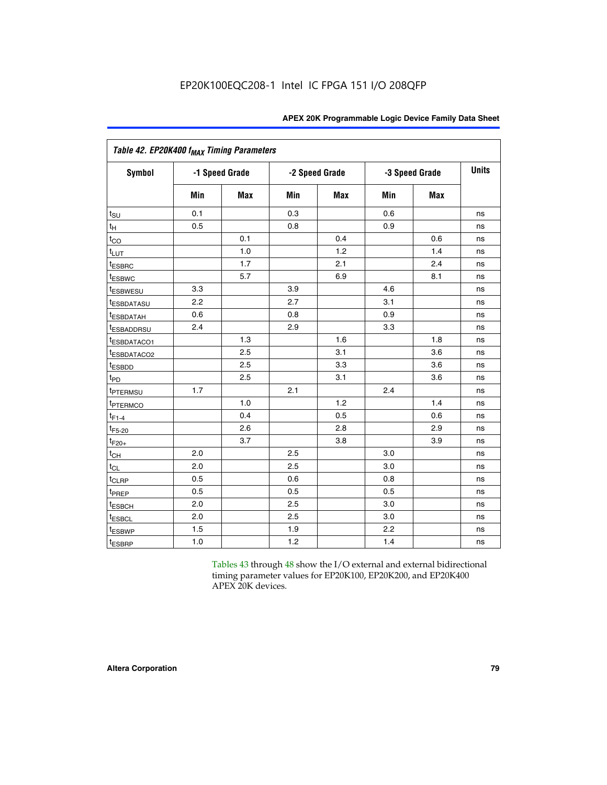| Table 42. EP20K400 f <sub>MAX</sub> Timing Parameters |     |                |     |                |     |                |              |
|-------------------------------------------------------|-----|----------------|-----|----------------|-----|----------------|--------------|
| <b>Symbol</b>                                         |     | -1 Speed Grade |     | -2 Speed Grade |     | -3 Speed Grade | <b>Units</b> |
|                                                       | Min | <b>Max</b>     | Min | <b>Max</b>     | Min | <b>Max</b>     |              |
| $t_{\text{SU}}$                                       | 0.1 |                | 0.3 |                | 0.6 |                | ns           |
| $t_H$                                                 | 0.5 |                | 0.8 |                | 0.9 |                | ns           |
| $t_{CO}$                                              |     | 0.1            |     | 0.4            |     | 0.6            | ns           |
| $t_{LUT}$                                             |     | 1.0            |     | 1.2            |     | 1.4            | ns           |
| t <sub>ESBRC</sub>                                    |     | 1.7            |     | 2.1            |     | 2.4            | ns           |
| t <sub>ESBWC</sub>                                    |     | 5.7            |     | 6.9            |     | 8.1            | ns           |
| t <sub>ESBWESU</sub>                                  | 3.3 |                | 3.9 |                | 4.6 |                | ns           |
| t <sub>ESBDATASU</sub>                                | 2.2 |                | 2.7 |                | 3.1 |                | ns           |
| <sup>t</sup> ESBDATAH                                 | 0.6 |                | 0.8 |                | 0.9 |                | ns           |
| <sup>t</sup> ESBADDRSU                                | 2.4 |                | 2.9 |                | 3.3 |                | ns           |
| t <sub>ESBDATACO1</sub>                               |     | 1.3            |     | 1.6            |     | 1.8            | ns           |
| t <sub>ESBDATACO2</sub>                               |     | 2.5            |     | 3.1            |     | 3.6            | ns           |
| t <sub>ESBDD</sub>                                    |     | 2.5            |     | 3.3            |     | 3.6            | ns           |
| t <sub>PD</sub>                                       |     | 2.5            |     | 3.1            |     | 3.6            | ns           |
| t <sub>PTERMSU</sub>                                  | 1.7 |                | 2.1 |                | 2.4 |                | ns           |
| t <sub>PTERMCO</sub>                                  |     | 1.0            |     | 1.2            |     | 1.4            | ns           |
| $t_{F1-4}$                                            |     | 0.4            |     | 0.5            |     | 0.6            | ns           |
| $t_{F5-20}$                                           |     | 2.6            |     | 2.8            |     | 2.9            | ns           |
| $t_{F20+}$                                            |     | 3.7            |     | 3.8            |     | 3.9            | ns           |
| $t_{CH}$                                              | 2.0 |                | 2.5 |                | 3.0 |                | ns           |
| $t_{CL}$                                              | 2.0 |                | 2.5 |                | 3.0 |                | ns           |
| t <sub>CLRP</sub>                                     | 0.5 |                | 0.6 |                | 0.8 |                | ns           |
| t <sub>PREP</sub>                                     | 0.5 |                | 0.5 |                | 0.5 |                | ns           |
| t <sub>ESBCH</sub>                                    | 2.0 |                | 2.5 |                | 3.0 |                | ns           |
| <b><i>LESBCL</i></b>                                  | 2.0 |                | 2.5 |                | 3.0 |                | ns           |
| t <sub>ESBWP</sub>                                    | 1.5 |                | 1.9 |                | 2.2 |                | ns           |
| t <sub>ESBRP</sub>                                    | 1.0 |                | 1.2 |                | 1.4 |                | ns           |

Tables 43 through 48 show the I/O external and external bidirectional timing parameter values for EP20K100, EP20K200, and EP20K400 APEX 20K devices.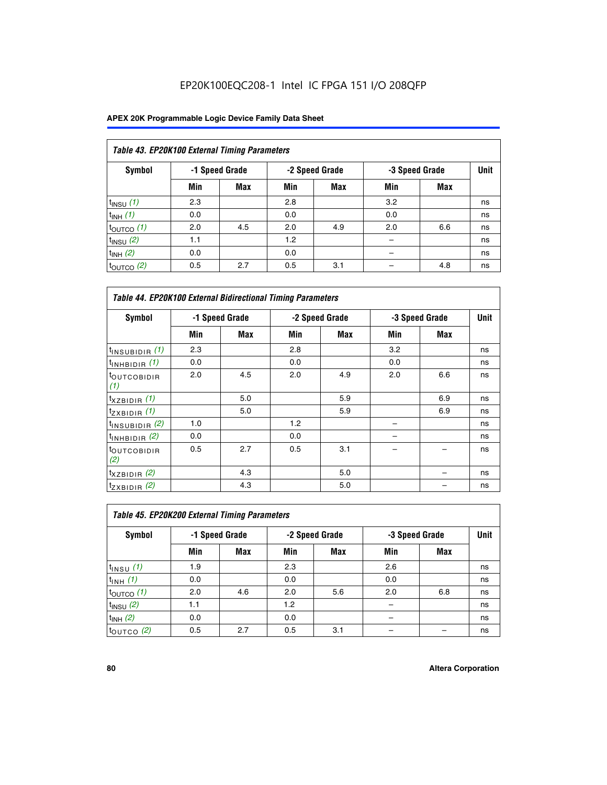## EP20K100EQC208-1 Intel IC FPGA 151 I/O 208QFP

| Table 43. EP20K100 External Timing Parameters |     |                |     |                |     |                |             |  |  |  |  |
|-----------------------------------------------|-----|----------------|-----|----------------|-----|----------------|-------------|--|--|--|--|
| Symbol                                        |     | -1 Speed Grade |     | -2 Speed Grade |     | -3 Speed Grade | <b>Unit</b> |  |  |  |  |
|                                               | Min | Max            | Min | <b>Max</b>     | Min | <b>Max</b>     |             |  |  |  |  |
| $t_{INSU}$ (1)                                | 2.3 |                | 2.8 |                | 3.2 |                | ns          |  |  |  |  |
| $t_{INH}$ (1)                                 | 0.0 |                | 0.0 |                | 0.0 |                | ns          |  |  |  |  |
| $t_{\text{OUTCO}}(1)$                         | 2.0 | 4.5            | 2.0 | 4.9            | 2.0 | 6.6            | ns          |  |  |  |  |
| $t_{IN}$ su $(2)$                             | 1.1 |                | 1.2 |                |     |                | ns          |  |  |  |  |
| $t_{INH}$ (2)                                 | 0.0 |                | 0.0 |                |     |                | ns          |  |  |  |  |
| $t_{\text{OUTCO}}(2)$                         | 0.5 | 2.7            | 0.5 | 3.1            |     | 4.8            | ns          |  |  |  |  |

| <b>Table 44. EP20K100 External Bidirectional Timing Parameters</b> |     |                |     |                |     |                |    |
|--------------------------------------------------------------------|-----|----------------|-----|----------------|-----|----------------|----|
| Symbol                                                             |     | -1 Speed Grade |     | -2 Speed Grade |     | -3 Speed Grade |    |
|                                                                    | Min | Max            | Min | Max            | Min | Max            |    |
| $t_{\text{INSUBIDIR}}(1)$                                          | 2.3 |                | 2.8 |                | 3.2 |                | ns |
| $t_{INHBIDIR}$ (1)                                                 | 0.0 |                | 0.0 |                | 0.0 |                | ns |
| <sup>t</sup> OUTCOBIDIR<br>(1)                                     | 2.0 | 4.5            | 2.0 | 4.9            | 2.0 | 6.6            | ns |
| $t_{XZBIDIR}$ (1)                                                  |     | 5.0            |     | 5.9            |     | 6.9            | ns |
| $t_{ZXBIDIR}$ (1)                                                  |     | 5.0            |     | 5.9            |     | 6.9            | ns |
| $t_{INSUBIDIR}$ (2)                                                | 1.0 |                | 1.2 |                |     |                | ns |
| $t_{INHBIDIR}$ (2)                                                 | 0.0 |                | 0.0 |                |     |                | ns |
| <sup>t</sup> OUTCOBIDIR<br>(2)                                     | 0.5 | 2.7            | 0.5 | 3.1            |     |                | ns |
| $t_{XZBIDIR}$ (2)                                                  |     | 4.3            |     | 5.0            |     |                | ns |
| $t_{ZXBIDIR}$ (2)                                                  |     | 4.3            |     | 5.0            |     |                | ns |

| Table 45. EP20K200 External Timing Parameters |     |                |     |                |     |                |             |  |  |  |  |
|-----------------------------------------------|-----|----------------|-----|----------------|-----|----------------|-------------|--|--|--|--|
| Symbol                                        |     | -1 Speed Grade |     | -2 Speed Grade |     | -3 Speed Grade | <b>Unit</b> |  |  |  |  |
|                                               | Min | <b>Max</b>     | Min | <b>Max</b>     | Min | <b>Max</b>     |             |  |  |  |  |
| $t_{INSU}$ (1)                                | 1.9 |                | 2.3 |                | 2.6 |                | ns          |  |  |  |  |
| $t_{INH}$ (1)                                 | 0.0 |                | 0.0 |                | 0.0 |                | ns          |  |  |  |  |
| $t_{\text{OUTCO}}(1)$                         | 2.0 | 4.6            | 2.0 | 5.6            | 2.0 | 6.8            | ns          |  |  |  |  |
| $t_{\text{INSU}}(2)$                          | 1.1 |                | 1.2 |                |     |                | ns          |  |  |  |  |
| $t_{INH}$ (2)                                 | 0.0 |                | 0.0 |                |     |                | ns          |  |  |  |  |
| $t_{\text{OUTCO}}$ (2)                        | 0.5 | 2.7            | 0.5 | 3.1            |     |                | ns          |  |  |  |  |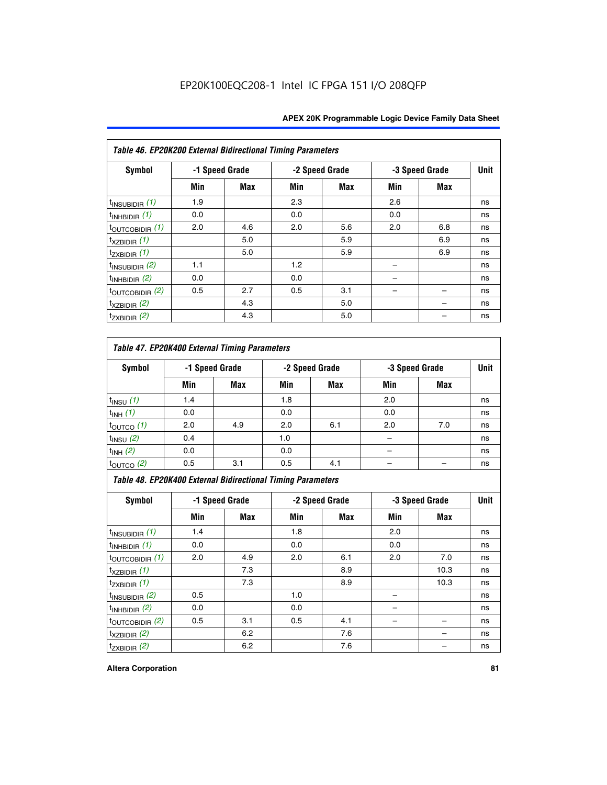| Table 46. EP20K200 External Bidirectional Timing Parameters |                |            |     |                |     |                |             |
|-------------------------------------------------------------|----------------|------------|-----|----------------|-----|----------------|-------------|
| Symbol                                                      | -1 Speed Grade |            |     | -2 Speed Grade |     | -3 Speed Grade | <b>Unit</b> |
|                                                             | Min            | <b>Max</b> | Min | Max            | Min | <b>Max</b>     |             |
| $t_{\text{INSUBIDIR}}(1)$                                   | 1.9            |            | 2.3 |                | 2.6 |                | ns          |
| $t_{INHBIDIR}$ (1)                                          | 0.0            |            | 0.0 |                | 0.0 |                | ns          |
| $t_{\text{OUTCOBIDIR}}(1)$                                  | 2.0            | 4.6        | 2.0 | 5.6            | 2.0 | 6.8            | ns          |
| $t_{XZBIDIR}$ (1)                                           |                | 5.0        |     | 5.9            |     | 6.9            | ns          |
| $t_{ZXBIDIR}$ (1)                                           |                | 5.0        |     | 5.9            |     | 6.9            | ns          |
| $t_{\text{INSUBIDIR}}(2)$                                   | 1.1            |            | 1.2 |                |     |                | ns          |
| $t_{INHBIDIR}$ (2)                                          | 0.0            |            | 0.0 |                |     |                | ns          |
| $t_{\text{OUTCOBIDIR}}$ (2)                                 | 0.5            | 2.7        | 0.5 | 3.1            |     |                | ns          |
| $t_{XZBIDIR}$ (2)                                           |                | 4.3        |     | 5.0            |     |                | ns          |
| $t_{ZXBIDIR}$ (2)                                           |                | 4.3        |     | 5.0            |     |                | ns          |

## *Table 47. EP20K400 External Timing Parameters*

| Symbol                |     | -1 Speed Grade |     | -2 Speed Grade |     | -3 Speed Grade |    |  |
|-----------------------|-----|----------------|-----|----------------|-----|----------------|----|--|
|                       | Min | <b>Max</b>     | Min | <b>Max</b>     | Min | Max            |    |  |
| $t_{INSU}$ (1)        | 1.4 |                | 1.8 |                | 2.0 |                | ns |  |
| $t_{INH}$ (1)         | 0.0 |                | 0.0 |                | 0.0 |                | ns |  |
| $t_{\text{OUTCO}}(1)$ | 2.0 | 4.9            | 2.0 | 6.1            | 2.0 | 7.0            | ns |  |
| $t_{INSU}$ (2)        | 0.4 |                | 1.0 |                |     |                | ns |  |
| $t_{INH}$ (2)         | 0.0 |                | 0.0 |                | -   |                | ns |  |
| $t_{\text{OUTCO}}(2)$ | 0.5 | 3.1            | 0.5 | 4.1            |     |                | ns |  |

*Table 48. EP20K400 External Bidirectional Timing Parameters*

| Symbol                      | -1 Speed Grade |     | -2 Speed Grade |     |     | -3 Speed Grade | <b>Unit</b> |
|-----------------------------|----------------|-----|----------------|-----|-----|----------------|-------------|
|                             | Min            | Max | Min            | Max | Min | <b>Max</b>     |             |
| $t_{\text{INSUBIDIR}}(1)$   | 1.4            |     | 1.8            |     | 2.0 |                | ns          |
| $t_{INHBIDIR}$ (1)          | 0.0            |     | 0.0            |     | 0.0 |                | ns          |
| $t_{\text{OUTCOBIDIR}}(1)$  | 2.0            | 4.9 | 2.0            | 6.1 | 2.0 | 7.0            | ns          |
| $t_{XZBIDIR}$ (1)           |                | 7.3 |                | 8.9 |     | 10.3           | ns          |
| $t_{ZXBIDIR}$ (1)           |                | 7.3 |                | 8.9 |     | 10.3           | ns          |
| $t_{\text{INSUBIDIR}}(2)$   | 0.5            |     | 1.0            |     |     |                | ns          |
| $t_{INHBIDIR}$ (2)          | 0.0            |     | 0.0            |     |     |                | ns          |
| $t_{\text{OUTCOBIDIR}}$ (2) | 0.5            | 3.1 | 0.5            | 4.1 |     |                | ns          |
| $t_{XZBIDIR}$ (2)           |                | 6.2 |                | 7.6 |     |                | ns          |
| $t_{ZXBIDIR}$ (2)           |                | 6.2 |                | 7.6 |     |                | ns          |

#### **Altera Corporation 81**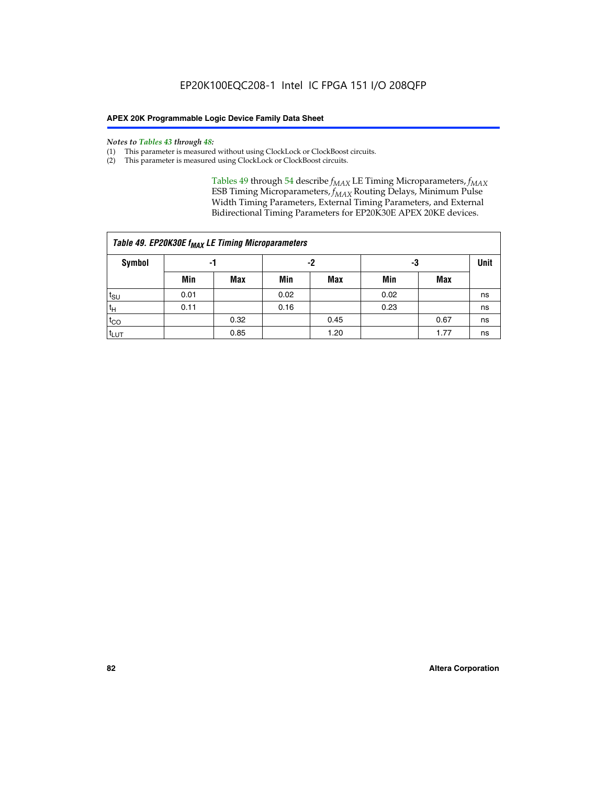#### *Notes to Tables 43 through 48:*

- (1) This parameter is measured without using ClockLock or ClockBoost circuits.
- (2) This parameter is measured using ClockLock or ClockBoost circuits.

Tables 49 through 54 describe  $f_{MAX}$  LE Timing Microparameters,  $f_{MAX}$ ESB Timing Microparameters, *f<sub>MAX</sub>* Routing Delays, Minimum Pulse Width Timing Parameters, External Timing Parameters, and External Bidirectional Timing Parameters for EP20K30E APEX 20KE devices.

| Table 49. EP20K30E f <sub>MAX</sub> LE Timing Microparameters |      |                |      |            |      |             |    |  |  |  |  |
|---------------------------------------------------------------|------|----------------|------|------------|------|-------------|----|--|--|--|--|
| <b>Symbol</b>                                                 |      | -2<br>-3<br>-1 |      |            |      | <b>Unit</b> |    |  |  |  |  |
|                                                               | Min  | Max            | Min  | <b>Max</b> | Min  | Max         |    |  |  |  |  |
| t <sub>SU</sub>                                               | 0.01 |                | 0.02 |            | 0.02 |             | ns |  |  |  |  |
| $t_H$                                                         | 0.11 |                | 0.16 |            | 0.23 |             | ns |  |  |  |  |
| $t_{CO}$                                                      |      | 0.32           |      | 0.45       |      | 0.67        | ns |  |  |  |  |
| t <sub>LUT</sub>                                              |      | 0.85           |      | 1.20       |      | 1.77        | ns |  |  |  |  |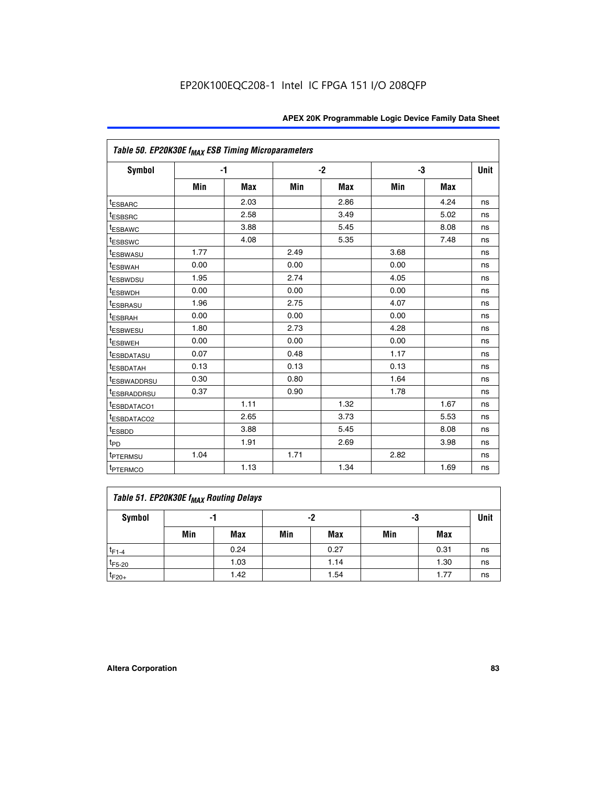| Table 50. EP20K30E f <sub>MAX</sub> ESB Timing Microparameters |      |      |      |            |      |            |             |
|----------------------------------------------------------------|------|------|------|------------|------|------------|-------------|
| <b>Symbol</b>                                                  |      | -1   |      | $-2$       |      | -3         | <b>Unit</b> |
|                                                                | Min  | Max  | Min  | <b>Max</b> | Min  | <b>Max</b> |             |
| <sup>t</sup> ESBARC                                            |      | 2.03 |      | 2.86       |      | 4.24       | ns          |
| <sup>t</sup> ESBSRC                                            |      | 2.58 |      | 3.49       |      | 5.02       | ns          |
| <sup>t</sup> ESBAWC                                            |      | 3.88 |      | 5.45       |      | 8.08       | ns          |
| t <sub>ESBSWC</sub>                                            |      | 4.08 |      | 5.35       |      | 7.48       | ns          |
| <sup>t</sup> ESBWASU                                           | 1.77 |      | 2.49 |            | 3.68 |            | ns          |
| <sup>t</sup> ESBWAH                                            | 0.00 |      | 0.00 |            | 0.00 |            | ns          |
| <sup>t</sup> ESBWDSU                                           | 1.95 |      | 2.74 |            | 4.05 |            | ns          |
| <sup>t</sup> ESBWDH                                            | 0.00 |      | 0.00 |            | 0.00 |            | ns          |
| <sup>t</sup> ESBRASU                                           | 1.96 |      | 2.75 |            | 4.07 |            | ns          |
| <sup>t</sup> ESBRAH                                            | 0.00 |      | 0.00 |            | 0.00 |            | ns          |
| <sup>t</sup> ESBWESU                                           | 1.80 |      | 2.73 |            | 4.28 |            | ns          |
| <sup>t</sup> ESBWEH                                            | 0.00 |      | 0.00 |            | 0.00 |            | ns          |
| t <sub>ESBDATASU</sub>                                         | 0.07 |      | 0.48 |            | 1.17 |            | ns          |
| <sup>t</sup> ESBDATAH                                          | 0.13 |      | 0.13 |            | 0.13 |            | ns          |
| <sup>t</sup> ESBWADDRSU                                        | 0.30 |      | 0.80 |            | 1.64 |            | ns          |
| <sup>t</sup> ESBRADDRSU                                        | 0.37 |      | 0.90 |            | 1.78 |            | ns          |
| ESBDATACO1                                                     |      | 1.11 |      | 1.32       |      | 1.67       | ns          |
| t <sub>ESBDATACO2</sub>                                        |      | 2.65 |      | 3.73       |      | 5.53       | ns          |
| <sup>t</sup> ESBDD                                             |      | 3.88 |      | 5.45       |      | 8.08       | ns          |
| t <sub>PD</sub>                                                |      | 1.91 |      | 2.69       |      | 3.98       | ns          |
| <sup>t</sup> PTERMSU                                           | 1.04 |      | 1.71 |            | 2.82 |            | ns          |
| t <sub>PTERMCO</sub>                                           |      | 1.13 |      | 1.34       |      | 1.69       | ns          |

## **Table 51. EP20K30E f<sub>MAX</sub> Routing Delays**

| Symbol      | - 1 |            | -2  |            | -3  |      | Unit |
|-------------|-----|------------|-----|------------|-----|------|------|
|             | Min | <b>Max</b> | Min | <b>Max</b> | Min | Max  |      |
| $t_{F1-4}$  |     | 0.24       |     | 0.27       |     | 0.31 | ns   |
| $t_{F5-20}$ |     | 1.03       |     | 1.14       |     | 1.30 | ns   |
| $t_{F20+}$  |     | 1.42       |     | 1.54       |     | 1.77 | ns   |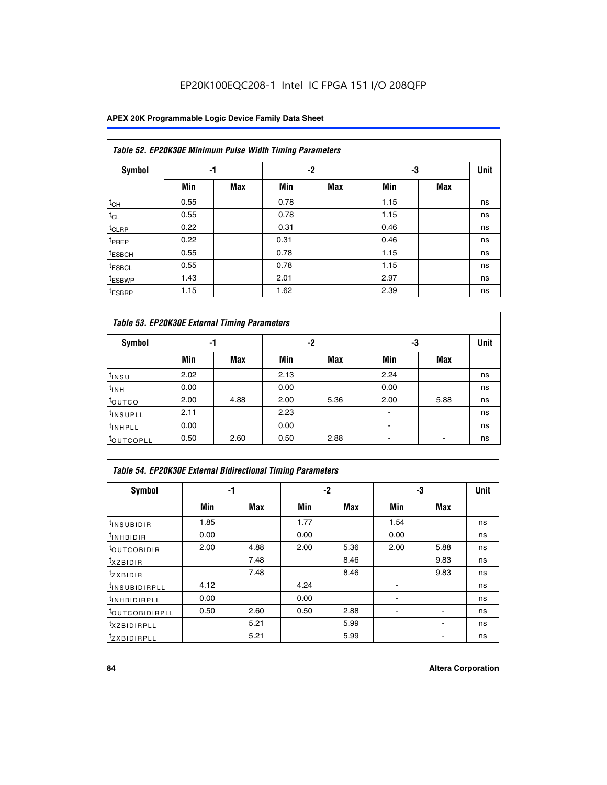## EP20K100EQC208-1 Intel IC FPGA 151 I/O 208QFP

### **APEX 20K Programmable Logic Device Family Data Sheet**

|                    | Table 52. EP20K30E Minimum Pulse Width Timing Parameters |            |      |            |      |            |             |  |  |  |  |  |
|--------------------|----------------------------------------------------------|------------|------|------------|------|------------|-------------|--|--|--|--|--|
| <b>Symbol</b>      | -1                                                       |            |      | $-2$       | -3   |            | <b>Unit</b> |  |  |  |  |  |
|                    | Min                                                      | <b>Max</b> | Min  | <b>Max</b> | Min  | <b>Max</b> |             |  |  |  |  |  |
| $t_{CH}$           | 0.55                                                     |            | 0.78 |            | 1.15 |            | ns          |  |  |  |  |  |
| $t_{CL}$           | 0.55                                                     |            | 0.78 |            | 1.15 |            | ns          |  |  |  |  |  |
| $t_{CLRP}$         | 0.22                                                     |            | 0.31 |            | 0.46 |            | ns          |  |  |  |  |  |
| <sup>t</sup> PREP  | 0.22                                                     |            | 0.31 |            | 0.46 |            | ns          |  |  |  |  |  |
| <sup>t</sup> ESBCH | 0.55                                                     |            | 0.78 |            | 1.15 |            | ns          |  |  |  |  |  |
| <sup>t</sup> ESBCL | 0.55                                                     |            | 0.78 |            | 1.15 |            | ns          |  |  |  |  |  |
| <sup>t</sup> ESBWP | 1.43                                                     |            | 2.01 |            | 2.97 |            | ns          |  |  |  |  |  |
| <sup>t</sup> ESBRP | 1.15                                                     |            | 1.62 |            | 2.39 |            | ns          |  |  |  |  |  |

| Table 53. EP20K30E External Timing Parameters |      |            |      |            |                |            |             |  |  |  |  |
|-----------------------------------------------|------|------------|------|------------|----------------|------------|-------------|--|--|--|--|
| <b>Symbol</b>                                 |      | -1         |      | -2         |                | -3         | <b>Unit</b> |  |  |  |  |
|                                               | Min  | <b>Max</b> | Min  | <b>Max</b> | Min            | <b>Max</b> |             |  |  |  |  |
| $t_{INSU}$                                    | 2.02 |            | 2.13 |            | 2.24           |            | ns          |  |  |  |  |
| $t_{\rm INH}$                                 | 0.00 |            | 0.00 |            | 0.00           |            | ns          |  |  |  |  |
| <b>t</b> outco                                | 2.00 | 4.88       | 2.00 | 5.36       | 2.00           | 5.88       | ns          |  |  |  |  |
| <sup>t</sup> INSUPLL                          | 2.11 |            | 2.23 |            |                |            | ns          |  |  |  |  |
| <sup>t</sup> INHPLL                           | 0.00 |            | 0.00 |            | $\blacksquare$ |            | ns          |  |  |  |  |
| <b>LOUTCOPLL</b>                              | 0.50 | 2.60       | 0.50 | 2.88       | -              |            | ns          |  |  |  |  |

| Table 54. EP20K30E External Bidirectional Timing Parameters |      |      |      |      |                          |      |             |  |  |  |  |
|-------------------------------------------------------------|------|------|------|------|--------------------------|------|-------------|--|--|--|--|
| Symbol                                                      |      | -1   |      | $-2$ |                          | -3   | <b>Unit</b> |  |  |  |  |
|                                                             | Min  | Max  | Min  | Max  | Min                      | Max  |             |  |  |  |  |
| <sup>t</sup> INSUBIDIR                                      | 1.85 |      | 1.77 |      | 1.54                     |      | ns          |  |  |  |  |
| <b>INHBIDIR</b>                                             | 0.00 |      | 0.00 |      | 0.00                     |      | ns          |  |  |  |  |
| <b>LOUTCOBIDIR</b>                                          | 2.00 | 4.88 | 2.00 | 5.36 | 2.00                     | 5.88 | ns          |  |  |  |  |
| <sup>T</sup> XZBIDIR                                        |      | 7.48 |      | 8.46 |                          | 9.83 | ns          |  |  |  |  |
| <sup>t</sup> zxbidir                                        |      | 7.48 |      | 8.46 |                          | 9.83 | ns          |  |  |  |  |
| <sup>I</sup> INSUBIDIRPLL                                   | 4.12 |      | 4.24 |      | $\overline{\phantom{0}}$ |      | ns          |  |  |  |  |
| <b>INHBIDIRPLL</b>                                          | 0.00 |      | 0.00 |      |                          |      | ns          |  |  |  |  |
| <b><i>COUTCOBIDIRPLL</i></b>                                | 0.50 | 2.60 | 0.50 | 2.88 |                          |      | ns          |  |  |  |  |
| <sup>I</sup> XZBIDIRPLL                                     |      | 5.21 |      | 5.99 |                          |      | ns          |  |  |  |  |
| <sup>I</sup> ZXBIDIRPLL                                     |      | 5.21 |      | 5.99 |                          |      | ns          |  |  |  |  |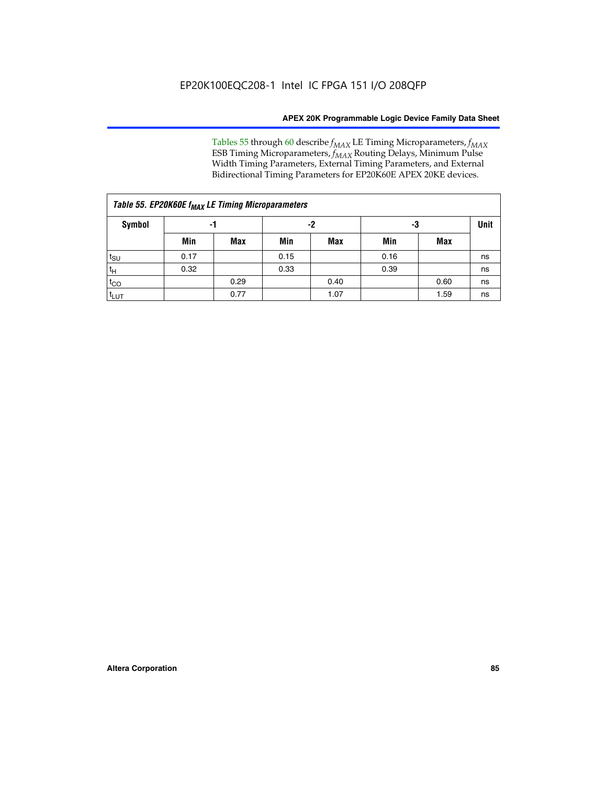Tables 55 through 60 describe *f<sub>MAX</sub>* LE Timing Microparameters, *f<sub>MAX</sub>* ESB Timing Microparameters, *f<sub>MAX</sub>* Routing Delays, Minimum Pulse Width Timing Parameters, External Timing Parameters, and External Bidirectional Timing Parameters for EP20K60E APEX 20KE devices.

| Table 55. EP20K60E f <sub>MAX</sub> LE Timing Microparameters |      |      |      |      |      |      |    |  |  |  |  |
|---------------------------------------------------------------|------|------|------|------|------|------|----|--|--|--|--|
| <b>Symbol</b>                                                 |      | -1   |      | -2   |      | -3   |    |  |  |  |  |
|                                                               | Min  | Max  | Min  | Max  | Min  | Max  |    |  |  |  |  |
| $t_{\text{SU}}$                                               | 0.17 |      | 0.15 |      | 0.16 |      | ns |  |  |  |  |
| $t_H$                                                         | 0.32 |      | 0.33 |      | 0.39 |      | ns |  |  |  |  |
| $t_{CO}$                                                      |      | 0.29 |      | 0.40 |      | 0.60 | ns |  |  |  |  |
| t <sub>lut</sub>                                              |      | 0.77 |      | 1.07 |      | 1.59 | ns |  |  |  |  |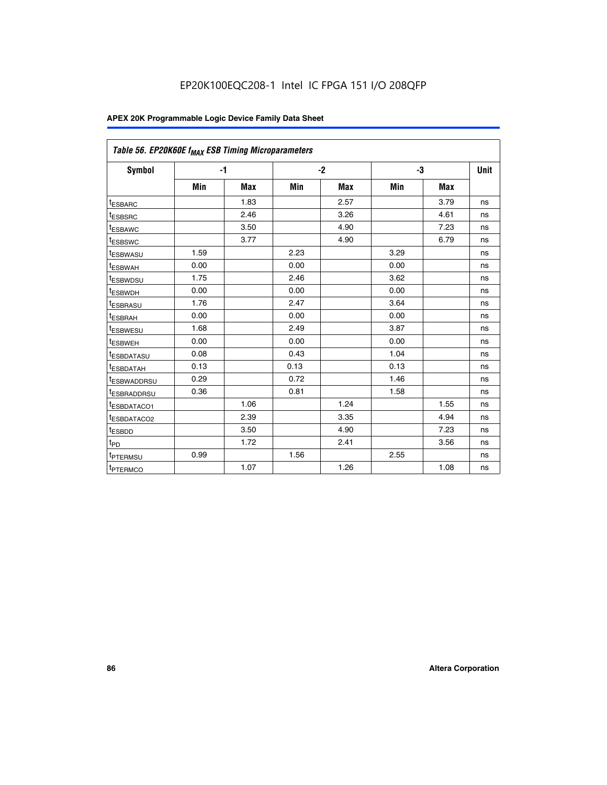| Table 56. EP20K60E f <sub>MAX</sub> ESB Timing Microparameters |      |            |      |            |      |            |             |
|----------------------------------------------------------------|------|------------|------|------------|------|------------|-------------|
| <b>Symbol</b>                                                  | $-1$ |            |      | $-2$       |      | -3         | <b>Unit</b> |
|                                                                | Min  | <b>Max</b> | Min  | <b>Max</b> | Min  | <b>Max</b> |             |
| <sup>t</sup> ESBARC                                            |      | 1.83       |      | 2.57       |      | 3.79       | ns          |
| t <sub>ESBSRC</sub>                                            |      | 2.46       |      | 3.26       |      | 4.61       | ns          |
| <sup>t</sup> ESBAWC                                            |      | 3.50       |      | 4.90       |      | 7.23       | ns          |
| <sup>t</sup> ESBSWC                                            |      | 3.77       |      | 4.90       |      | 6.79       | ns          |
| <sup>t</sup> ESBWASU                                           | 1.59 |            | 2.23 |            | 3.29 |            | ns          |
| <sup>t</sup> ESBWAH                                            | 0.00 |            | 0.00 |            | 0.00 |            | ns          |
| t <sub>ESBWDSU</sub>                                           | 1.75 |            | 2.46 |            | 3.62 |            | ns          |
| <sup>t</sup> ESBWDH                                            | 0.00 |            | 0.00 |            | 0.00 |            | ns          |
| t <sub>ESBRASU</sub>                                           | 1.76 |            | 2.47 |            | 3.64 |            | ns          |
| <sup>t</sup> ESBRAH                                            | 0.00 |            | 0.00 |            | 0.00 |            | ns          |
| t <sub>ESBWESU</sub>                                           | 1.68 |            | 2.49 |            | 3.87 |            | ns          |
| t <sub>ESBWEH</sub>                                            | 0.00 |            | 0.00 |            | 0.00 |            | ns          |
| <sup>t</sup> ESBDATASU                                         | 0.08 |            | 0.43 |            | 1.04 |            | ns          |
| t <sub>ESBDATAH</sub>                                          | 0.13 |            | 0.13 |            | 0.13 |            | ns          |
| <sup>t</sup> ESBWADDRSU                                        | 0.29 |            | 0.72 |            | 1.46 |            | ns          |
| <sup>t</sup> ESBRADDRSU                                        | 0.36 |            | 0.81 |            | 1.58 |            | ns          |
| <sup>I</sup> ESBDATACO1                                        |      | 1.06       |      | 1.24       |      | 1.55       | ns          |
| <sup>t</sup> ESBDATACO2                                        |      | 2.39       |      | 3.35       |      | 4.94       | ns          |
| <sup>t</sup> ESBDD                                             |      | 3.50       |      | 4.90       |      | 7.23       | ns          |
| t <sub>PD</sub>                                                |      | 1.72       |      | 2.41       |      | 3.56       | ns          |
| t <sub>PTERMSU</sub>                                           | 0.99 |            | 1.56 |            | 2.55 |            | ns          |
| t <sub>PTERMCO</sub>                                           |      | 1.07       |      | 1.26       |      | 1.08       | ns          |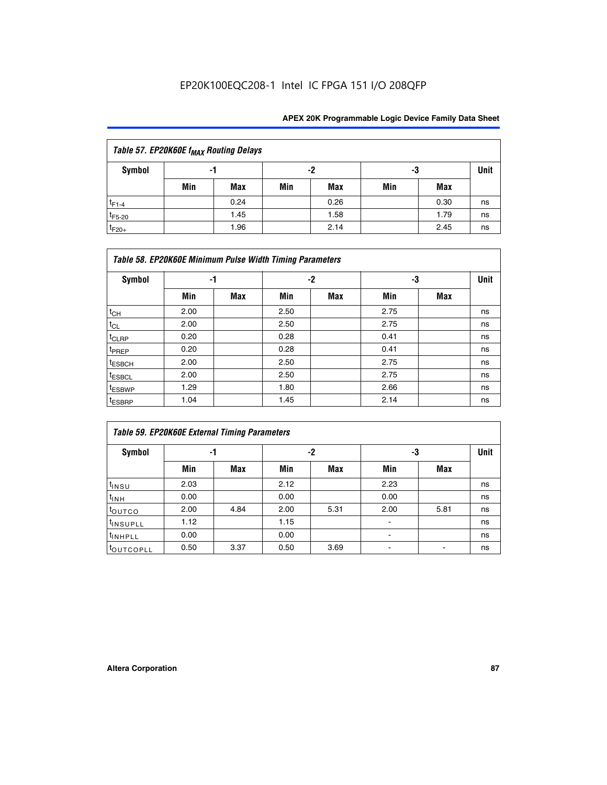| Table 57. EP20K60E f <sub>MAX</sub> Routing Delays |     |      |     |            |     |      |    |  |  |  |
|----------------------------------------------------|-----|------|-----|------------|-----|------|----|--|--|--|
| Symbol                                             |     | -1   | -2  | -3         |     | Unit |    |  |  |  |
|                                                    | Min | Max  | Min | <b>Max</b> | Min | Max  |    |  |  |  |
| $t_{F1-4}$                                         |     | 0.24 |     | 0.26       |     | 0.30 | ns |  |  |  |
| $t_{F5-20}$                                        |     | 1.45 |     | 1.58       |     | 1.79 | ns |  |  |  |
| $t_{F20+}$                                         |     | 1.96 |     | 2.14       |     | 2.45 | ns |  |  |  |

|                    | Table 58. EP20K60E Minimum Pulse Width Timing Parameters |            |      |      |      |     |      |  |  |  |  |  |
|--------------------|----------------------------------------------------------|------------|------|------|------|-----|------|--|--|--|--|--|
| Symbol             | -1                                                       |            |      | $-2$ |      | -3  | Unit |  |  |  |  |  |
|                    | Min                                                      | <b>Max</b> | Min  | Max  | Min  | Max |      |  |  |  |  |  |
| $t_{CH}$           | 2.00                                                     |            | 2.50 |      | 2.75 |     | ns   |  |  |  |  |  |
| $t_{CL}$           | 2.00                                                     |            | 2.50 |      | 2.75 |     | ns   |  |  |  |  |  |
| $t_{CLRP}$         | 0.20                                                     |            | 0.28 |      | 0.41 |     | ns   |  |  |  |  |  |
| t <sub>PREP</sub>  | 0.20                                                     |            | 0.28 |      | 0.41 |     | ns   |  |  |  |  |  |
| t <sub>ESBCH</sub> | 2.00                                                     |            | 2.50 |      | 2.75 |     | ns   |  |  |  |  |  |
| t <sub>ESBCL</sub> | 2.00                                                     |            | 2.50 |      | 2.75 |     | ns   |  |  |  |  |  |
| <sup>t</sup> ESBWP | 1.29                                                     |            | 1.80 |      | 2.66 |     | ns   |  |  |  |  |  |
| <sup>t</sup> ESBRP | 1.04                                                     |            | 1.45 |      | 2.14 |     | ns   |  |  |  |  |  |

| <b>Table 59. EP20K60E External Timing Parameters</b> |      |      |      |      |      |      |    |  |  |  |  |
|------------------------------------------------------|------|------|------|------|------|------|----|--|--|--|--|
| Symbol                                               | -1   |      |      | -2   | -3   | Unit |    |  |  |  |  |
|                                                      | Min  | Max  | Min  | Max  | Min  | Max  |    |  |  |  |  |
| $t_{INSU}$                                           | 2.03 |      | 2.12 |      | 2.23 |      | ns |  |  |  |  |
| $t_{INH}$                                            | 0.00 |      | 0.00 |      | 0.00 |      | ns |  |  |  |  |
| toutco                                               | 2.00 | 4.84 | 2.00 | 5.31 | 2.00 | 5.81 | ns |  |  |  |  |
| <sup>t</sup> INSUPLL                                 | 1.12 |      | 1.15 |      | ۰    |      | ns |  |  |  |  |
| <sup>t</sup> INHPLL                                  | 0.00 |      | 0.00 |      | ۰    |      | ns |  |  |  |  |
| toutcopll                                            | 0.50 | 3.37 | 0.50 | 3.69 |      |      | ns |  |  |  |  |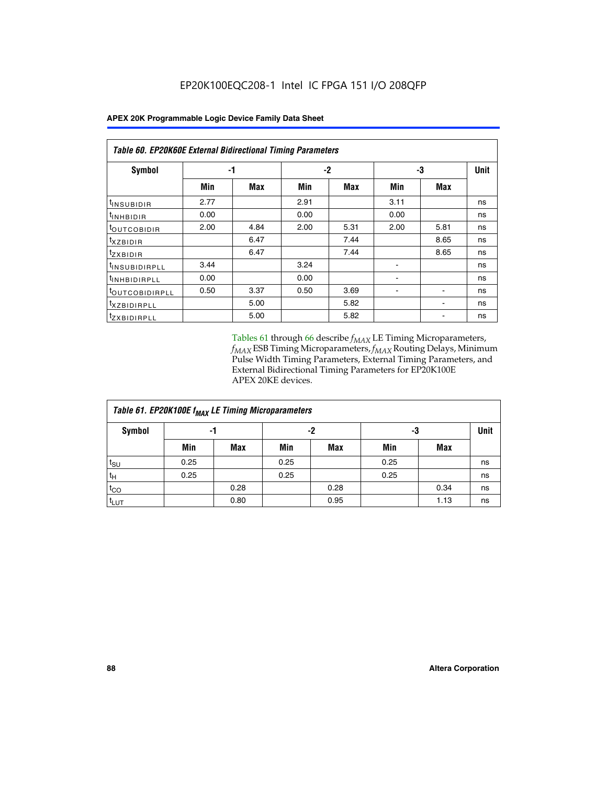| Table 60. EP20K60E External Bidirectional Timing Parameters |      |      |      |      |      |      |      |  |  |  |  |
|-------------------------------------------------------------|------|------|------|------|------|------|------|--|--|--|--|
| Symbol                                                      |      | -1   |      | $-2$ |      | -3   | Unit |  |  |  |  |
|                                                             | Min  | Max  | Min  | Max  | Min  | Max  |      |  |  |  |  |
| t <sub>INSUBIDIR</sub>                                      | 2.77 |      | 2.91 |      | 3.11 |      | ns   |  |  |  |  |
| <sup>t</sup> INHBIDIR                                       | 0.00 |      | 0.00 |      | 0.00 |      | ns   |  |  |  |  |
| <sup>t</sup> OUTCOBIDIR                                     | 2.00 | 4.84 | 2.00 | 5.31 | 2.00 | 5.81 | ns   |  |  |  |  |
| $t_{XZBIDIR}$                                               |      | 6.47 |      | 7.44 |      | 8.65 | ns   |  |  |  |  |
| $t_{ZXBIDIR}$                                               |      | 6.47 |      | 7.44 |      | 8.65 | ns   |  |  |  |  |
| <sup>t</sup> INSUBIDIRPLL                                   | 3.44 |      | 3.24 |      |      |      | ns   |  |  |  |  |
| <sup>t</sup> INHBIDIRPLL                                    | 0.00 |      | 0.00 |      | ۰    |      | ns   |  |  |  |  |
| <sup>t</sup> OUTCOBIDIRPLL                                  | 0.50 | 3.37 | 0.50 | 3.69 |      |      | ns   |  |  |  |  |
| <sup>t</sup> XZBIDIRPLL                                     |      | 5.00 |      | 5.82 |      |      | ns   |  |  |  |  |
| <sup>I</sup> ZXBIDIRPLL                                     |      | 5.00 |      | 5.82 |      |      | ns   |  |  |  |  |

Tables 61 through 66 describe  $f_{MAX}$  LE Timing Microparameters, *fMAX* ESB Timing Microparameters, *fMAX* Routing Delays, Minimum Pulse Width Timing Parameters, External Timing Parameters, and External Bidirectional Timing Parameters for EP20K100E APEX 20KE devices.

| Table 61. EP20K100E f <sub>MAX</sub> LE Timing Microparameters |      |      |      |      |      |      |             |  |  |  |  |
|----------------------------------------------------------------|------|------|------|------|------|------|-------------|--|--|--|--|
| <b>Symbol</b>                                                  |      | -1   | -2   |      |      | -3   | <b>Unit</b> |  |  |  |  |
|                                                                | Min  | Max  | Min  | Max  | Min  | Max  |             |  |  |  |  |
| t <sub>SU</sub>                                                | 0.25 |      | 0.25 |      | 0.25 |      | ns          |  |  |  |  |
| tμ                                                             | 0.25 |      | 0.25 |      | 0.25 |      | ns          |  |  |  |  |
| $t_{CO}$                                                       |      | 0.28 |      | 0.28 |      | 0.34 | ns          |  |  |  |  |
| t <sub>LUT</sub>                                               |      | 0.80 |      | 0.95 |      | 1.13 | ns          |  |  |  |  |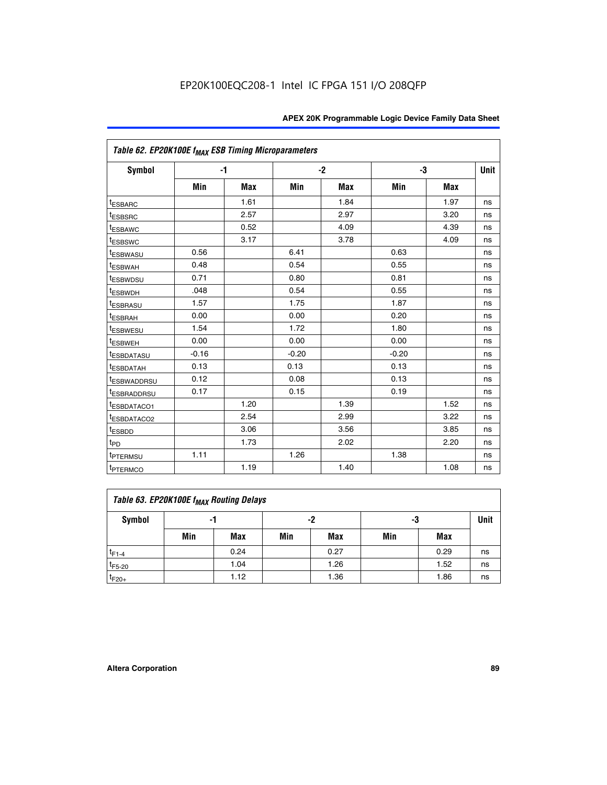| Table 62. EP20K100E f <sub>MAX</sub> ESB Timing Microparameters |         |      |         |            |         |            |             |
|-----------------------------------------------------------------|---------|------|---------|------------|---------|------------|-------------|
| Symbol                                                          | $-1$    |      |         | $-2$       |         | -3         | <b>Unit</b> |
|                                                                 | Min     | Max  | Min     | <b>Max</b> | Min     | <b>Max</b> |             |
| <sup>t</sup> ESBARC                                             |         | 1.61 |         | 1.84       |         | 1.97       | ns          |
| <sup>t</sup> ESBSRC                                             |         | 2.57 |         | 2.97       |         | 3.20       | ns          |
| <sup>t</sup> ESBAWC                                             |         | 0.52 |         | 4.09       |         | 4.39       | ns          |
| <sup>t</sup> ESBSWC                                             |         | 3.17 |         | 3.78       |         | 4.09       | ns          |
| <sup>t</sup> ESBWASU                                            | 0.56    |      | 6.41    |            | 0.63    |            | ns          |
| t <sub>ESBWAH</sub>                                             | 0.48    |      | 0.54    |            | 0.55    |            | ns          |
| <sup>t</sup> ESBWDSU                                            | 0.71    |      | 0.80    |            | 0.81    |            | ns          |
| <sup>t</sup> ESBWDH                                             | .048    |      | 0.54    |            | 0.55    |            | ns          |
| <sup>t</sup> ESBRASU                                            | 1.57    |      | 1.75    |            | 1.87    |            | ns          |
| <sup>t</sup> ESBRAH                                             | 0.00    |      | 0.00    |            | 0.20    |            | ns          |
| <sup>t</sup> ESBWESU                                            | 1.54    |      | 1.72    |            | 1.80    |            | ns          |
| <sup>I</sup> ESBWEH                                             | 0.00    |      | 0.00    |            | 0.00    |            | ns          |
| <sup>t</sup> ESBDATASU                                          | $-0.16$ |      | $-0.20$ |            | $-0.20$ |            | ns          |
| <sup>t</sup> ESBDATAH                                           | 0.13    |      | 0.13    |            | 0.13    |            | ns          |
| <sup>t</sup> ESBWADDRSU                                         | 0.12    |      | 0.08    |            | 0.13    |            | ns          |
| <sup>I</sup> ESBRADDRSU                                         | 0.17    |      | 0.15    |            | 0.19    |            | ns          |
| <sup>I</sup> ESBDATACO1                                         |         | 1.20 |         | 1.39       |         | 1.52       | ns          |
| <sup>t</sup> ESBDATACO2                                         |         | 2.54 |         | 2.99       |         | 3.22       | ns          |
| <sup>t</sup> ESBDD                                              |         | 3.06 |         | 3.56       |         | 3.85       | ns          |
| t <sub>PD</sub>                                                 |         | 1.73 |         | 2.02       |         | 2.20       | ns          |
| <sup>I</sup> PTERMSU                                            | 1.11    |      | 1.26    |            | 1.38    |            | ns          |
| t <sub>PTERMCO</sub>                                            |         | 1.19 |         | 1.40       |         | 1.08       | ns          |

| Table 63. EP20K100E f <sub>MAX</sub> Routing Delays |                |      |     |      |     |      |    |  |  |  |
|-----------------------------------------------------|----------------|------|-----|------|-----|------|----|--|--|--|
| Symbol                                              | -2<br>-3<br>-1 |      |     |      |     |      |    |  |  |  |
|                                                     | Min            | Max  | Min | Max  | Min | Max  |    |  |  |  |
| $t_{F1-4}$                                          |                | 0.24 |     | 0.27 |     | 0.29 | ns |  |  |  |
| $t_{F5-20}$                                         |                | 1.04 |     | 1.26 |     | 1.52 | ns |  |  |  |
| $t_{F20+}$                                          |                | 1.12 |     | 1.36 |     | 1.86 | ns |  |  |  |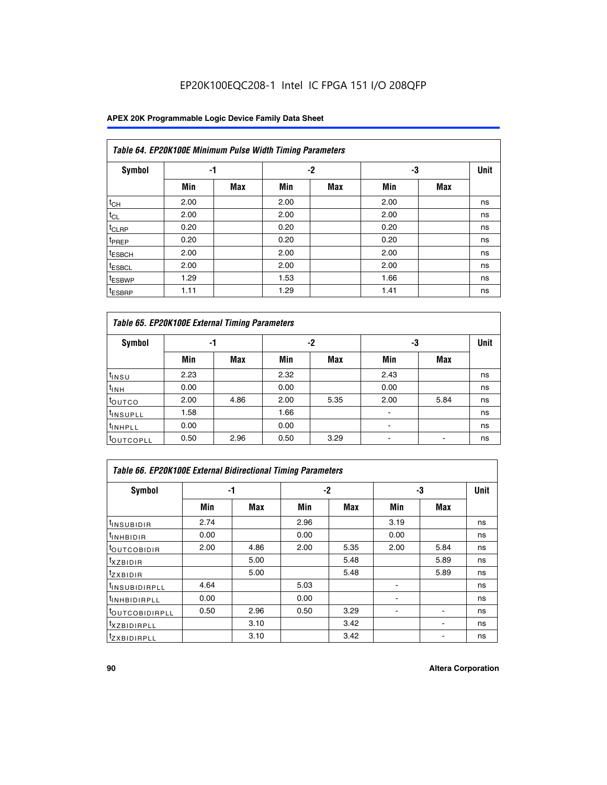## EP20K100EQC208-1 Intel IC FPGA 151 I/O 208QFP

## **APEX 20K Programmable Logic Device Family Data Sheet**

|                    | Table 64. EP20K100E Minimum Pulse Width Timing Parameters |            |      |            |      |            |             |  |  |  |  |  |
|--------------------|-----------------------------------------------------------|------------|------|------------|------|------------|-------------|--|--|--|--|--|
| <b>Symbol</b>      | -1                                                        |            |      | $-2$       | -3   |            | <b>Unit</b> |  |  |  |  |  |
|                    | Min                                                       | <b>Max</b> | Min  | <b>Max</b> | Min  | <b>Max</b> |             |  |  |  |  |  |
| $t_{CH}$           | 2.00                                                      |            | 2.00 |            | 2.00 |            | ns          |  |  |  |  |  |
| $t_{CL}$           | 2.00                                                      |            | 2.00 |            | 2.00 |            | ns          |  |  |  |  |  |
| t <sub>CLRP</sub>  | 0.20                                                      |            | 0.20 |            | 0.20 |            | ns          |  |  |  |  |  |
| t <sub>PREP</sub>  | 0.20                                                      |            | 0.20 |            | 0.20 |            | ns          |  |  |  |  |  |
| <sup>t</sup> ESBCH | 2.00                                                      |            | 2.00 |            | 2.00 |            | ns          |  |  |  |  |  |
| <sup>t</sup> ESBCL | 2.00                                                      |            | 2.00 |            | 2.00 |            | ns          |  |  |  |  |  |
| <sup>t</sup> ESBWP | 1.29                                                      |            | 1.53 |            | 1.66 |            | ns          |  |  |  |  |  |
| <sup>t</sup> ESBRP | 1.11                                                      |            | 1.29 |            | 1.41 |            | ns          |  |  |  |  |  |

|                      | Table 65. EP20K100E External Timing Parameters |            |      |            |                |            |    |  |  |  |  |  |
|----------------------|------------------------------------------------|------------|------|------------|----------------|------------|----|--|--|--|--|--|
| <b>Symbol</b>        | -1                                             |            |      | -2         |                | -3         |    |  |  |  |  |  |
|                      | Min                                            | <b>Max</b> | Min  | <b>Max</b> | Min            | <b>Max</b> |    |  |  |  |  |  |
| $t_{INSU}$           | 2.23                                           |            | 2.32 |            | 2.43           |            | ns |  |  |  |  |  |
| $t_{\rm INH}$        | 0.00                                           |            | 0.00 |            | 0.00           |            | ns |  |  |  |  |  |
| toutco               | 2.00                                           | 4.86       | 2.00 | 5.35       | 2.00           | 5.84       | ns |  |  |  |  |  |
| <sup>t</sup> INSUPLL | 1.58                                           |            | 1.66 |            |                |            | ns |  |  |  |  |  |
| <sup>t</sup> INHPLL  | 0.00                                           |            | 0.00 |            | $\blacksquare$ |            | ns |  |  |  |  |  |
| <b>LOUTCOPLL</b>     | 0.50                                           | 2.96       | 0.50 | 3.29       | -              |            | ns |  |  |  |  |  |

|                              | <b>Table 66. EP20K100E External Bidirectional Timing Parameters</b> |      |      |      |                |      |      |  |  |  |  |
|------------------------------|---------------------------------------------------------------------|------|------|------|----------------|------|------|--|--|--|--|
| Symbol                       |                                                                     | -1   |      | $-2$ |                | -3   | Unit |  |  |  |  |
|                              | Min                                                                 | Max  | Min  | Max  | Min            | Max  |      |  |  |  |  |
| <sup>t</sup> INSUBIDIR       | 2.74                                                                |      | 2.96 |      | 3.19           |      | ns   |  |  |  |  |
| <b>TINHBIDIR</b>             | 0.00                                                                |      | 0.00 |      | 0.00           |      | ns   |  |  |  |  |
| <b>LOUTCOBIDIR</b>           | 2.00                                                                | 4.86 | 2.00 | 5.35 | 2.00           | 5.84 | ns   |  |  |  |  |
| <sup>T</sup> XZBIDIR         |                                                                     | 5.00 |      | 5.48 |                | 5.89 | ns   |  |  |  |  |
| <sup>T</sup> ZXBIDIR         |                                                                     | 5.00 |      | 5.48 |                | 5.89 | ns   |  |  |  |  |
| <sup>t</sup> INSUBIDIRPLL    | 4.64                                                                |      | 5.03 |      |                |      | ns   |  |  |  |  |
| <sup>I</sup> INHBIDIRPLL     | 0.00                                                                |      | 0.00 |      | $\blacksquare$ |      | ns   |  |  |  |  |
| <b><i>LOUTCOBIDIRPLL</i></b> | 0.50                                                                | 2.96 | 0.50 | 3.29 |                |      | ns   |  |  |  |  |
| <sup>T</sup> XZBIDIRPLL      |                                                                     | 3.10 |      | 3.42 |                |      | ns   |  |  |  |  |
| <sup>I</sup> ZXBIDIRPLL      |                                                                     | 3.10 |      | 3.42 |                |      | ns   |  |  |  |  |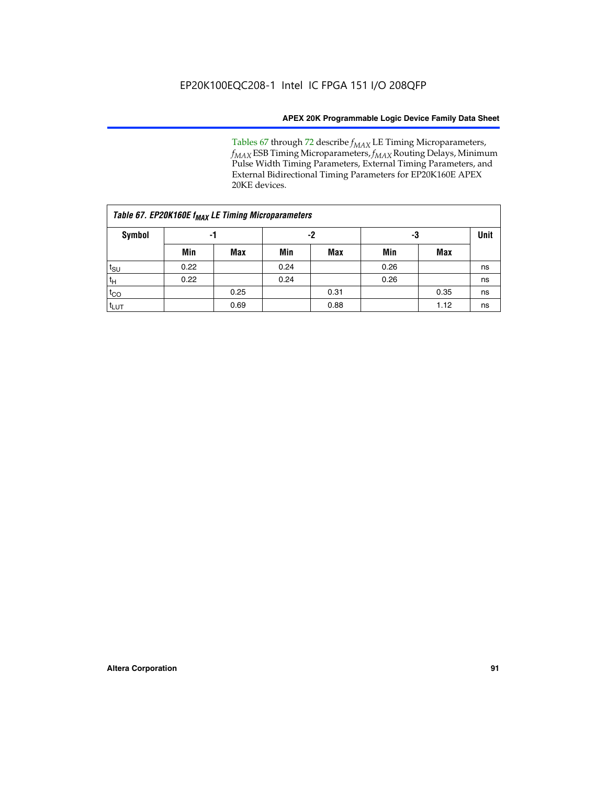Tables 67 through 72 describe *f<sub>MAX</sub>* LE Timing Microparameters, *f<sub>MAX</sub>* ESB Timing Microparameters, *f<sub>MAX</sub>* Routing Delays, Minimum Pulse Width Timing Parameters, External Timing Parameters, and External Bidirectional Timing Parameters for EP20K160E APEX 20KE devices.

|                  | Table 67. EP20K160E f <sub>MAX</sub> LE Timing Microparameters |            |      |            |      |      |    |  |  |  |  |  |
|------------------|----------------------------------------------------------------|------------|------|------------|------|------|----|--|--|--|--|--|
| Symbol           | -1                                                             |            |      | -2         |      | -3   |    |  |  |  |  |  |
|                  | Min                                                            | <b>Max</b> | Min  | <b>Max</b> | Min  | Max  |    |  |  |  |  |  |
| $t_{\text{SU}}$  | 0.22                                                           |            | 0.24 |            | 0.26 |      | ns |  |  |  |  |  |
| $t_H$            | 0.22                                                           |            | 0.24 |            | 0.26 |      | ns |  |  |  |  |  |
| $t_{CO}$         |                                                                | 0.25       |      | 0.31       |      | 0.35 | ns |  |  |  |  |  |
| t <sub>lut</sub> |                                                                | 0.69       |      | 0.88       |      | 1.12 | ns |  |  |  |  |  |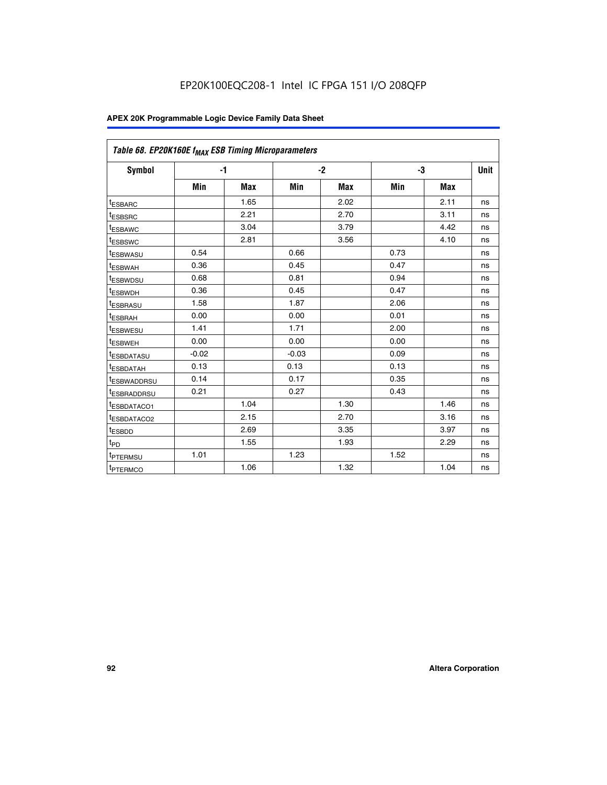| Table 68. EP20K160E f <sub>MAX</sub> ESB Timing Microparameters |         |            |         |            |      |      |      |
|-----------------------------------------------------------------|---------|------------|---------|------------|------|------|------|
| <b>Symbol</b>                                                   |         | $-1$       |         | $-2$       |      | -3   | Unit |
|                                                                 | Min     | <b>Max</b> | Min     | <b>Max</b> | Min  | Max  |      |
| <sup>t</sup> ESBARC                                             |         | 1.65       |         | 2.02       |      | 2.11 | ns   |
| t <sub>ESBSRC</sub>                                             |         | 2.21       |         | 2.70       |      | 3.11 | ns   |
| <sup>t</sup> ESBAWC                                             |         | 3.04       |         | 3.79       |      | 4.42 | ns   |
| t <sub>ESBSWC</sub>                                             |         | 2.81       |         | 3.56       |      | 4.10 | ns   |
| <sup>t</sup> ESBWASU                                            | 0.54    |            | 0.66    |            | 0.73 |      | ns   |
| <sup>t</sup> ESBWAH                                             | 0.36    |            | 0.45    |            | 0.47 |      | ns   |
| t <sub>ESBWDSU</sub>                                            | 0.68    |            | 0.81    |            | 0.94 |      | ns   |
| <sup>t</sup> ESBWDH                                             | 0.36    |            | 0.45    |            | 0.47 |      | ns   |
| t <sub>ESBRASU</sub>                                            | 1.58    |            | 1.87    |            | 2.06 |      | ns   |
| <sup>t</sup> ESBRAH                                             | 0.00    |            | 0.00    |            | 0.01 |      | ns   |
| <sup>t</sup> ESBWESU                                            | 1.41    |            | 1.71    |            | 2.00 |      | ns   |
| t <sub>ESBWEH</sub>                                             | 0.00    |            | 0.00    |            | 0.00 |      | ns   |
| t <sub>ESBDATASU</sub>                                          | $-0.02$ |            | $-0.03$ |            | 0.09 |      | ns   |
| t <sub>ESBDATAH</sub>                                           | 0.13    |            | 0.13    |            | 0.13 |      | ns   |
| t <sub>ESBWADDRSU</sub>                                         | 0.14    |            | 0.17    |            | 0.35 |      | ns   |
| <sup>t</sup> ESBRADDRSU                                         | 0.21    |            | 0.27    |            | 0.43 |      | ns   |
| <sup>I</sup> ESBDATACO1                                         |         | 1.04       |         | 1.30       |      | 1.46 | ns   |
| t <sub>ESBDATACO2</sub>                                         |         | 2.15       |         | 2.70       |      | 3.16 | ns   |
| <sup>t</sup> ESBDD                                              |         | 2.69       |         | 3.35       |      | 3.97 | ns   |
| $t_{\mathsf{PD}}$                                               |         | 1.55       |         | 1.93       |      | 2.29 | ns   |
| t <sub>PTERMSU</sub>                                            | 1.01    |            | 1.23    |            | 1.52 |      | ns   |
| t <sub>PTERMCO</sub>                                            |         | 1.06       |         | 1.32       |      | 1.04 | ns   |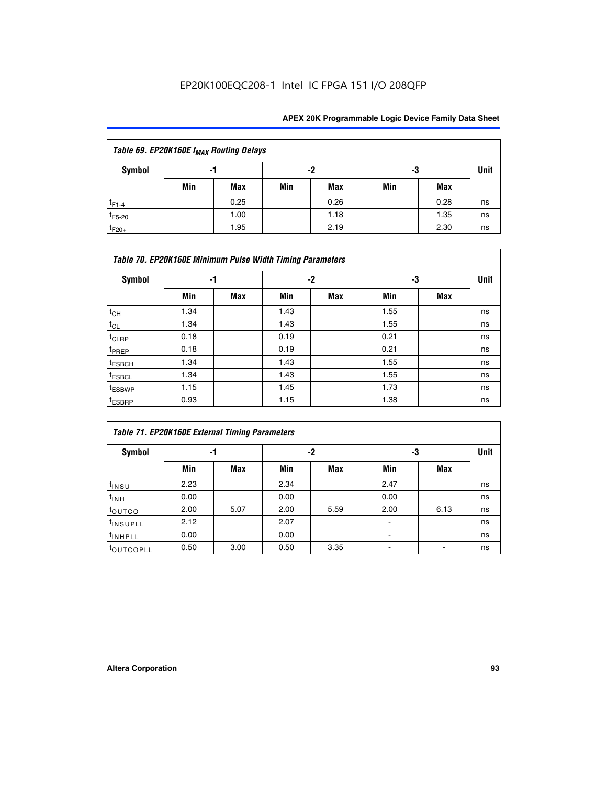|             | Table 69. EP20K160E f <sub>MAX</sub> Routing Delays |      |     |      |     |      |             |  |  |  |  |  |
|-------------|-----------------------------------------------------|------|-----|------|-----|------|-------------|--|--|--|--|--|
| Symbol      |                                                     | -1   |     | -2   | -3  |      | <b>Unit</b> |  |  |  |  |  |
|             | Min                                                 | Max  | Min | Max  | Min | Max  |             |  |  |  |  |  |
| $t_{F1-4}$  |                                                     | 0.25 |     | 0.26 |     | 0.28 | ns          |  |  |  |  |  |
| $t_{F5-20}$ |                                                     | 1.00 |     | 1.18 |     | 1.35 | ns          |  |  |  |  |  |
| $t_{F20+}$  |                                                     | 1.95 |     | 2.19 |     | 2.30 | ns          |  |  |  |  |  |

|                    | Table 70. EP20K160E Minimum Pulse Width Timing Parameters |     |      |     |      |     |             |  |  |  |  |  |
|--------------------|-----------------------------------------------------------|-----|------|-----|------|-----|-------------|--|--|--|--|--|
| <b>Symbol</b>      | -1                                                        |     |      | -2  |      | -3  | <b>Unit</b> |  |  |  |  |  |
|                    | Min                                                       | Max | Min  | Max | Min  | Max |             |  |  |  |  |  |
| $t_{CH}$           | 1.34                                                      |     | 1.43 |     | 1.55 |     | ns          |  |  |  |  |  |
| $t_{CL}$           | 1.34                                                      |     | 1.43 |     | 1.55 |     | ns          |  |  |  |  |  |
| t <sub>CLRP</sub>  | 0.18                                                      |     | 0.19 |     | 0.21 |     | ns          |  |  |  |  |  |
| t <sub>PREP</sub>  | 0.18                                                      |     | 0.19 |     | 0.21 |     | ns          |  |  |  |  |  |
| <sup>t</sup> ESBCH | 1.34                                                      |     | 1.43 |     | 1.55 |     | ns          |  |  |  |  |  |
| <sup>t</sup> ESBCL | 1.34                                                      |     | 1.43 |     | 1.55 |     | ns          |  |  |  |  |  |
| <sup>t</sup> ESBWP | 1.15                                                      |     | 1.45 |     | 1.73 |     | ns          |  |  |  |  |  |
| <sup>t</sup> ESBRP | 0.93                                                      |     | 1.15 |     | 1.38 |     | ns          |  |  |  |  |  |

|                      | Table 71. EP20K160E External Timing Parameters |      |      |      |                |      |    |  |  |  |  |  |
|----------------------|------------------------------------------------|------|------|------|----------------|------|----|--|--|--|--|--|
| Symbol               | -1                                             |      |      | -2   | -3             | Unit |    |  |  |  |  |  |
|                      | Min                                            | Max  | Min  | Max  | Min            | Max  |    |  |  |  |  |  |
| $t_{INSU}$           | 2.23                                           |      | 2.34 |      | 2.47           |      | ns |  |  |  |  |  |
| $t_{INH}$            | 0.00                                           |      | 0.00 |      | 0.00           |      | ns |  |  |  |  |  |
| toutco               | 2.00                                           | 5.07 | 2.00 | 5.59 | 2.00           | 6.13 | ns |  |  |  |  |  |
| <sup>t</sup> INSUPLL | 2.12                                           |      | 2.07 |      | $\blacksquare$ |      | ns |  |  |  |  |  |
| <sup>t</sup> INHPLL  | 0.00                                           |      | 0.00 |      | ۰              |      | ns |  |  |  |  |  |
| toutcopll            | 0.50                                           | 3.00 | 0.50 | 3.35 |                |      | ns |  |  |  |  |  |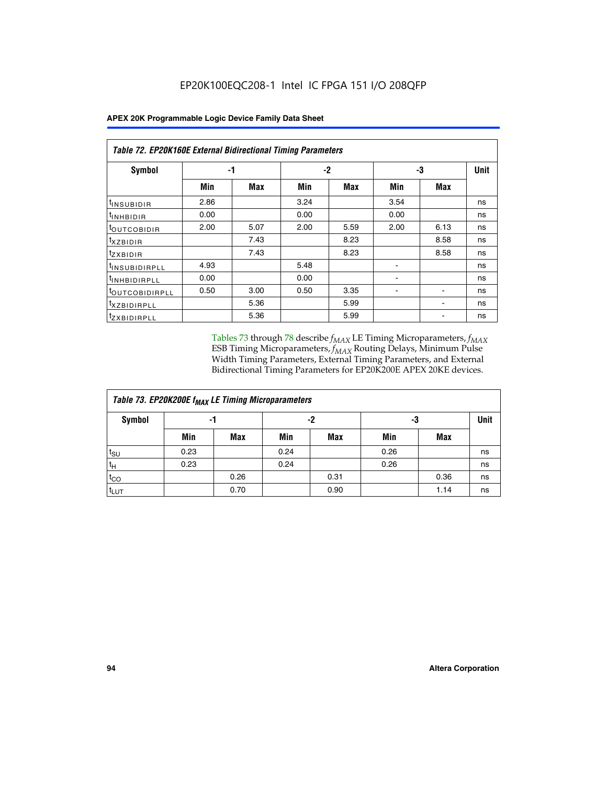|                               | <b>Table 72. EP20K160E External Bidirectional Timing Parameters</b> |      |      |      |                |      |      |  |  |  |  |
|-------------------------------|---------------------------------------------------------------------|------|------|------|----------------|------|------|--|--|--|--|
| Symbol                        |                                                                     | -1   |      | -2   |                | -3   | Unit |  |  |  |  |
|                               | Min                                                                 | Max  | Min  | Max  | Min            | Max  |      |  |  |  |  |
| t <sub>insu<u>bidir</u></sub> | 2.86                                                                |      | 3.24 |      | 3.54           |      | ns   |  |  |  |  |
| <b>UNHBIDIR</b>               | 0.00                                                                |      | 0.00 |      | 0.00           |      | ns   |  |  |  |  |
| <b>LOUTCOBIDIR</b>            | 2.00                                                                | 5.07 | 2.00 | 5.59 | 2.00           | 6.13 | ns   |  |  |  |  |
| KZBIDIR                       |                                                                     | 7.43 |      | 8.23 |                | 8.58 | ns   |  |  |  |  |
| <sup>t</sup> zxbidir          |                                                                     | 7.43 |      | 8.23 |                | 8.58 | ns   |  |  |  |  |
| <sup>t</sup> INSUBIDIRPLL     | 4.93                                                                |      | 5.48 |      | ٠              |      | ns   |  |  |  |  |
| <b>INHBIDIRPLL</b>            | 0.00                                                                |      | 0.00 |      | $\blacksquare$ |      | ns   |  |  |  |  |
| <b><i>LOUTCOBIDIRPLL</i></b>  | 0.50                                                                | 3.00 | 0.50 | 3.35 |                |      | ns   |  |  |  |  |
| <sup>T</sup> XZBIDIRPLL       |                                                                     | 5.36 |      | 5.99 |                |      | ns   |  |  |  |  |
| <sup>t</sup> ZXBIDIRPLL       |                                                                     | 5.36 |      | 5.99 |                |      | ns   |  |  |  |  |

Tables 73 through 78 describe  $f_{MAX}$  LE Timing Microparameters,  $f_{MAX}$ ESB Timing Microparameters, *f<sub>MAX</sub>* Routing Delays, Minimum Pulse Width Timing Parameters, External Timing Parameters, and External Bidirectional Timing Parameters for EP20K200E APEX 20KE devices.

|                  | Table 73. EP20K200E f <sub>MAX</sub> LE Timing Microparameters |      |      |            |      |      |             |  |  |  |  |  |
|------------------|----------------------------------------------------------------|------|------|------------|------|------|-------------|--|--|--|--|--|
| <b>Symbol</b>    | -1                                                             |      | -2   |            | -3   |      | <b>Unit</b> |  |  |  |  |  |
|                  | Min                                                            | Max  | Min  | <b>Max</b> | Min  | Max  |             |  |  |  |  |  |
| $t_{\text{SU}}$  | 0.23                                                           |      | 0.24 |            | 0.26 |      | ns          |  |  |  |  |  |
| $t_H$            | 0.23                                                           |      | 0.24 |            | 0.26 |      | ns          |  |  |  |  |  |
| $t_{CO}$         |                                                                | 0.26 |      | 0.31       |      | 0.36 | ns          |  |  |  |  |  |
| <sup>t</sup> LUT |                                                                | 0.70 |      | 0.90       |      | 1.14 | ns          |  |  |  |  |  |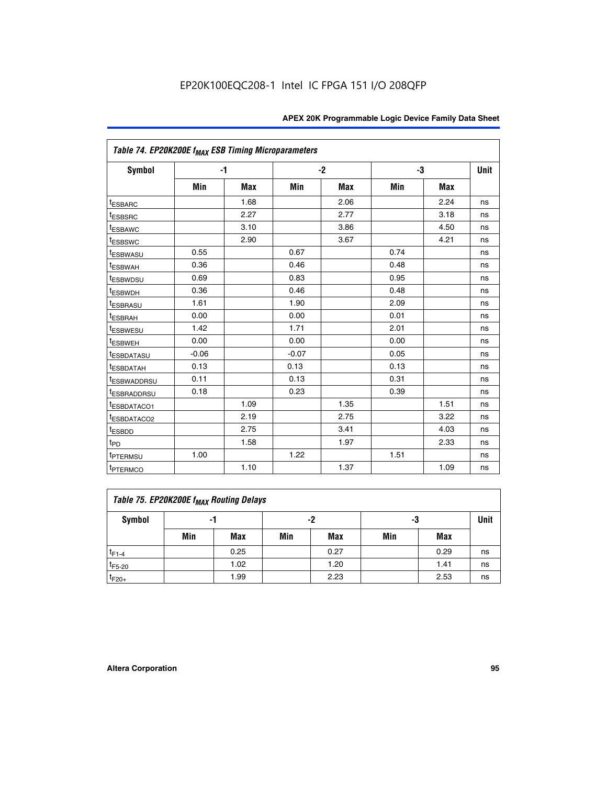|                                     | Table 74. EP20K200E f <sub>MAX</sub> ESB Timing Microparameters |            |         |      |      |      |             |  |  |  |  |
|-------------------------------------|-----------------------------------------------------------------|------------|---------|------|------|------|-------------|--|--|--|--|
| Symbol                              |                                                                 | $-1$       |         | $-2$ | -3   |      | <b>Unit</b> |  |  |  |  |
|                                     | Min                                                             | <b>Max</b> | Min     | Max  | Min  | Max  |             |  |  |  |  |
| <sup>t</sup> ESBARC                 |                                                                 | 1.68       |         | 2.06 |      | 2.24 | ns          |  |  |  |  |
| <sup>t</sup> ESBSRC                 |                                                                 | 2.27       |         | 2.77 |      | 3.18 | ns          |  |  |  |  |
| t <sub>ESBAWC</sub>                 |                                                                 | 3.10       |         | 3.86 |      | 4.50 | ns          |  |  |  |  |
| <sup>t</sup> ESBSWC                 |                                                                 | 2.90       |         | 3.67 |      | 4.21 | ns          |  |  |  |  |
| t <sub>ESBWASU</sub>                | 0.55                                                            |            | 0.67    |      | 0.74 |      | ns          |  |  |  |  |
| <sup>t</sup> ESBWAH                 | 0.36                                                            |            | 0.46    |      | 0.48 |      | ns          |  |  |  |  |
| <sup>t</sup> ESBWDSU                | 0.69                                                            |            | 0.83    |      | 0.95 |      | ns          |  |  |  |  |
| <sup>t</sup> ESBWDH                 | 0.36                                                            |            | 0.46    |      | 0.48 |      | ns          |  |  |  |  |
| <sup>t</sup> ESBRASU                | 1.61                                                            |            | 1.90    |      | 2.09 |      | ns          |  |  |  |  |
| t <sub>ESBRAH</sub>                 | 0.00                                                            |            | 0.00    |      | 0.01 |      | ns          |  |  |  |  |
| t <sub>ESBWESU</sub>                | 1.42                                                            |            | 1.71    |      | 2.01 |      | ns          |  |  |  |  |
| <sup>I</sup> ESBWEH                 | 0.00                                                            |            | 0.00    |      | 0.00 |      | ns          |  |  |  |  |
| t <sub>ESBDATASU</sub>              | $-0.06$                                                         |            | $-0.07$ |      | 0.05 |      | ns          |  |  |  |  |
| <b>ESBDATAH</b>                     | 0.13                                                            |            | 0.13    |      | 0.13 |      | ns          |  |  |  |  |
| t <sub>ESBWADDRSU</sub>             | 0.11                                                            |            | 0.13    |      | 0.31 |      | ns          |  |  |  |  |
| <sup>t</sup> ESBRADDRSU             | 0.18                                                            |            | 0.23    |      | 0.39 |      | ns          |  |  |  |  |
| ESBDATACO1                          |                                                                 | 1.09       |         | 1.35 |      | 1.51 | ns          |  |  |  |  |
| <sup>t</sup> ESBDATACO <sub>2</sub> |                                                                 | 2.19       |         | 2.75 |      | 3.22 | ns          |  |  |  |  |
| t <sub>ESBDD</sub>                  |                                                                 | 2.75       |         | 3.41 |      | 4.03 | ns          |  |  |  |  |
| $t_{PD}$                            |                                                                 | 1.58       |         | 1.97 |      | 2.33 | ns          |  |  |  |  |
| <sup>t</sup> PTERMSU                | 1.00                                                            |            | 1.22    |      | 1.51 |      | ns          |  |  |  |  |
| t <sub>PTERMCO</sub>                |                                                                 | 1.10       |         | 1.37 |      | 1.09 | ns          |  |  |  |  |

| Table 75. EP20K200E f <sub>MAX</sub> Routing Delays |     |      |     |            |     |      |             |  |  |  |
|-----------------------------------------------------|-----|------|-----|------------|-----|------|-------------|--|--|--|
| Symbol                                              |     | -1   |     | -2         | -3  |      | <b>Unit</b> |  |  |  |
|                                                     | Min | Max  | Min | <b>Max</b> | Min | Max  |             |  |  |  |
| $t_{F1-4}$                                          |     | 0.25 |     | 0.27       |     | 0.29 | ns          |  |  |  |
| $t_{F5-20}$                                         |     | 1.02 |     | 1.20       |     | 1.41 | ns          |  |  |  |
| $t_{F20+}$                                          |     | 1.99 |     | 2.23       |     | 2.53 | ns          |  |  |  |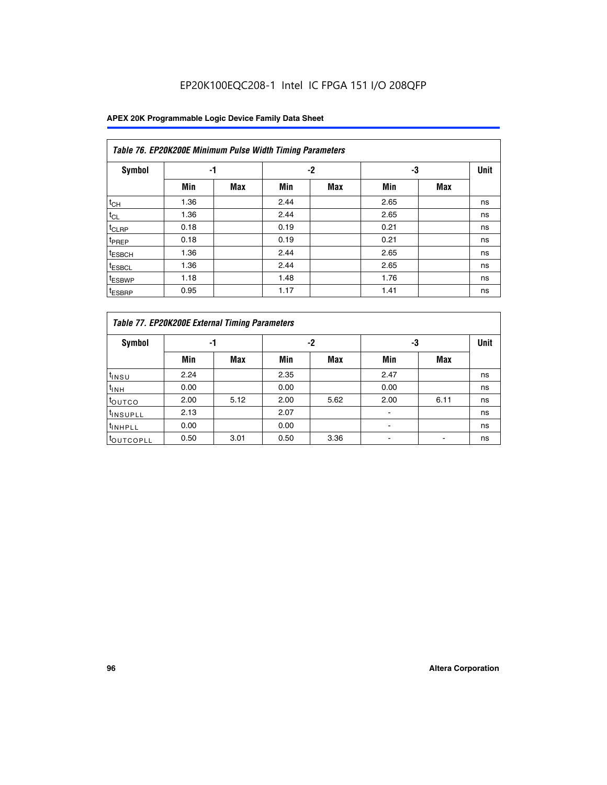## EP20K100EQC208-1 Intel IC FPGA 151 I/O 208QFP

|                    | Table 76. EP20K200E Minimum Pulse Width Timing Parameters |            |      |            |      |            |             |  |  |  |  |  |
|--------------------|-----------------------------------------------------------|------------|------|------------|------|------------|-------------|--|--|--|--|--|
| <b>Symbol</b>      | -1                                                        |            |      | $-2$       | -3   |            | <b>Unit</b> |  |  |  |  |  |
|                    | Min                                                       | <b>Max</b> | Min  | <b>Max</b> | Min  | <b>Max</b> |             |  |  |  |  |  |
| $t_{CH}$           | 1.36                                                      |            | 2.44 |            | 2.65 |            | ns          |  |  |  |  |  |
| $t_{CL}$           | 1.36                                                      |            | 2.44 |            | 2.65 |            | ns          |  |  |  |  |  |
| $t_{CLRP}$         | 0.18                                                      |            | 0.19 |            | 0.21 |            | ns          |  |  |  |  |  |
| t <sub>PREP</sub>  | 0.18                                                      |            | 0.19 |            | 0.21 |            | ns          |  |  |  |  |  |
| <sup>t</sup> ESBCH | 1.36                                                      |            | 2.44 |            | 2.65 |            | ns          |  |  |  |  |  |
| <sup>t</sup> ESBCL | 1.36                                                      |            | 2.44 |            | 2.65 |            | ns          |  |  |  |  |  |
| t <sub>ESBWP</sub> | 1.18                                                      |            | 1.48 |            | 1.76 |            | ns          |  |  |  |  |  |
| <sup>t</sup> ESBRP | 0.95                                                      |            | 1.17 |            | 1.41 |            | ns          |  |  |  |  |  |

|                       | Table 77. EP20K200E External Timing Parameters |            |      |            |      |      |             |  |  |  |  |  |
|-----------------------|------------------------------------------------|------------|------|------------|------|------|-------------|--|--|--|--|--|
| Symbol                |                                                | -1         |      | -2         |      | -3   | <b>Unit</b> |  |  |  |  |  |
|                       | Min                                            | <b>Max</b> | Min  | <b>Max</b> | Min  | Max  |             |  |  |  |  |  |
| t <sub>INSU</sub>     | 2.24                                           |            | 2.35 |            | 2.47 |      | ns          |  |  |  |  |  |
| $t_{\text{INH}}$      | 0.00                                           |            | 0.00 |            | 0.00 |      | ns          |  |  |  |  |  |
| toutco                | 2.00                                           | 5.12       | 2.00 | 5.62       | 2.00 | 6.11 | ns          |  |  |  |  |  |
| <sup>t</sup> INSUPLL  | 2.13                                           |            | 2.07 |            |      |      | ns          |  |  |  |  |  |
| <sup>t</sup> INHPLL   | 0.00                                           |            | 0.00 |            | -    |      | ns          |  |  |  |  |  |
| <sup>I</sup> OUTCOPLL | 0.50                                           | 3.01       | 0.50 | 3.36       |      |      | ns          |  |  |  |  |  |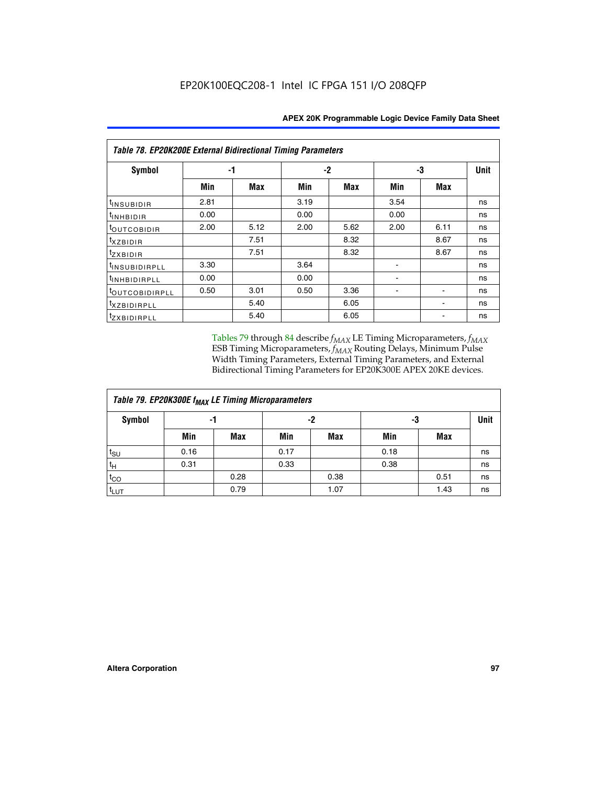| <b>Table 78. EP20K200E External Bidirectional Timing Parameters</b> |      |      |      |      |      |             |    |  |  |  |  |
|---------------------------------------------------------------------|------|------|------|------|------|-------------|----|--|--|--|--|
| Symbol                                                              |      | -1   | $-2$ |      | -3   | <b>Unit</b> |    |  |  |  |  |
|                                                                     | Min  | Max  | Min  | Max  | Min  | Max         |    |  |  |  |  |
| t <sub>INSUBIDIR</sub>                                              | 2.81 |      | 3.19 |      | 3.54 |             | ns |  |  |  |  |
| t <sub>INHBIDIR</sub>                                               | 0.00 |      | 0.00 |      | 0.00 |             | ns |  |  |  |  |
| t <sub>OUTCOBIDIR</sub>                                             | 2.00 | 5.12 | 2.00 | 5.62 | 2.00 | 6.11        | ns |  |  |  |  |
| <i>txzbidir</i>                                                     |      | 7.51 |      | 8.32 |      | 8.67        | ns |  |  |  |  |
| tzxbidir                                                            |      | 7.51 |      | 8.32 |      | 8.67        | ns |  |  |  |  |
| <sup>t</sup> INSUBIDIRPLL                                           | 3.30 |      | 3.64 |      |      |             | ns |  |  |  |  |
| t <sub>INHBIDIRPLL</sub>                                            | 0.00 |      | 0.00 |      |      |             | ns |  |  |  |  |
| toutco <u>bidirpll</u>                                              | 0.50 | 3.01 | 0.50 | 3.36 |      |             | ns |  |  |  |  |
| <i>txzBIDIRPLL</i>                                                  |      | 5.40 |      | 6.05 |      |             | ns |  |  |  |  |
| tzxbidirpll                                                         |      | 5.40 |      | 6.05 |      |             | ns |  |  |  |  |

Tables 79 through 84 describe  $f_{MAX}$  LE Timing Microparameters,  $f_{MAX}$ ESB Timing Microparameters, *f<sub>MAX</sub>* Routing Delays, Minimum Pulse Width Timing Parameters, External Timing Parameters, and External Bidirectional Timing Parameters for EP20K300E APEX 20KE devices.

| Table 79. EP20K300E f <sub>MAX</sub> LE Timing Microparameters |      |            |      |      |      |      |    |  |  |  |  |
|----------------------------------------------------------------|------|------------|------|------|------|------|----|--|--|--|--|
| <b>Symbol</b>                                                  |      | -1         |      | -2   |      | -3   |    |  |  |  |  |
|                                                                | Min  | <b>Max</b> | Min  | Max  | Min  | Max  |    |  |  |  |  |
| $t_{\text{SU}}$                                                | 0.16 |            | 0.17 |      | 0.18 |      | ns |  |  |  |  |
| $t_H$                                                          | 0.31 |            | 0.33 |      | 0.38 |      | ns |  |  |  |  |
| $t_{CO}$                                                       |      | 0.28       |      | 0.38 |      | 0.51 | ns |  |  |  |  |
| $t_{LUT}$                                                      |      | 0.79       |      | 1.07 |      | 1.43 | ns |  |  |  |  |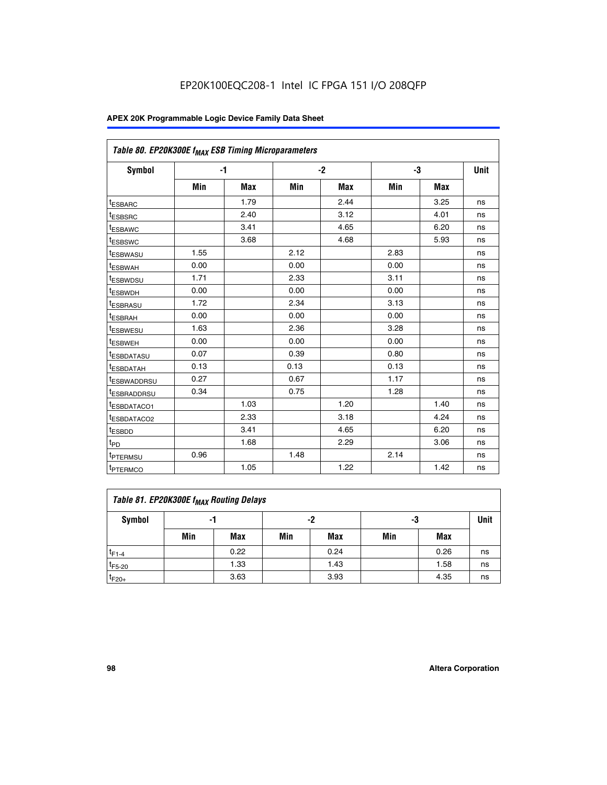|                         | Table 80. EP20K300E f <sub>MAX</sub> ESB Timing Microparameters |            |      |            |      |            |      |  |  |  |  |
|-------------------------|-----------------------------------------------------------------|------------|------|------------|------|------------|------|--|--|--|--|
| Symbol                  |                                                                 | -1         |      | $-2$       |      | -3         | Unit |  |  |  |  |
|                         | Min                                                             | <b>Max</b> | Min  | <b>Max</b> | Min  | <b>Max</b> |      |  |  |  |  |
| t <sub>ESBARC</sub>     |                                                                 | 1.79       |      | 2.44       |      | 3.25       | ns   |  |  |  |  |
| t <sub>ESBSRC</sub>     |                                                                 | 2.40       |      | 3.12       |      | 4.01       | ns   |  |  |  |  |
| t <sub>ESBAWC</sub>     |                                                                 | 3.41       |      | 4.65       |      | 6.20       | ns   |  |  |  |  |
| t <sub>ESBSWC</sub>     |                                                                 | 3.68       |      | 4.68       |      | 5.93       | ns   |  |  |  |  |
| <sup>I</sup> ESBWASU    | 1.55                                                            |            | 2.12 |            | 2.83 |            | ns   |  |  |  |  |
| <sup>t</sup> ESBWAH     | 0.00                                                            |            | 0.00 |            | 0.00 |            | ns   |  |  |  |  |
| <sup>I</sup> ESBWDSU    | 1.71                                                            |            | 2.33 |            | 3.11 |            | ns   |  |  |  |  |
| <sup>t</sup> ESBWDH     | 0.00                                                            |            | 0.00 |            | 0.00 |            | ns   |  |  |  |  |
| <sup>t</sup> ESBRASU    | 1.72                                                            |            | 2.34 |            | 3.13 |            | ns   |  |  |  |  |
| t <sub>ESBRAH</sub>     | 0.00                                                            |            | 0.00 |            | 0.00 |            | ns   |  |  |  |  |
| <sup>t</sup> ESBWESU    | 1.63                                                            |            | 2.36 |            | 3.28 |            | ns   |  |  |  |  |
| <sup>t</sup> ESBWEH     | 0.00                                                            |            | 0.00 |            | 0.00 |            | ns   |  |  |  |  |
| t <sub>ESBDATASU</sub>  | 0.07                                                            |            | 0.39 |            | 0.80 |            | ns   |  |  |  |  |
| <sup>t</sup> ESBDATAH   | 0.13                                                            |            | 0.13 |            | 0.13 |            | ns   |  |  |  |  |
| <sup>t</sup> ESBWADDRSU | 0.27                                                            |            | 0.67 |            | 1.17 |            | ns   |  |  |  |  |
| <sup>t</sup> ESBRADDRSU | 0.34                                                            |            | 0.75 |            | 1.28 |            | ns   |  |  |  |  |
| <sup>I</sup> ESBDATACO1 |                                                                 | 1.03       |      | 1.20       |      | 1.40       | ns   |  |  |  |  |
| <sup>t</sup> ESBDATACO2 |                                                                 | 2.33       |      | 3.18       |      | 4.24       | ns   |  |  |  |  |
| <sup>t</sup> ESBDD      |                                                                 | 3.41       |      | 4.65       |      | 6.20       | ns   |  |  |  |  |
| t <sub>PD</sub>         |                                                                 | 1.68       |      | 2.29       |      | 3.06       | ns   |  |  |  |  |
| t <sub>PTERMSU</sub>    | 0.96                                                            |            | 1.48 |            | 2.14 |            | ns   |  |  |  |  |
| t <sub>PTERMCO</sub>    |                                                                 | 1.05       |      | 1.22       |      | 1.42       | ns   |  |  |  |  |

| Table 81. EP20K300E f <sub>MAX</sub> Routing Delays |     |      |     |      |     |      |      |  |  |  |
|-----------------------------------------------------|-----|------|-----|------|-----|------|------|--|--|--|
| Symbol                                              |     | -1   |     | -2   |     | -3   | Unit |  |  |  |
|                                                     | Min | Max  | Min | Max  | Min | Max  |      |  |  |  |
| $t_{F1-4}$                                          |     | 0.22 |     | 0.24 |     | 0.26 | ns   |  |  |  |
| $t_{F5-20}$                                         |     | 1.33 |     | 1.43 |     | 1.58 | ns   |  |  |  |
| $t_{F20+}$                                          |     | 3.63 |     | 3.93 |     | 4.35 | ns   |  |  |  |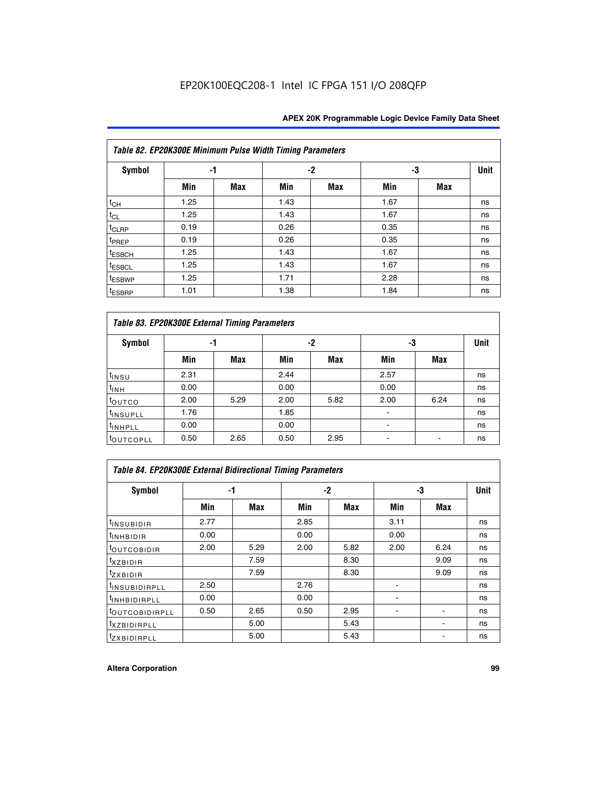|                    | Table 82. EP20K300E Minimum Pulse Width Timing Parameters |            |      |      |      |     |             |  |  |  |  |  |
|--------------------|-----------------------------------------------------------|------------|------|------|------|-----|-------------|--|--|--|--|--|
| <b>Symbol</b>      | -1                                                        |            |      | $-2$ | -3   |     | <b>Unit</b> |  |  |  |  |  |
|                    | Min                                                       | <b>Max</b> | Min  | Max  | Min  | Max |             |  |  |  |  |  |
| $t_{CH}$           | 1.25                                                      |            | 1.43 |      | 1.67 |     | ns          |  |  |  |  |  |
| $t_{CL}$           | 1.25                                                      |            | 1.43 |      | 1.67 |     | ns          |  |  |  |  |  |
| t <sub>CLRP</sub>  | 0.19                                                      |            | 0.26 |      | 0.35 |     | ns          |  |  |  |  |  |
| t <sub>PREP</sub>  | 0.19                                                      |            | 0.26 |      | 0.35 |     | ns          |  |  |  |  |  |
| t <sub>ESBCH</sub> | 1.25                                                      |            | 1.43 |      | 1.67 |     | ns          |  |  |  |  |  |
| <sup>t</sup> ESBCL | 1.25                                                      |            | 1.43 |      | 1.67 |     | ns          |  |  |  |  |  |
| <sup>t</sup> ESBWP | 1.25                                                      |            | 1.71 |      | 2.28 |     | ns          |  |  |  |  |  |
| <sup>t</sup> ESBRP | 1.01                                                      |            | 1.38 |      | 1.84 |     | ns          |  |  |  |  |  |

| Table 83. EP20K300E External Timing Parameters |      |      |      |      |      |            |             |  |  |  |  |  |
|------------------------------------------------|------|------|------|------|------|------------|-------------|--|--|--|--|--|
| Symbol                                         |      | -1   |      | -2   |      | -3         | <b>Unit</b> |  |  |  |  |  |
|                                                | Min  | Max  | Min  | Max  | Min  | <b>Max</b> |             |  |  |  |  |  |
| t <sub>INSU</sub>                              | 2.31 |      | 2.44 |      | 2.57 |            | ns          |  |  |  |  |  |
| $t_{INH}$                                      | 0.00 |      | 0.00 |      | 0.00 |            | ns          |  |  |  |  |  |
| toutco                                         | 2.00 | 5.29 | 2.00 | 5.82 | 2.00 | 6.24       | ns          |  |  |  |  |  |
| <sup>t</sup> INSUPLL                           | 1.76 |      | 1.85 |      |      |            | ns          |  |  |  |  |  |
| <sup>t</sup> INHPLL                            | 0.00 |      | 0.00 |      | -    |            | ns          |  |  |  |  |  |
| <sup>t</sup> OUTCOPLL                          | 0.50 | 2.65 | 0.50 | 2.95 |      |            | ns          |  |  |  |  |  |

| Table 84. EP20K300E External Bidirectional Timing Parameters |      |      |      |            |      |             |    |  |  |  |  |
|--------------------------------------------------------------|------|------|------|------------|------|-------------|----|--|--|--|--|
| Symbol                                                       |      | -1   | $-2$ |            | -3   | <b>Unit</b> |    |  |  |  |  |
|                                                              | Min  | Max  | Min  | <b>Max</b> | Min  | <b>Max</b>  |    |  |  |  |  |
| <sup>t</sup> INSUBIDIR                                       | 2.77 |      | 2.85 |            | 3.11 |             | ns |  |  |  |  |
| <b>TINHBIDIR</b>                                             | 0.00 |      | 0.00 |            | 0.00 |             | ns |  |  |  |  |
| <sup>t</sup> OUTCOBIDIR                                      | 2.00 | 5.29 | 2.00 | 5.82       | 2.00 | 6.24        | ns |  |  |  |  |
| KZBIDIR                                                      |      | 7.59 |      | 8.30       |      | 9.09        | ns |  |  |  |  |
| $t_{Z}$ <i>x</i> BIDIR                                       |      | 7.59 |      | 8.30       |      | 9.09        | ns |  |  |  |  |
| <b>INSUBIDIRPLL</b>                                          | 2.50 |      | 2.76 |            |      |             | ns |  |  |  |  |
| <sup>t</sup> INHBIDIRPLL                                     | 0.00 |      | 0.00 |            |      |             | ns |  |  |  |  |
| <b><i>LOUTCOBIDIRPLL</i></b>                                 | 0.50 | 2.65 | 0.50 | 2.95       |      |             | ns |  |  |  |  |
| <sup>t</sup> XZBIDIRPLL                                      |      | 5.00 |      | 5.43       |      |             | ns |  |  |  |  |
| <sup>t</sup> ZXBIDIRPLL                                      |      | 5.00 |      | 5.43       |      |             | ns |  |  |  |  |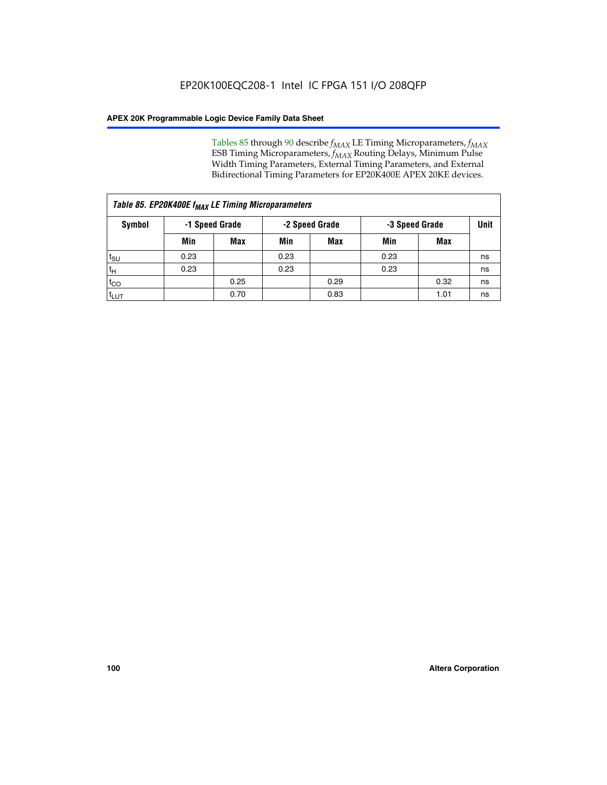Tables 85 through 90 describe  $f_{MAX}$  LE Timing Microparameters,  $f_{MAX}$ ESB Timing Microparameters, *f<sub>MAX</sub>* Routing Delays, Minimum Pulse Width Timing Parameters, External Timing Parameters, and External Bidirectional Timing Parameters for EP20K400E APEX 20KE devices.

| Table 85. EP20K400E f <sub>MAX</sub> LE Timing Microparameters |                |            |                |            |                |      |             |  |  |  |  |
|----------------------------------------------------------------|----------------|------------|----------------|------------|----------------|------|-------------|--|--|--|--|
| Symbol                                                         | -1 Speed Grade |            | -2 Speed Grade |            | -3 Speed Grade |      | <b>Unit</b> |  |  |  |  |
|                                                                | Min            | <b>Max</b> | Min            | <b>Max</b> | Min            | Max  |             |  |  |  |  |
| $t_{\text{SU}}$                                                | 0.23           |            | 0.23           |            | 0.23           |      | ns          |  |  |  |  |
| $t_H$                                                          | 0.23           |            | 0.23           |            | 0.23           |      | ns          |  |  |  |  |
| $t_{CO}$                                                       |                | 0.25       |                | 0.29       |                | 0.32 | ns          |  |  |  |  |
| ι <sup>t</sup> ιυτ                                             |                | 0.70       |                | 0.83       |                | 1.01 | ns          |  |  |  |  |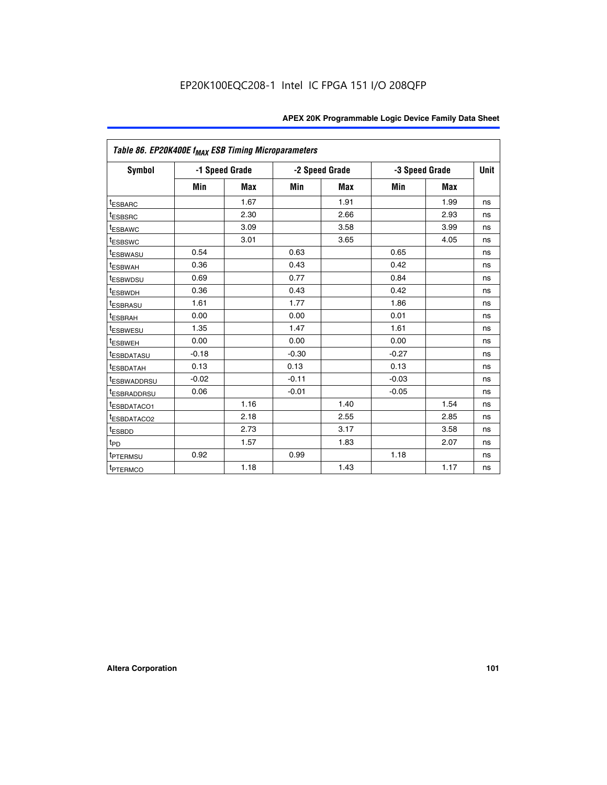|                         | Table 86. EP20K400E f <sub>MAX</sub> ESB Timing Microparameters |                |         |                |         |                |             |  |  |  |  |
|-------------------------|-----------------------------------------------------------------|----------------|---------|----------------|---------|----------------|-------------|--|--|--|--|
| Symbol                  |                                                                 | -1 Speed Grade |         | -2 Speed Grade |         | -3 Speed Grade | <b>Unit</b> |  |  |  |  |
|                         | Min                                                             | <b>Max</b>     | Min     | <b>Max</b>     | Min     | <b>Max</b>     |             |  |  |  |  |
| <sup>t</sup> ESBARC     |                                                                 | 1.67           |         | 1.91           |         | 1.99           | ns          |  |  |  |  |
| <sup>t</sup> ESBSRC     |                                                                 | 2.30           |         | 2.66           |         | 2.93           | ns          |  |  |  |  |
| <sup>t</sup> ESBAWC     |                                                                 | 3.09           |         | 3.58           |         | 3.99           | ns          |  |  |  |  |
| <sup>t</sup> ESBSWC     |                                                                 | 3.01           |         | 3.65           |         | 4.05           | ns          |  |  |  |  |
| <sup>t</sup> ESBWASU    | 0.54                                                            |                | 0.63    |                | 0.65    |                | ns          |  |  |  |  |
| t <sub>ESBWAH</sub>     | 0.36                                                            |                | 0.43    |                | 0.42    |                | ns          |  |  |  |  |
| <sup>t</sup> ESBWDSU    | 0.69                                                            |                | 0.77    |                | 0.84    |                | ns          |  |  |  |  |
| <sup>t</sup> ESBWDH     | 0.36                                                            |                | 0.43    |                | 0.42    |                | ns          |  |  |  |  |
| <sup>t</sup> ESBRASU    | 1.61                                                            |                | 1.77    |                | 1.86    |                | ns          |  |  |  |  |
| <sup>t</sup> ESBRAH     | 0.00                                                            |                | 0.00    |                | 0.01    |                | ns          |  |  |  |  |
| t <sub>ESBWESU</sub>    | 1.35                                                            |                | 1.47    |                | 1.61    |                | ns          |  |  |  |  |
| t <sub>ESBWEH</sub>     | 0.00                                                            |                | 0.00    |                | 0.00    |                | ns          |  |  |  |  |
| <sup>I</sup> ESBDATASU  | $-0.18$                                                         |                | $-0.30$ |                | $-0.27$ |                | ns          |  |  |  |  |
| <b>ESBDATAH</b>         | 0.13                                                            |                | 0.13    |                | 0.13    |                | ns          |  |  |  |  |
| <sup>t</sup> ESBWADDRSU | $-0.02$                                                         |                | $-0.11$ |                | $-0.03$ |                | ns          |  |  |  |  |
| t <sub>ESBRADDRSU</sub> | 0.06                                                            |                | $-0.01$ |                | $-0.05$ |                | ns          |  |  |  |  |
| <sup>t</sup> ESBDATACO1 |                                                                 | 1.16           |         | 1.40           |         | 1.54           | ns          |  |  |  |  |
| <sup>I</sup> ESBDATACO2 |                                                                 | 2.18           |         | 2.55           |         | 2.85           | ns          |  |  |  |  |
| <sup>t</sup> ESBDD      |                                                                 | 2.73           |         | 3.17           |         | 3.58           | ns          |  |  |  |  |
| $t_{\mathsf{PD}}$       |                                                                 | 1.57           |         | 1.83           |         | 2.07           | ns          |  |  |  |  |
| t <sub>PTERMSU</sub>    | 0.92                                                            |                | 0.99    |                | 1.18    |                | ns          |  |  |  |  |
| <sup>t</sup> PTERMCO    |                                                                 | 1.18           |         | 1.43           |         | 1.17           | ns          |  |  |  |  |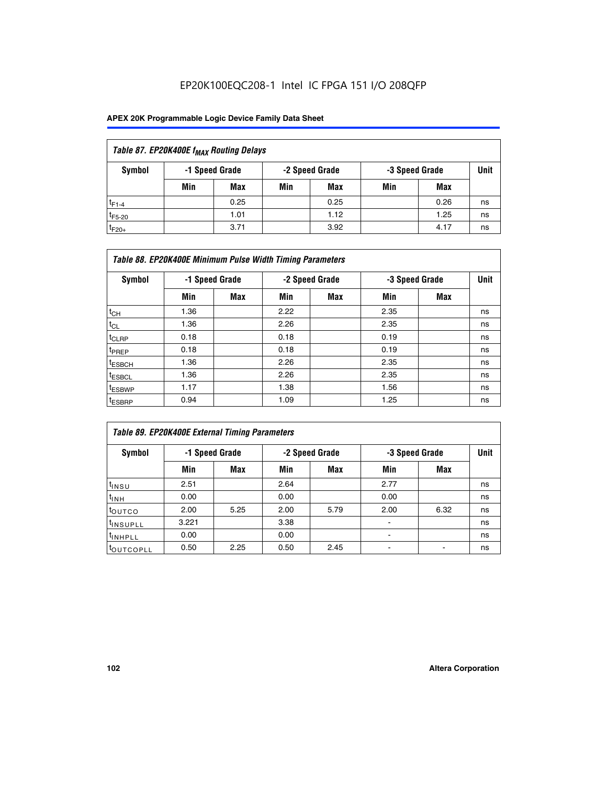## EP20K100EQC208-1 Intel IC FPGA 151 I/O 208QFP

| Table 87. EP20K400E f <sub>MAX</sub> Routing Delays |     |                |     |                |     |                |             |  |  |  |  |
|-----------------------------------------------------|-----|----------------|-----|----------------|-----|----------------|-------------|--|--|--|--|
| Symbol                                              |     | -1 Speed Grade |     | -2 Speed Grade |     | -3 Speed Grade | <b>Unit</b> |  |  |  |  |
|                                                     | Min | <b>Max</b>     | Min | Max            | Min | Max            |             |  |  |  |  |
| $t_{F1-4}$                                          |     | 0.25           |     | 0.25           |     | 0.26           | ns          |  |  |  |  |
| $t_{F5-20}$                                         |     | 1.01           |     | 1.12           |     | 1.25           | ns          |  |  |  |  |
| $t_{F20+}$                                          |     | 3.71           |     | 3.92           |     | 4.17           | ns          |  |  |  |  |

|                    | Table 88. EP20K400E Minimum Pulse Width Timing Parameters |                |      |                |      |                |             |  |  |  |  |
|--------------------|-----------------------------------------------------------|----------------|------|----------------|------|----------------|-------------|--|--|--|--|
| Symbol             |                                                           | -1 Speed Grade |      | -2 Speed Grade |      | -3 Speed Grade | <b>Unit</b> |  |  |  |  |
|                    | Min                                                       | <b>Max</b>     | Min  | Max            | Min  | Max            |             |  |  |  |  |
| $t_{CH}$           | 1.36                                                      |                | 2.22 |                | 2.35 |                | ns          |  |  |  |  |
| $t_{CL}$           | 1.36                                                      |                | 2.26 |                | 2.35 |                | ns          |  |  |  |  |
| $t_{CLRP}$         | 0.18                                                      |                | 0.18 |                | 0.19 |                | ns          |  |  |  |  |
| <sup>t</sup> PREP  | 0.18                                                      |                | 0.18 |                | 0.19 |                | ns          |  |  |  |  |
| <sup>t</sup> ESBCH | 1.36                                                      |                | 2.26 |                | 2.35 |                | ns          |  |  |  |  |
| <sup>t</sup> ESBCL | 1.36                                                      |                | 2.26 |                | 2.35 |                | ns          |  |  |  |  |
| <sup>t</sup> ESBWP | 1.17                                                      |                | 1.38 |                | 1.56 |                | ns          |  |  |  |  |
| <sup>t</sup> ESBRP | 0.94                                                      |                | 1.09 |                | 1.25 |                | ns          |  |  |  |  |

| Table 89. EP20K400E External Timing Parameters |       |                |      |                |                          |             |    |  |  |  |
|------------------------------------------------|-------|----------------|------|----------------|--------------------------|-------------|----|--|--|--|
| Symbol                                         |       | -1 Speed Grade |      | -2 Speed Grade | -3 Speed Grade           | <b>Unit</b> |    |  |  |  |
|                                                | Min   | Max            | Min  | <b>Max</b>     | Min                      | Max         |    |  |  |  |
| t <sub>INSU</sub>                              | 2.51  |                | 2.64 |                | 2.77                     |             | ns |  |  |  |
| $t_{INH}$                                      | 0.00  |                | 0.00 |                | 0.00                     |             | ns |  |  |  |
| toutco                                         | 2.00  | 5.25           | 2.00 | 5.79           | 2.00                     | 6.32        | ns |  |  |  |
| <sup>t</sup> INSUPLL                           | 3.221 |                | 3.38 |                |                          |             | ns |  |  |  |
| I <sup>t</sup> INHPLL                          | 0.00  |                | 0.00 |                | $\overline{\phantom{0}}$ |             | ns |  |  |  |
| toutcopll                                      | 0.50  | 2.25           | 0.50 | 2.45           |                          |             | ns |  |  |  |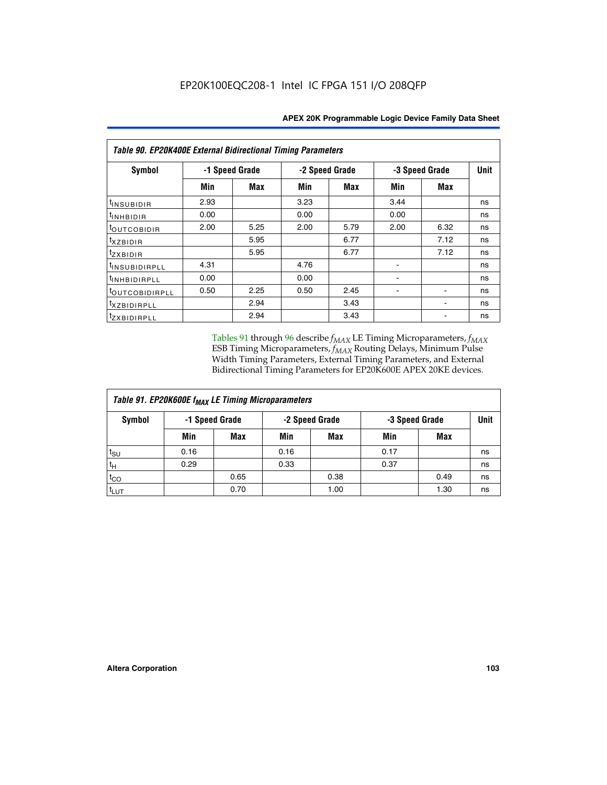| Table 90. EP20K400E External Bidirectional Timing Parameters |      |                |                |            |      |                |             |  |  |
|--------------------------------------------------------------|------|----------------|----------------|------------|------|----------------|-------------|--|--|
| Symbol                                                       |      | -1 Speed Grade | -2 Speed Grade |            |      | -3 Speed Grade | <b>Unit</b> |  |  |
|                                                              | Min  | <b>Max</b>     | Min            | <b>Max</b> | Min  | <b>Max</b>     |             |  |  |
| <sup>t</sup> INSUBIDIR                                       | 2.93 |                | 3.23           |            | 3.44 |                | ns          |  |  |
| $t_{\rm INHBIDIR}$                                           | 0.00 |                | 0.00           |            | 0.00 |                | ns          |  |  |
| <sup>t</sup> OUTCOBIDIR                                      | 2.00 | 5.25           | 2.00           | 5.79       | 2.00 | 6.32           | ns          |  |  |
| $t_{XZBIDIR}$                                                |      | 5.95           |                | 6.77       |      | 7.12           | ns          |  |  |
| <sup>t</sup> zxbidir                                         |      | 5.95           |                | 6.77       |      | 7.12           | ns          |  |  |
| <sup>t</sup> insubidirpll                                    | 4.31 |                | 4.76           |            |      |                | ns          |  |  |
| <sup>t</sup> INHBIDIRPLL                                     | 0.00 |                | 0.00           |            |      |                | ns          |  |  |
| <sup>t</sup> OUTCOBIDIRPLL                                   | 0.50 | 2.25           | 0.50           | 2.45       |      |                | ns          |  |  |
| <sup>t</sup> XZBIDIRPLL                                      |      | 2.94           |                | 3.43       |      |                | ns          |  |  |
| <sup>t</sup> zxbidirpll                                      |      | 2.94           |                | 3.43       |      |                | ns          |  |  |

Tables 91 through 96 describe  $f_{MAX}$  LE Timing Microparameters,  $f_{MAX}$ ESB Timing Microparameters, *f<sub>MAX</sub>* Routing Delays, Minimum Pulse Width Timing Parameters, External Timing Parameters, and External Bidirectional Timing Parameters for EP20K600E APEX 20KE devices.

| Table 91. EP20K600E f <sub>MAX</sub> LE Timing Microparameters |                |            |      |                |                |      |             |  |  |
|----------------------------------------------------------------|----------------|------------|------|----------------|----------------|------|-------------|--|--|
| Symbol                                                         | -1 Speed Grade |            |      | -2 Speed Grade | -3 Speed Grade |      | <b>Unit</b> |  |  |
|                                                                | Min            | <b>Max</b> | Min  | <b>Max</b>     | Min            | Max  |             |  |  |
| $t_{\sf SU}$                                                   | 0.16           |            | 0.16 |                | 0.17           |      | ns          |  |  |
| $t_H$                                                          | 0.29           |            | 0.33 |                | 0.37           |      | ns          |  |  |
| $t_{CO}$                                                       |                | 0.65       |      | 0.38           |                | 0.49 | ns          |  |  |
| <sup>t</sup> LUT                                               |                | 0.70       |      | 1.00           |                | 1.30 | ns          |  |  |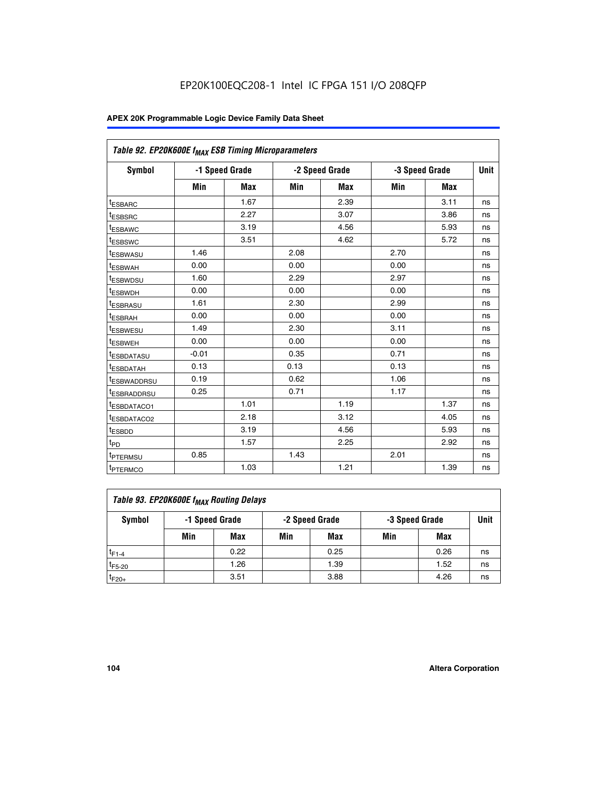| Table 92. EP20K600E f <sub>MAX</sub> ESB Timing Microparameters |         |                |      |                |                |            |      |
|-----------------------------------------------------------------|---------|----------------|------|----------------|----------------|------------|------|
| <b>Symbol</b>                                                   |         | -1 Speed Grade |      | -2 Speed Grade | -3 Speed Grade |            | Unit |
|                                                                 | Min     | <b>Max</b>     | Min  | <b>Max</b>     | Min            | <b>Max</b> |      |
| <sup>t</sup> ESBARC                                             |         | 1.67           |      | 2.39           |                | 3.11       | ns   |
| t <sub>ESBSRC</sub>                                             |         | 2.27           |      | 3.07           |                | 3.86       | ns   |
| t <sub>ESBAWC</sub>                                             |         | 3.19           |      | 4.56           |                | 5.93       | ns   |
| t <sub>ESBSWC</sub>                                             |         | 3.51           |      | 4.62           |                | 5.72       | ns   |
| <sup>t</sup> ESBWASU                                            | 1.46    |                | 2.08 |                | 2.70           |            | ns   |
| <sup>t</sup> ESBWAH                                             | 0.00    |                | 0.00 |                | 0.00           |            | ns   |
| t <sub>ESBWDSU</sub>                                            | 1.60    |                | 2.29 |                | 2.97           |            | ns   |
| <sup>t</sup> ESBWDH                                             | 0.00    |                | 0.00 |                | 0.00           |            | ns   |
| <sup>t</sup> ESBRASU                                            | 1.61    |                | 2.30 |                | 2.99           |            | ns   |
| <sup>t</sup> ESBRAH                                             | 0.00    |                | 0.00 |                | 0.00           |            | ns   |
| <sup>t</sup> ESBWESU                                            | 1.49    |                | 2.30 |                | 3.11           |            | ns   |
| t <sub>ESBWEH</sub>                                             | 0.00    |                | 0.00 |                | 0.00           |            | ns   |
| <sup>t</sup> ESBDATASU                                          | $-0.01$ |                | 0.35 |                | 0.71           |            | ns   |
| <sup>t</sup> ESBDATAH                                           | 0.13    |                | 0.13 |                | 0.13           |            | ns   |
| <sup>t</sup> ESBWADDRSU                                         | 0.19    |                | 0.62 |                | 1.06           |            | ns   |
| tESBRADDRSU                                                     | 0.25    |                | 0.71 |                | 1.17           |            | ns   |
| <sup>I</sup> ESBDATACO1                                         |         | 1.01           |      | 1.19           |                | 1.37       | ns   |
| <sup>t</sup> ESBDATACO2                                         |         | 2.18           |      | 3.12           |                | 4.05       | ns   |
| <sup>t</sup> ESBDD                                              |         | 3.19           |      | 4.56           |                | 5.93       | ns   |
| t <sub>PD</sub>                                                 |         | 1.57           |      | 2.25           |                | 2.92       | ns   |
| t <sub>PTERMSU</sub>                                            | 0.85    |                | 1.43 |                | 2.01           |            | ns   |
| t <sub>PTERMCO</sub>                                            |         | 1.03           |      | 1.21           |                | 1.39       | ns   |

| Table 93. EP20K600E f <sub>MAX</sub> Routing Delays |                                                    |      |     |      |     |      |    |  |  |  |
|-----------------------------------------------------|----------------------------------------------------|------|-----|------|-----|------|----|--|--|--|
| Symbol                                              | -1 Speed Grade<br>-2 Speed Grade<br>-3 Speed Grade |      |     | Unit |     |      |    |  |  |  |
|                                                     | Min                                                | Max  | Min | Max  | Min | Max  |    |  |  |  |
| $t_{F1-4}$                                          |                                                    | 0.22 |     | 0.25 |     | 0.26 | ns |  |  |  |
| $t_{F5-20}$                                         |                                                    | 1.26 |     | 1.39 |     | 1.52 | ns |  |  |  |
| $t_{F20+}$                                          |                                                    | 3.51 |     | 3.88 |     | 4.26 | ns |  |  |  |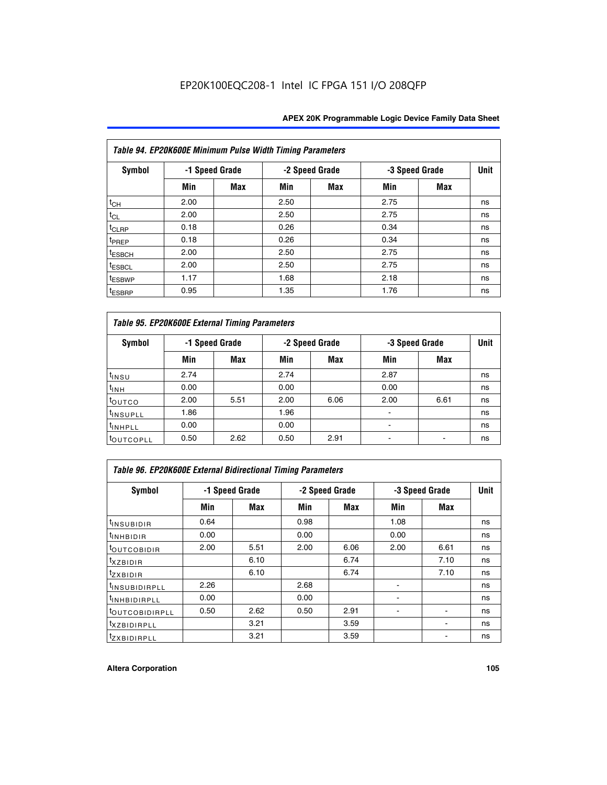| Table 94. EP20K600E Minimum Pulse Width Timing Parameters |      |                |      |                |      |                |    |  |  |  |
|-----------------------------------------------------------|------|----------------|------|----------------|------|----------------|----|--|--|--|
| <b>Symbol</b>                                             |      | -1 Speed Grade |      | -2 Speed Grade |      | -3 Speed Grade |    |  |  |  |
|                                                           | Min  | Max            | Min  | Max            | Min  | <b>Max</b>     |    |  |  |  |
| $t_{CH}$                                                  | 2.00 |                | 2.50 |                | 2.75 |                | ns |  |  |  |
| $t_{CL}$                                                  | 2.00 |                | 2.50 |                | 2.75 |                | ns |  |  |  |
| t <sub>CLRP</sub>                                         | 0.18 |                | 0.26 |                | 0.34 |                | ns |  |  |  |
| t <sub>PREP</sub>                                         | 0.18 |                | 0.26 |                | 0.34 |                | ns |  |  |  |
| <sup>t</sup> ESBCH                                        | 2.00 |                | 2.50 |                | 2.75 |                | ns |  |  |  |
| <sup>t</sup> ESBCL                                        | 2.00 |                | 2.50 |                | 2.75 |                | ns |  |  |  |
| t <sub>ESBWP</sub>                                        | 1.17 |                | 1.68 |                | 2.18 |                | ns |  |  |  |
| <sup>t</sup> ESBRP                                        | 0.95 |                | 1.35 |                | 1.76 |                | ns |  |  |  |

| Table 95. EP20K600E External Timing Parameters |      |                |      |                |                          |             |    |  |  |
|------------------------------------------------|------|----------------|------|----------------|--------------------------|-------------|----|--|--|
| <b>Symbol</b>                                  |      | -1 Speed Grade |      | -2 Speed Grade | -3 Speed Grade           | <b>Unit</b> |    |  |  |
|                                                | Min  | Max            | Min  | <b>Max</b>     | Min                      | <b>Max</b>  |    |  |  |
| t <sub>insu</sub>                              | 2.74 |                | 2.74 |                | 2.87                     |             | ns |  |  |
| $t_{INH}$                                      | 0.00 |                | 0.00 |                | 0.00                     |             | ns |  |  |
| toutco                                         | 2.00 | 5.51           | 2.00 | 6.06           | 2.00                     | 6.61        | ns |  |  |
| <sup>t</sup> INSUPLL                           | 1.86 |                | 1.96 |                |                          |             | ns |  |  |
| <sup>t</sup> INHPLL                            | 0.00 |                | 0.00 |                | $\overline{\phantom{a}}$ |             | ns |  |  |
| <b>LOUTCOPLL</b>                               | 0.50 | 2.62           | 0.50 | 2.91           |                          |             | ns |  |  |

| <b>Table 96. EP20K600E External Bidirectional Timing Parameters</b> |                |            |      |                |      |                |             |  |  |
|---------------------------------------------------------------------|----------------|------------|------|----------------|------|----------------|-------------|--|--|
| <b>Symbol</b>                                                       | -1 Speed Grade |            |      | -2 Speed Grade |      | -3 Speed Grade | <b>Unit</b> |  |  |
|                                                                     | Min            | <b>Max</b> | Min  | <b>Max</b>     | Min  | <b>Max</b>     |             |  |  |
| t <sub>insubidir</sub>                                              | 0.64           |            | 0.98 |                | 1.08 |                | ns          |  |  |
| $t_{\rm INHBIDIR}$                                                  | 0.00           |            | 0.00 |                | 0.00 |                | ns          |  |  |
| <sup>t</sup> OUTCOBIDIR                                             | 2.00           | 5.51       | 2.00 | 6.06           | 2.00 | 6.61           | ns          |  |  |
| <sup>t</sup> xzbidir                                                |                | 6.10       |      | 6.74           |      | 7.10           | ns          |  |  |
| $t_{Z}$ <i>x</i> BIDIR                                              |                | 6.10       |      | 6.74           |      | 7.10           | ns          |  |  |
| <sup>t</sup> INSUBIDIRPLL                                           | 2.26           |            | 2.68 |                |      |                | ns          |  |  |
| <sup>t</sup> INHBIDIRPLL                                            | 0.00           |            | 0.00 |                |      |                | ns          |  |  |
| <b><i>LOUTCOBIDIRPLL</i></b>                                        | 0.50           | 2.62       | 0.50 | 2.91           |      |                | ns          |  |  |
| <sup>t</sup> xzbidirpll                                             |                | 3.21       |      | 3.59           |      |                | ns          |  |  |
| <i>t</i> zxbidirpll                                                 |                | 3.21       |      | 3.59           |      |                | ns          |  |  |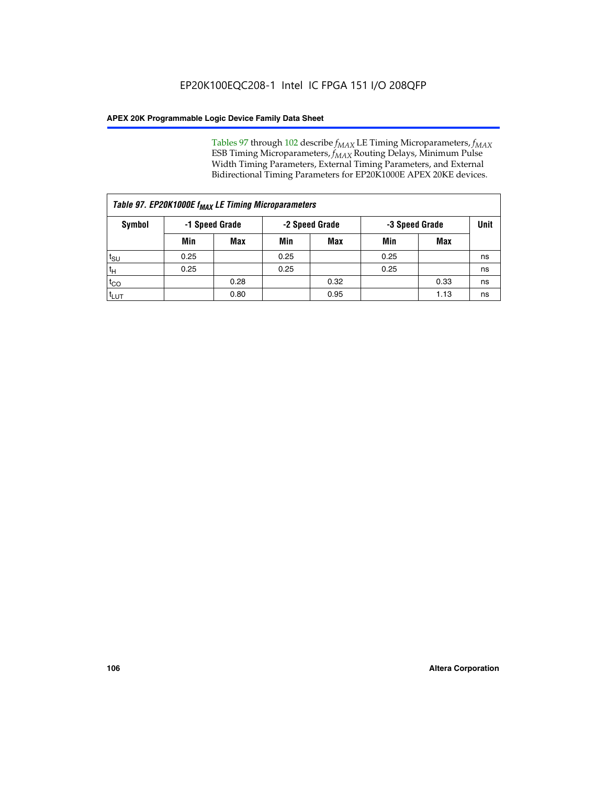Tables 97 through 102 describe  $f_{MAX}$  LE Timing Microparameters,  $f_{MAX}$ ESB Timing Microparameters, *f<sub>MAX</sub>* Routing Delays, Minimum Pulse Width Timing Parameters, External Timing Parameters, and External Bidirectional Timing Parameters for EP20K1000E APEX 20KE devices.

| Table 97. EP20K1000E f <sub>MAX</sub> LE Timing Microparameters |                                                    |            |      |            |      |      |    |  |  |
|-----------------------------------------------------------------|----------------------------------------------------|------------|------|------------|------|------|----|--|--|
| Symbol                                                          | -1 Speed Grade<br>-2 Speed Grade<br>-3 Speed Grade |            |      | Unit       |      |      |    |  |  |
|                                                                 | Min                                                | <b>Max</b> | Min  | <b>Max</b> | Min  | Max  |    |  |  |
| $t_{\text{SU}}$                                                 | 0.25                                               |            | 0.25 |            | 0.25 |      | ns |  |  |
| $t_H$                                                           | 0.25                                               |            | 0.25 |            | 0.25 |      | ns |  |  |
| $t_{CO}$                                                        |                                                    | 0.28       |      | 0.32       |      | 0.33 | ns |  |  |
| t <sub>LUT</sub>                                                |                                                    | 0.80       |      | 0.95       |      | 1.13 | ns |  |  |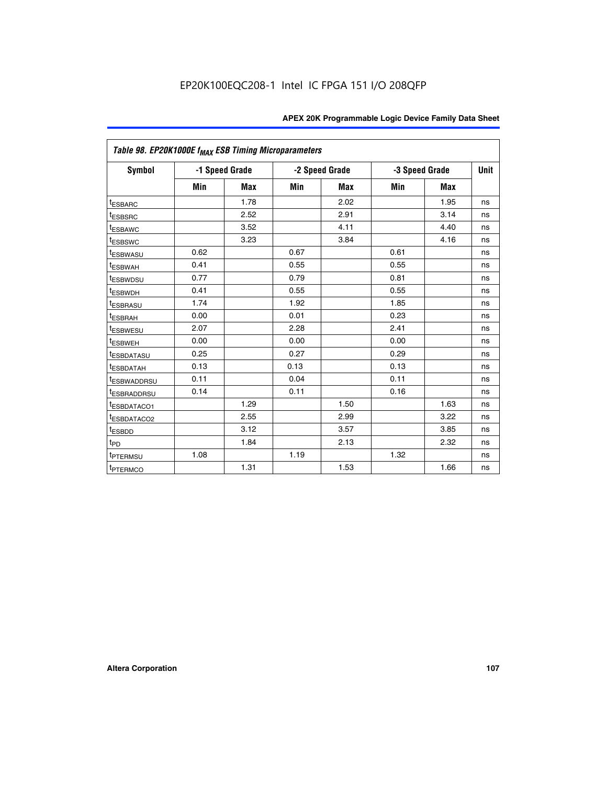|                         | Table 98. EP20K1000E f <sub>MAX</sub> ESB Timing Microparameters |            |      |                |                |             |    |  |  |  |  |
|-------------------------|------------------------------------------------------------------|------------|------|----------------|----------------|-------------|----|--|--|--|--|
| Symbol                  | -1 Speed Grade                                                   |            |      | -2 Speed Grade | -3 Speed Grade | <b>Unit</b> |    |  |  |  |  |
|                         | Min                                                              | <b>Max</b> | Min  | <b>Max</b>     | Min            | <b>Max</b>  |    |  |  |  |  |
| <sup>t</sup> ESBARC     |                                                                  | 1.78       |      | 2.02           |                | 1.95        | ns |  |  |  |  |
| <sup>t</sup> ESBSRC     |                                                                  | 2.52       |      | 2.91           |                | 3.14        | ns |  |  |  |  |
| <sup>t</sup> ESBAWC     |                                                                  | 3.52       |      | 4.11           |                | 4.40        | ns |  |  |  |  |
| <sup>t</sup> ESBSWC     |                                                                  | 3.23       |      | 3.84           |                | 4.16        | ns |  |  |  |  |
| <sup>t</sup> ESBWASU    | 0.62                                                             |            | 0.67 |                | 0.61           |             | ns |  |  |  |  |
| t <sub>ESBWAH</sub>     | 0.41                                                             |            | 0.55 |                | 0.55           |             | ns |  |  |  |  |
| <sup>t</sup> ESBWDSU    | 0.77                                                             |            | 0.79 |                | 0.81           |             | ns |  |  |  |  |
| <sup>t</sup> ESBWDH     | 0.41                                                             |            | 0.55 |                | 0.55           |             | ns |  |  |  |  |
| <i><b>LESBRASU</b></i>  | 1.74                                                             |            | 1.92 |                | 1.85           |             | ns |  |  |  |  |
| <sup>t</sup> ESBRAH     | 0.00                                                             |            | 0.01 |                | 0.23           |             | ns |  |  |  |  |
| <sup>t</sup> ESBWESU    | 2.07                                                             |            | 2.28 |                | 2.41           |             | ns |  |  |  |  |
| <sup>t</sup> ESBWEH     | 0.00                                                             |            | 0.00 |                | 0.00           |             | ns |  |  |  |  |
| <sup>t</sup> ESBDATASU  | 0.25                                                             |            | 0.27 |                | 0.29           |             | ns |  |  |  |  |
| <sup>t</sup> ESBDATAH   | 0.13                                                             |            | 0.13 |                | 0.13           |             | ns |  |  |  |  |
| <sup>T</sup> ESBWADDRSU | 0.11                                                             |            | 0.04 |                | 0.11           |             | ns |  |  |  |  |
| <sup>t</sup> ESBRADDRSU | 0.14                                                             |            | 0.11 |                | 0.16           |             | ns |  |  |  |  |
| <sup>t</sup> ESBDATACO1 |                                                                  | 1.29       |      | 1.50           |                | 1.63        | ns |  |  |  |  |
| <sup>t</sup> ESBDATACO2 |                                                                  | 2.55       |      | 2.99           |                | 3.22        | ns |  |  |  |  |
| <sup>t</sup> ESBDD      |                                                                  | 3.12       |      | 3.57           |                | 3.85        | ns |  |  |  |  |
| t <sub>PD</sub>         |                                                                  | 1.84       |      | 2.13           |                | 2.32        | ns |  |  |  |  |
| <sup>t</sup> PTERMSU    | 1.08                                                             |            | 1.19 |                | 1.32           |             | ns |  |  |  |  |
| <sup>t</sup> PTERMCO    |                                                                  | 1.31       |      | 1.53           |                | 1.66        | ns |  |  |  |  |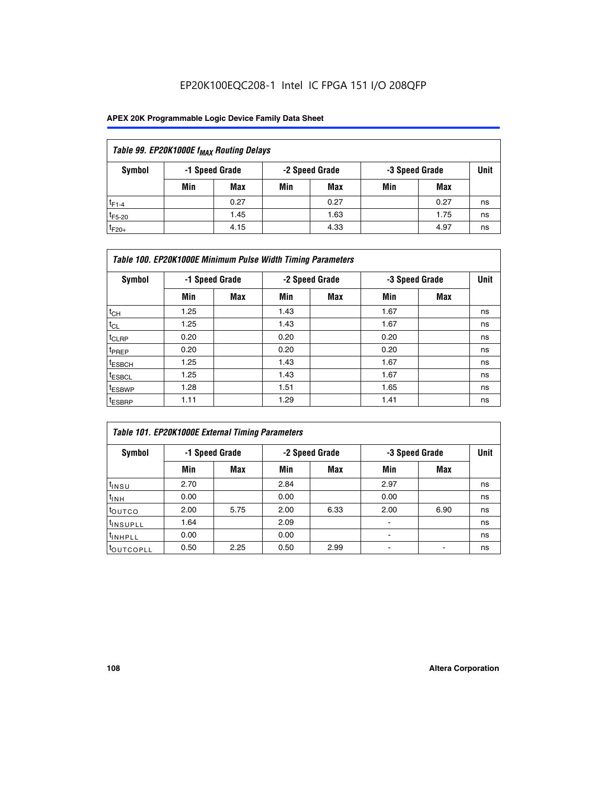## EP20K100EQC208-1 Intel IC FPGA 151 I/O 208QFP

### **APEX 20K Programmable Logic Device Family Data Sheet**

| Table 99. EP20K1000E f <sub>MAX</sub> Routing Delays |     |                |                |      |                |      |      |  |  |
|------------------------------------------------------|-----|----------------|----------------|------|----------------|------|------|--|--|
| Symbol                                               |     | -1 Speed Grade | -2 Speed Grade |      | -3 Speed Grade |      | Unit |  |  |
|                                                      | Min | <b>Max</b>     | Min            | Max  | Min            | Max  |      |  |  |
| $t_{F1-4}$                                           |     | 0.27           |                | 0.27 |                | 0.27 | ns   |  |  |
| $t_{F5-20}$                                          |     | 1.45           |                | 1.63 |                | 1.75 | ns   |  |  |
| $t_{F20+}$                                           |     | 4.15           |                | 4.33 |                | 4.97 | ns   |  |  |

| Table 100. EP20K1000E Minimum Pulse Width Timing Parameters |                |            |      |                |      |                |    |  |  |
|-------------------------------------------------------------|----------------|------------|------|----------------|------|----------------|----|--|--|
| Symbol                                                      | -1 Speed Grade |            |      | -2 Speed Grade |      | -3 Speed Grade |    |  |  |
|                                                             | Min            | <b>Max</b> | Min  | <b>Max</b>     | Min  | <b>Max</b>     |    |  |  |
| $t_{CH}$                                                    | 1.25           |            | 1.43 |                | 1.67 |                | ns |  |  |
| $t_{CL}$                                                    | 1.25           |            | 1.43 |                | 1.67 |                | ns |  |  |
| t <sub>CLRP</sub>                                           | 0.20           |            | 0.20 |                | 0.20 |                | ns |  |  |
| <sup>t</sup> PREP                                           | 0.20           |            | 0.20 |                | 0.20 |                | ns |  |  |
| <sup>t</sup> ESBCH                                          | 1.25           |            | 1.43 |                | 1.67 |                | ns |  |  |
| <sup>t</sup> ESBCL                                          | 1.25           |            | 1.43 |                | 1.67 |                | ns |  |  |
| <sup>t</sup> ESBWP                                          | 1.28           |            | 1.51 |                | 1.65 |                | ns |  |  |
| <sup>t</sup> ESBRP                                          | 1.11           |            | 1.29 |                | 1.41 |                | ns |  |  |

| Table 101. EP20K1000E External Timing Parameters |                |      |      |                |      |                |    |  |  |
|--------------------------------------------------|----------------|------|------|----------------|------|----------------|----|--|--|
| Symbol                                           | -1 Speed Grade |      |      | -2 Speed Grade |      | -3 Speed Grade |    |  |  |
|                                                  | Min            | Max  | Min  | <b>Max</b>     | Min  | Max            |    |  |  |
| $t_{INSU}$                                       | 2.70           |      | 2.84 |                | 2.97 |                | ns |  |  |
| $t_{INH}$                                        | 0.00           |      | 0.00 |                | 0.00 |                | ns |  |  |
| t <sub>outco</sub>                               | 2.00           | 5.75 | 2.00 | 6.33           | 2.00 | 6.90           | ns |  |  |
| <sup>t</sup> INSUPLL                             | 1.64           |      | 2.09 |                |      |                | ns |  |  |
| tINHPLL                                          | 0.00           |      | 0.00 |                |      |                | ns |  |  |
| <b>COUTCOPLL</b>                                 | 0.50           | 2.25 | 0.50 | 2.99           |      |                | ns |  |  |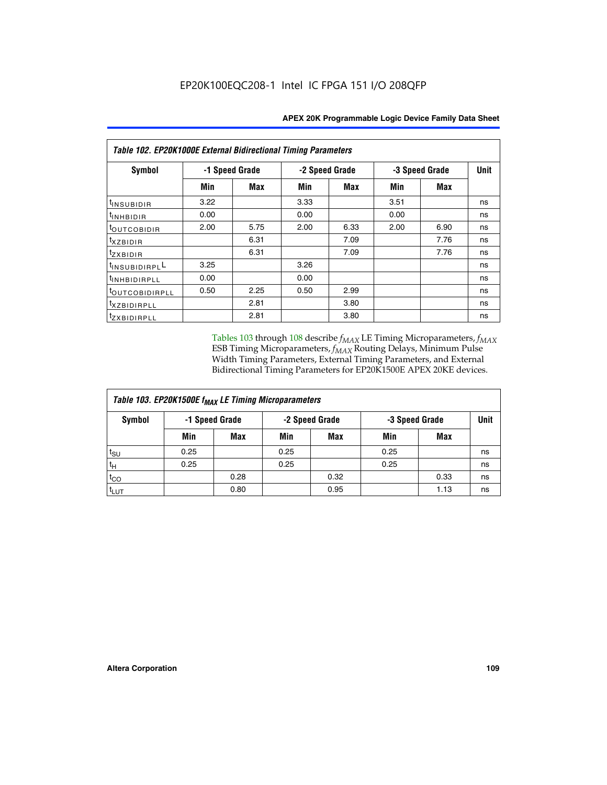| Table 102. EP20K1000E External Bidirectional Timing Parameters |                |      |      |                |      |                |    |  |
|----------------------------------------------------------------|----------------|------|------|----------------|------|----------------|----|--|
| Symbol                                                         | -1 Speed Grade |      |      | -2 Speed Grade |      | -3 Speed Grade |    |  |
|                                                                | Min            | Max  | Min  | Max            | Min  | Max            |    |  |
| $t_{INSUBIDIR}$                                                | 3.22           |      | 3.33 |                | 3.51 |                | ns |  |
| tINHBIDIR                                                      | 0.00           |      | 0.00 |                | 0.00 |                | ns |  |
| t <sub>OUTCOBIDIR</sub>                                        | 2.00           | 5.75 | 2.00 | 6.33           | 2.00 | 6.90           | ns |  |
| <i>txzbidir</i>                                                |                | 6.31 |      | 7.09           |      | 7.76           | ns |  |
| tzxbidir                                                       |                | 6.31 |      | 7.09           |      | 7.76           | ns |  |
| tINSUBIDIRPLL                                                  | 3.25           |      | 3.26 |                |      |                | ns |  |
| t <sub>INHBIDIRPLL</sub>                                       | 0.00           |      | 0.00 |                |      |                | ns |  |
| toutco <u>bidirpll</u>                                         | 0.50           | 2.25 | 0.50 | 2.99           |      |                | ns |  |
| <sup>t</sup> xzbidirpll                                        |                | 2.81 |      | 3.80           |      |                | ns |  |
| tzxBIDIRPLL                                                    |                | 2.81 |      | 3.80           |      |                | ns |  |

Tables 103 through 108 describe  $f_{MAX}$  LE Timing Microparameters,  $f_{MAX}$ ESB Timing Microparameters, *f<sub>MAX</sub>* Routing Delays, Minimum Pulse Width Timing Parameters, External Timing Parameters, and External Bidirectional Timing Parameters for EP20K1500E APEX 20KE devices.

| Table 103. EP20K1500E f <sub>MAX</sub> LE Timing Microparameters |      |                |                |            |                |      |             |  |  |
|------------------------------------------------------------------|------|----------------|----------------|------------|----------------|------|-------------|--|--|
| Symbol                                                           |      | -1 Speed Grade | -2 Speed Grade |            | -3 Speed Grade |      | <b>Unit</b> |  |  |
|                                                                  | Min  | <b>Max</b>     | Min            | <b>Max</b> | Min            | Max  |             |  |  |
| $t_{\text{SU}}$                                                  | 0.25 |                | 0.25           |            | 0.25           |      | ns          |  |  |
| $t_H$                                                            | 0.25 |                | 0.25           |            | 0.25           |      | ns          |  |  |
| $t_{CO}$                                                         |      | 0.28           |                | 0.32       |                | 0.33 | ns          |  |  |
| t <sub>lut</sub>                                                 |      | 0.80           |                | 0.95       |                | 1.13 | ns          |  |  |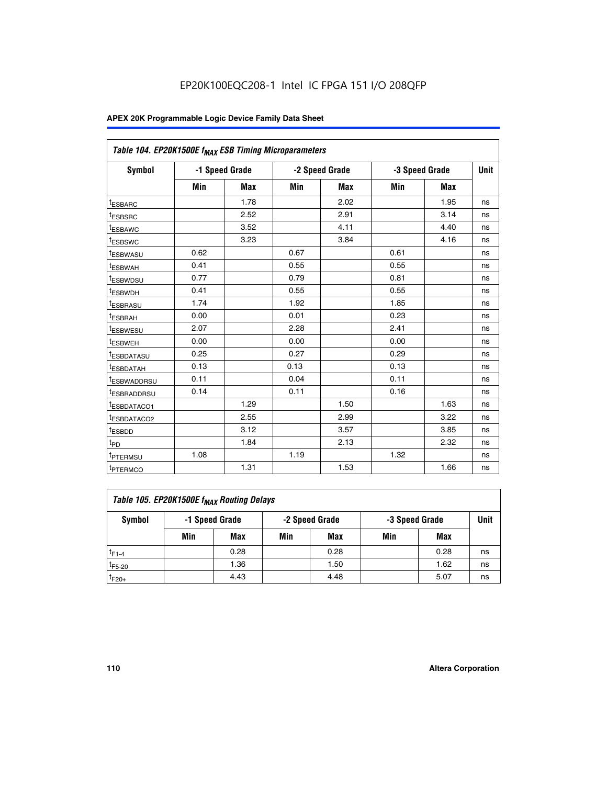| Table 104. EP20K1500E f <sub>MAX</sub> ESB Timing Microparameters |      |                |            |                |      |                |             |  |
|-------------------------------------------------------------------|------|----------------|------------|----------------|------|----------------|-------------|--|
| <b>Symbol</b>                                                     |      | -1 Speed Grade |            | -2 Speed Grade |      | -3 Speed Grade | <b>Unit</b> |  |
|                                                                   | Min  | <b>Max</b>     | <b>Min</b> | Max            | Min  | Max            |             |  |
| <sup>t</sup> ESBARC                                               |      | 1.78           |            | 2.02           |      | 1.95           | ns          |  |
| t <sub>ESBSRC</sub>                                               |      | 2.52           |            | 2.91           |      | 3.14           | ns          |  |
| <sup>t</sup> ESBAWC                                               |      | 3.52           |            | 4.11           |      | 4.40           | ns          |  |
| t <sub>ESBSWC</sub>                                               |      | 3.23           |            | 3.84           |      | 4.16           | ns          |  |
| t <sub>ESBWASU</sub>                                              | 0.62 |                | 0.67       |                | 0.61 |                | ns          |  |
| t <sub>ESBWAH</sub>                                               | 0.41 |                | 0.55       |                | 0.55 |                | ns          |  |
| <sup>t</sup> ESBWDSU                                              | 0.77 |                | 0.79       |                | 0.81 |                | ns          |  |
| t <sub>ESBWDH</sub>                                               | 0.41 |                | 0.55       |                | 0.55 |                | ns          |  |
| <sup>t</sup> ESBRASU                                              | 1.74 |                | 1.92       |                | 1.85 |                | ns          |  |
| <sup>t</sup> ESBRAH                                               | 0.00 |                | 0.01       |                | 0.23 |                | ns          |  |
| <sup>t</sup> ESBWESU                                              | 2.07 |                | 2.28       |                | 2.41 |                | ns          |  |
| <sup>t</sup> ESBWEH                                               | 0.00 |                | 0.00       |                | 0.00 |                | ns          |  |
| <sup>t</sup> ESBDATASU                                            | 0.25 |                | 0.27       |                | 0.29 |                | ns          |  |
| <sup>t</sup> ESBDATAH                                             | 0.13 |                | 0.13       |                | 0.13 |                | ns          |  |
| <sup>t</sup> ESBWADDRSU                                           | 0.11 |                | 0.04       |                | 0.11 |                | ns          |  |
| t <sub>ESBRADDRSU</sub>                                           | 0.14 |                | 0.11       |                | 0.16 |                | ns          |  |
| <sup>I</sup> ESBDATACO1                                           |      | 1.29           |            | 1.50           |      | 1.63           | ns          |  |
| <sup>t</sup> ESBDATACO2                                           |      | 2.55           |            | 2.99           |      | 3.22           | ns          |  |
| <sup>t</sup> ESBDD                                                |      | 3.12           |            | 3.57           |      | 3.85           | ns          |  |
| t <sub>PD</sub>                                                   |      | 1.84           |            | 2.13           |      | 2.32           | ns          |  |
| t <sub>PTERMSU</sub>                                              | 1.08 |                | 1.19       |                | 1.32 |                | ns          |  |
| t <sub>PTERMCO</sub>                                              |      | 1.31           |            | 1.53           |      | 1.66           | ns          |  |

| Table 105. EP20K1500E f <sub>MAX</sub> Routing Delays |     |                |                |      |                |      |      |  |  |
|-------------------------------------------------------|-----|----------------|----------------|------|----------------|------|------|--|--|
| Symbol                                                |     | -1 Speed Grade | -2 Speed Grade |      | -3 Speed Grade |      | Unit |  |  |
|                                                       | Min | Max            | Min            | Max  | Min            | Max  |      |  |  |
| $t_{F1-4}$                                            |     | 0.28           |                | 0.28 |                | 0.28 | ns   |  |  |
| $t_{F5-20}$                                           |     | 1.36           |                | 1.50 |                | 1.62 | ns   |  |  |
| $t_{F20+}$                                            |     | 4.43           |                | 4.48 |                | 5.07 | ns   |  |  |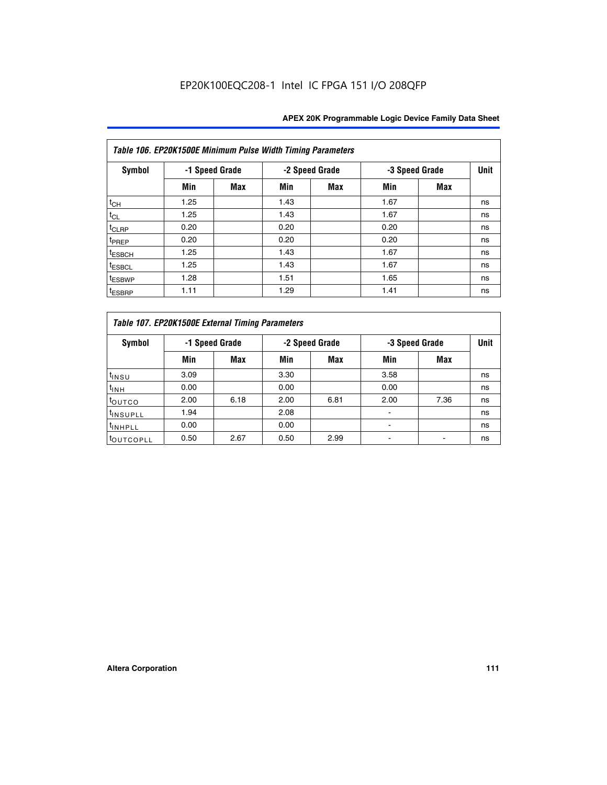| Table 106. EP20K1500E Minimum Pulse Width Timing Parameters |                |            |      |                |      |                |             |  |  |
|-------------------------------------------------------------|----------------|------------|------|----------------|------|----------------|-------------|--|--|
| Symbol                                                      | -1 Speed Grade |            |      | -2 Speed Grade |      | -3 Speed Grade | <b>Unit</b> |  |  |
|                                                             | Min            | <b>Max</b> | Min  | Max            | Min  | <b>Max</b>     |             |  |  |
| $t_{CH}$                                                    | 1.25           |            | 1.43 |                | 1.67 |                | ns          |  |  |
| $t_{CL}$                                                    | 1.25           |            | 1.43 |                | 1.67 |                | ns          |  |  |
| $t_{CLRP}$                                                  | 0.20           |            | 0.20 |                | 0.20 |                | ns          |  |  |
| t <sub>PREP</sub>                                           | 0.20           |            | 0.20 |                | 0.20 |                | ns          |  |  |
| <sup>t</sup> ESBCH                                          | 1.25           |            | 1.43 |                | 1.67 |                | ns          |  |  |
| <sup>t</sup> ESBCL                                          | 1.25           |            | 1.43 |                | 1.67 |                | ns          |  |  |
| <sup>t</sup> ESBWP                                          | 1.28           |            | 1.51 |                | 1.65 |                | ns          |  |  |
| <sup>t</sup> ESBRP                                          | 1.11           |            | 1.29 |                | 1.41 |                | ns          |  |  |

| Table 107. EP20K1500E External Timing Parameters |      |                |      |                |      |                |    |  |  |
|--------------------------------------------------|------|----------------|------|----------------|------|----------------|----|--|--|
| Symbol                                           |      | -1 Speed Grade |      | -2 Speed Grade |      | -3 Speed Grade |    |  |  |
|                                                  | Min  | <b>Max</b>     | Min  | <b>Max</b>     | Min  | Max            |    |  |  |
| t <sub>insu</sub>                                | 3.09 |                | 3.30 |                | 3.58 |                | ns |  |  |
| $t_{INH}$                                        | 0.00 |                | 0.00 |                | 0.00 |                | ns |  |  |
| toutco                                           | 2.00 | 6.18           | 2.00 | 6.81           | 2.00 | 7.36           | ns |  |  |
| <sup>t</sup> INSUPLL                             | 1.94 |                | 2.08 |                |      |                | ns |  |  |
| <sup>t</sup> INHPLL                              | 0.00 |                | 0.00 |                |      |                | ns |  |  |
| <sup>t</sup> OUTCOPLL                            | 0.50 | 2.67           | 0.50 | 2.99           |      |                | ns |  |  |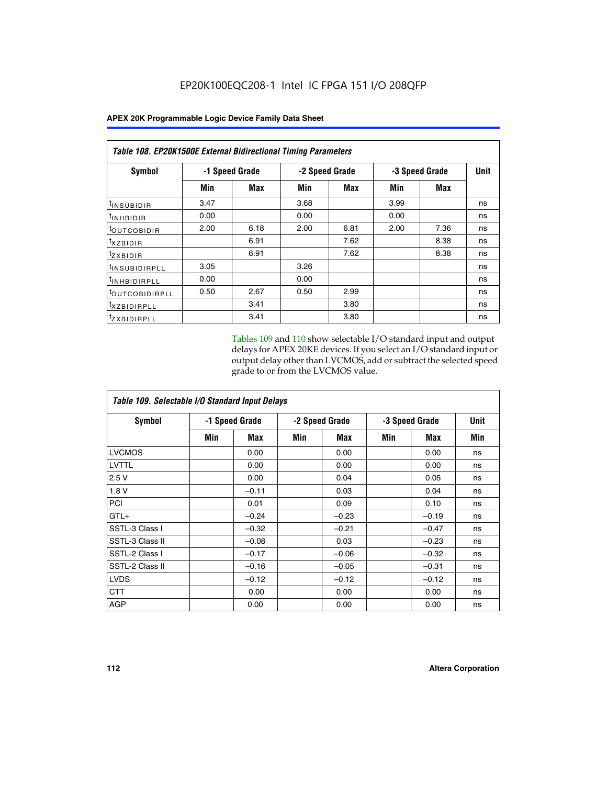| Table 108. EP20K1500E External Bidirectional Timing Parameters |      |                |                |      |                |      |      |  |
|----------------------------------------------------------------|------|----------------|----------------|------|----------------|------|------|--|
| Symbol                                                         |      | -1 Speed Grade | -2 Speed Grade |      | -3 Speed Grade |      | Unit |  |
|                                                                | Min  | Max            | Min            | Max  | Min            | Max  |      |  |
| <sup>t</sup> INSUBIDIR                                         | 3.47 |                | 3.68           |      | 3.99           |      | ns   |  |
| <sup>t</sup> INHBIDIR                                          | 0.00 |                | 0.00           |      | 0.00           |      | ns   |  |
| <sup>t</sup> OUTCOBIDIR                                        | 2.00 | 6.18           | 2.00           | 6.81 | 2.00           | 7.36 | ns   |  |
| txzBIDIR                                                       |      | 6.91           |                | 7.62 |                | 8.38 | ns   |  |
| $t_{Z}$ <i>x</i> BIDIR                                         |      | 6.91           |                | 7.62 |                | 8.38 | ns   |  |
| <sup>t</sup> INSUBIDIRPLL                                      | 3.05 |                | 3.26           |      |                |      | ns   |  |
| <sup>t</sup> INHBIDIRPLL                                       | 0.00 |                | 0.00           |      |                |      | ns   |  |
| <sup>t</sup> OUTCOBIDIRPLL                                     | 0.50 | 2.67           | 0.50           | 2.99 |                |      | ns   |  |
| <sup>t</sup> XZBIDIRPLL                                        |      | 3.41           |                | 3.80 |                |      | ns   |  |
| <sup>t</sup> zxbidirpll                                        |      | 3.41           |                | 3.80 |                |      | ns   |  |

Tables 109 and 110 show selectable I/O standard input and output delays for APEX 20KE devices. If you select an I/O standard input or output delay other than LVCMOS, add or subtract the selected speed grade to or from the LVCMOS value.

| Table 109. Selectable I/O Standard Input Delays |     |                |     |                |     |                |     |  |
|-------------------------------------------------|-----|----------------|-----|----------------|-----|----------------|-----|--|
| <b>Symbol</b>                                   |     | -1 Speed Grade |     | -2 Speed Grade |     | -3 Speed Grade |     |  |
|                                                 | Min | Max            | Min | Max            | Min | Max            | Min |  |
| <b>LVCMOS</b>                                   |     | 0.00           |     | 0.00           |     | 0.00           | ns  |  |
| <b>LVTTL</b>                                    |     | 0.00           |     | 0.00           |     | 0.00           | ns  |  |
| 2.5V                                            |     | 0.00           |     | 0.04           |     | 0.05           | ns  |  |
| 1.8V                                            |     | $-0.11$        |     | 0.03           |     | 0.04           | ns  |  |
| PCI                                             |     | 0.01           |     | 0.09           |     | 0.10           | ns  |  |
| $GTL+$                                          |     | $-0.24$        |     | $-0.23$        |     | $-0.19$        | ns  |  |
| SSTL-3 Class I                                  |     | $-0.32$        |     | $-0.21$        |     | $-0.47$        | ns  |  |
| SSTL-3 Class II                                 |     | $-0.08$        |     | 0.03           |     | $-0.23$        | ns  |  |
| SSTL-2 Class I                                  |     | $-0.17$        |     | $-0.06$        |     | $-0.32$        | ns  |  |
| SSTL-2 Class II                                 |     | $-0.16$        |     | $-0.05$        |     | $-0.31$        | ns  |  |
| <b>LVDS</b>                                     |     | $-0.12$        |     | $-0.12$        |     | $-0.12$        | ns  |  |
| <b>CTT</b>                                      |     | 0.00           |     | 0.00           |     | 0.00           | ns  |  |
| <b>AGP</b>                                      |     | 0.00           |     | 0.00           |     | 0.00           | ns  |  |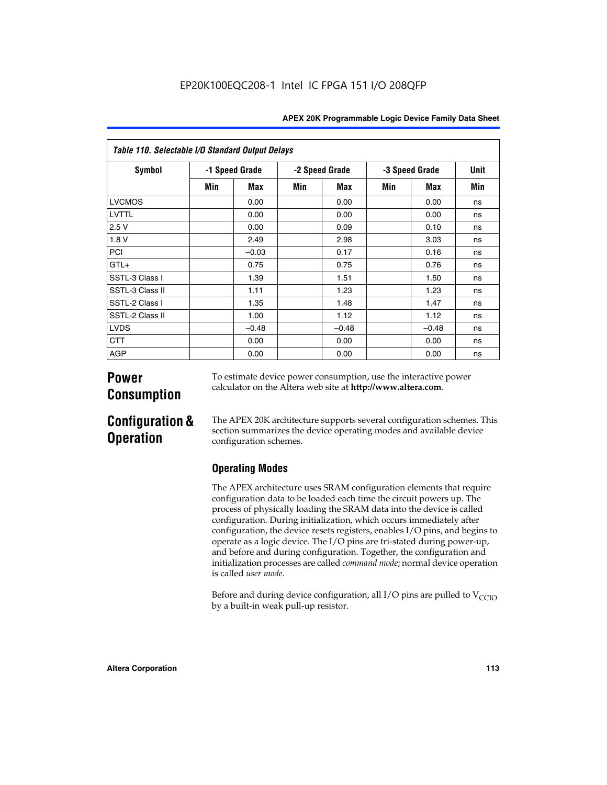| <b>APEX 20K Programmable Logic Device Family Data Sheet</b> |  |  |
|-------------------------------------------------------------|--|--|
|-------------------------------------------------------------|--|--|

| Table 110. Selectable I/O Standard Output Delays |                |         |                |         |                |         |             |  |
|--------------------------------------------------|----------------|---------|----------------|---------|----------------|---------|-------------|--|
| Symbol                                           | -1 Speed Grade |         | -2 Speed Grade |         | -3 Speed Grade |         | <b>Unit</b> |  |
|                                                  | Min            | Max     | Min            | Max     | Min            | Max     | Min         |  |
| <b>LVCMOS</b>                                    |                | 0.00    |                | 0.00    |                | 0.00    | ns          |  |
| <b>LVTTL</b>                                     |                | 0.00    |                | 0.00    |                | 0.00    | ns          |  |
| 2.5V                                             |                | 0.00    |                | 0.09    |                | 0.10    | ns          |  |
| 1.8V                                             |                | 2.49    |                | 2.98    |                | 3.03    | ns          |  |
| PCI                                              |                | $-0.03$ |                | 0.17    |                | 0.16    | ns          |  |
| $GTL+$                                           |                | 0.75    |                | 0.75    |                | 0.76    | ns          |  |
| SSTL-3 Class I                                   |                | 1.39    |                | 1.51    |                | 1.50    | ns          |  |
| SSTL-3 Class II                                  |                | 1.11    |                | 1.23    |                | 1.23    | ns          |  |
| SSTL-2 Class I                                   |                | 1.35    |                | 1.48    |                | 1.47    | ns          |  |
| SSTL-2 Class II                                  |                | 1.00    |                | 1.12    |                | 1.12    | ns          |  |
| <b>LVDS</b>                                      |                | $-0.48$ |                | $-0.48$ |                | $-0.48$ | ns          |  |
| <b>CTT</b>                                       |                | 0.00    |                | 0.00    |                | 0.00    | ns          |  |
| <b>AGP</b>                                       |                | 0.00    |                | 0.00    |                | 0.00    | ns          |  |

# **Power Consumption**

To estimate device power consumption, use the interactive power calculator on the Altera web site at **http://www.altera.com**.

# **Configuration & Operation**

The APEX 20K architecture supports several configuration schemes. This section summarizes the device operating modes and available device configuration schemes.

## **Operating Modes**

The APEX architecture uses SRAM configuration elements that require configuration data to be loaded each time the circuit powers up. The process of physically loading the SRAM data into the device is called configuration. During initialization, which occurs immediately after configuration, the device resets registers, enables I/O pins, and begins to operate as a logic device. The I/O pins are tri-stated during power-up, and before and during configuration. Together, the configuration and initialization processes are called *command mode*; normal device operation is called *user mode*.

Before and during device configuration, all I/O pins are pulled to  $V<sub>CCIO</sub>$ by a built-in weak pull-up resistor.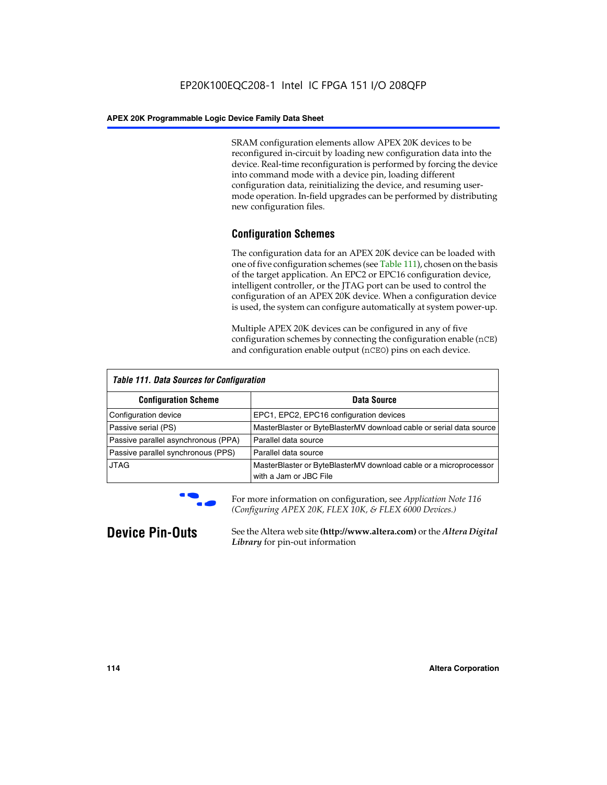SRAM configuration elements allow APEX 20K devices to be reconfigured in-circuit by loading new configuration data into the device. Real-time reconfiguration is performed by forcing the device into command mode with a device pin, loading different configuration data, reinitializing the device, and resuming usermode operation. In-field upgrades can be performed by distributing new configuration files.

## **Configuration Schemes**

The configuration data for an APEX 20K device can be loaded with one of five configuration schemes (see Table 111), chosen on the basis of the target application. An EPC2 or EPC16 configuration device, intelligent controller, or the JTAG port can be used to control the configuration of an APEX 20K device. When a configuration device is used, the system can configure automatically at system power-up.

Multiple APEX 20K devices can be configured in any of five configuration schemes by connecting the configuration enable (nCE) and configuration enable output (nCEO) pins on each device.

| <b>Table 111. Data Sources for Configuration</b> |                                                                                             |  |  |  |
|--------------------------------------------------|---------------------------------------------------------------------------------------------|--|--|--|
| <b>Configuration Scheme</b>                      | Data Source                                                                                 |  |  |  |
| Configuration device                             | EPC1, EPC2, EPC16 configuration devices                                                     |  |  |  |
| Passive serial (PS)                              | MasterBlaster or ByteBlasterMV download cable or serial data source                         |  |  |  |
| Passive parallel asynchronous (PPA)              | Parallel data source                                                                        |  |  |  |
| Passive parallel synchronous (PPS)               | Parallel data source                                                                        |  |  |  |
| <b>JTAG</b>                                      | MasterBlaster or ByteBlasterMV download cable or a microprocessor<br>with a Jam or JBC File |  |  |  |



**For more information on configuration, see Application Note 116** *(Configuring APEX 20K, FLEX 10K, & FLEX 6000 Devices.)*

**Device Pin-Outs** See the Altera web site **(http://www.altera.com)** or the *Altera Digital Library* for pin-out information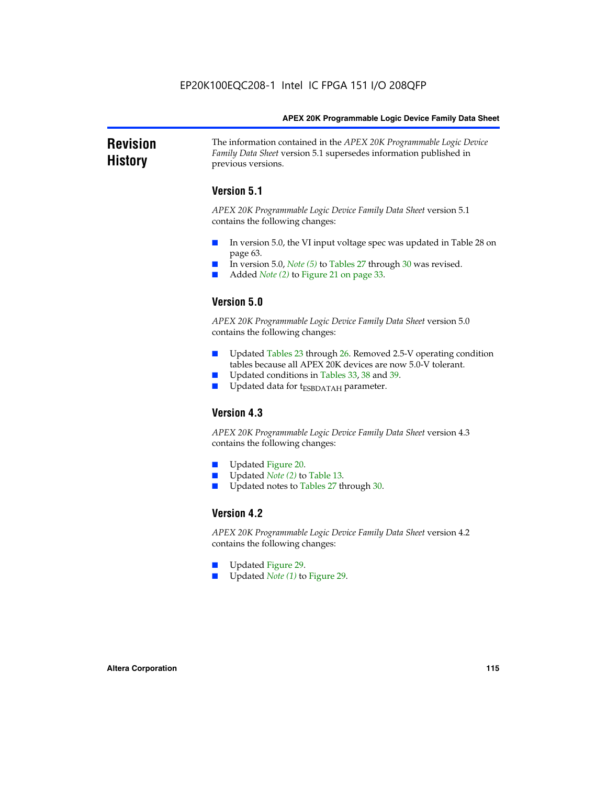### **Revision History** The information contained in the *APEX 20K Programmable Logic Device Family Data Sheet* version 5.1 supersedes information published in previous versions.

## **Version 5.1**

*APEX 20K Programmable Logic Device Family Data Sheet* version 5.1 contains the following changes:

- In version 5.0, the VI input voltage spec was updated in Table 28 on page 63.
- In version 5.0, *Note* (5) to Tables 27 through 30 was revised.
- Added *Note* (2) to Figure 21 on page 33.

## **Version 5.0**

*APEX 20K Programmable Logic Device Family Data Sheet* version 5.0 contains the following changes:

- Updated Tables 23 through 26. Removed 2.5-V operating condition tables because all APEX 20K devices are now 5.0-V tolerant.
- Updated conditions in Tables 33, 38 and 39.
- Updated data for t<sub>ESBDATAH</sub> parameter.

## **Version 4.3**

*APEX 20K Programmable Logic Device Family Data Sheet* version 4.3 contains the following changes:

- Updated Figure 20.
- Updated *Note (2)* to Table 13.
- Updated notes to Tables 27 through 30.

### **Version 4.2**

*APEX 20K Programmable Logic Device Family Data Sheet* version 4.2 contains the following changes:

- Updated Figure 29.
- Updated *Note (1)* to Figure 29.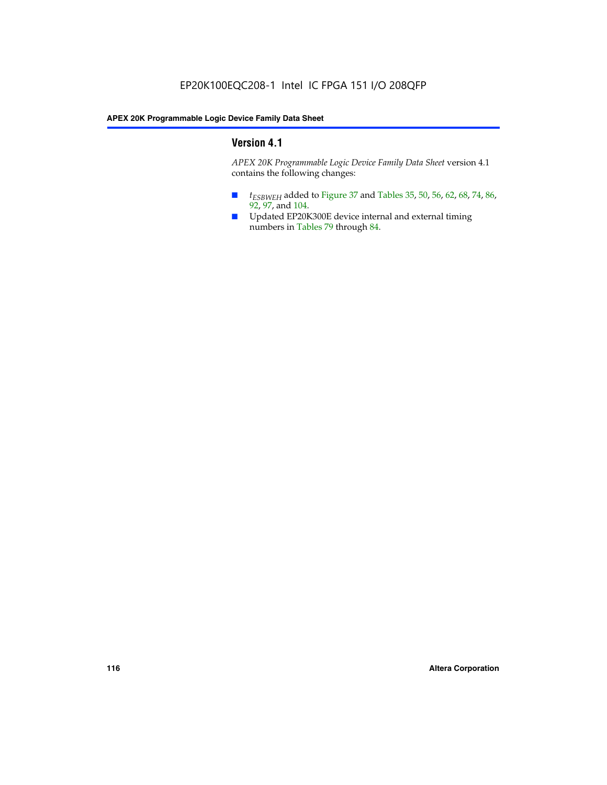## **Version 4.1**

*APEX 20K Programmable Logic Device Family Data Sheet* version 4.1 contains the following changes:

- *t<sub>ESBWEH</sub>* added to Figure 37 and Tables 35, 50, 56, 62, 68, 74, 86, 92, 97, and 104.
- Updated EP20K300E device internal and external timing numbers in Tables 79 through 84.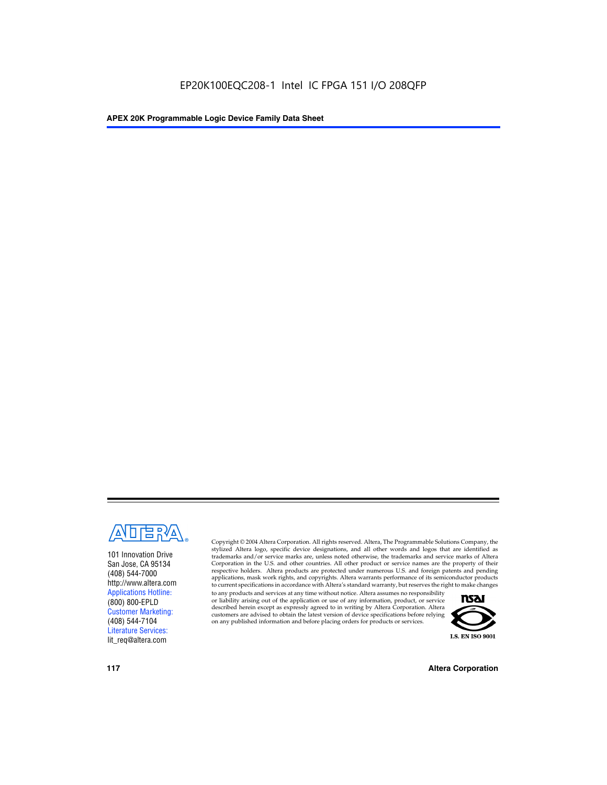

101 Innovation Drive San Jose, CA 95134 (408) 544-7000 http://www.altera.com Applications Hotline: (800) 800-EPLD Customer Marketing: (408) 544-7104 Literature Services: lit\_req@altera.com

Copyright © 2004 Altera Corporation. All rights reserved. Altera, The Programmable Solutions Company, the stylized Altera logo, specific device designations, and all other words and logos that are identified as trademarks and/or service marks are, unless noted otherwise, the trademarks and service marks of Altera Corporation in the U.S. and other countries. All other product or service names are the property of their respective holders. Altera products are protected under numerous U.S. and foreign patents and pending applications, mask work rights, and copyrights. Altera warrants performance of its semiconductor products to current specifications in accordance with Altera's standard warranty, but reserves the right to make changes

to any products and services at any time without notice. Altera assumes no responsibility or liability arising out of the application or use of any information, product, or service described herein except as expressly agreed to in writing by Altera Corporation. Altera customers are advised to obtain the latest version of device specifications before relying on any published information and before placing orders for products or services.



**117 Altera Corporation**